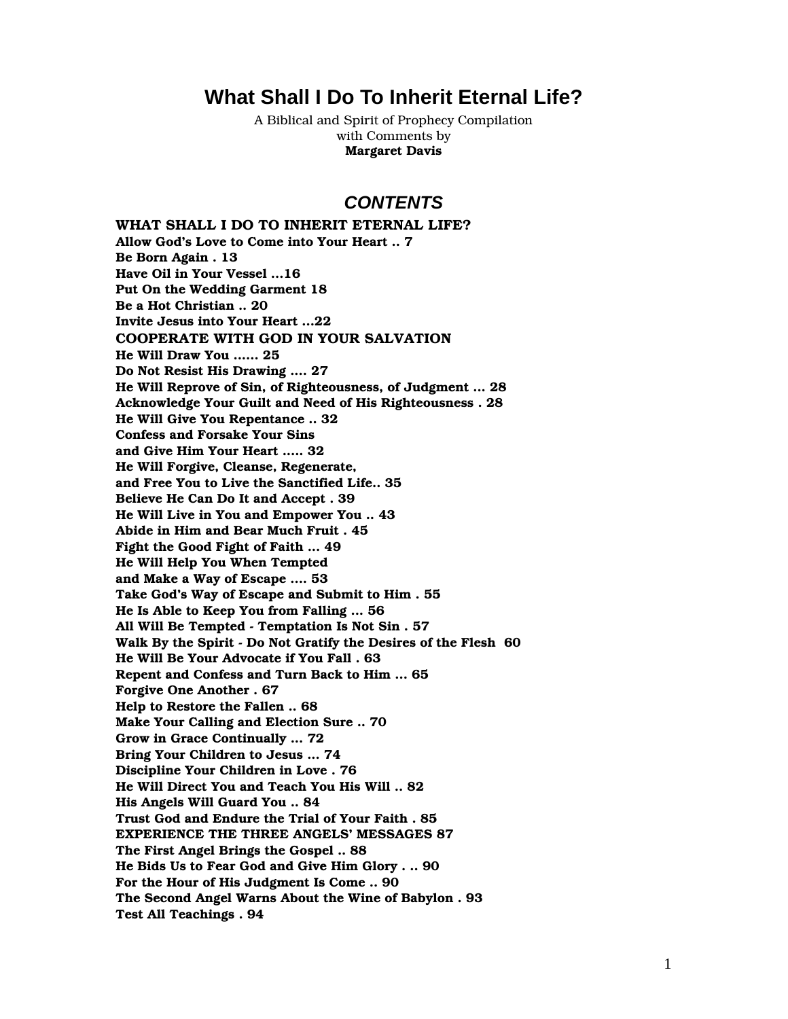# **What Shall I Do To Inherit Eternal Life?**

A Biblical and Spirit of Prophecy Compilation with Comments by Margaret Davis

# *CONTENTS*

WHAT SHALL I DO TO INHERIT ETERNAL LIFE? Allow God's Love to Come into Your Heart .. 7 Be Born Again . 13 Have Oil in Your Vessel ...16 Put On the Wedding Garment 18 Be a Hot Christian .. 20 Invite Jesus into Your Heart ...22 COOPERATE WITH GOD IN YOUR SALVATION He Will Draw You ...... 25 Do Not Resist His Drawing .... 27 He Will Reprove of Sin, of Righteousness, of Judgment ... 28 Acknowledge Your Guilt and Need of His Righteousness . 28 He Will Give You Repentance .. 32 Confess and Forsake Your Sins and Give Him Your Heart ..... 32 He Will Forgive, Cleanse, Regenerate, and Free You to Live the Sanctified Life.. 35 Believe He Can Do It and Accept . 39 He Will Live in You and Empower You .. 43 Abide in Him and Bear Much Fruit . 45 Fight the Good Fight of Faith ... 49 He Will Help You When Tempted and Make a Way of Escape .... 53 Take God's Way of Escape and Submit to Him . 55 He Is Able to Keep You from Falling ... 56 All Will Be Tempted - Temptation Is Not Sin . 57 Walk By the Spirit - Do Not Gratify the Desires of the Flesh 60 He Will Be Your Advocate if You Fall . 63 Repent and Confess and Turn Back to Him ... 65 Forgive One Another . 67 Help to Restore the Fallen .. 68 Make Your Calling and Election Sure .. 70 Grow in Grace Continually ... 72 Bring Your Children to Jesus ... 74 Discipline Your Children in Love . 76 He Will Direct You and Teach You His Will .. 82 His Angels Will Guard You .. 84 Trust God and Endure the Trial of Your Faith . 85 EXPERIENCE THE THREE ANGELS' MESSAGES 87 The First Angel Brings the Gospel .. 88 He Bids Us to Fear God and Give Him Glory . .. 90 For the Hour of His Judgment Is Come .. 90 The Second Angel Warns About the Wine of Babylon . 93 Test All Teachings . 94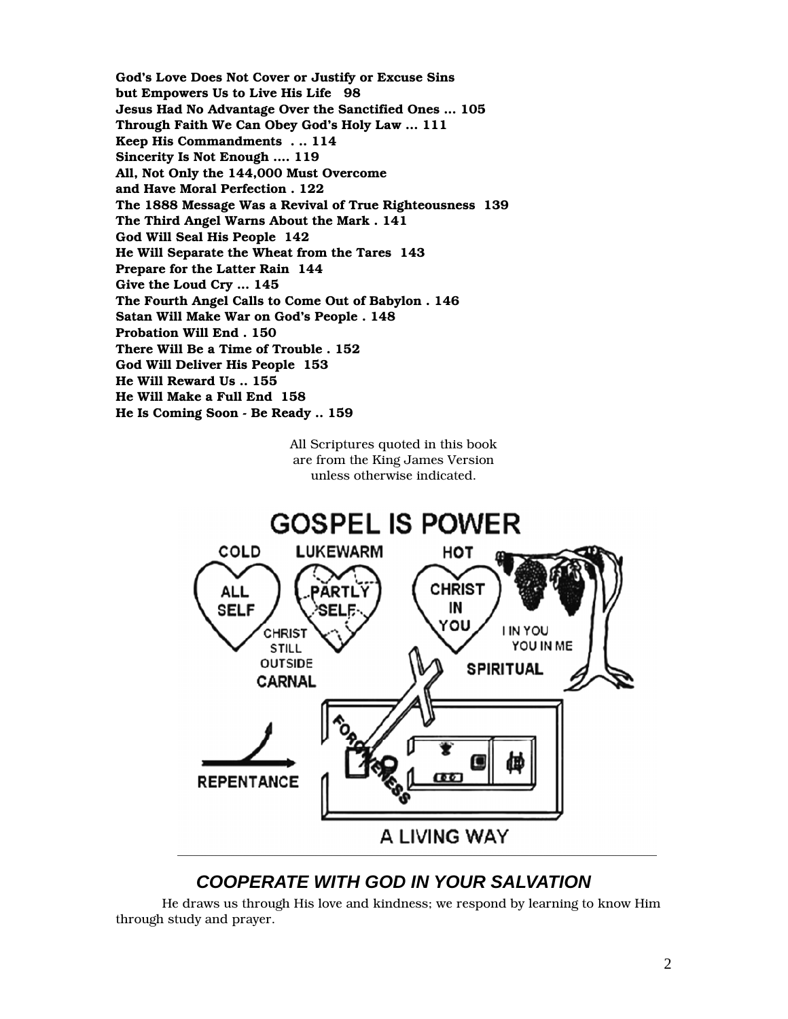God's Love Does Not Cover or Justify or Excuse Sins but Empowers Us to Live His Life 98 Jesus Had No Advantage Over the Sanctified Ones ... 105 Through Faith We Can Obey God's Holy Law ... 111 Keep His Commandments . .. 114 Sincerity Is Not Enough .... 119 All, Not Only the 144,000 Must Overcome and Have Moral Perfection . 122 The 1888 Message Was a Revival of True Righteousness 139 The Third Angel Warns About the Mark . 141 God Will Seal His People 142 He Will Separate the Wheat from the Tares 143 Prepare for the Latter Rain 144 Give the Loud Cry ... 145 The Fourth Angel Calls to Come Out of Babylon . 146 Satan Will Make War on God's People . 148 Probation Will End . 150 There Will Be a Time of Trouble . 152 God Will Deliver His People 153 He Will Reward Us .. 155 He Will Make a Full End 158 He Is Coming Soon - Be Ready .. 159

> All Scriptures quoted in this book are from the King James Version unless otherwise indicated.



# *COOPERATE WITH GOD IN YOUR SALVATION*

He draws us through His love and kindness; we respond by learning to know Him through study and prayer.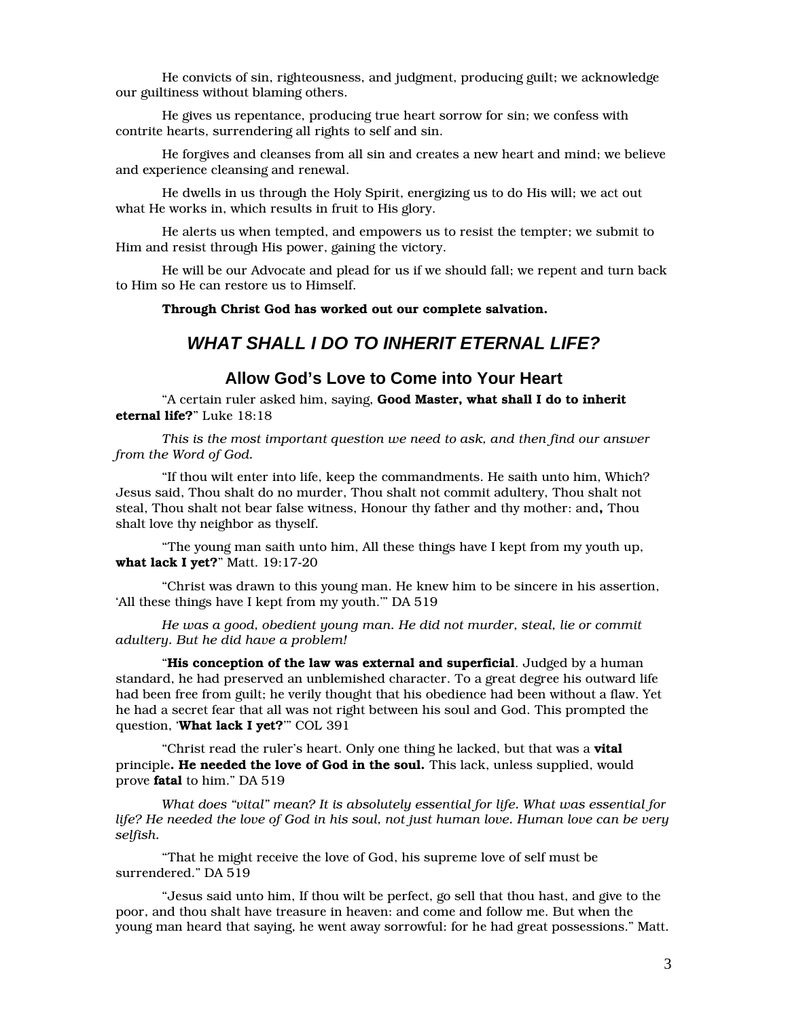He convicts of sin, righteousness, and judgment, producing guilt; we acknowledge our guiltiness without blaming others.

He gives us repentance, producing true heart sorrow for sin; we confess with contrite hearts, surrendering all rights to self and sin.

He forgives and cleanses from all sin and creates a new heart and mind; we believe and experience cleansing and renewal.

He dwells in us through the Holy Spirit, energizing us to do His will; we act out what He works in, which results in fruit to His glory.

He alerts us when tempted, and empowers us to resist the tempter; we submit to Him and resist through His power, gaining the victory.

He will be our Advocate and plead for us if we should fall; we repent and turn back to Him so He can restore us to Himself.

Through Christ God has worked out our complete salvation.

# *WHAT SHALL I DO TO INHERIT ETERNAL LIFE?*

# **Allow God's Love to Come into Your Heart**

"A certain ruler asked him, saying, Good Master, what shall I do to inherit eternal life?" Luke 18:18

*This is the most important question we need to ask, and then find our answer from the Word of God.* 

"If thou wilt enter into life, keep the commandments. He saith unto him, Which? Jesus said, Thou shalt do no murder, Thou shalt not commit adultery, Thou shalt not steal, Thou shalt not bear false witness, Honour thy father and thy mother: and, Thou shalt love thy neighbor as thyself.

"The young man saith unto him, All these things have I kept from my youth up, what lack I yet?" Matt. 19:17-20

"Christ was drawn to this young man. He knew him to be sincere in his assertion, 'All these things have I kept from my youth.'" DA 519

*He was a good, obedient young man. He did not murder, steal, lie or commit adultery. But he did have a problem!* 

"His conception of the law was external and superficial. Judged by a human standard, he had preserved an unblemished character. To a great degree his outward life had been free from guilt; he verily thought that his obedience had been without a flaw. Yet he had a secret fear that all was not right between his soul and God. This prompted the question, 'What lack I yet?" COL 391

"Christ read the ruler's heart. Only one thing he lacked, but that was a vital principle. He needed the love of God in the soul. This lack, unless supplied, would prove fatal to him." DA 519

*What does "vital" mean? It is absolutely essential for life. What was essential for life? He needed the love of God in his soul, not just human love. Human love can be very selfish.* 

"That he might receive the love of God, his supreme love of self must be surrendered." DA 519

"Jesus said unto him, If thou wilt be perfect, go sell that thou hast, and give to the poor, and thou shalt have treasure in heaven: and come and follow me. But when the young man heard that saying, he went away sorrowful: for he had great possessions." Matt.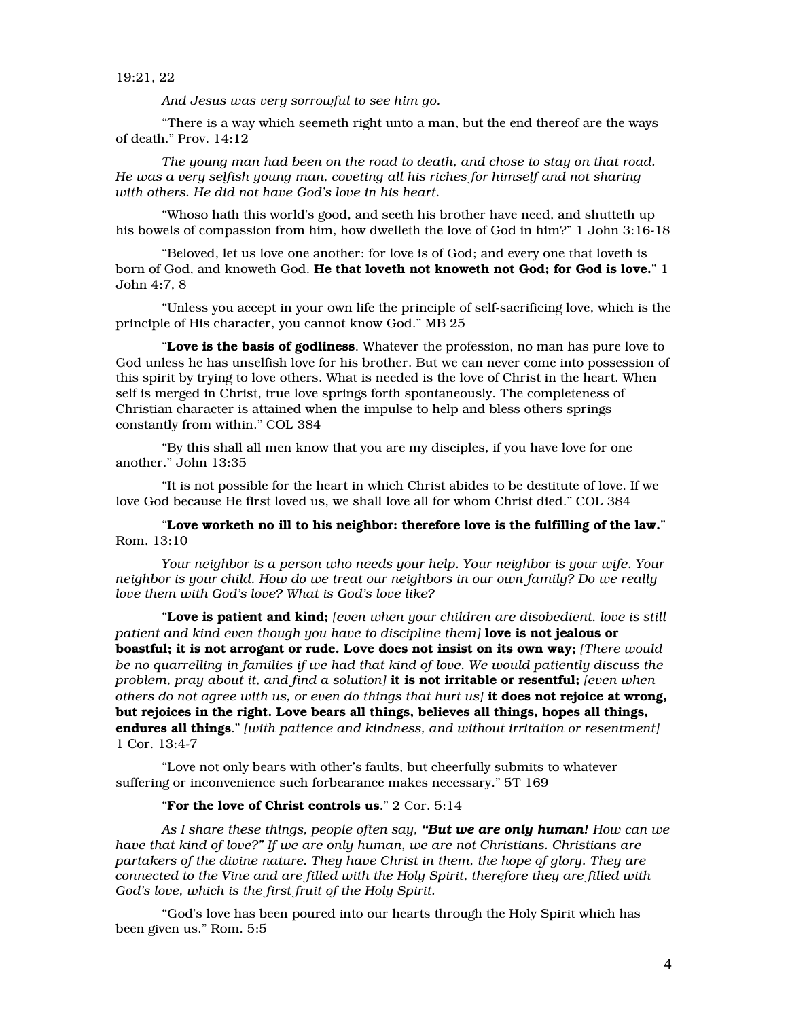19:21, 22

*And Jesus was very sorrowful to see him go.* 

"There is a way which seemeth right unto a man, but the end thereof are the ways of death." Prov. 14:12

*The young man had been on the road to death, and chose to stay on that road. He was a very selfish young man, coveting all his riches for himself and not sharing with others. He did not have God's love in his heart.* 

"Whoso hath this world's good, and seeth his brother have need, and shutteth up his bowels of compassion from him, how dwelleth the love of God in him?" 1 John 3:16-18

"Beloved, let us love one another: for love is of God; and every one that loveth is born of God, and knoweth God. **He that loveth not knoweth not God; for God is love.**" 1 John 4:7, 8

"Unless you accept in your own life the principle of self-sacrificing love, which is the principle of His character, you cannot know God." MB 25

"Love is the basis of godliness. Whatever the profession, no man has pure love to God unless he has unselfish love for his brother. But we can never come into possession of this spirit by trying to love others. What is needed is the love of Christ in the heart. When self is merged in Christ, true love springs forth spontaneously. The completeness of Christian character is attained when the impulse to help and bless others springs constantly from within." COL 384

"By this shall all men know that you are my disciples, if you have love for one another." John 13:35

"It is not possible for the heart in which Christ abides to be destitute of love. If we love God because He first loved us, we shall love all for whom Christ died." COL 384

"Love worketh no ill to his neighbor: therefore love is the fulfilling of the law." Rom. 13:10

*Your neighbor is a person who needs your help. Your neighbor is your wife. Your neighbor is your child. How do we treat our neighbors in our own family? Do we really love them with God's love? What is God's love like?* 

"Love is patient and kind; *[even when your children are disobedient, love is still patient and kind even though you have to discipline them]* love is not jealous or boastful; it is not arrogant or rude. Love does not insist on its own way; *[There would be no quarrelling in families if we had that kind of love. We would patiently discuss the problem, pray about it, and find a solution]* it is not irritable or resentful; *[even when others do not agree with us, or even do things that hurt us]* it does not rejoice at wrong, but rejoices in the right. Love bears all things, believes all things, hopes all things, endures all things." *[with patience and kindness, and without irritation or resentment]*  1 Cor. 13:4-7

"Love not only bears with other's faults, but cheerfully submits to whatever suffering or inconvenience such forbearance makes necessary." 5T 169

### "For the love of Christ controls us." 2 Cor. 5:14

*As I share these things, people often say, "But we are only human! How can we have that kind of love?" If we are only human, we are not Christians. Christians are partakers of the divine nature. They have Christ in them, the hope of glory. They are connected to the Vine and are filled with the Holy Spirit, therefore they are filled with God's love, which is the first fruit of the Holy Spirit.* 

"God's love has been poured into our hearts through the Holy Spirit which has been given us." Rom. 5:5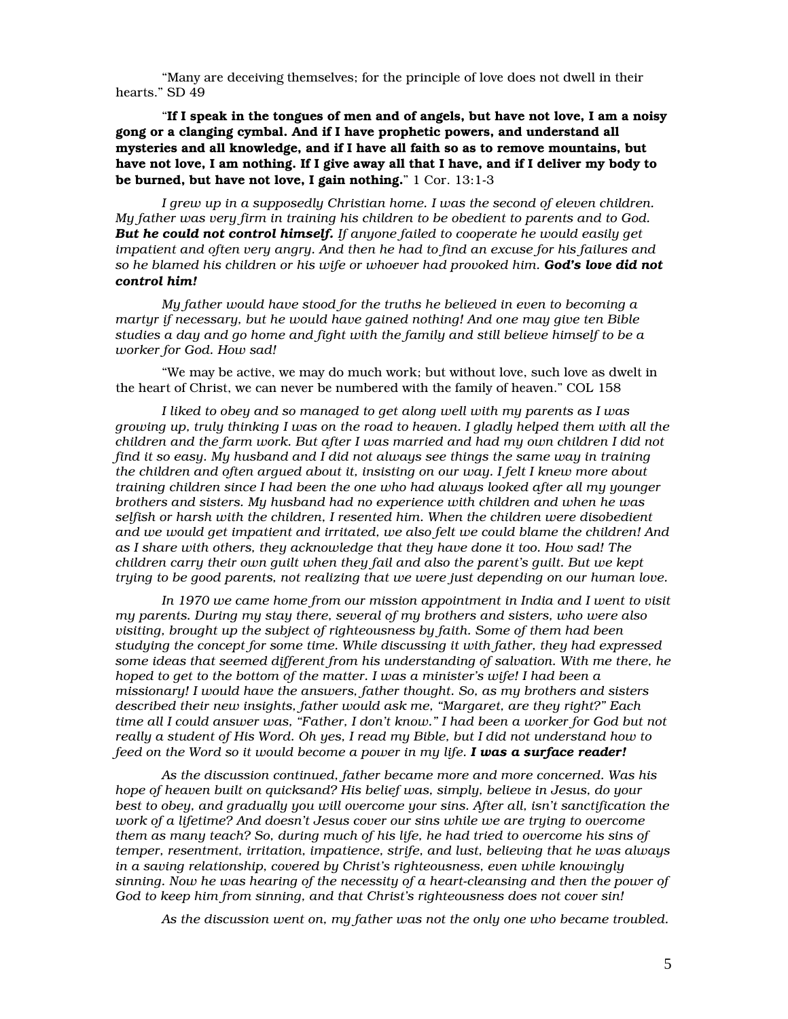"Many are deceiving themselves; for the principle of love does not dwell in their hearts." SD 49

"If I speak in the tongues of men and of angels, but have not love, I am a noisy gong or a clanging cymbal. And if I have prophetic powers, and understand all mysteries and all knowledge, and if I have all faith so as to remove mountains, but have not love, I am nothing. If I give away all that I have, and if I deliver my body to be burned, but have not love. I gain nothing."  $1 \text{ Cor. } 13:1-3$ 

*I grew up in a supposedly Christian home. I was the second of eleven children. My father was very firm in training his children to be obedient to parents and to God. But he could not control himself. If anyone failed to cooperate he would easily get impatient and often very angry. And then he had to find an excuse for his failures and so he blamed his children or his wife or whoever had provoked him. God's love did not control him!* 

*My father would have stood for the truths he believed in even to becoming a martyr if necessary, but he would have gained nothing! And one may give ten Bible studies a day and go home and fight with the family and still believe himself to be a worker for God. How sad!* 

"We may be active, we may do much work; but without love, such love as dwelt in the heart of Christ, we can never be numbered with the family of heaven." COL 158

*I liked to obey and so managed to get along well with my parents as I was growing up, truly thinking I was on the road to heaven. I gladly helped them with all the children and the farm work. But after I was married and had my own children I did not find it so easy. My husband and I did not always see things the same way in training the children and often argued about it, insisting on our way. I felt I knew more about training children since I had been the one who had always looked after all my younger brothers and sisters. My husband had no experience with children and when he was selfish or harsh with the children, I resented him. When the children were disobedient and we would get impatient and irritated, we also felt we could blame the children! And as I share with others, they acknowledge that they have done it too. How sad! The children carry their own guilt when they fail and also the parent's guilt. But we kept trying to be good parents, not realizing that we were just depending on our human love.*

*In 1970 we came home from our mission appointment in India and I went to visit my parents. During my stay there, several of my brothers and sisters, who were also visiting, brought up the subject of righteousness by faith. Some of them had been studying the concept for some time. While discussing it with father, they had expressed some ideas that seemed different from his understanding of salvation. With me there, he hoped to get to the bottom of the matter. I was a minister's wife! I had been a missionary! I would have the answers, father thought. So, as my brothers and sisters described their new insights, father would ask me, "Margaret, are they right?" Each time all I could answer was, "Father, I don't know." I had been a worker for God but not really a student of His Word. Oh yes, I read my Bible, but I did not understand how to feed on the Word so it would become a power in my life. I was a surface reader!* 

*As the discussion continued, father became more and more concerned. Was his hope of heaven built on quicksand? His belief was, simply, believe in Jesus, do your best to obey, and gradually you will overcome your sins. After all, isn't sanctification the work of a lifetime? And doesn't Jesus cover our sins while we are trying to overcome them as many teach? So, during much of his life, he had tried to overcome his sins of temper, resentment, irritation, impatience, strife, and lust, believing that he was always in a saving relationship, covered by Christ's righteousness, even while knowingly sinning. Now he was hearing of the necessity of a heart-cleansing and then the power of God to keep him from sinning, and that Christ's righteousness does not cover sin!* 

*As the discussion went on, my father was not the only one who became troubled.*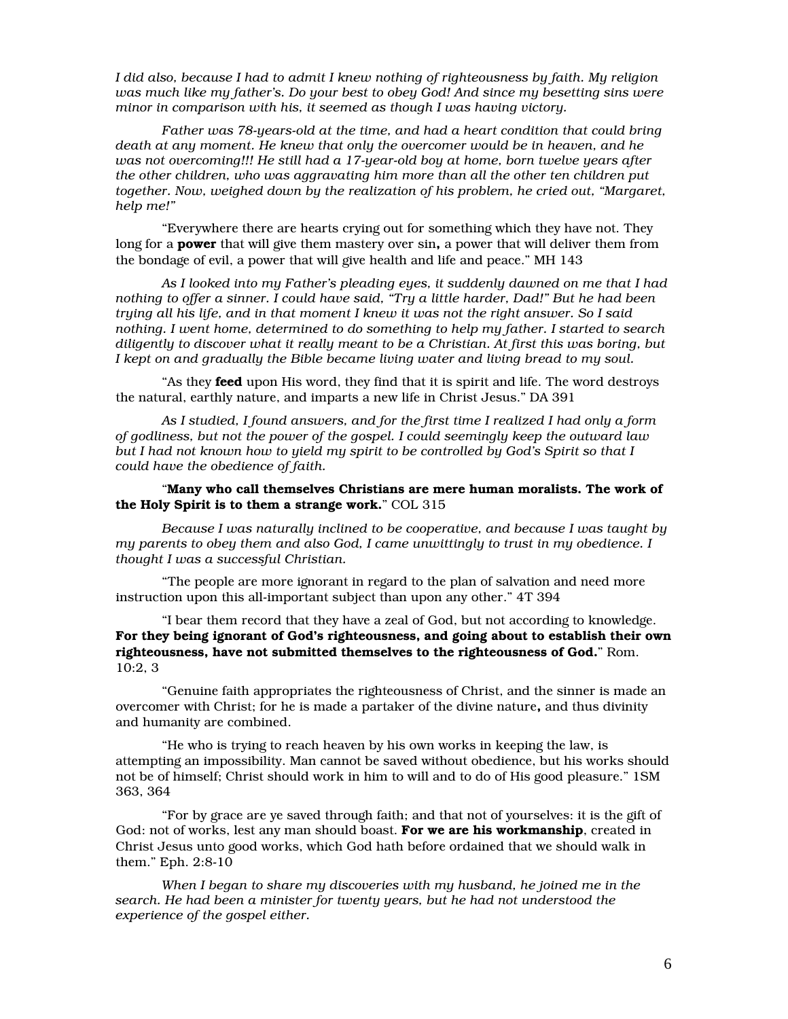*I did also, because I had to admit I knew nothing of righteousness by faith. My religion was much like my father's. Do your best to obey God! And since my besetting sins were minor in comparison with his, it seemed as though I was having victory.* 

*Father was 78-years-old at the time, and had a heart condition that could bring death at any moment. He knew that only the overcomer would be in heaven, and he was not overcoming!!! He still had a 17-year-old boy at home, born twelve years after the other children, who was aggravating him more than all the other ten children put together. Now, weighed down by the realization of his problem, he cried out, "Margaret, help me!"* 

"Everywhere there are hearts crying out for something which they have not. They long for a **power** that will give them mastery over sin, a power that will deliver them from the bondage of evil, a power that will give health and life and peace." MH 143

*As I looked into my Father's pleading eyes, it suddenly dawned on me that I had nothing to offer a sinner. I could have said, "Try a little harder, Dad!" But he had been trying all his life, and in that moment I knew it was not the right answer. So I said nothing. I went home, determined to do something to help my father. I started to search diligently to discover what it really meant to be a Christian. At first this was boring, but I kept on and gradually the Bible became living water and living bread to my soul.* 

"As they feed upon His word, they find that it is spirit and life. The word destroys the natural, earthly nature, and imparts a new life in Christ Jesus." DA 391

*As I studied, I found answers, and for the first time I realized I had only a form of godliness, but not the power of the gospel. I could seemingly keep the outward law but I had not known how to yield my spirit to be controlled by God's Spirit so that I could have the obedience of faith.* 

"Many who call themselves Christians are mere human moralists. The work of the Holy Spirit is to them a strange work." COL 315

*Because I was naturally inclined to be cooperative, and because I was taught by my parents to obey them and also God, I came unwittingly to trust in my obedience. I thought I was a successful Christian.* 

"The people are more ignorant in regard to the plan of salvation and need more instruction upon this all-important subject than upon any other." 4T 394

"I bear them record that they have a zeal of God, but not according to knowledge. For they being ignorant of God's righteousness, and going about to establish their own righteousness, have not submitted themselves to the righteousness of God." Rom.  $10:2, 3$ 

"Genuine faith appropriates the righteousness of Christ, and the sinner is made an overcomer with Christ; for he is made a partaker of the divine nature, and thus divinity and humanity are combined.

"He who is trying to reach heaven by his own works in keeping the law, is attempting an impossibility. Man cannot be saved without obedience, but his works should not be of himself; Christ should work in him to will and to do of His good pleasure." 1SM 363, 364

"For by grace are ye saved through faith; and that not of yourselves: it is the gift of God: not of works, lest any man should boast. For we are his workmanship, created in Christ Jesus unto good works, which God hath before ordained that we should walk in them." Eph. 2:8-10

*When I began to share my discoveries with my husband, he joined me in the search. He had been a minister for twenty years, but he had not understood the experience of the gospel either.*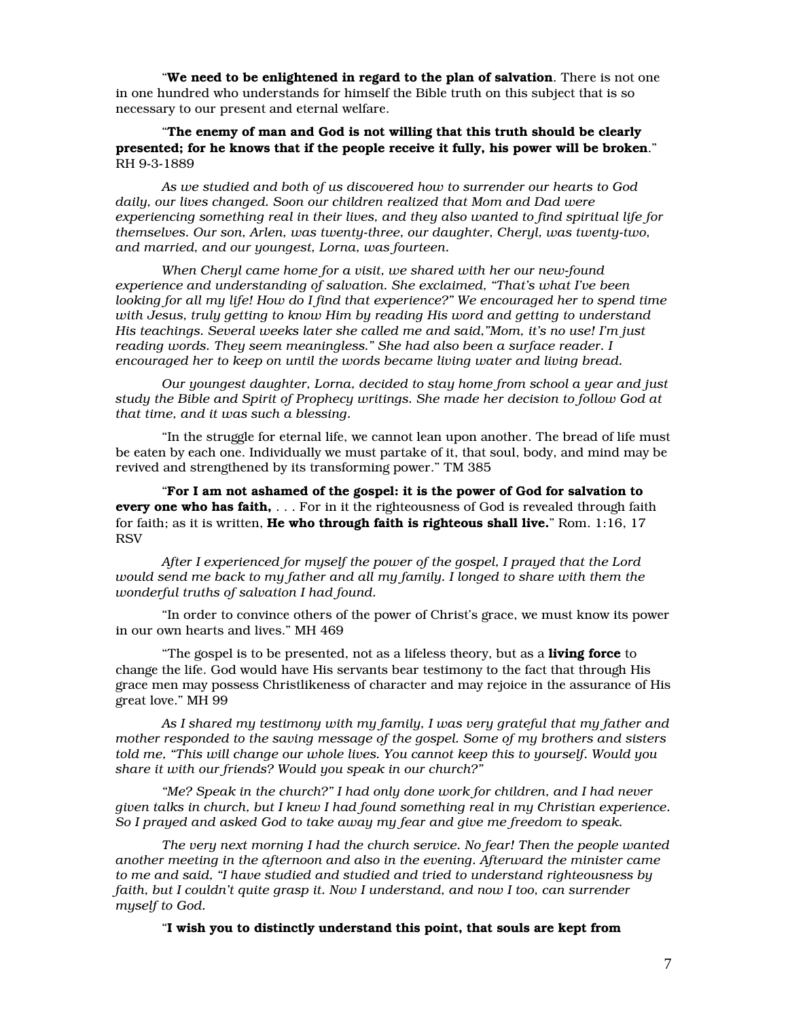"We need to be enlightened in regard to the plan of salvation. There is not one in one hundred who understands for himself the Bible truth on this subject that is so necessary to our present and eternal welfare.

"The enemy of man and God is not willing that this truth should be clearly presented; for he knows that if the people receive it fully, his power will be broken." RH 9-3-1889

*As we studied and both of us discovered how to surrender our hearts to God daily, our lives changed. Soon our children realized that Mom and Dad were experiencing something real in their lives, and they also wanted to find spiritual life for themselves. Our son, Arlen, was twenty-three, our daughter, Cheryl, was twenty-two, and married, and our youngest, Lorna, was fourteen.* 

*When Cheryl came home for a visit, we shared with her our new-found experience and understanding of salvation. She exclaimed, "That's what I've been looking for all my life! How do I find that experience?" We encouraged her to spend time with Jesus, truly getting to know Him by reading His word and getting to understand His teachings. Several weeks later she called me and said,"Mom, it's no use! I'm just reading words. They seem meaningless." She had also been a surface reader. I encouraged her to keep on until the words became living water and living bread.* 

*Our youngest daughter, Lorna, decided to stay home from school a year and just study the Bible and Spirit of Prophecy writings. She made her decision to follow God at that time, and it was such a blessing.* 

"In the struggle for eternal life, we cannot lean upon another. The bread of life must be eaten by each one. Individually we must partake of it, that soul, body, and mind may be revived and strengthened by its transforming power." TM 385

"For I am not ashamed of the gospel: it is the power of God for salvation to every one who has faith, . . . For in it the righteousness of God is revealed through faith for faith; as it is written, **He who through faith is righteous shall live.**" Rom.  $1:16, 17$ RSV

*After I experienced for myself the power of the gospel, I prayed that the Lord would send me back to my father and all my family. I longed to share with them the wonderful truths of salvation I had found.* 

"In order to convince others of the power of Christ's grace, we must know its power in our own hearts and lives." MH 469

"The gospel is to be presented, not as a lifeless theory, but as a **living force** to change the life. God would have His servants bear testimony to the fact that through His grace men may possess Christlikeness of character and may rejoice in the assurance of His great love." MH 99

*As I shared my testimony with my family, I was very grateful that my father and mother responded to the saving message of the gospel. Some of my brothers and sisters told me, "This will change our whole lives. You cannot keep this to yourself. Would you share it with our friends? Would you speak in our church?"* 

*"Me? Speak in the church?" I had only done work for children, and I had never given talks in church, but I knew I had found something real in my Christian experience. So I prayed and asked God to take away my fear and give me freedom to speak.* 

*The very next morning I had the church service. No fear! Then the people wanted another meeting in the afternoon and also in the evening. Afterward the minister came to me and said, "I have studied and studied and tried to understand righteousness by faith, but I couldn't quite grasp it. Now I understand, and now I too, can surrender myself to God.* 

"I wish you to distinctly understand this point, that souls are kept from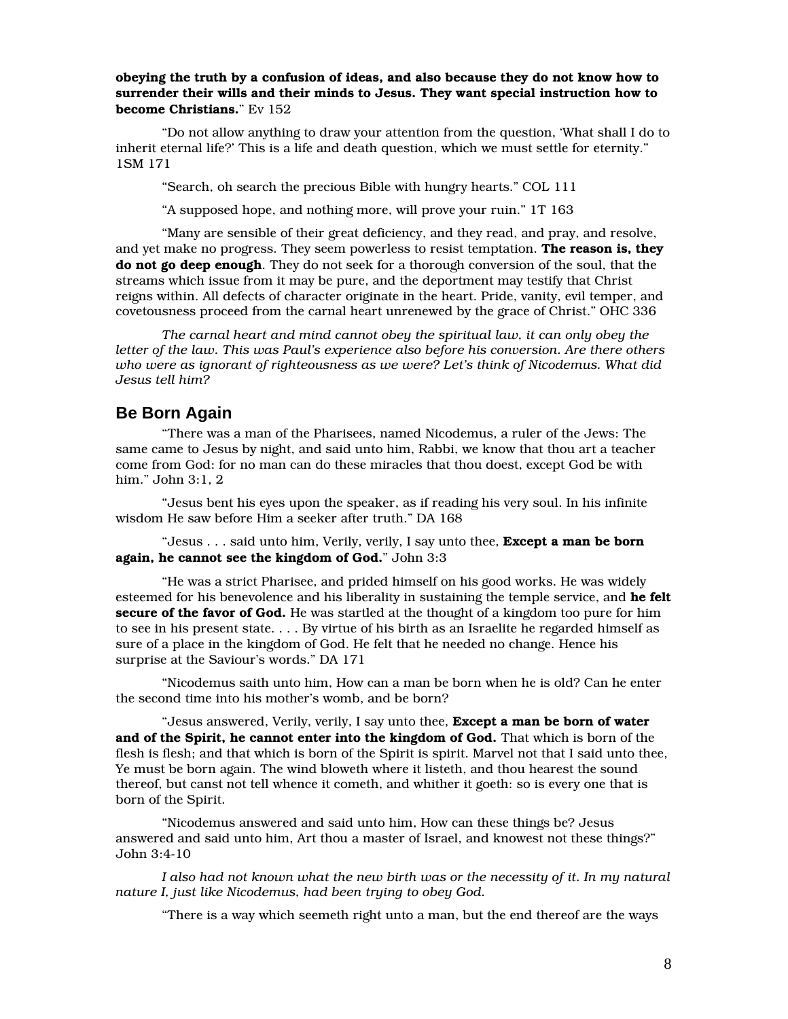### obeying the truth by a confusion of ideas, and also because they do not know how to surrender their wills and their minds to Jesus. They want special instruction how to become Christians." Ev 152

"Do not allow anything to draw your attention from the question, 'What shall I do to inherit eternal life?' This is a life and death question, which we must settle for eternity." 1SM 171

"Search, oh search the precious Bible with hungry hearts." COL 111

"A supposed hope, and nothing more, will prove your ruin." 1T 163

"Many are sensible of their great deficiency, and they read, and pray, and resolve, and yet make no progress. They seem powerless to resist temptation. The reason is, they do not go deep enough. They do not seek for a thorough conversion of the soul, that the streams which issue from it may be pure, and the deportment may testify that Christ reigns within. All defects of character originate in the heart. Pride, vanity, evil temper, and covetousness proceed from the carnal heart unrenewed by the grace of Christ." OHC 336

*The carnal heart and mind cannot obey the spiritual law, it can only obey the letter of the law. This was Paul's experience also before his conversion. Are there others who were as ignorant of righteousness as we were? Let's think of Nicodemus. What did Jesus tell him?* 

# **Be Born Again**

"There was a man of the Pharisees, named Nicodemus, a ruler of the Jews: The same came to Jesus by night, and said unto him, Rabbi, we know that thou art a teacher come from God: for no man can do these miracles that thou doest, except God be with him." John 3:1, 2

"Jesus bent his eyes upon the speaker, as if reading his very soul. In his infinite wisdom He saw before Him a seeker after truth." DA 168

"Jesus  $\ldots$  said unto him, Verily, verily, I say unto thee, **Except a man be born** again, he cannot see the kingdom of God." John 3:3

"He was a strict Pharisee, and prided himself on his good works. He was widely esteemed for his benevolence and his liberality in sustaining the temple service, and he felt secure of the favor of God. He was startled at the thought of a kingdom too pure for him to see in his present state. . . . By virtue of his birth as an Israelite he regarded himself as sure of a place in the kingdom of God. He felt that he needed no change. Hence his surprise at the Saviour's words." DA 171

"Nicodemus saith unto him, How can a man be born when he is old? Can he enter the second time into his mother's womb, and be born?

"Jesus answered, Verily, verily, I say unto thee, **Except a man be born of water** and of the Spirit, he cannot enter into the kingdom of God. That which is born of the flesh is flesh; and that which is born of the Spirit is spirit. Marvel not that I said unto thee, Ye must be born again. The wind bloweth where it listeth, and thou hearest the sound thereof, but canst not tell whence it cometh, and whither it goeth: so is every one that is born of the Spirit.

"Nicodemus answered and said unto him, How can these things be? Jesus answered and said unto him, Art thou a master of Israel, and knowest not these things?" John 3:4-10

*I also had not known what the new birth was or the necessity of it. In my natural nature I, just like Nicodemus, had been trying to obey God.* 

"There is a way which seemeth right unto a man, but the end thereof are the ways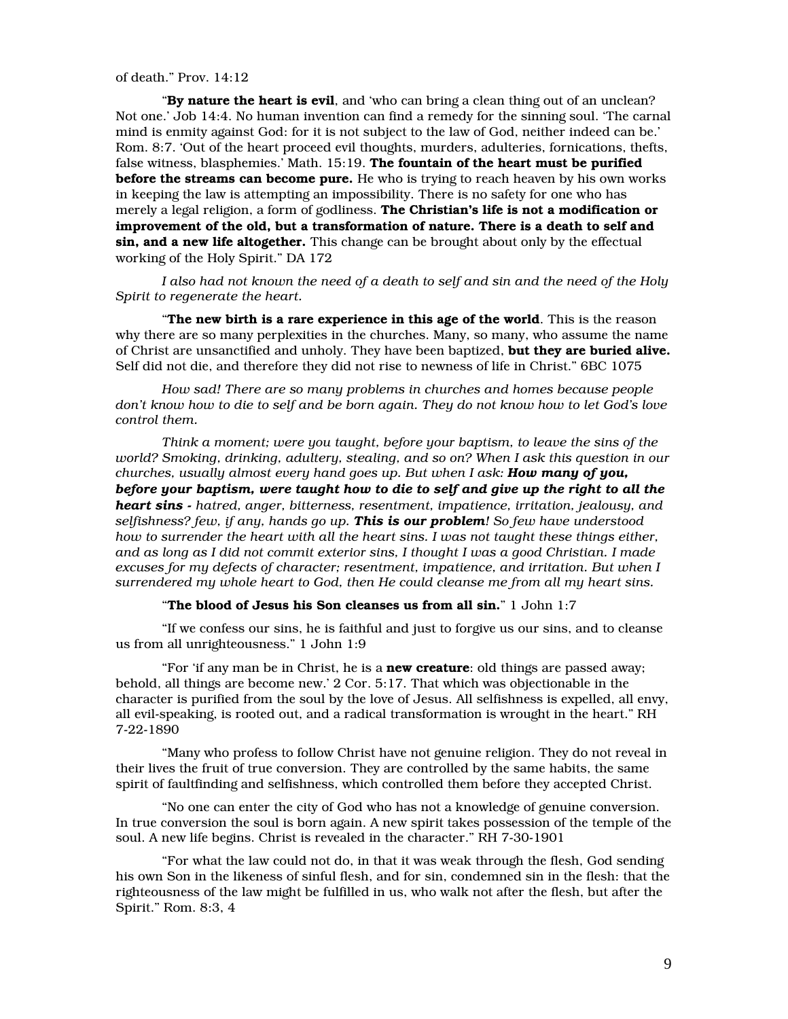of death." Prov. 14:12

"By nature the heart is evil, and 'who can bring a clean thing out of an unclean? Not one.' Job 14:4. No human invention can find a remedy for the sinning soul. 'The carnal mind is enmity against God: for it is not subject to the law of God, neither indeed can be.' Rom. 8:7. 'Out of the heart proceed evil thoughts, murders, adulteries, fornications, thefts, false witness, blasphemies.' Math.  $15:19$ . The fountain of the heart must be purified before the streams can become pure. He who is trying to reach heaven by his own works in keeping the law is attempting an impossibility. There is no safety for one who has merely a legal religion, a form of godliness. The Christian's life is not a modification or improvement of the old, but a transformation of nature. There is a death to self and sin, and a new life altogether. This change can be brought about only by the effectual working of the Holy Spirit." DA 172

*I also had not known the need of a death to self and sin and the need of the Holy Spirit to regenerate the heart.* 

"The new birth is a rare experience in this age of the world. This is the reason why there are so many perplexities in the churches. Many, so many, who assume the name of Christ are unsanctified and unholy. They have been baptized, but they are buried alive. Self did not die, and therefore they did not rise to newness of life in Christ." 6BC 1075

*How sad! There are so many problems in churches and homes because people don't know how to die to self and be born again. They do not know how to let God's love control them.*

*Think a moment; were you taught, before your baptism, to leave the sins of the world? Smoking, drinking, adultery, stealing, and so on? When I ask this question in our churches, usually almost every hand goes up. But when I ask: How many of you, before your baptism, were taught how to die to self and give up the right to all the heart sins - hatred, anger, bitterness, resentment, impatience, irritation, jealousy, and selfishness? few, if any, hands go up. This is our problem! So few have understood how to surrender the heart with all the heart sins. I was not taught these things either, and as long as I did not commit exterior sins, I thought I was a good Christian. I made excuses for my defects of character; resentment, impatience, and irritation. But when I surrendered my whole heart to God, then He could cleanse me from all my heart sins.* 

#### "The blood of Jesus his Son cleanses us from all  $sin$ ." 1 John 1:7

"If we confess our sins, he is faithful and just to forgive us our sins, and to cleanse us from all unrighteousness." 1 John 1:9

"For 'if any man be in Christ, he is a **new creature**: old things are passed away; behold, all things are become new.' 2 Cor. 5:17. That which was objectionable in the character is purified from the soul by the love of Jesus. All selfishness is expelled, all envy, all evil-speaking, is rooted out, and a radical transformation is wrought in the heart." RH 7-22-1890

"Many who profess to follow Christ have not genuine religion. They do not reveal in their lives the fruit of true conversion. They are controlled by the same habits, the same spirit of faultfinding and selfishness, which controlled them before they accepted Christ.

"No one can enter the city of God who has not a knowledge of genuine conversion. In true conversion the soul is born again. A new spirit takes possession of the temple of the soul. A new life begins. Christ is revealed in the character." RH 7-30-1901

"For what the law could not do, in that it was weak through the flesh, God sending his own Son in the likeness of sinful flesh, and for sin, condemned sin in the flesh: that the righteousness of the law might be fulfilled in us, who walk not after the flesh, but after the Spirit." Rom. 8:3, 4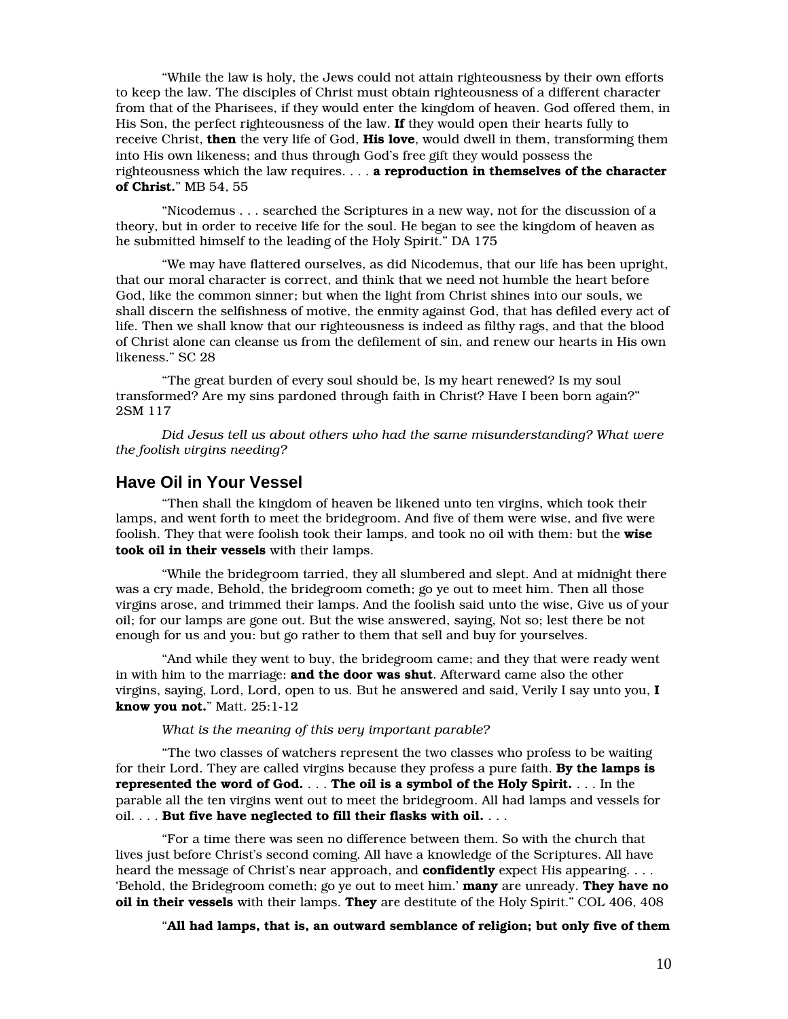"While the law is holy, the Jews could not attain righteousness by their own efforts to keep the law. The disciples of Christ must obtain righteousness of a different character from that of the Pharisees, if they would enter the kingdom of heaven. God offered them, in His Son, the perfect righteousness of the law. If they would open their hearts fully to receive Christ, then the very life of God, His love, would dwell in them, transforming them into His own likeness; and thus through God's free gift they would possess the righteousness which the law requires. . . . a reproduction in themselves of the character of Christ." MB 54, 55

"Nicodemus . . . searched the Scriptures in a new way, not for the discussion of a theory, but in order to receive life for the soul. He began to see the kingdom of heaven as he submitted himself to the leading of the Holy Spirit." DA 175

"We may have flattered ourselves, as did Nicodemus, that our life has been upright, that our moral character is correct, and think that we need not humble the heart before God, like the common sinner; but when the light from Christ shines into our souls, we shall discern the selfishness of motive, the enmity against God, that has defiled every act of life. Then we shall know that our righteousness is indeed as filthy rags, and that the blood of Christ alone can cleanse us from the defilement of sin, and renew our hearts in His own likeness." SC 28

"The great burden of every soul should be, Is my heart renewed? Is my soul transformed? Are my sins pardoned through faith in Christ? Have I been born again?" 2SM 117

*Did Jesus tell us about others who had the same misunderstanding? What were the foolish virgins needing?* 

# **Have Oil in Your Vessel**

"Then shall the kingdom of heaven be likened unto ten virgins, which took their lamps, and went forth to meet the bridegroom. And five of them were wise, and five were foolish. They that were foolish took their lamps, and took no oil with them: but the wise took oil in their vessels with their lamps.

"While the bridegroom tarried, they all slumbered and slept. And at midnight there was a cry made, Behold, the bridegroom cometh; go ye out to meet him. Then all those virgins arose, and trimmed their lamps. And the foolish said unto the wise, Give us of your oil; for our lamps are gone out. But the wise answered, saying, Not so; lest there be not enough for us and you: but go rather to them that sell and buy for yourselves.

"And while they went to buy, the bridegroom came; and they that were ready went in with him to the marriage: **and the door was shut**. Afterward came also the other virgins, saying, Lord, Lord, open to us. But he answered and said, Verily I say unto you, I know you not." Matt. 25:1-12

#### *What is the meaning of this very important parable?*

"The two classes of watchers represent the two classes who profess to be waiting for their Lord. They are called virgins because they profess a pure faith. By the lamps is represented the word of God.  $\dots$  The oil is a symbol of the Holy Spirit.  $\dots$  In the parable all the ten virgins went out to meet the bridegroom. All had lamps and vessels for oil. . . . But five have neglected to fill their flasks with oil. . . .

"For a time there was seen no difference between them. So with the church that lives just before Christ's second coming. All have a knowledge of the Scriptures. All have heard the message of Christ's near approach, and **confidently** expect His appearing. . . . Behold, the Bridegroom cometh; go ye out to meet him.' **many** are unready. They have no oil in their vessels with their lamps. They are destitute of the Holy Spirit." COL 406, 408

"All had lamps, that is, an outward semblance of religion; but only five of them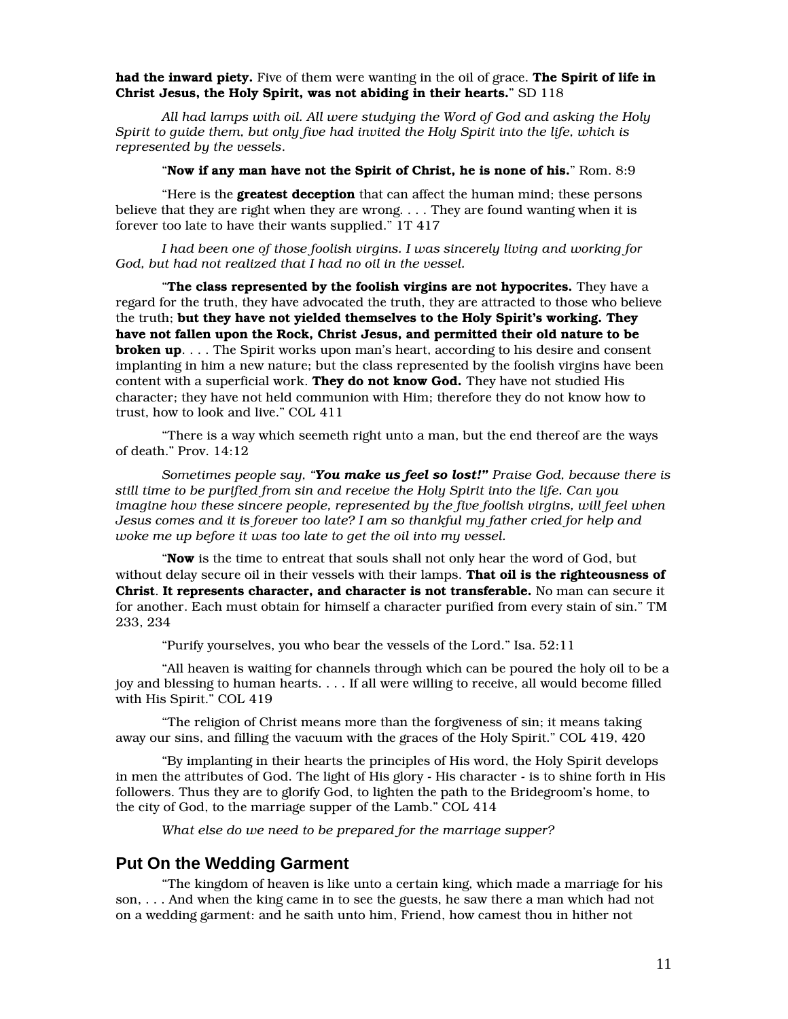#### had the inward piety. Five of them were wanting in the oil of grace. The Spirit of life in Christ Jesus, the Holy Spirit, was not abiding in their hearts." SD 118

*All had lamps with oil. All were studying the Word of God and asking the Holy Spirit to guide them, but only five had invited the Holy Spirit into the life, which is represented by the vessels*.

#### "Now if any man have not the Spirit of Christ, he is none of his." Rom. 8:9

"Here is the **greatest deception** that can affect the human mind; these persons believe that they are right when they are wrong. . . . They are found wanting when it is forever too late to have their wants supplied." 1T 417

*I had been one of those foolish virgins. I was sincerely living and working for God, but had not realized that I had no oil in the vessel.* 

"The class represented by the foolish virgins are not hypocrites. They have a regard for the truth, they have advocated the truth, they are attracted to those who believe the truth; but they have not yielded themselves to the Holy Spirit's working. They have not fallen upon the Rock, Christ Jesus, and permitted their old nature to be **broken up.** . . . The Spirit works upon man's heart, according to his desire and consent implanting in him a new nature; but the class represented by the foolish virgins have been content with a superficial work. They do not know God. They have not studied His character; they have not held communion with Him; therefore they do not know how to trust, how to look and live." COL 411

"There is a way which seemeth right unto a man, but the end thereof are the ways of death." Prov. 14:12

*Sometimes people say, "You make us feel so lost!" Praise God, because there is still time to be purified from sin and receive the Holy Spirit into the life. Can you imagine how these sincere people, represented by the five foolish virgins, will feel when Jesus comes and it is forever too late? I am so thankful my father cried for help and woke me up before it was too late to get the oil into my vessel.* 

"Now is the time to entreat that souls shall not only hear the word of God, but without delay secure oil in their vessels with their lamps. That oil is the righteousness of Christ. It represents character, and character is not transferable. No man can secure it for another. Each must obtain for himself a character purified from every stain of sin." TM 233, 234

"Purify yourselves, you who bear the vessels of the Lord." Isa. 52:11

"All heaven is waiting for channels through which can be poured the holy oil to be a joy and blessing to human hearts. . . . If all were willing to receive, all would become filled with His Spirit." COL 419

"The religion of Christ means more than the forgiveness of sin; it means taking away our sins, and filling the vacuum with the graces of the Holy Spirit." COL 419, 420

"By implanting in their hearts the principles of His word, the Holy Spirit develops in men the attributes of God. The light of His glory - His character - is to shine forth in His followers. Thus they are to glorify God, to lighten the path to the Bridegroom's home, to the city of God, to the marriage supper of the Lamb." COL 414

*What else do we need to be prepared for the marriage supper?* 

# **Put On the Wedding Garment**

"The kingdom of heaven is like unto a certain king, which made a marriage for his son, . . . And when the king came in to see the guests, he saw there a man which had not on a wedding garment: and he saith unto him, Friend, how camest thou in hither not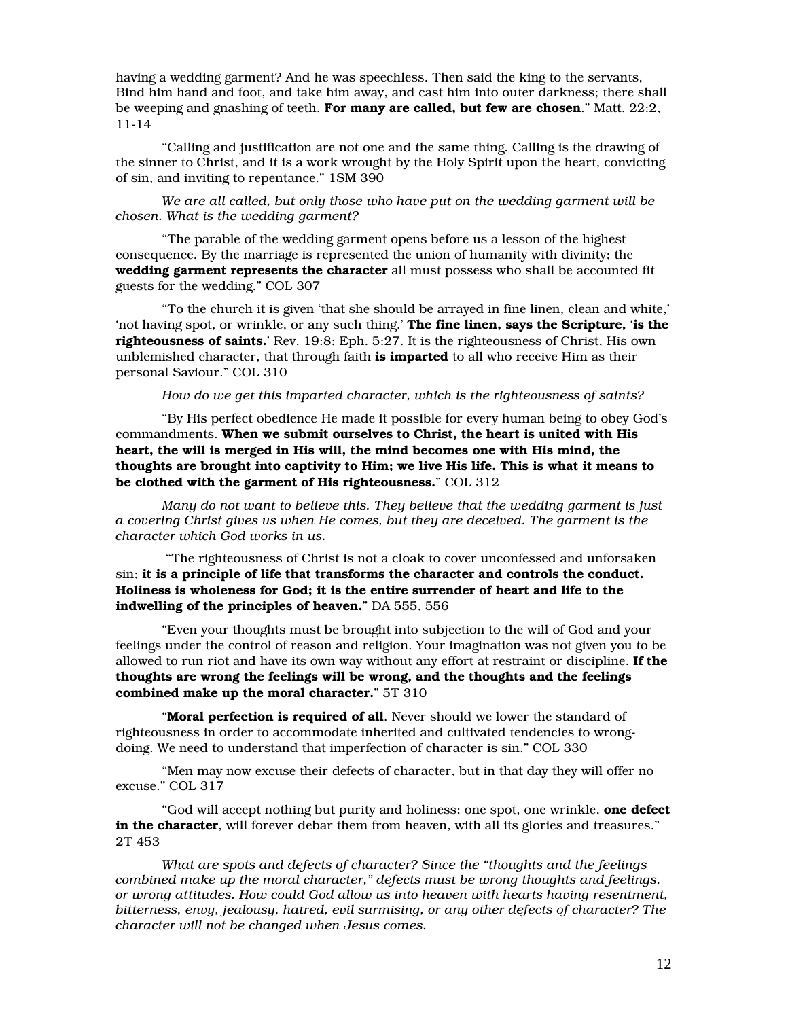having a wedding garment? And he was speechless. Then said the king to the servants, Bind him hand and foot, and take him away, and cast him into outer darkness; there shall be weeping and gnashing of teeth. For many are called, but few are chosen." Matt.  $22:2$ . 11-14

"Calling and justification are not one and the same thing. Calling is the drawing of the sinner to Christ, and it is a work wrought by the Holy Spirit upon the heart, convicting of sin, and inviting to repentance." 1SM 390

*We are all called, but only those who have put on the wedding garment will be chosen. What is the wedding garment?* 

"The parable of the wedding garment opens before us a lesson of the highest consequence. By the marriage is represented the union of humanity with divinity; the wedding garment represents the character all must possess who shall be accounted fit guests for the wedding." COL 307

"To the church it is given 'that she should be arrayed in fine linen, clean and white,' 'not having spot, or wrinkle, or any such thing.' The fine linen, says the Scripture, 'is the righteousness of saints.' Rev. 19:8; Eph. 5:27. It is the righteousness of Christ, His own unblemished character, that through faith is imparted to all who receive Him as their personal Saviour." COL 310

### *How do we get this imparted character, which is the righteousness of saints?*

"By His perfect obedience He made it possible for every human being to obey God's commandments. When we submit ourselves to Christ, the heart is united with His heart, the will is merged in His will, the mind becomes one with His mind, the thoughts are brought into captivity to Him; we live His life. This is what it means to be clothed with the garment of His righteousness." COL 312

*Many do not want to believe this. They believe that the wedding garment is just a covering Christ gives us when He comes, but they are deceived. The garment is the character which God works in us.* 

"The righteousness of Christ is not a cloak to cover unconfessed and unforsaken sin; it is a principle of life that transforms the character and controls the conduct. Holiness is wholeness for God; it is the entire surrender of heart and life to the indwelling of the principles of heaven." DA 555, 556

"Even your thoughts must be brought into subjection to the will of God and your feelings under the control of reason and religion. Your imagination was not given you to be allowed to run riot and have its own way without any effort at restraint or discipline. **If the** thoughts are wrong the feelings will be wrong, and the thoughts and the feelings combined make up the moral character." 5T 310

"Moral perfection is required of all. Never should we lower the standard of righteousness in order to accommodate inherited and cultivated tendencies to wrongdoing. We need to understand that imperfection of character is sin." COL 330

"Men may now excuse their defects of character, but in that day they will offer no excuse." COL 317

"God will accept nothing but purity and holiness; one spot, one wrinkle, one defect in the character, will forever debar them from heaven, with all its glories and treasures." 2T 453

*What are spots and defects of character? Since the "thoughts and the feelings combined make up the moral character," defects must be wrong thoughts and feelings, or wrong attitudes. How could God allow us into heaven with hearts having resentment, bitterness, envy, jealousy, hatred, evil surmising, or any other defects of character? The character will not be changed when Jesus comes.*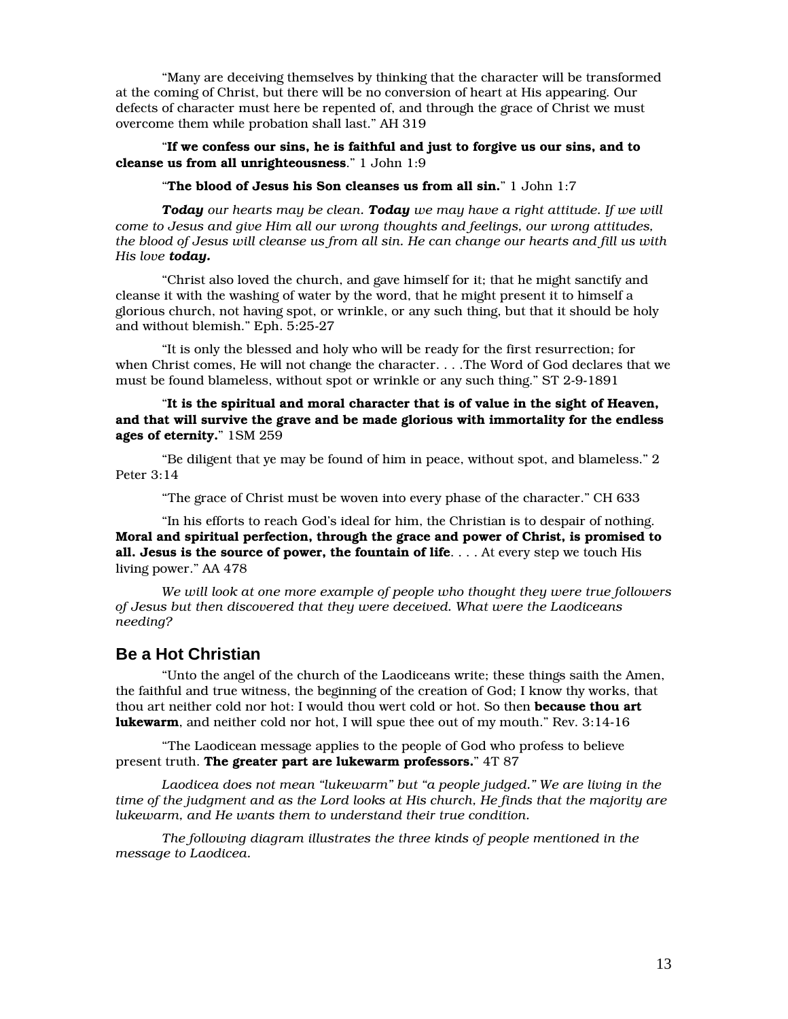"Many are deceiving themselves by thinking that the character will be transformed at the coming of Christ, but there will be no conversion of heart at His appearing. Our defects of character must here be repented of, and through the grace of Christ we must overcome them while probation shall last." AH 319

"If we confess our sins, he is faithful and just to forgive us our sins, and to cleanse us from all unrighteousness." 1 John 1:9

"The blood of Jesus his Son cleanses us from all  $sin$ ." 1 John 1:7

*Today our hearts may be clean. Today we may have a right attitude. If we will come to Jesus and give Him all our wrong thoughts and feelings, our wrong attitudes, the blood of Jesus will cleanse us from all sin. He can change our hearts and fill us with His love today.* 

"Christ also loved the church, and gave himself for it; that he might sanctify and cleanse it with the washing of water by the word, that he might present it to himself a glorious church, not having spot, or wrinkle, or any such thing, but that it should be holy and without blemish." Eph. 5:25-27

"It is only the blessed and holy who will be ready for the first resurrection; for when Christ comes, He will not change the character. . . .The Word of God declares that we must be found blameless, without spot or wrinkle or any such thing." ST 2-9-1891

"It is the spiritual and moral character that is of value in the sight of Heaven, and that will survive the grave and be made glorious with immortality for the endless ages of eternity." 1SM 259

"Be diligent that ye may be found of him in peace, without spot, and blameless." 2 Peter 3:14

"The grace of Christ must be woven into every phase of the character." CH 633

"In his efforts to reach God's ideal for him, the Christian is to despair of nothing. Moral and spiritual perfection, through the grace and power of Christ, is promised to all. Jesus is the source of power, the fountain of life.  $\ldots$  At every step we touch His living power." AA 478

*We will look at one more example of people who thought they were true followers of Jesus but then discovered that they were deceived. What were the Laodiceans needing?* 

## **Be a Hot Christian**

"Unto the angel of the church of the Laodiceans write; these things saith the Amen, the faithful and true witness, the beginning of the creation of God; I know thy works, that thou art neither cold nor hot: I would thou wert cold or hot. So then **because thou art** lukewarm, and neither cold nor hot, I will spue thee out of my mouth." Rev. 3:14-16

"The Laodicean message applies to the people of God who profess to believe present truth. The greater part are lukewarm professors."  $4T 87$ 

*Laodicea does not mean "lukewarm" but "a people judged." We are living in the time of the judgment and as the Lord looks at His church, He finds that the majority are lukewarm, and He wants them to understand their true condition.* 

*The following diagram illustrates the three kinds of people mentioned in the message to Laodicea.*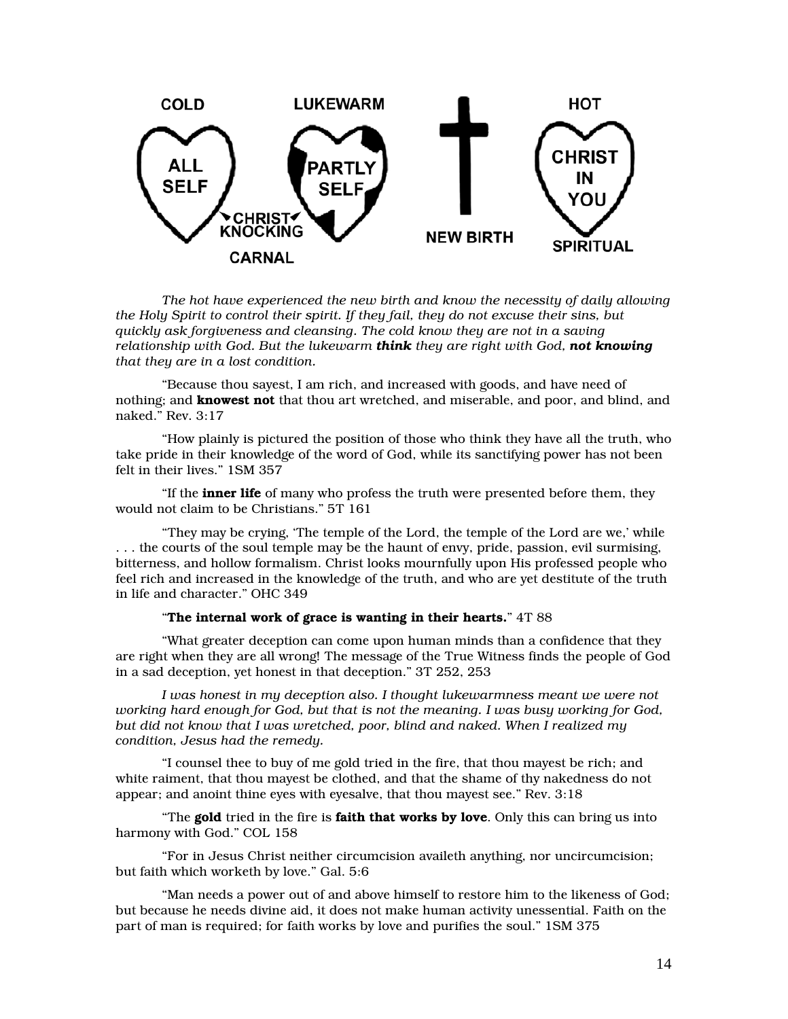

*The hot have experienced the new birth and know the necessity of daily allowing the Holy Spirit to control their spirit. If they fail, they do not excuse their sins, but quickly ask forgiveness and cleansing. The cold know they are not in a saving relationship with God. But the lukewarm think they are right with God, not knowing that they are in a lost condition.* 

"Because thou sayest, I am rich, and increased with goods, and have need of nothing; and **knowest not** that thou art wretched, and miserable, and poor, and blind, and naked." Rev. 3:17

"How plainly is pictured the position of those who think they have all the truth, who take pride in their knowledge of the word of God, while its sanctifying power has not been felt in their lives." 1SM 357

"If the **inner life** of many who profess the truth were presented before them, they would not claim to be Christians." 5T 161

"They may be crying, 'The temple of the Lord, the temple of the Lord are we,' while . . . the courts of the soul temple may be the haunt of envy, pride, passion, evil surmising, bitterness, and hollow formalism. Christ looks mournfully upon His professed people who feel rich and increased in the knowledge of the truth, and who are yet destitute of the truth in life and character." OHC 349

#### "The internal work of grace is wanting in their hearts."  $4T 88$

"What greater deception can come upon human minds than a confidence that they are right when they are all wrong! The message of the True Witness finds the people of God in a sad deception, yet honest in that deception." 3T 252, 253

*I was honest in my deception also. I thought lukewarmness meant we were not working hard enough for God, but that is not the meaning. I was busy working for God, but did not know that I was wretched, poor, blind and naked. When I realized my condition, Jesus had the remedy.* 

"I counsel thee to buy of me gold tried in the fire, that thou mayest be rich; and white raiment, that thou mayest be clothed, and that the shame of thy nakedness do not appear; and anoint thine eyes with eyesalve, that thou mayest see." Rev. 3:18

"The gold tried in the fire is faith that works by love. Only this can bring us into harmony with God." COL 158

"For in Jesus Christ neither circumcision availeth anything, nor uncircumcision; but faith which worketh by love." Gal. 5:6

"Man needs a power out of and above himself to restore him to the likeness of God; but because he needs divine aid, it does not make human activity unessential. Faith on the part of man is required; for faith works by love and purifies the soul." 1SM 375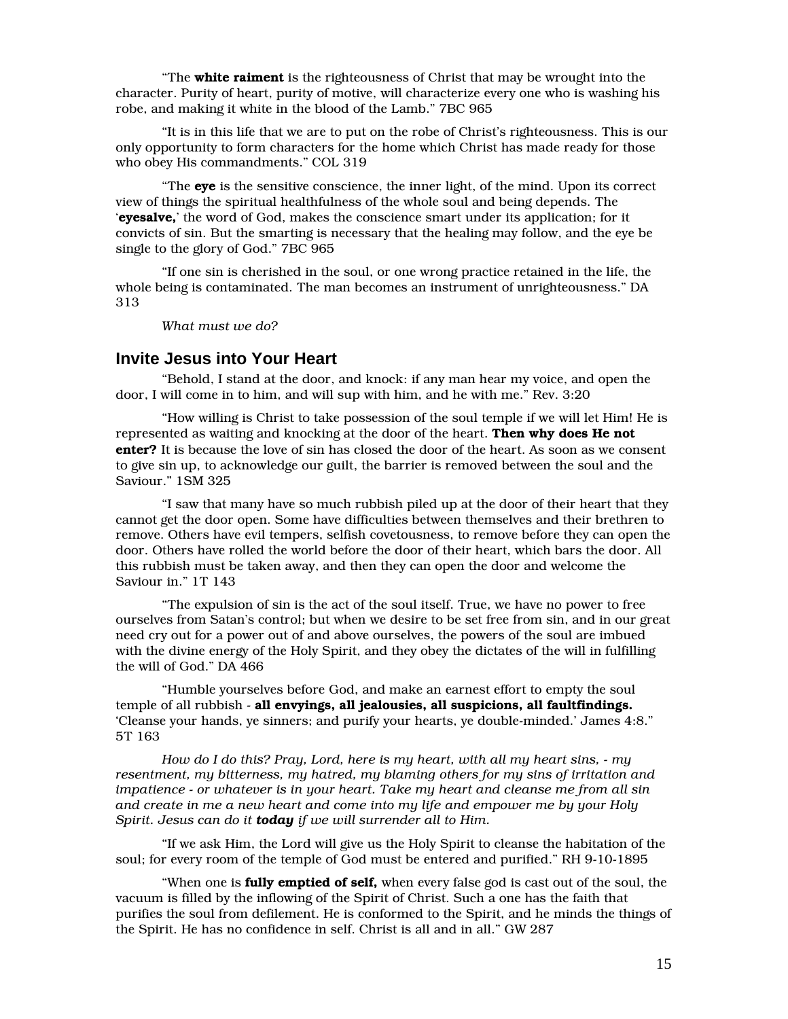"The **white raiment** is the righteousness of Christ that may be wrought into the character. Purity of heart, purity of motive, will characterize every one who is washing his robe, and making it white in the blood of the Lamb." 7BC 965

"It is in this life that we are to put on the robe of Christ's righteousness. This is our only opportunity to form characters for the home which Christ has made ready for those who obey His commandments." COL 319

"The eye is the sensitive conscience, the inner light, of the mind. Upon its correct view of things the spiritual healthfulness of the whole soul and being depends. The 'eyesalve,' the word of God, makes the conscience smart under its application; for it convicts of sin. But the smarting is necessary that the healing may follow, and the eye be single to the glory of God." 7BC 965

"If one sin is cherished in the soul, or one wrong practice retained in the life, the whole being is contaminated. The man becomes an instrument of unrighteousness." DA 313

*What must we do?* 

# **Invite Jesus into Your Heart**

"Behold, I stand at the door, and knock: if any man hear my voice, and open the door, I will come in to him, and will sup with him, and he with me." Rev. 3:20

"How willing is Christ to take possession of the soul temple if we will let Him! He is represented as waiting and knocking at the door of the heart. Then why does He not enter? It is because the love of sin has closed the door of the heart. As soon as we consent to give sin up, to acknowledge our guilt, the barrier is removed between the soul and the Saviour." 1SM 325

"I saw that many have so much rubbish piled up at the door of their heart that they cannot get the door open. Some have difficulties between themselves and their brethren to remove. Others have evil tempers, selfish covetousness, to remove before they can open the door. Others have rolled the world before the door of their heart, which bars the door. All this rubbish must be taken away, and then they can open the door and welcome the Saviour in." 1T 143

"The expulsion of sin is the act of the soul itself. True, we have no power to free ourselves from Satan's control; but when we desire to be set free from sin, and in our great need cry out for a power out of and above ourselves, the powers of the soul are imbued with the divine energy of the Holy Spirit, and they obey the dictates of the will in fulfilling the will of God." DA 466

"Humble yourselves before God, and make an earnest effort to empty the soul temple of all rubbish - all envyings, all jealousies, all suspicions, all faultfindings. 'Cleanse your hands, ye sinners; and purify your hearts, ye double-minded.' James 4:8." 5T 163

*How do I do this? Pray, Lord, here is my heart, with all my heart sins, - my resentment, my bitterness, my hatred, my blaming others for my sins of irritation and impatience - or whatever is in your heart. Take my heart and cleanse me from all sin and create in me a new heart and come into my life and empower me by your Holy Spirit. Jesus can do it today if we will surrender all to Him.* 

"If we ask Him, the Lord will give us the Holy Spirit to cleanse the habitation of the soul; for every room of the temple of God must be entered and purified." RH 9-10-1895

"When one is **fully emptied of self,** when every false god is cast out of the soul, the vacuum is filled by the inflowing of the Spirit of Christ. Such a one has the faith that purifies the soul from defilement. He is conformed to the Spirit, and he minds the things of the Spirit. He has no confidence in self. Christ is all and in all." GW 287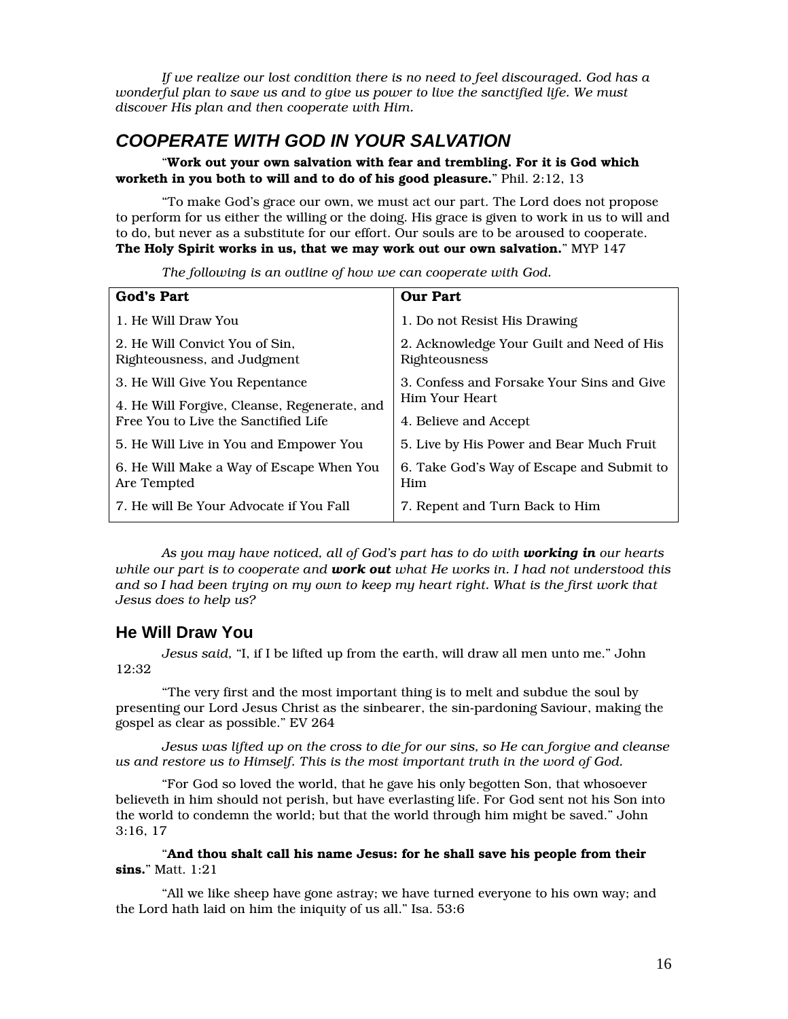*If we realize our lost condition there is no need to feel discouraged. God has a wonderful plan to save us and to give us power to live the sanctified life. We must discover His plan and then cooperate with Him.*

# *COOPERATE WITH GOD IN YOUR SALVATION*

"Work out your own salvation with fear and trembling. For it is God which worketh in you both to will and to do of his good pleasure." Phil. 2:12, 13

"To make God's grace our own, we must act our part. The Lord does not propose to perform for us either the willing or the doing. His grace is given to work in us to will and to do, but never as a substitute for our effort. Our souls are to be aroused to cooperate. The Holy Spirit works in us, that we may work out our own salvation." MYP 147

God's Part 1. He Will Draw You 2. He Will Convict You of Sin, Righteousness, and Judgment 3. He Will Give You Repentance 4. He Will Forgive, Cleanse, Regenerate, and Free You to Live the Sanctified Life 5. He Will Live in You and Empower You 6. He Will Make a Way of Escape When You Are Tempted 7. He will Be Your Advocate if You Fall Our Part 1. Do not Resist His Drawing 2. Acknowledge Your Guilt and Need of His Righteousness 3. Confess and Forsake Your Sins and Give Him Your Heart 4. Believe and Accept 5. Live by His Power and Bear Much Fruit 6. Take God's Way of Escape and Submit to Him 7. Repent and Turn Back to Him

*The following is an outline of how we can cooperate with God.* 

*As you may have noticed, all of God's part has to do with working in our hearts while our part is to cooperate and work out what He works in. I had not understood this and so I had been trying on my own to keep my heart right. What is the first work that Jesus does to help us?* 

## **He Will Draw You**

*Jesus said,* "I, if I be lifted up from the earth, will draw all men unto me." John 12:32

"The very first and the most important thing is to melt and subdue the soul by presenting our Lord Jesus Christ as the sinbearer, the sin-pardoning Saviour, making the gospel as clear as possible." EV 264

*Jesus was lifted up on the cross to die for our sins, so He can forgive and cleanse us and restore us to Himself. This is the most important truth in the word of God.* 

"For God so loved the world, that he gave his only begotten Son, that whosoever believeth in him should not perish, but have everlasting life. For God sent not his Son into the world to condemn the world; but that the world through him might be saved." John 3:16, 17

"And thou shalt call his name Jesus: for he shall save his people from their sins." Matt. 1:21

"All we like sheep have gone astray; we have turned everyone to his own way; and the Lord hath laid on him the iniquity of us all." Isa. 53:6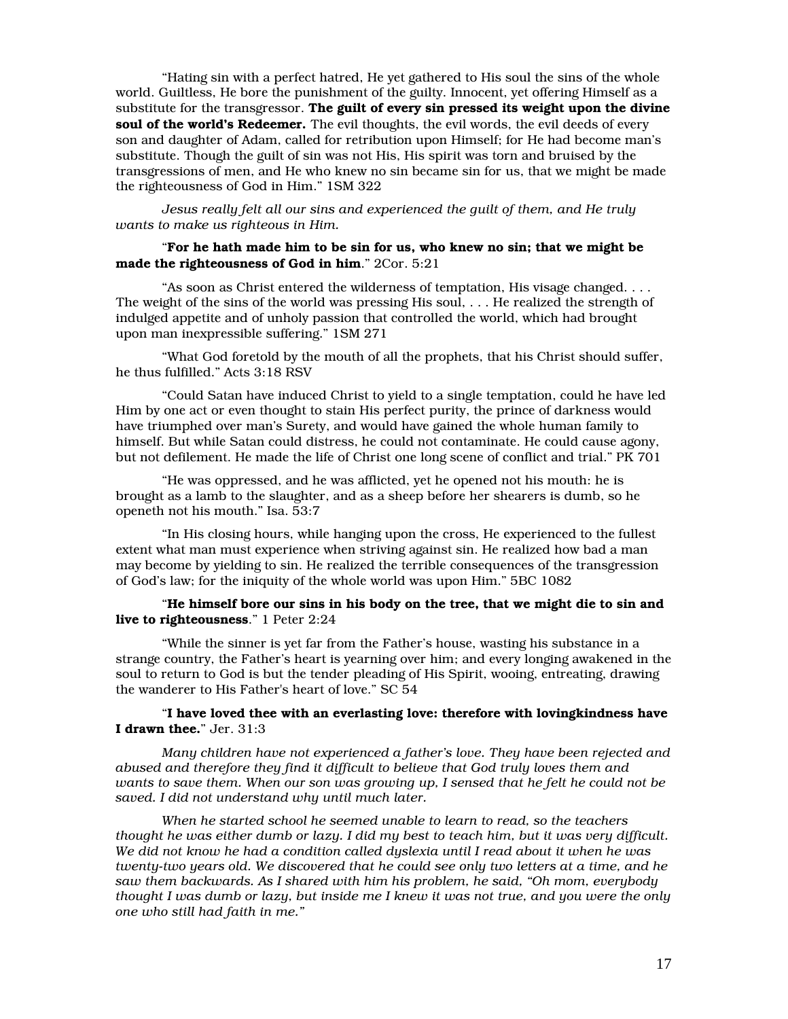"Hating sin with a perfect hatred, He yet gathered to His soul the sins of the whole world. Guiltless, He bore the punishment of the guilty. Innocent, yet offering Himself as a substitute for the transgressor. The guilt of every sin pressed its weight upon the divine soul of the world's Redeemer. The evil thoughts, the evil words, the evil deeds of every son and daughter of Adam, called for retribution upon Himself; for He had become man's substitute. Though the guilt of sin was not His, His spirit was torn and bruised by the transgressions of men, and He who knew no sin became sin for us, that we might be made the righteousness of God in Him." 1SM 322

*Jesus really felt all our sins and experienced the guilt of them, and He truly wants to make us righteous in Him.* 

### "For he hath made him to be sin for us, who knew no sin; that we might be made the righteousness of God in him." 2Cor. 5:21

"As soon as Christ entered the wilderness of temptation, His visage changed. . . . The weight of the sins of the world was pressing His soul, . . . He realized the strength of indulged appetite and of unholy passion that controlled the world, which had brought upon man inexpressible suffering." 1SM 271

"What God foretold by the mouth of all the prophets, that his Christ should suffer, he thus fulfilled." Acts 3:18 RSV

"Could Satan have induced Christ to yield to a single temptation, could he have led Him by one act or even thought to stain His perfect purity, the prince of darkness would have triumphed over man's Surety, and would have gained the whole human family to himself. But while Satan could distress, he could not contaminate. He could cause agony, but not defilement. He made the life of Christ one long scene of conflict and trial." PK 701

"He was oppressed, and he was afflicted, yet he opened not his mouth: he is brought as a lamb to the slaughter, and as a sheep before her shearers is dumb, so he openeth not his mouth." Isa. 53:7

"In His closing hours, while hanging upon the cross, He experienced to the fullest extent what man must experience when striving against sin. He realized how bad a man may become by yielding to sin. He realized the terrible consequences of the transgression of God's law; for the iniquity of the whole world was upon Him." 5BC 1082

### "He himself bore our sins in his body on the tree, that we might die to sin and live to righteousness." 1 Peter 2:24

"While the sinner is yet far from the Father's house, wasting his substance in a strange country, the Father's heart is yearning over him; and every longing awakened in the soul to return to God is but the tender pleading of His Spirit, wooing, entreating, drawing the wanderer to His Father's heart of love." SC 54

#### "I have loved thee with an everlasting love: therefore with lovingkindness have I drawn thee." Jer. 31:3

*Many children have not experienced a father's love. They have been rejected and abused and therefore they find it difficult to believe that God truly loves them and wants to save them. When our son was growing up, I sensed that he felt he could not be saved. I did not understand why until much later.* 

*When he started school he seemed unable to learn to read, so the teachers thought he was either dumb or lazy. I did my best to teach him, but it was very difficult. We did not know he had a condition called dyslexia until I read about it when he was twenty-two years old. We discovered that he could see only two letters at a time, and he saw them backwards. As I shared with him his problem, he said, "Oh mom, everybody thought I was dumb or lazy, but inside me I knew it was not true, and you were the only one who still had faith in me."*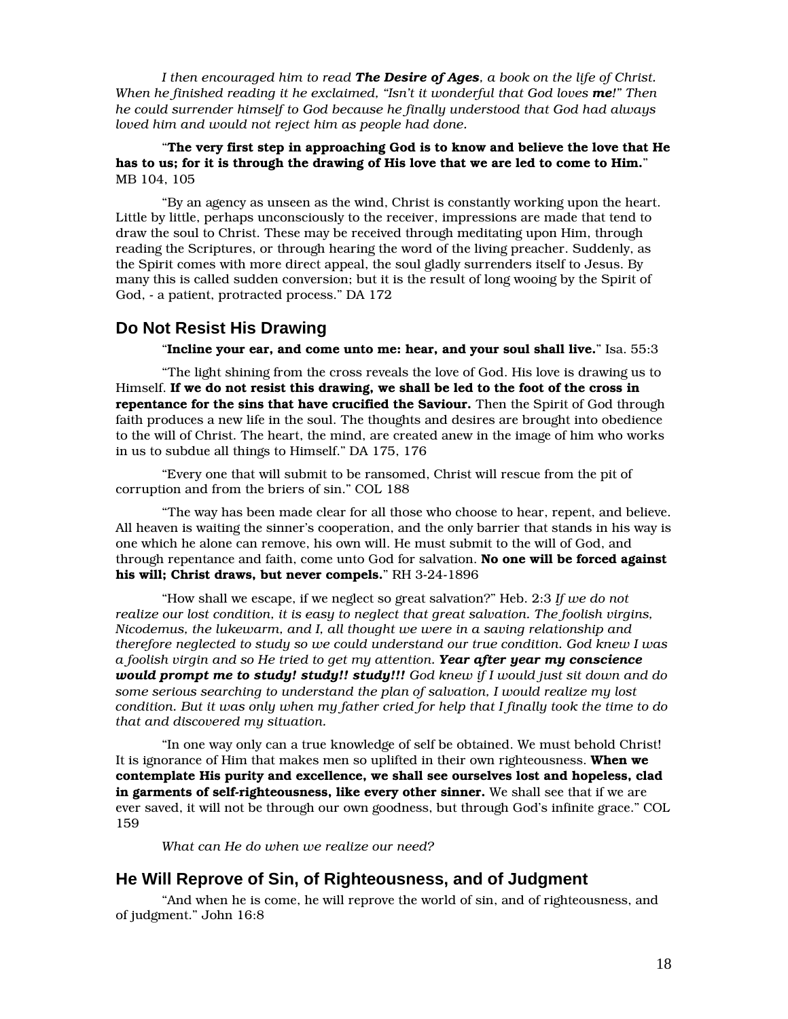*I then encouraged him to read The Desire of Ages, a book on the life of Christ. When he finished reading it he exclaimed, "Isn't it wonderful that God loves me!" Then he could surrender himself to God because he finally understood that God had always loved him and would not reject him as people had done.* 

### "The very first step in approaching God is to know and believe the love that He has to us; for it is through the drawing of His love that we are led to come to Him." MB 104, 105

"By an agency as unseen as the wind, Christ is constantly working upon the heart. Little by little, perhaps unconsciously to the receiver, impressions are made that tend to draw the soul to Christ. These may be received through meditating upon Him, through reading the Scriptures, or through hearing the word of the living preacher. Suddenly, as the Spirit comes with more direct appeal, the soul gladly surrenders itself to Jesus. By many this is called sudden conversion; but it is the result of long wooing by the Spirit of God, - a patient, protracted process." DA 172

## **Do Not Resist His Drawing**

"Incline your ear, and come unto me: hear, and your soul shall live." Isa. 55:3

"The light shining from the cross reveals the love of God. His love is drawing us to Himself. If we do not resist this drawing, we shall be led to the foot of the cross in repentance for the sins that have crucified the Saviour. Then the Spirit of God through faith produces a new life in the soul. The thoughts and desires are brought into obedience to the will of Christ. The heart, the mind, are created anew in the image of him who works in us to subdue all things to Himself." DA 175, 176

"Every one that will submit to be ransomed, Christ will rescue from the pit of corruption and from the briers of sin." COL 188

"The way has been made clear for all those who choose to hear, repent, and believe. All heaven is waiting the sinner's cooperation, and the only barrier that stands in his way is one which he alone can remove, his own will. He must submit to the will of God, and through repentance and faith, come unto God for salvation. No one will be forced against his will; Christ draws, but never compels." RH 3-24-1896

"How shall we escape, if we neglect so great salvation?" Heb. 2:3 *If we do not realize our lost condition, it is easy to neglect that great salvation. The foolish virgins, Nicodemus, the lukewarm, and I, all thought we were in a saving relationship and therefore neglected to study so we could understand our true condition. God knew I was a foolish virgin and so He tried to get my attention. Year after year my conscience would prompt me to study! study!! study!!! God knew if I would just sit down and do some serious searching to understand the plan of salvation, I would realize my lost condition. But it was only when my father cried for help that I finally took the time to do that and discovered my situation.* 

"In one way only can a true knowledge of self be obtained. We must behold Christ! It is ignorance of Him that makes men so uplifted in their own righteousness. When we contemplate His purity and excellence, we shall see ourselves lost and hopeless, clad in garments of self-righteousness, like every other sinner. We shall see that if we are ever saved, it will not be through our own goodness, but through God's infinite grace." COL 159

*What can He do when we realize our need?* 

# **He Will Reprove of Sin, of Righteousness, and of Judgment**

"And when he is come, he will reprove the world of sin, and of righteousness, and of judgment." John 16:8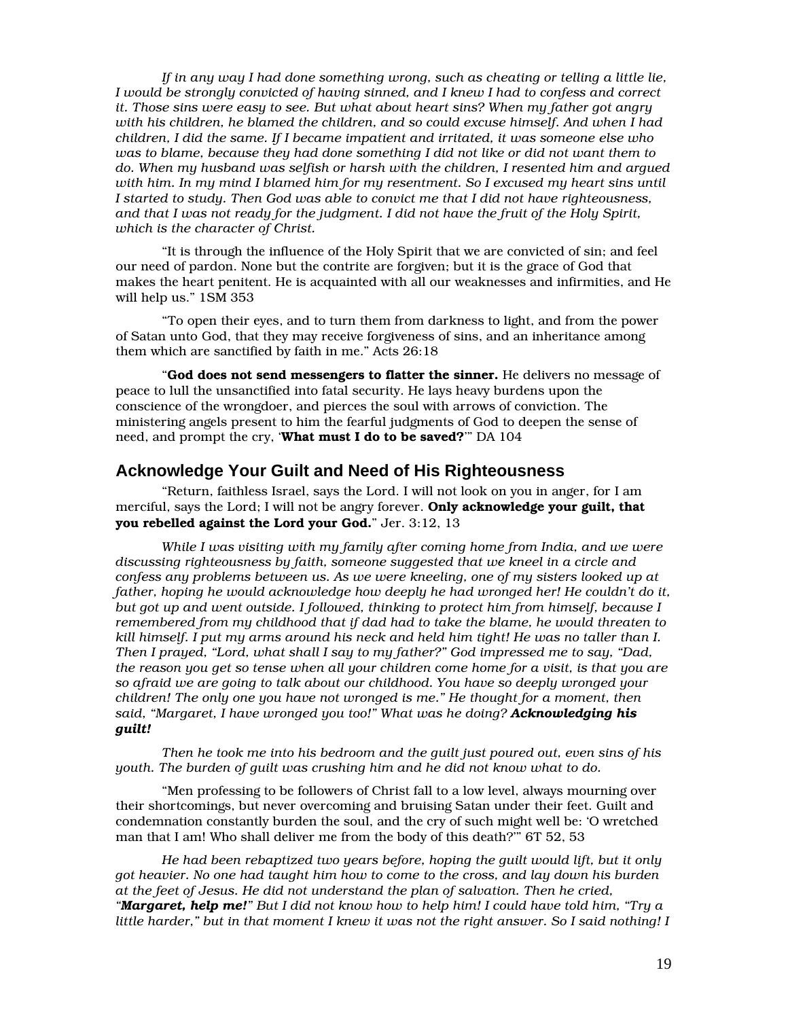*If in any way I had done something wrong, such as cheating or telling a little lie, I would be strongly convicted of having sinned, and I knew I had to confess and correct it. Those sins were easy to see. But what about heart sins? When my father got angry with his children, he blamed the children, and so could excuse himself. And when I had children, I did the same. If I became impatient and irritated, it was someone else who was to blame, because they had done something I did not like or did not want them to do. When my husband was selfish or harsh with the children, I resented him and argued with him. In my mind I blamed him for my resentment. So I excused my heart sins until I started to study. Then God was able to convict me that I did not have righteousness, and that I was not ready for the judgment. I did not have the fruit of the Holy Spirit, which is the character of Christ.* 

"It is through the influence of the Holy Spirit that we are convicted of sin; and feel our need of pardon. None but the contrite are forgiven; but it is the grace of God that makes the heart penitent. He is acquainted with all our weaknesses and infirmities, and He will help us." 1SM 353

"To open their eyes, and to turn them from darkness to light, and from the power of Satan unto God, that they may receive forgiveness of sins, and an inheritance among them which are sanctified by faith in me." Acts 26:18

"God does not send messengers to flatter the sinner. He delivers no message of peace to lull the unsanctified into fatal security. He lays heavy burdens upon the conscience of the wrongdoer, and pierces the soul with arrows of conviction. The ministering angels present to him the fearful judgments of God to deepen the sense of need, and prompt the cry, 'What must I do to be saved?" DA 104

### **Acknowledge Your Guilt and Need of His Righteousness**

"Return, faithless Israel, says the Lord. I will not look on you in anger, for I am merciful, says the Lord; I will not be angry forever. Only acknowledge your guilt, that you rebelled against the Lord your God." Jer. 3:12, 13

*While I was visiting with my family after coming home from India, and we were discussing righteousness by faith, someone suggested that we kneel in a circle and confess any problems between us. As we were kneeling, one of my sisters looked up at father, hoping he would acknowledge how deeply he had wronged her! He couldn't do it, but got up and went outside. I followed, thinking to protect him from himself, because I remembered from my childhood that if dad had to take the blame, he would threaten to kill himself. I put my arms around his neck and held him tight! He was no taller than I. Then I prayed, "Lord, what shall I say to my father?" God impressed me to say, "Dad, the reason you get so tense when all your children come home for a visit, is that you are so afraid we are going to talk about our childhood. You have so deeply wronged your children! The only one you have not wronged is me." He thought for a moment, then said, "Margaret, I have wronged you too!" What was he doing? Acknowledging his guilt!* 

*Then he took me into his bedroom and the guilt just poured out, even sins of his youth. The burden of guilt was crushing him and he did not know what to do.* 

"Men professing to be followers of Christ fall to a low level, always mourning over their shortcomings, but never overcoming and bruising Satan under their feet. Guilt and condemnation constantly burden the soul, and the cry of such might well be: 'O wretched man that I am! Who shall deliver me from the body of this death?'" 6T 52, 53

*He had been rebaptized two years before, hoping the guilt would lift, but it only got heavier. No one had taught him how to come to the cross, and lay down his burden at the feet of Jesus. He did not understand the plan of salvation. Then he cried, "Margaret, help me!" But I did not know how to help him! I could have told him, "Try a little harder," but in that moment I knew it was not the right answer. So I said nothing! I*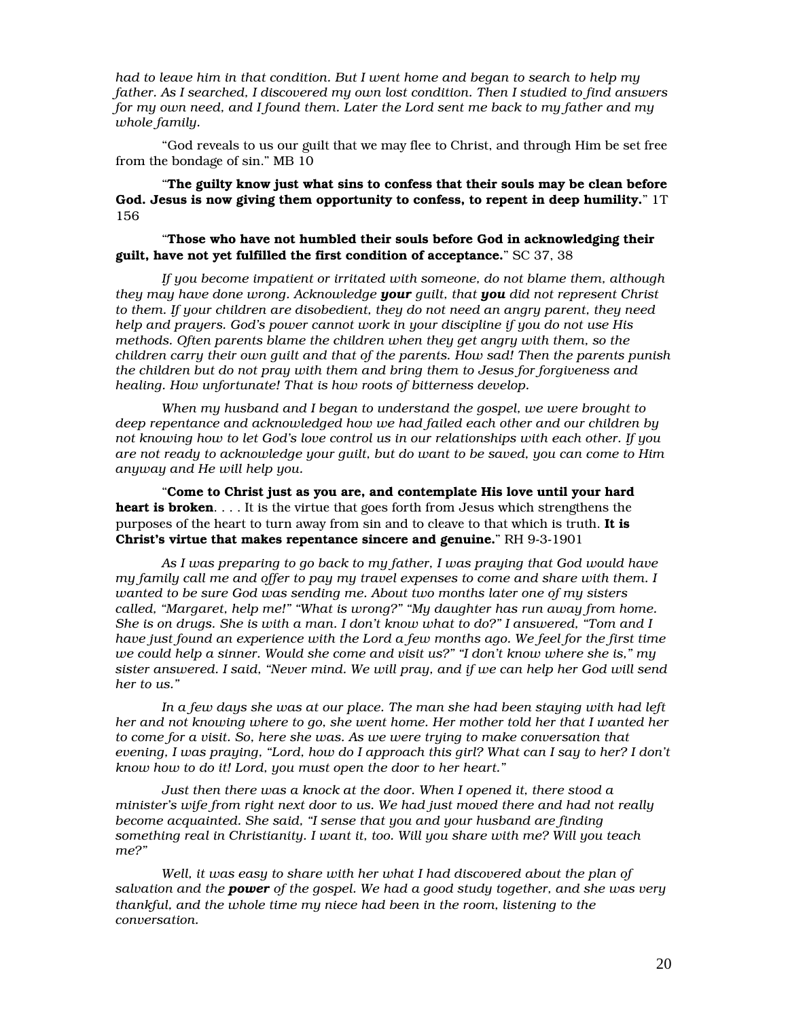*had to leave him in that condition. But I went home and began to search to help my father. As I searched, I discovered my own lost condition. Then I studied to find answers for my own need, and I found them. Later the Lord sent me back to my father and my whole family.* 

"God reveals to us our guilt that we may flee to Christ, and through Him be set free from the bondage of sin." MB 10

"The guilty know just what sins to confess that their souls may be clean before God. Jesus is now giving them opportunity to confess, to repent in deep humility." 1T 156

### "Those who have not humbled their souls before God in acknowledging their guilt, have not yet fulfilled the first condition of acceptance." SC 37, 38

*If you become impatient or irritated with someone, do not blame them, although they may have done wrong. Acknowledge your guilt, that you did not represent Christ to them. If your children are disobedient, they do not need an angry parent, they need help and prayers. God's power cannot work in your discipline if you do not use His methods. Often parents blame the children when they get angry with them, so the children carry their own guilt and that of the parents. How sad! Then the parents punish the children but do not pray with them and bring them to Jesus for forgiveness and healing. How unfortunate! That is how roots of bitterness develop.* 

*When my husband and I began to understand the gospel, we were brought to deep repentance and acknowledged how we had failed each other and our children by not knowing how to let God's love control us in our relationships with each other. If you are not ready to acknowledge your guilt, but do want to be saved, you can come to Him anyway and He will help you.* 

"Come to Christ just as you are, and contemplate His love until your hard **heart is broken....** It is the virtue that goes forth from Jesus which strengthens the purposes of the heart to turn away from sin and to cleave to that which is truth. It is Christ's virtue that makes repentance sincere and genuine." RH 9-3-1901

*As I was preparing to go back to my father, I was praying that God would have my family call me and offer to pay my travel expenses to come and share with them. I wanted to be sure God was sending me. About two months later one of my sisters called, "Margaret, help me!" "What is wrong?" "My daughter has run away from home. She is on drugs. She is with a man. I don't know what to do?" I answered, "Tom and I have just found an experience with the Lord a few months ago. We feel for the first time we could help a sinner. Would she come and visit us?" "I don't know where she is," my sister answered. I said, "Never mind. We will pray, and if we can help her God will send her to us."* 

In a few days she was at our place. The man she had been staying with had left *her and not knowing where to go, she went home. Her mother told her that I wanted her to come for a visit. So, here she was. As we were trying to make conversation that evening, I was praying, "Lord, how do I approach this girl? What can I say to her? I don't know how to do it! Lord, you must open the door to her heart."* 

*Just then there was a knock at the door. When I opened it, there stood a minister's wife from right next door to us. We had just moved there and had not really become acquainted. She said, "I sense that you and your husband are finding something real in Christianity. I want it, too. Will you share with me? Will you teach me?"* 

*Well, it was easy to share with her what I had discovered about the plan of salvation and the power of the gospel. We had a good study together, and she was very thankful, and the whole time my niece had been in the room, listening to the conversation.*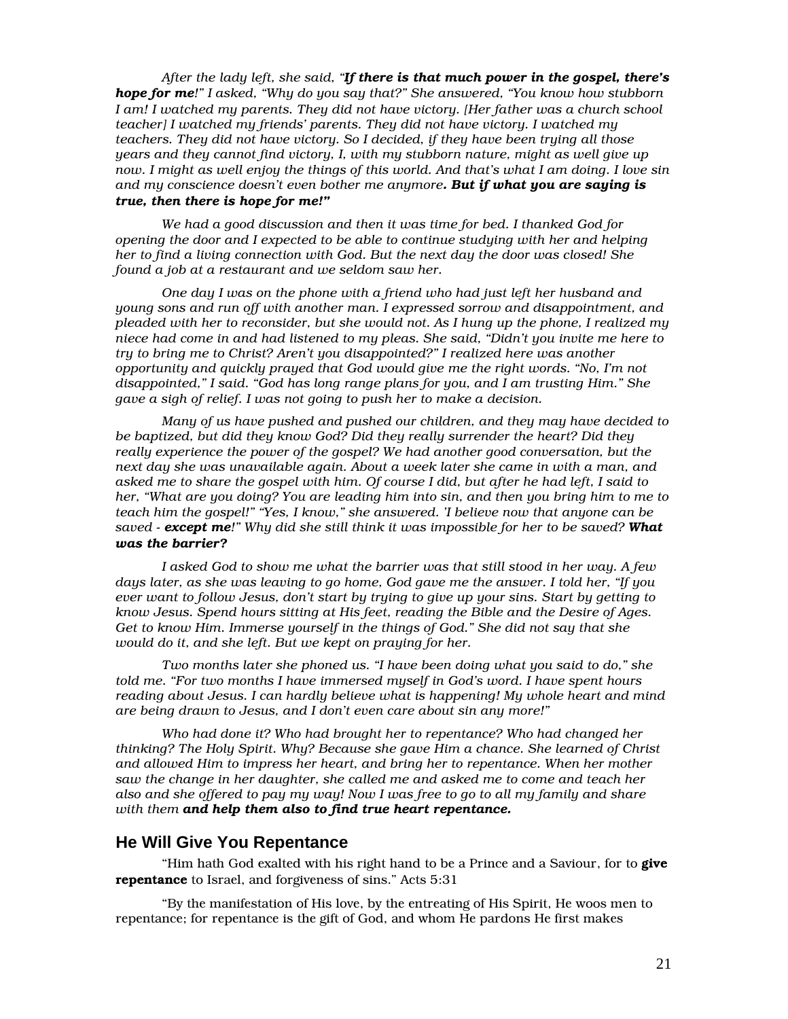*After the lady left, she said, "If there is that much power in the gospel, there's hope for me!" I asked, "Why do you say that?" She answered, "You know how stubborn I am! I watched my parents. They did not have victory. [Her father was a church school teacher] I watched my friends' parents. They did not have victory. I watched my teachers. They did not have victory. So I decided, if they have been trying all those years and they cannot find victory, I, with my stubborn nature, might as well give up now. I might as well enjoy the things of this world. And that's what I am doing. I love sin and my conscience doesn't even bother me anymore. But if what you are saying is true, then there is hope for me!"* 

*We had a good discussion and then it was time for bed. I thanked God for opening the door and I expected to be able to continue studying with her and helping her to find a living connection with God. But the next day the door was closed! She found a job at a restaurant and we seldom saw her.* 

*One day I was on the phone with a friend who had just left her husband and young sons and run off with another man. I expressed sorrow and disappointment, and pleaded with her to reconsider, but she would not. As I hung up the phone, I realized my niece had come in and had listened to my pleas. She said, "Didn't you invite me here to try to bring me to Christ? Aren't you disappointed?" I realized here was another opportunity and quickly prayed that God would give me the right words. "No, I'm not disappointed," I said. "God has long range plans for you, and I am trusting Him." She gave a sigh of relief. I was not going to push her to make a decision.* 

*Many of us have pushed and pushed our children, and they may have decided to be baptized, but did they know God? Did they really surrender the heart? Did they really experience the power of the gospel? We had another good conversation, but the next day she was unavailable again. About a week later she came in with a man, and asked me to share the gospel with him. Of course I did, but after he had left, I said to her, "What are you doing? You are leading him into sin, and then you bring him to me to teach him the gospel!" "Yes, I know," she answered. 'I believe now that anyone can be saved - except me!" Why did she still think it was impossible for her to be saved? What was the barrier?* 

*I asked God to show me what the barrier was that still stood in her way. A few days later, as she was leaving to go home, God gave me the answer. I told her, "If you ever want to follow Jesus, don't start by trying to give up your sins. Start by getting to know Jesus. Spend hours sitting at His feet, reading the Bible and the Desire of Ages. Get to know Him. Immerse yourself in the things of God." She did not say that she would do it, and she left. But we kept on praying for her.* 

*Two months later she phoned us. "I have been doing what you said to do," she told me. "For two months I have immersed myself in God's word. I have spent hours reading about Jesus. I can hardly believe what is happening! My whole heart and mind are being drawn to Jesus, and I don't even care about sin any more!"* 

*Who had done it? Who had brought her to repentance? Who had changed her thinking? The Holy Spirit. Why? Because she gave Him a chance. She learned of Christ and allowed Him to impress her heart, and bring her to repentance. When her mother saw the change in her daughter, she called me and asked me to come and teach her also and she offered to pay my way! Now I was free to go to all my family and share with them and help them also to find true heart repentance.* 

### **He Will Give You Repentance**

"Him hath God exalted with his right hand to be a Prince and a Saviour, for to give repentance to Israel, and forgiveness of sins." Acts 5:31

"By the manifestation of His love, by the entreating of His Spirit, He woos men to repentance; for repentance is the gift of God, and whom He pardons He first makes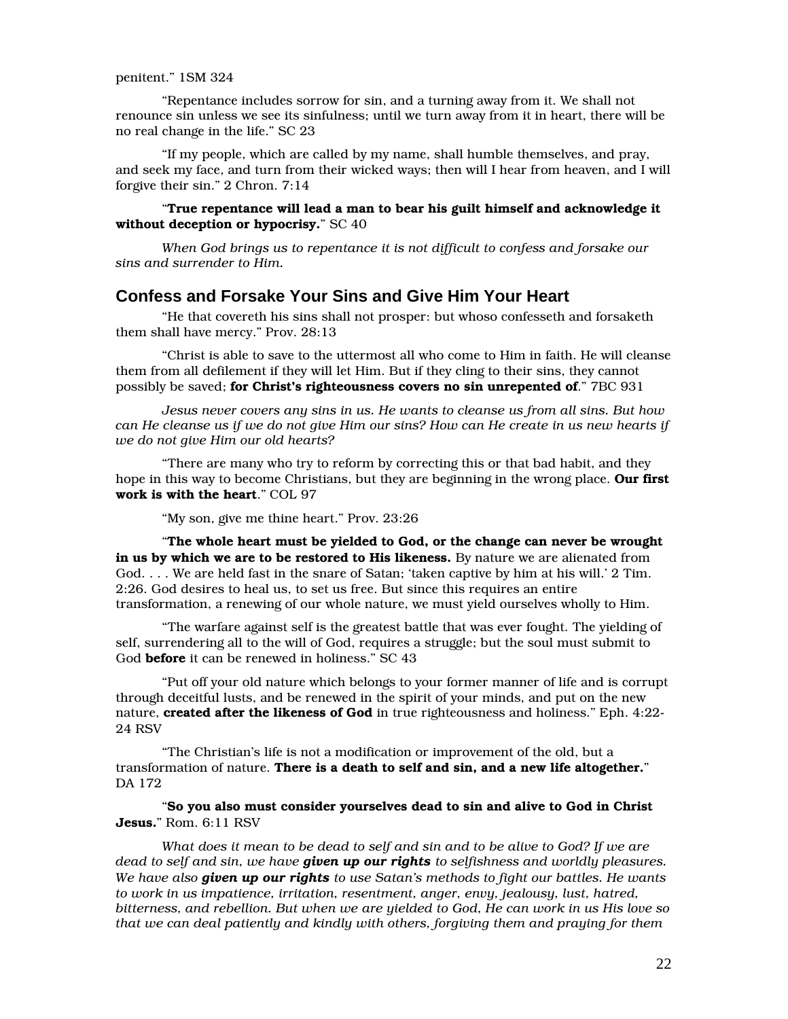#### penitent." 1SM 324

"Repentance includes sorrow for sin, and a turning away from it. We shall not renounce sin unless we see its sinfulness; until we turn away from it in heart, there will be no real change in the life." SC 23

"If my people, which are called by my name, shall humble themselves, and pray, and seek my face, and turn from their wicked ways; then will I hear from heaven, and I will forgive their sin." 2 Chron. 7:14

#### "True repentance will lead a man to bear his guilt himself and acknowledge it without deception or hypocrisy." SC 40

*When God brings us to repentance it is not difficult to confess and forsake our sins and surrender to Him.* 

## **Confess and Forsake Your Sins and Give Him Your Heart**

"He that covereth his sins shall not prosper: but whoso confesseth and forsaketh them shall have mercy." Prov. 28:13

"Christ is able to save to the uttermost all who come to Him in faith. He will cleanse them from all defilement if they will let Him. But if they cling to their sins, they cannot possibly be saved; for Christ's righteousness covers no sin unrepented of." 7BC 931

*Jesus never covers any sins in us. He wants to cleanse us from all sins. But how can He cleanse us if we do not give Him our sins? How can He create in us new hearts if we do not give Him our old hearts?* 

"There are many who try to reform by correcting this or that bad habit, and they hope in this way to become Christians, but they are beginning in the wrong place. Our first work is with the heart." COL 97

"My son, give me thine heart." Prov. 23:26

"The whole heart must be yielded to God, or the change can never be wrought in us by which we are to be restored to His likeness. By nature we are alienated from God. . . . We are held fast in the snare of Satan; 'taken captive by him at his will.' 2 Tim. 2:26. God desires to heal us, to set us free. But since this requires an entire transformation, a renewing of our whole nature, we must yield ourselves wholly to Him.

"The warfare against self is the greatest battle that was ever fought. The yielding of self, surrendering all to the will of God, requires a struggle; but the soul must submit to God before it can be renewed in holiness." SC 43

"Put off your old nature which belongs to your former manner of life and is corrupt through deceitful lusts, and be renewed in the spirit of your minds, and put on the new nature, **created after the likeness of God** in true righteousness and holiness." Eph. 4:22-24 RSV

"The Christian's life is not a modification or improvement of the old, but a transformation of nature. There is a death to self and sin, and a new life altogether." DA 172

### "So you also must consider yourselves dead to sin and alive to God in Christ Jesus." Rom. 6:11 RSV

*What does it mean to be dead to self and sin and to be alive to God? If we are dead to self and sin, we have given up our rights to selfishness and worldly pleasures. We have also given up our rights to use Satan's methods to fight our battles. He wants to work in us impatience, irritation, resentment, anger, envy, jealousy, lust, hatred, bitterness, and rebellion. But when we are yielded to God, He can work in us His love so that we can deal patiently and kindly with others, forgiving them and praying for them*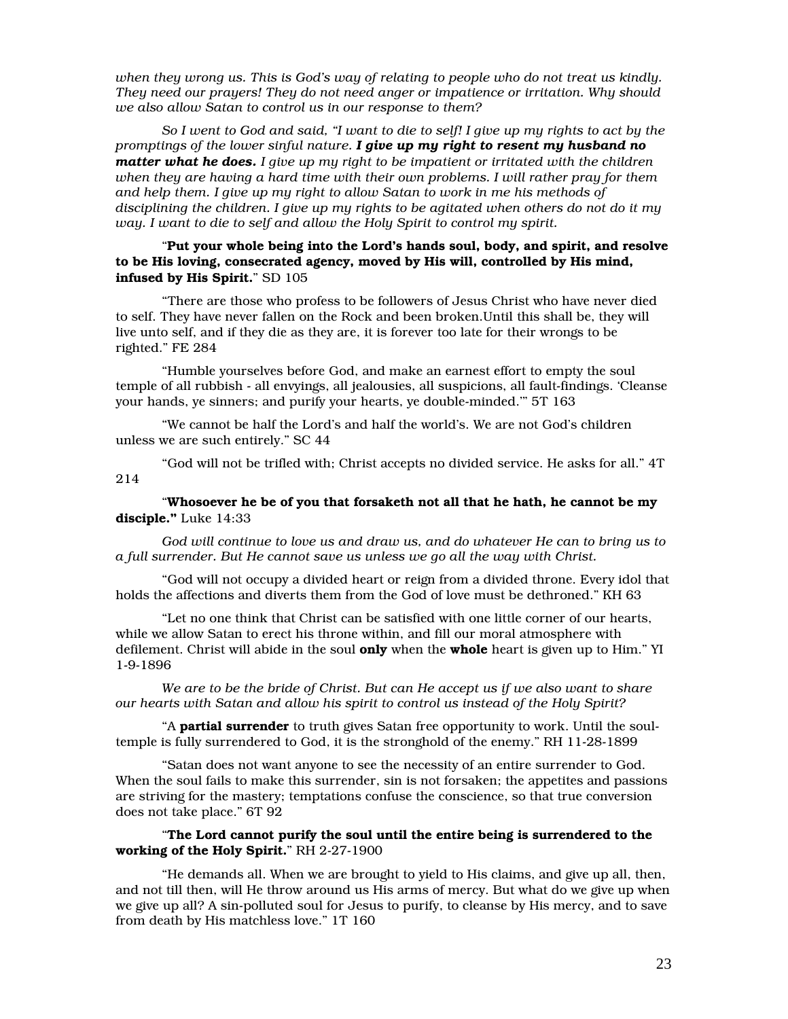*when they wrong us. This is God's way of relating to people who do not treat us kindly. They need our prayers! They do not need anger or impatience or irritation. Why should we also allow Satan to control us in our response to them?* 

*So I went to God and said, "I want to die to self! I give up my rights to act by the promptings of the lower sinful nature. I give up my right to resent my husband no matter what he does. I give up my right to be impatient or irritated with the children when they are having a hard time with their own problems. I will rather pray for them and help them. I give up my right to allow Satan to work in me his methods of disciplining the children. I give up my rights to be agitated when others do not do it my way. I want to die to self and allow the Holy Spirit to control my spirit.* 

### "Put your whole being into the Lord's hands soul, body, and spirit, and resolve to be His loving, consecrated agency, moved by His will, controlled by His mind, infused by His Spirit." SD 105

"There are those who profess to be followers of Jesus Christ who have never died to self. They have never fallen on the Rock and been broken.Until this shall be, they will live unto self, and if they die as they are, it is forever too late for their wrongs to be righted." FE 284

"Humble yourselves before God, and make an earnest effort to empty the soul temple of all rubbish - all envyings, all jealousies, all suspicions, all fault-findings. 'Cleanse your hands, ye sinners; and purify your hearts, ye double-minded.'" 5T 163

"We cannot be half the Lord's and half the world's. We are not God's children unless we are such entirely." SC 44

"God will not be trifled with; Christ accepts no divided service. He asks for all." 4T 214

#### "Whosoever he be of you that forsaketh not all that he hath, he cannot be my disciple." Luke 14:33

*God will continue to love us and draw us, and do whatever He can to bring us to a full surrender. But He cannot save us unless we go all the way with Christ.* 

"God will not occupy a divided heart or reign from a divided throne. Every idol that holds the affections and diverts them from the God of love must be dethroned." KH 63

"Let no one think that Christ can be satisfied with one little corner of our hearts, while we allow Satan to erect his throne within, and fill our moral atmosphere with defilement. Christ will abide in the soul **only** when the **whole** heart is given up to Him." YI 1-9-1896

*We are to be the bride of Christ. But can He accept us if we also want to share our hearts with Satan and allow his spirit to control us instead of the Holy Spirit?* 

A **partial surrender** to truth gives Satan free opportunity to work. Until the soultemple is fully surrendered to God, it is the stronghold of the enemy." RH 11-28-1899

"Satan does not want anyone to see the necessity of an entire surrender to God. When the soul fails to make this surrender, sin is not forsaken; the appetites and passions are striving for the mastery; temptations confuse the conscience, so that true conversion does not take place." 6T 92

#### "The Lord cannot purify the soul until the entire being is surrendered to the working of the Holy Spirit." RH 2-27-1900

"He demands all. When we are brought to yield to His claims, and give up all, then, and not till then, will He throw around us His arms of mercy. But what do we give up when we give up all? A sin-polluted soul for Jesus to purify, to cleanse by His mercy, and to save from death by His matchless love." 1T 160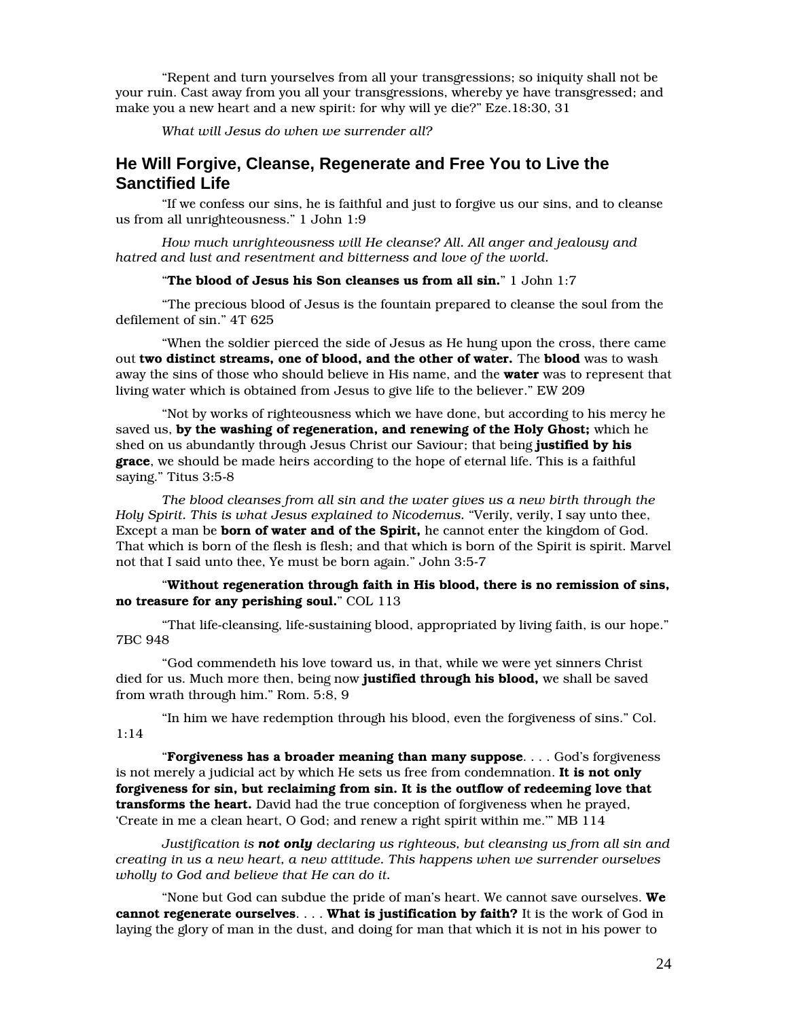"Repent and turn yourselves from all your transgressions; so iniquity shall not be your ruin. Cast away from you all your transgressions, whereby ye have transgressed; and make you a new heart and a new spirit: for why will ye die?" Eze.18:30, 31

*What will Jesus do when we surrender all?* 

# **He Will Forgive, Cleanse, Regenerate and Free You to Live the Sanctified Life**

"If we confess our sins, he is faithful and just to forgive us our sins, and to cleanse us from all unrighteousness." 1 John 1:9

*How much unrighteousness will He cleanse? All. All anger and jealousy and hatred and lust and resentment and bitterness and love of the world.* 

"The blood of Jesus his Son cleanses us from all  $sin$ ." 1 John 1:7

"The precious blood of Jesus is the fountain prepared to cleanse the soul from the defilement of sin." 4T 625

"When the soldier pierced the side of Jesus as He hung upon the cross, there came out two distinct streams, one of blood, and the other of water. The blood was to wash away the sins of those who should believe in His name, and the **water** was to represent that living water which is obtained from Jesus to give life to the believer." EW 209

"Not by works of righteousness which we have done, but according to his mercy he saved us, by the washing of regeneration, and renewing of the Holy Ghost; which he shed on us abundantly through Jesus Christ our Saviour; that being justified by his grace, we should be made heirs according to the hope of eternal life. This is a faithful saying." Titus 3:5-8

*The blood cleanses from all sin and the water gives us a new birth through the Holy Spirit. This is what Jesus explained to Nicodemus.* "Verily, verily, I say unto thee, Except a man be born of water and of the Spirit, he cannot enter the kingdom of God. That which is born of the flesh is flesh; and that which is born of the Spirit is spirit. Marvel not that I said unto thee, Ye must be born again." John 3:5-7

### "Without regeneration through faith in His blood, there is no remission of sins, no treasure for any perishing soul." COL 113

"That life-cleansing, life-sustaining blood, appropriated by living faith, is our hope." 7BC 948

"God commendeth his love toward us, in that, while we were yet sinners Christ died for us. Much more then, being now justified through his blood, we shall be saved from wrath through him." Rom. 5:8, 9

"In him we have redemption through his blood, even the forgiveness of sins." Col. 1:14

**"Forgiveness has a broader meaning than many suppose....** God's forgiveness is not merely a judicial act by which He sets us free from condemnation. It is not only forgiveness for sin, but reclaiming from sin. It is the outflow of redeeming love that transforms the heart. David had the true conception of forgiveness when he prayed, 'Create in me a clean heart, O God; and renew a right spirit within me.'" MB 114

*Justification is not only declaring us righteous, but cleansing us from all sin and creating in us a new heart, a new attitude. This happens when we surrender ourselves wholly to God and believe that He can do it.* 

"None but God can subdue the pride of man's heart. We cannot save ourselves. We cannot regenerate ourselves. . . . What is justification by faith? It is the work of God in laying the glory of man in the dust, and doing for man that which it is not in his power to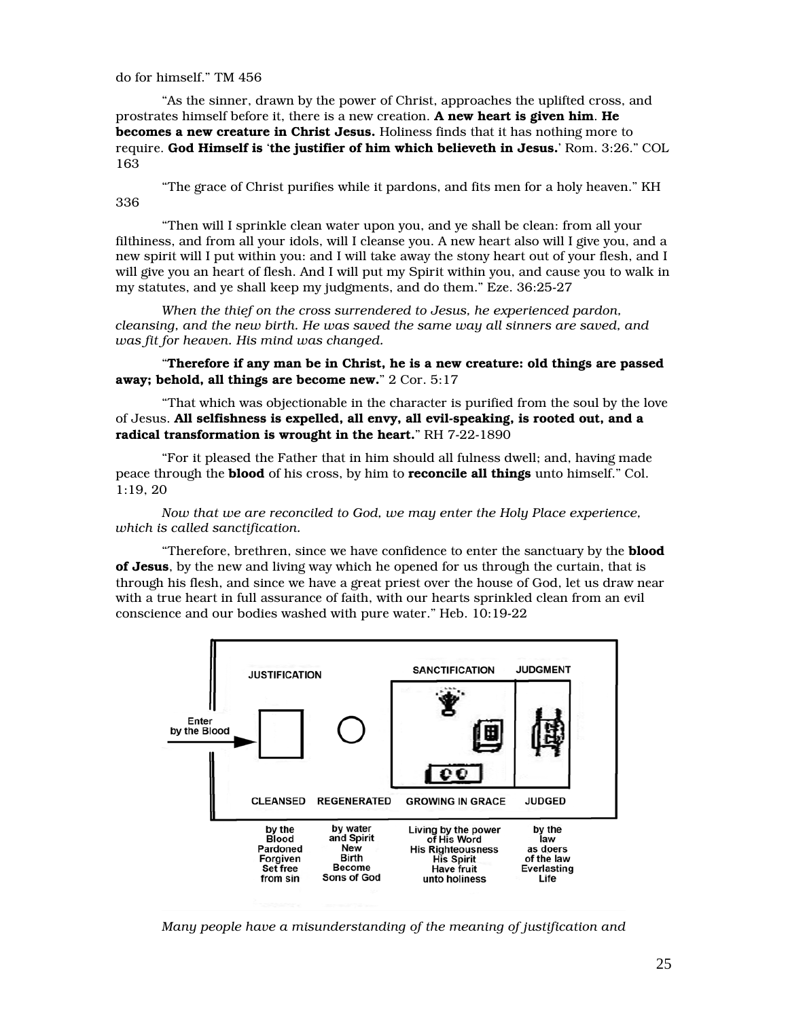do for himself." TM 456

"As the sinner, drawn by the power of Christ, approaches the uplifted cross, and prostrates himself before it, there is a new creation. A new heart is given him. He becomes a new creature in Christ Jesus. Holiness finds that it has nothing more to require. God Himself is 'the justifier of him which believeth in Jesus.' Rom. 3:26." COL 163

"The grace of Christ purifies while it pardons, and fits men for a holy heaven." KH 336

"Then will I sprinkle clean water upon you, and ye shall be clean: from all your filthiness, and from all your idols, will I cleanse you. A new heart also will I give you, and a new spirit will I put within you: and I will take away the stony heart out of your flesh, and I will give you an heart of flesh. And I will put my Spirit within you, and cause you to walk in my statutes, and ye shall keep my judgments, and do them." Eze. 36:25-27

*When the thief on the cross surrendered to Jesus, he experienced pardon, cleansing, and the new birth. He was saved the same way all sinners are saved, and was fit for heaven. His mind was changed.* 

"Therefore if any man be in Christ, he is a new creature: old things are passed away; behold, all things are become new."  $2 \text{ Cor. } 5:17$ 

"That which was objectionable in the character is purified from the soul by the love of Jesus. All selfishness is expelled, all envy, all evil-speaking, is rooted out, and a radical transformation is wrought in the heart." RH 7-22-1890

"For it pleased the Father that in him should all fulness dwell; and, having made peace through the **blood** of his cross, by him to **reconcile all things** unto himself." Col. 1:19, 20

*Now that we are reconciled to God, we may enter the Holy Place experience, which is called sanctification.* 

"Therefore, brethren, since we have confidence to enter the sanctuary by the **blood** of Jesus, by the new and living way which he opened for us through the curtain, that is through his flesh, and since we have a great priest over the house of God, let us draw near with a true heart in full assurance of faith, with our hearts sprinkled clean from an evil conscience and our bodies washed with pure water." Heb. 10:19-22



*Many people have a misunderstanding of the meaning of justification and*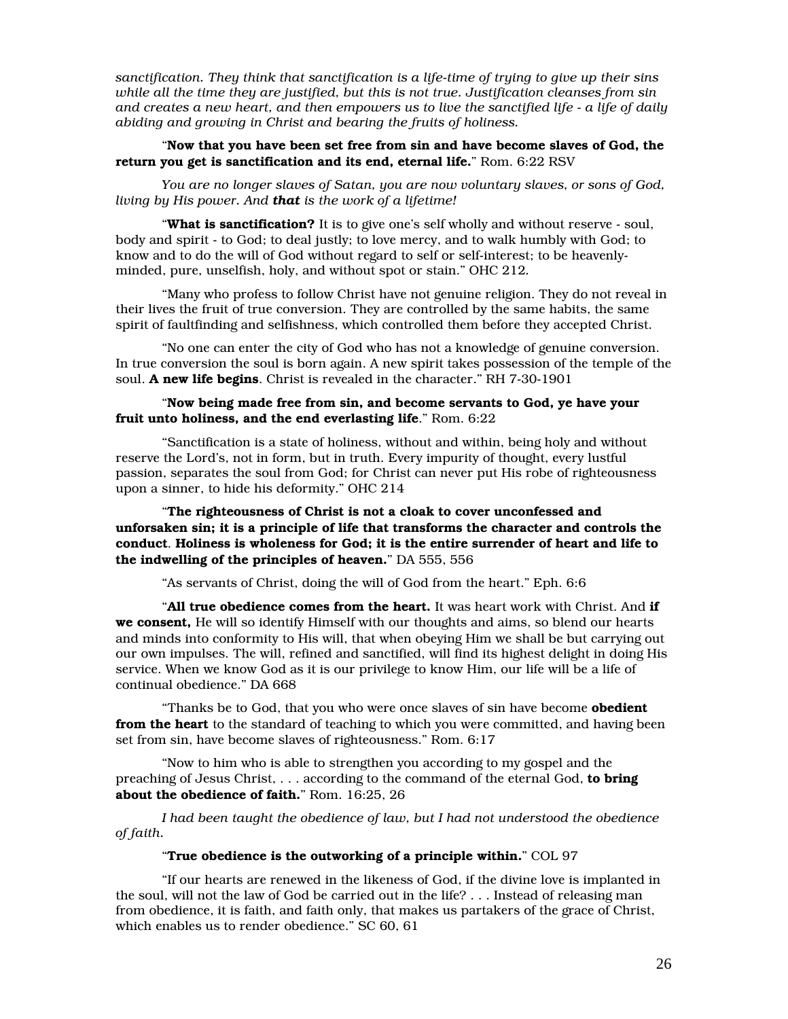*sanctification. They think that sanctification is a life-time of trying to give up their sins while all the time they are justified, but this is not true. Justification cleanses from sin and creates a new heart, and then empowers us to live the sanctified life - a life of daily abiding and growing in Christ and bearing the fruits of holiness.* 

"Now that you have been set free from sin and have become slaves of God, the return you get is sanctification and its end, eternal life." Rom. 6:22 RSV

*You are no longer slaves of Satan, you are now voluntary slaves, or sons of God, living by His power. And that is the work of a lifetime!* 

"What is sanctification? It is to give one's self wholly and without reserve - soul, body and spirit - to God; to deal justly; to love mercy, and to walk humbly with God; to know and to do the will of God without regard to self or self-interest; to be heavenlyminded, pure, unselfish, holy, and without spot or stain." OHC 212*.* 

"Many who profess to follow Christ have not genuine religion. They do not reveal in their lives the fruit of true conversion. They are controlled by the same habits, the same spirit of faultfinding and selfishness, which controlled them before they accepted Christ.

"No one can enter the city of God who has not a knowledge of genuine conversion. In true conversion the soul is born again. A new spirit takes possession of the temple of the soul. A new life begins. Christ is revealed in the character." RH 7-30-1901

#### "Now being made free from sin, and become servants to God, ye have your fruit unto holiness, and the end everlasting life." Rom. 6:22

"Sanctification is a state of holiness, without and within, being holy and without reserve the Lord's, not in form, but in truth. Every impurity of thought, every lustful passion, separates the soul from God; for Christ can never put His robe of righteousness upon a sinner, to hide his deformity." OHC 214

"The righteousness of Christ is not a cloak to cover unconfessed and unforsaken sin; it is a principle of life that transforms the character and controls the conduct. Holiness is wholeness for God; it is the entire surrender of heart and life to the indwelling of the principles of heaven." DA 555, 556

"As servants of Christ, doing the will of God from the heart." Eph. 6:6

"All true obedience comes from the heart. It was heart work with Christ. And if we consent, He will so identify Himself with our thoughts and aims, so blend our hearts and minds into conformity to His will, that when obeying Him we shall be but carrying out our own impulses. The will, refined and sanctified, will find its highest delight in doing His service. When we know God as it is our privilege to know Him, our life will be a life of continual obedience." DA 668

"Thanks be to God, that you who were once slaves of sin have become obedient from the heart to the standard of teaching to which you were committed, and having been set from sin, have become slaves of righteousness." Rom. 6:17

"Now to him who is able to strengthen you according to my gospel and the preaching of Jesus Christ, . . . according to the command of the eternal God, to bring about the obedience of faith." Rom. 16:25, 26

*I had been taught the obedience of law, but I had not understood the obedience of faith.* 

#### "True obedience is the outworking of a principle within." COL 97

"If our hearts are renewed in the likeness of God, if the divine love is implanted in the soul, will not the law of God be carried out in the life? . . . Instead of releasing man from obedience, it is faith, and faith only, that makes us partakers of the grace of Christ, which enables us to render obedience." SC 60, 61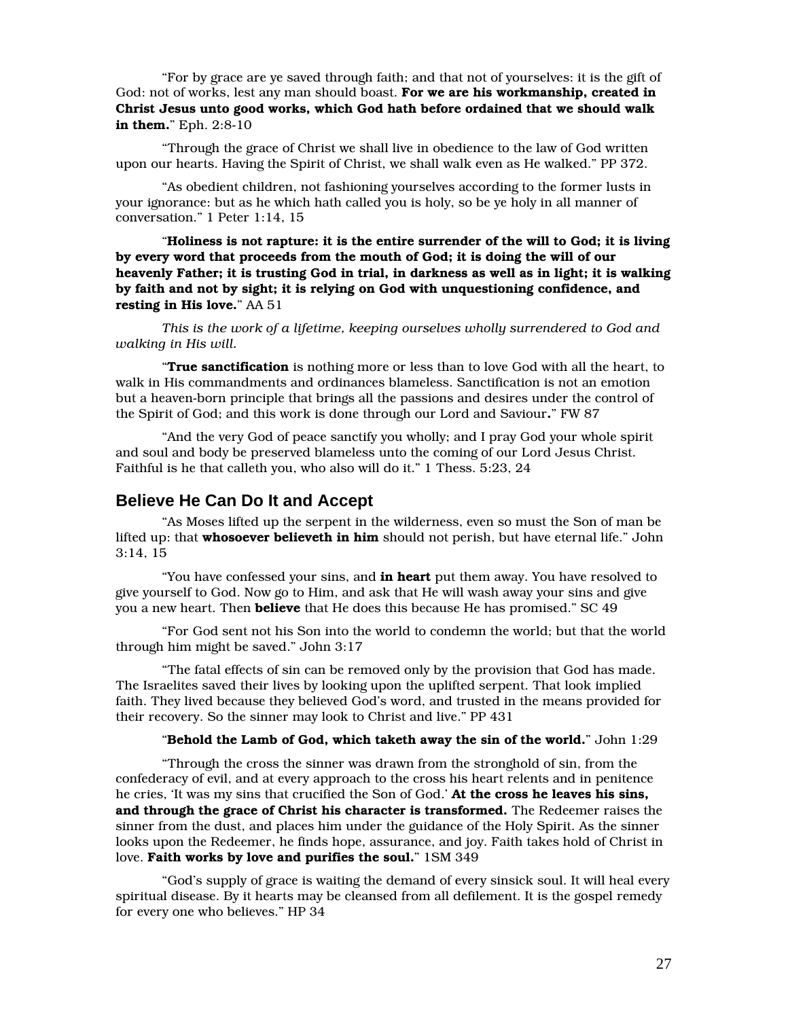"For by grace are ye saved through faith; and that not of yourselves: it is the gift of God: not of works, lest any man should boast. For we are his workmanship, created in Christ Jesus unto good works, which God hath before ordained that we should walk in them." Eph. 2:8-10

"Through the grace of Christ we shall live in obedience to the law of God written upon our hearts. Having the Spirit of Christ, we shall walk even as He walked." PP 372.

"As obedient children, not fashioning yourselves according to the former lusts in your ignorance: but as he which hath called you is holy, so be ye holy in all manner of conversation." 1 Peter 1:14, 15

"Holiness is not rapture: it is the entire surrender of the will to God; it is living by every word that proceeds from the mouth of God; it is doing the will of our heavenly Father; it is trusting God in trial, in darkness as well as in light; it is walking by faith and not by sight; it is relying on God with unquestioning confidence, and resting in His love." AA 51

*This is the work of a lifetime, keeping ourselves wholly surrendered to God and walking in His will.* 

**True sanctification** is nothing more or less than to love God with all the heart, to walk in His commandments and ordinances blameless. Sanctification is not an emotion but a heaven-born principle that brings all the passions and desires under the control of the Spirit of God; and this work is done through our Lord and Saviour." FW 87

"And the very God of peace sanctify you wholly; and I pray God your whole spirit and soul and body be preserved blameless unto the coming of our Lord Jesus Christ. Faithful is he that calleth you, who also will do it." 1 Thess. 5:23, 24

# **Believe He Can Do It and Accept**

"As Moses lifted up the serpent in the wilderness, even so must the Son of man be lifted up: that **whosoever believeth in him** should not perish, but have eternal life." John 3:14, 15

"You have confessed your sins, and in heart put them away. You have resolved to give yourself to God. Now go to Him, and ask that He will wash away your sins and give you a new heart. Then **believe** that He does this because He has promised." SC 49

"For God sent not his Son into the world to condemn the world; but that the world through him might be saved." John 3:17

"The fatal effects of sin can be removed only by the provision that God has made. The Israelites saved their lives by looking upon the uplifted serpent. That look implied faith. They lived because they believed God's word, and trusted in the means provided for their recovery. So the sinner may look to Christ and live." PP 431

#### "Behold the Lamb of God, which taketh away the sin of the world." John 1:29

"Through the cross the sinner was drawn from the stronghold of sin, from the confederacy of evil, and at every approach to the cross his heart relents and in penitence he cries, 'It was my sins that crucified the Son of God.' At the cross he leaves his sins, and through the grace of Christ his character is transformed. The Redeemer raises the sinner from the dust, and places him under the guidance of the Holy Spirit. As the sinner looks upon the Redeemer, he finds hope, assurance, and joy. Faith takes hold of Christ in love. Faith works by love and purifies the soul." 1SM 349

"God's supply of grace is waiting the demand of every sinsick soul. It will heal every spiritual disease. By it hearts may be cleansed from all defilement. It is the gospel remedy for every one who believes." HP 34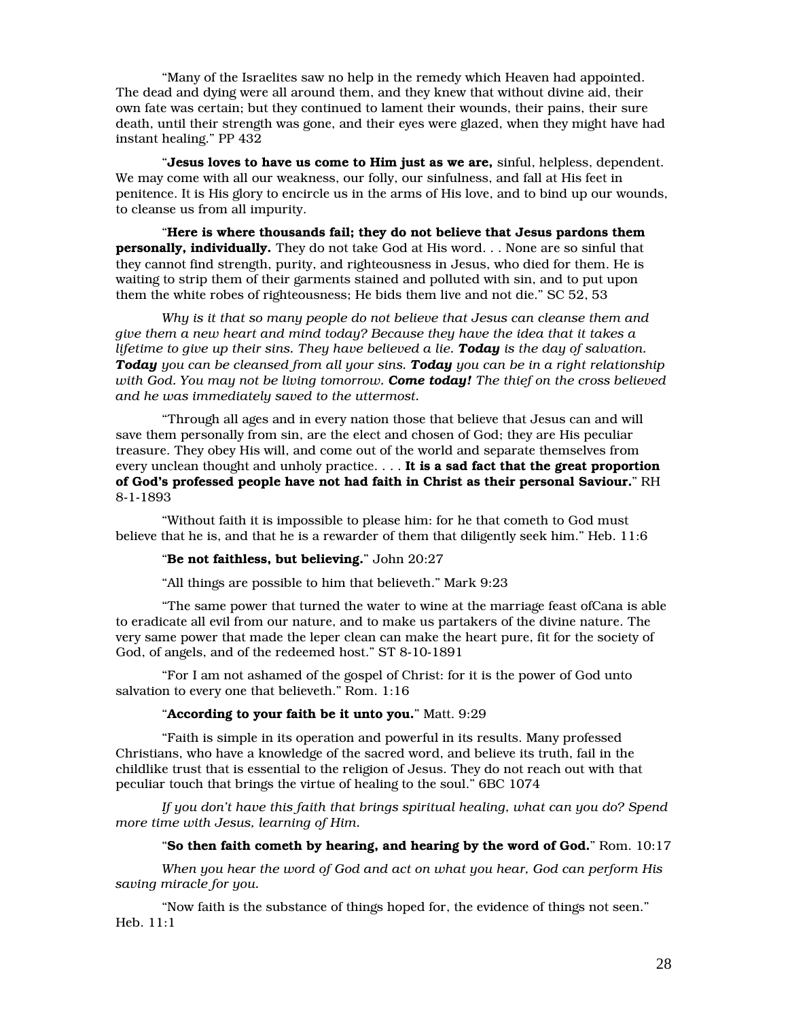"Many of the Israelites saw no help in the remedy which Heaven had appointed. The dead and dying were all around them, and they knew that without divine aid, their own fate was certain; but they continued to lament their wounds, their pains, their sure death, until their strength was gone, and their eyes were glazed, when they might have had instant healing." PP 432

"Jesus loves to have us come to Him just as we are, sinful, helpless, dependent. We may come with all our weakness, our folly, our sinfulness, and fall at His feet in penitence. It is His glory to encircle us in the arms of His love, and to bind up our wounds, to cleanse us from all impurity.

"Here is where thousands fail; they do not believe that Jesus pardons them **personally, individually.** They do not take God at His word. . . None are so sinful that they cannot find strength, purity, and righteousness in Jesus, who died for them. He is waiting to strip them of their garments stained and polluted with sin, and to put upon them the white robes of righteousness; He bids them live and not die." SC 52, 53

*Why is it that so many people do not believe that Jesus can cleanse them and give them a new heart and mind today? Because they have the idea that it takes a lifetime to give up their sins. They have believed a lie. Today is the day of salvation. Today you can be cleansed from all your sins. Today you can be in a right relationship with God. You may not be living tomorrow. Come today! The thief on the cross believed and he was immediately saved to the uttermost.* 

"Through all ages and in every nation those that believe that Jesus can and will save them personally from sin, are the elect and chosen of God; they are His peculiar treasure. They obey His will, and come out of the world and separate themselves from every unclean thought and unholy practice. . . . It is a sad fact that the great proportion of God's professed people have not had faith in Christ as their personal Saviour." RH 8-1-1893

"Without faith it is impossible to please him: for he that cometh to God must believe that he is, and that he is a rewarder of them that diligently seek him." Heb. 11:6

### "Be not faithless, but believing." John 20:27

"All things are possible to him that believeth." Mark 9:23

"The same power that turned the water to wine at the marriage feast ofCana is able to eradicate all evil from our nature, and to make us partakers of the divine nature. The very same power that made the leper clean can make the heart pure, fit for the society of God, of angels, and of the redeemed host." ST 8-10-1891

"For I am not ashamed of the gospel of Christ: for it is the power of God unto salvation to every one that believeth." Rom. 1:16

### "According to your faith be it unto you." Matt. 9:29

"Faith is simple in its operation and powerful in its results. Many professed Christians, who have a knowledge of the sacred word, and believe its truth, fail in the childlike trust that is essential to the religion of Jesus. They do not reach out with that peculiar touch that brings the virtue of healing to the soul." 6BC 1074

*If you don't have this faith that brings spiritual healing, what can you do? Spend more time with Jesus, learning of Him.* 

#### "So then faith cometh by hearing, and hearing by the word of God." Rom. 10:17

*When you hear the word of God and act on what you hear, God can perform His saving miracle for you.* 

"Now faith is the substance of things hoped for, the evidence of things not seen." Heb. 11:1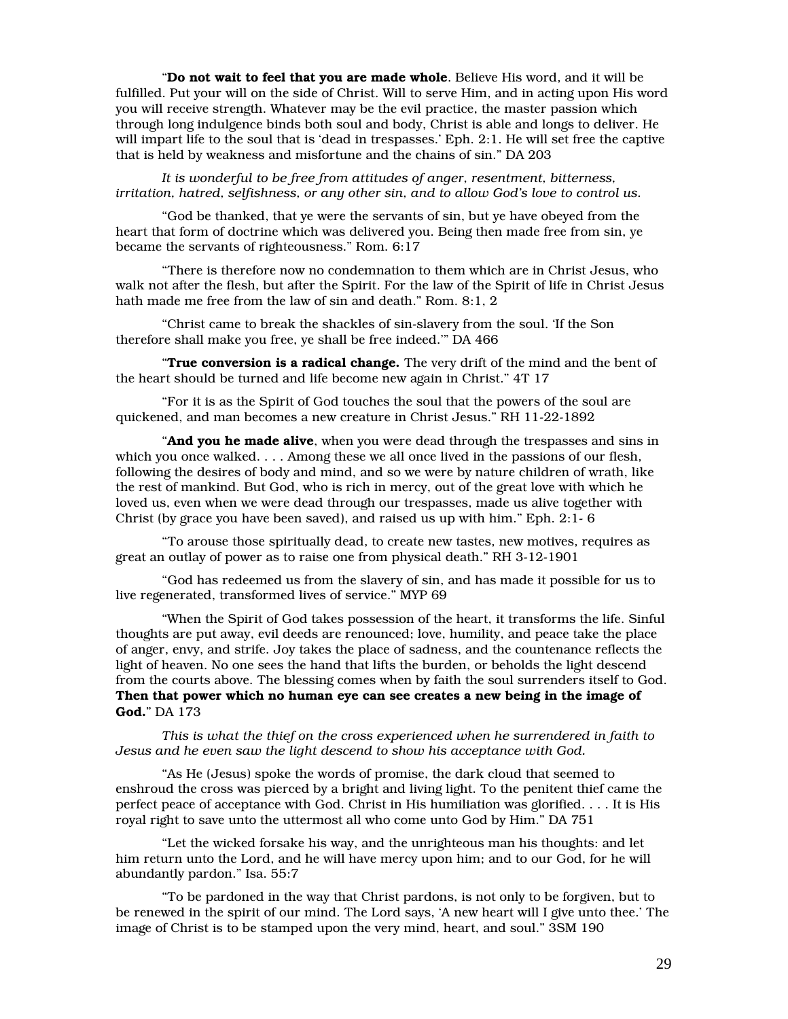"Do not wait to feel that you are made whole. Believe His word, and it will be fulfilled. Put your will on the side of Christ. Will to serve Him, and in acting upon His word you will receive strength. Whatever may be the evil practice, the master passion which through long indulgence binds both soul and body, Christ is able and longs to deliver. He will impart life to the soul that is 'dead in trespasses.' Eph. 2:1. He will set free the captive that is held by weakness and misfortune and the chains of sin." DA 203

*It is wonderful to be free from attitudes of anger, resentment, bitterness, irritation, hatred, selfishness, or any other sin, and to allow God's love to control us.* 

"God be thanked, that ye were the servants of sin, but ye have obeyed from the heart that form of doctrine which was delivered you. Being then made free from sin, ye became the servants of righteousness." Rom. 6:17

"There is therefore now no condemnation to them which are in Christ Jesus, who walk not after the flesh, but after the Spirit. For the law of the Spirit of life in Christ Jesus hath made me free from the law of sin and death." Rom. 8:1, 2

"Christ came to break the shackles of sin-slavery from the soul. 'If the Son therefore shall make you free, ye shall be free indeed.'" DA 466

"True conversion is a radical change. The very drift of the mind and the bent of the heart should be turned and life become new again in Christ." 4T 17

"For it is as the Spirit of God touches the soul that the powers of the soul are quickened, and man becomes a new creature in Christ Jesus." RH 11-22-1892

"And you he made alive, when you were dead through the trespasses and sins in which you once walked. . . . Among these we all once lived in the passions of our flesh, following the desires of body and mind, and so we were by nature children of wrath, like the rest of mankind. But God, who is rich in mercy, out of the great love with which he loved us, even when we were dead through our trespasses, made us alive together with Christ (by grace you have been saved), and raised us up with him." Eph. 2:1- 6

"To arouse those spiritually dead, to create new tastes, new motives, requires as great an outlay of power as to raise one from physical death." RH 3-12-1901

"God has redeemed us from the slavery of sin, and has made it possible for us to live regenerated, transformed lives of service." MYP 69

"When the Spirit of God takes possession of the heart, it transforms the life. Sinful thoughts are put away, evil deeds are renounced; love, humility, and peace take the place of anger, envy, and strife. Joy takes the place of sadness, and the countenance reflects the light of heaven. No one sees the hand that lifts the burden, or beholds the light descend from the courts above. The blessing comes when by faith the soul surrenders itself to God. Then that power which no human eye can see creates a new being in the image of God." DA 173

*This is what the thief on the cross experienced when he surrendered in faith to Jesus and he even saw the light descend to show his acceptance with God.* 

"As He (Jesus) spoke the words of promise, the dark cloud that seemed to enshroud the cross was pierced by a bright and living light. To the penitent thief came the perfect peace of acceptance with God. Christ in His humiliation was glorified. . . . It is His royal right to save unto the uttermost all who come unto God by Him." DA 751

"Let the wicked forsake his way, and the unrighteous man his thoughts: and let him return unto the Lord, and he will have mercy upon him; and to our God, for he will abundantly pardon." Isa. 55:7

"To be pardoned in the way that Christ pardons, is not only to be forgiven, but to be renewed in the spirit of our mind. The Lord says, 'A new heart will I give unto thee.' The image of Christ is to be stamped upon the very mind, heart, and soul." 3SM 190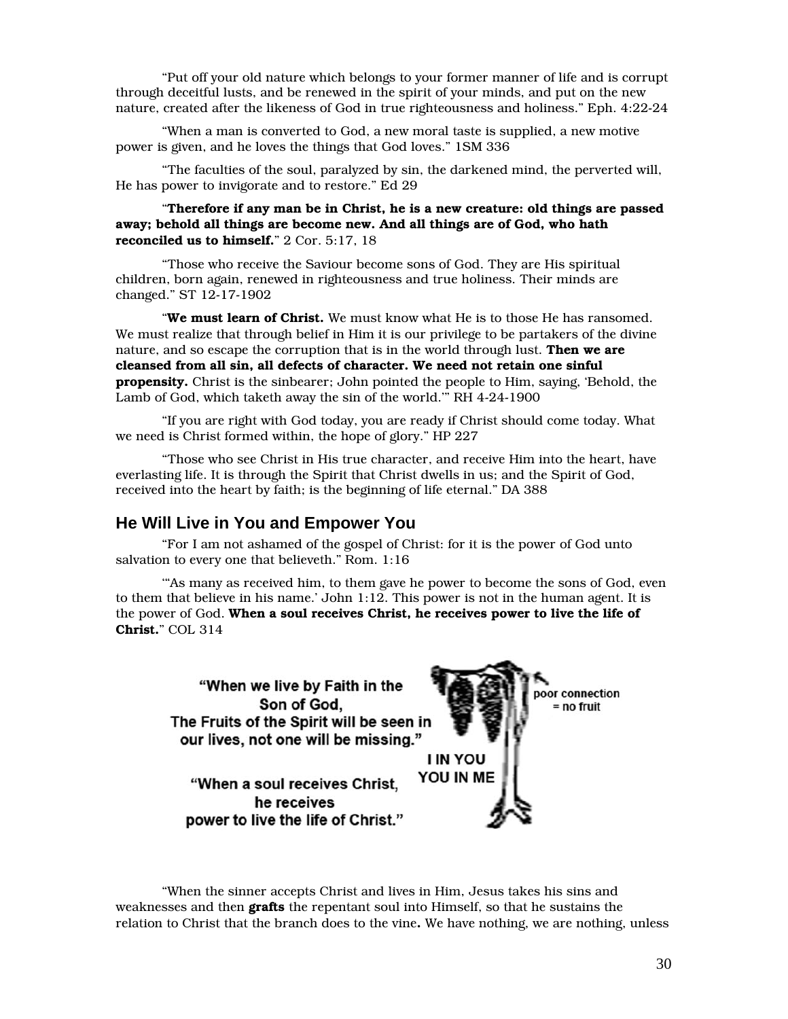"Put off your old nature which belongs to your former manner of life and is corrupt through deceitful lusts, and be renewed in the spirit of your minds, and put on the new nature, created after the likeness of God in true righteousness and holiness." Eph. 4:22-24

"When a man is converted to God, a new moral taste is supplied, a new motive power is given, and he loves the things that God loves." 1SM 336

"The faculties of the soul, paralyzed by sin, the darkened mind, the perverted will, He has power to invigorate and to restore." Ed 29

### "Therefore if any man be in Christ, he is a new creature: old things are passed away; behold all things are become new. And all things are of God, who hath reconciled us to himself."  $2 \text{ Cor. } 5:17$ , 18

"Those who receive the Saviour become sons of God. They are His spiritual children, born again, renewed in righteousness and true holiness. Their minds are changed." ST 12-17-1902

"We must learn of Christ. We must know what He is to those He has ransomed. We must realize that through belief in Him it is our privilege to be partakers of the divine nature, and so escape the corruption that is in the world through lust. Then we are cleansed from all sin, all defects of character. We need not retain one sinful propensity. Christ is the sinbearer; John pointed the people to Him, saying, 'Behold, the Lamb of God, which taketh away the sin of the world.'" RH 4-24-1900

"If you are right with God today, you are ready if Christ should come today. What we need is Christ formed within, the hope of glory." HP 227

"Those who see Christ in His true character, and receive Him into the heart, have everlasting life. It is through the Spirit that Christ dwells in us; and the Spirit of God, received into the heart by faith; is the beginning of life eternal." DA 388

# **He Will Live in You and Empower You**

"For I am not ashamed of the gospel of Christ: for it is the power of God unto salvation to every one that believeth." Rom. 1:16

'"As many as received him, to them gave he power to become the sons of God, even to them that believe in his name.' John  $1:12$ . This power is not in the human agent. It is the power of God. When a soul receives Christ, he receives power to live the life of Christ." COL 314

"When we live by Faith in the poor connection Son of God,  $=$  no fruit The Fruits of the Spirit will be seen in our lives, not one will be missing." **I IN YOU** YOU IN ME "When a soul receives Christ, he receives power to live the life of Christ."

"When the sinner accepts Christ and lives in Him, Jesus takes his sins and weaknesses and then **grafts** the repentant soul into Himself, so that he sustains the relation to Christ that the branch does to the vine. We have nothing, we are nothing, unless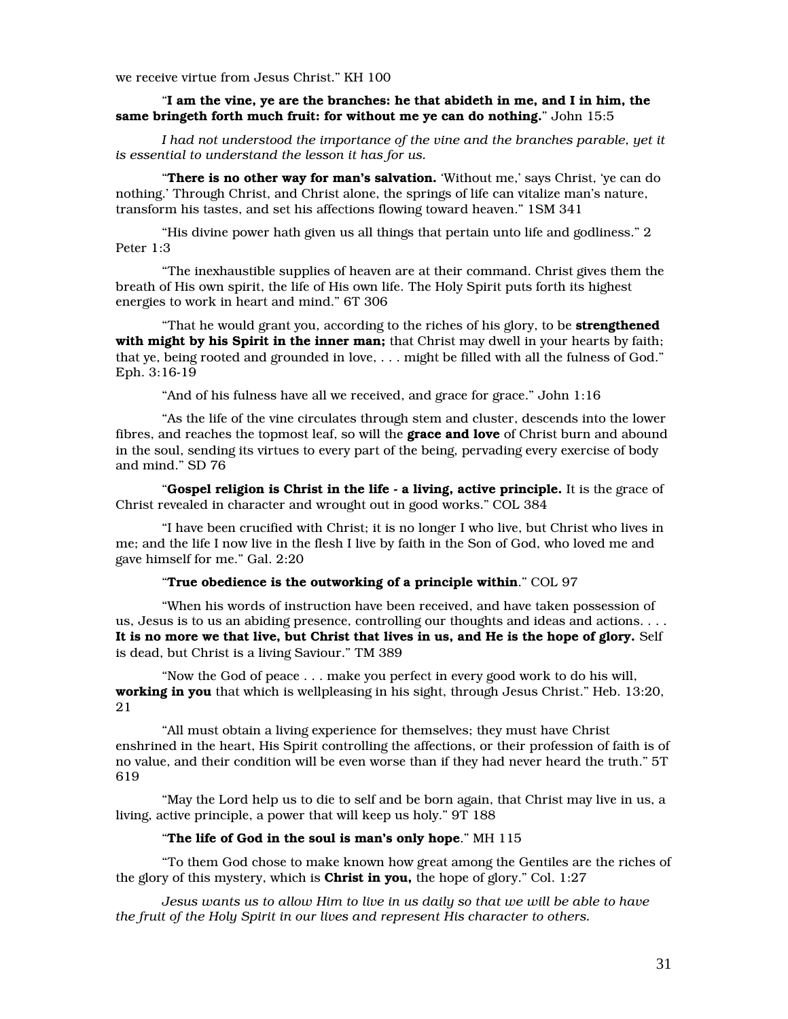we receive virtue from Jesus Christ." KH 100

#### "I am the vine, ye are the branches: he that abideth in me, and I in him, the same bringeth forth much fruit: for without me ye can do nothing." John 15:5

*I had not understood the importance of the vine and the branches parable, yet it is essential to understand the lesson it has for us.* 

"There is no other way for man's salvation. 'Without me,' says Christ, 'ye can do nothing.' Through Christ, and Christ alone, the springs of life can vitalize man's nature, transform his tastes, and set his affections flowing toward heaven." 1SM 341

"His divine power hath given us all things that pertain unto life and godliness." 2 Peter 1:3

"The inexhaustible supplies of heaven are at their command. Christ gives them the breath of His own spirit, the life of His own life. The Holy Spirit puts forth its highest energies to work in heart and mind." 6T 306

"That he would grant you, according to the riches of his glory, to be **strengthened** with might by his Spirit in the inner man; that Christ may dwell in your hearts by faith; that ye, being rooted and grounded in love, . . . might be filled with all the fulness of God." Eph. 3:16-19

"And of his fulness have all we received, and grace for grace." John 1:16

"As the life of the vine circulates through stem and cluster, descends into the lower fibres, and reaches the topmost leaf, so will the **grace and love** of Christ burn and abound in the soul, sending its virtues to every part of the being, pervading every exercise of body and mind." SD 76

"Gospel religion is Christ in the life - a living, active principle. It is the grace of Christ revealed in character and wrought out in good works." COL 384

"I have been crucified with Christ; it is no longer I who live, but Christ who lives in me; and the life I now live in the flesh I live by faith in the Son of God, who loved me and gave himself for me." Gal. 2:20

### "True obedience is the outworking of a principle within." COL 97

"When his words of instruction have been received, and have taken possession of us, Jesus is to us an abiding presence, controlling our thoughts and ideas and actions. . . . It is no more we that live, but Christ that lives in us, and He is the hope of glory. Self is dead, but Christ is a living Saviour." TM 389

"Now the God of peace . . . make you perfect in every good work to do his will, working in you that which is wellpleasing in his sight, through Jesus Christ." Heb. 13:20, 21

"All must obtain a living experience for themselves; they must have Christ enshrined in the heart, His Spirit controlling the affections, or their profession of faith is of no value, and their condition will be even worse than if they had never heard the truth." 5T 619

"May the Lord help us to die to self and be born again, that Christ may live in us, a living, active principle, a power that will keep us holy." 9T 188

#### "The life of God in the soul is man's only hope." MH 115

"To them God chose to make known how great among the Gentiles are the riches of the glory of this mystery, which is **Christ in you**, the hope of glory." Col. 1:27

*Jesus wants us to allow Him to live in us daily so that we will be able to have the fruit of the Holy Spirit in our lives and represent His character to others.*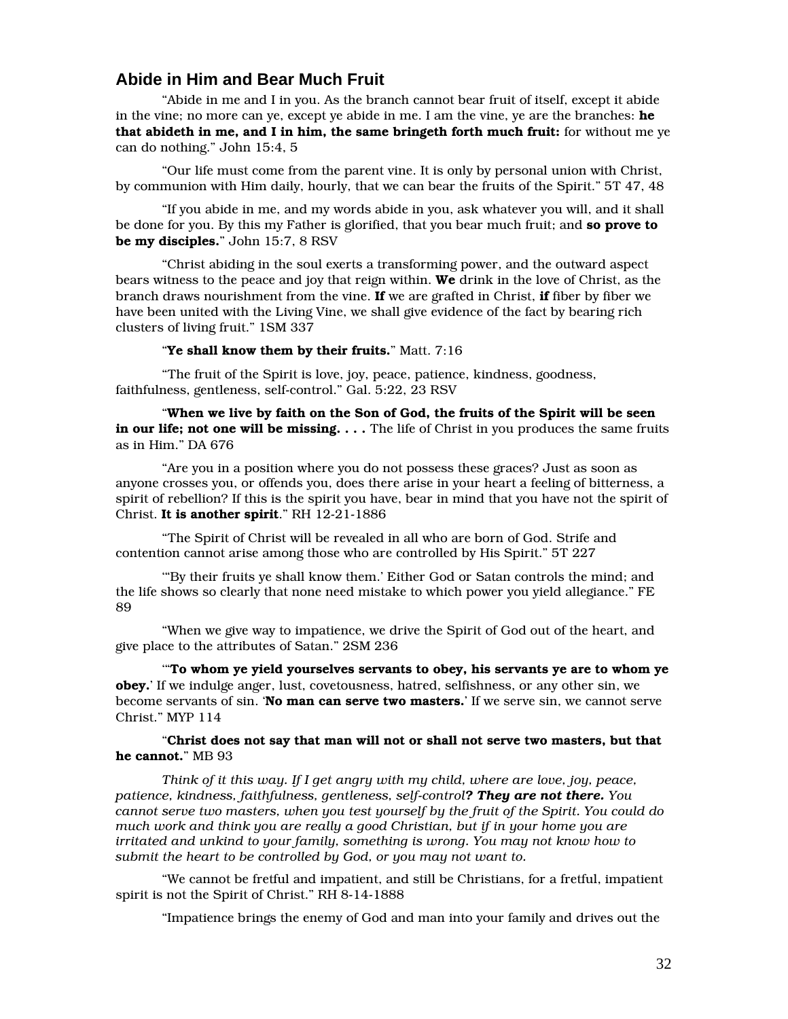# **Abide in Him and Bear Much Fruit**

"Abide in me and I in you. As the branch cannot bear fruit of itself, except it abide in the vine; no more can ye, except ye abide in me. I am the vine, ye are the branches:  $\mathbf{he}$ that abideth in me, and I in him, the same bringeth forth much fruit: for without me ye can do nothing." John 15:4, 5

"Our life must come from the parent vine. It is only by personal union with Christ, by communion with Him daily, hourly, that we can bear the fruits of the Spirit." 5T 47, 48

"If you abide in me, and my words abide in you, ask whatever you will, and it shall be done for you. By this my Father is glorified, that you bear much fruit; and so prove to be my disciples." John 15:7, 8 RSV

"Christ abiding in the soul exerts a transforming power, and the outward aspect bears witness to the peace and joy that reign within. We drink in the love of Christ, as the branch draws nourishment from the vine. If we are grafted in Christ, if fiber by fiber we have been united with the Living Vine, we shall give evidence of the fact by bearing rich clusters of living fruit." 1SM 337

#### "Ye shall know them by their fruits." Matt. 7:16

"The fruit of the Spirit is love, joy, peace, patience, kindness, goodness, faithfulness, gentleness, self-control." Gal. 5:22, 23 RSV

"When we live by faith on the Son of God, the fruits of the Spirit will be seen in our life; not one will be missing. . . . The life of Christ in you produces the same fruits as in Him." DA 676

"Are you in a position where you do not possess these graces? Just as soon as anyone crosses you, or offends you, does there arise in your heart a feeling of bitterness, a spirit of rebellion? If this is the spirit you have, bear in mind that you have not the spirit of Christ. It is another spirit." RH 12-21-1886

"The Spirit of Christ will be revealed in all who are born of God. Strife and contention cannot arise among those who are controlled by His Spirit." 5T 227

'"By their fruits ye shall know them.' Either God or Satan controls the mind; and the life shows so clearly that none need mistake to which power you yield allegiance." FE 89

"When we give way to impatience, we drive the Spirit of God out of the heart, and give place to the attributes of Satan." 2SM 236

'"To whom ye yield yourselves servants to obey, his servants ye are to whom ye obey.' If we indulge anger, lust, covetousness, hatred, selfishness, or any other sin, we become servants of sin. **'No man can serve two masters.'** If we serve sin, we cannot serve Christ." MYP 114

#### "Christ does not say that man will not or shall not serve two masters, but that he cannot." MB 93

*Think of it this way. If I get angry with my child, where are love, joy, peace, patience, kindness, faithfulness, gentleness, self-control? They are not there. You cannot serve two masters, when you test yourself by the fruit of the Spirit. You could do much work and think you are really a good Christian, but if in your home you are irritated and unkind to your family, something is wrong. You may not know how to submit the heart to be controlled by God, or you may not want to.* 

"We cannot be fretful and impatient, and still be Christians, for a fretful, impatient spirit is not the Spirit of Christ." RH 8-14-1888

"Impatience brings the enemy of God and man into your family and drives out the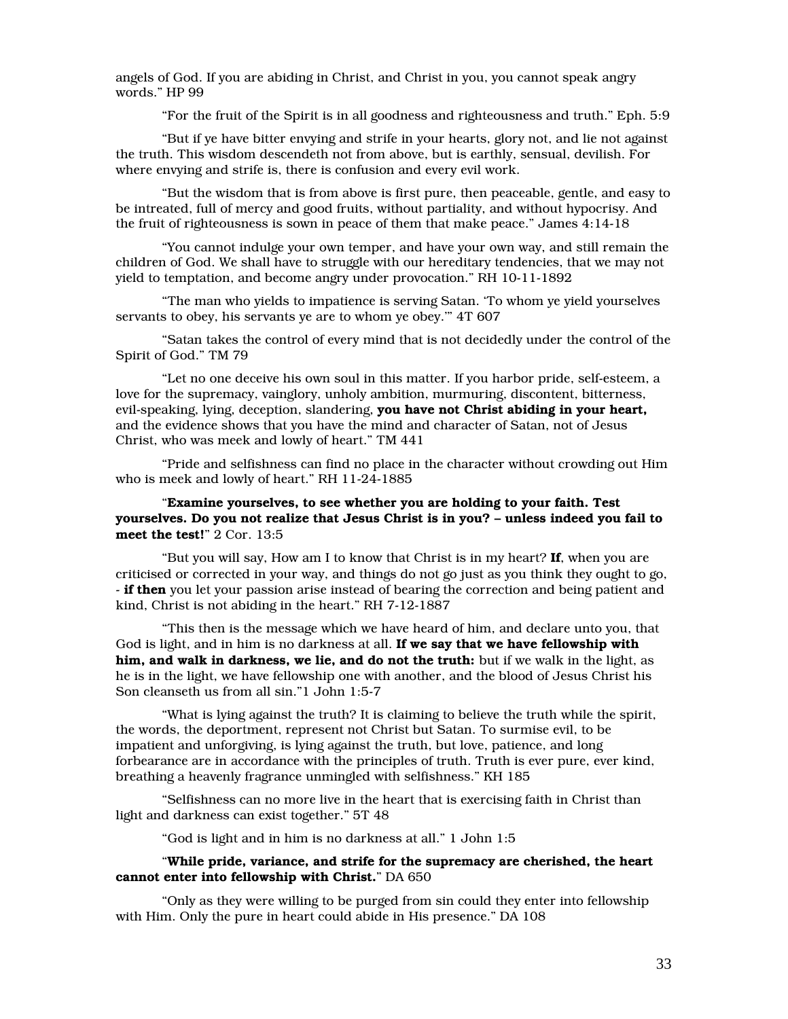angels of God. If you are abiding in Christ, and Christ in you, you cannot speak angry words." HP 99

"For the fruit of the Spirit is in all goodness and righteousness and truth." Eph. 5:9

"But if ye have bitter envying and strife in your hearts, glory not, and lie not against the truth. This wisdom descendeth not from above, but is earthly, sensual, devilish. For where envying and strife is, there is confusion and every evil work.

"But the wisdom that is from above is first pure, then peaceable, gentle, and easy to be intreated, full of mercy and good fruits, without partiality, and without hypocrisy. And the fruit of righteousness is sown in peace of them that make peace." James 4:14-18

"You cannot indulge your own temper, and have your own way, and still remain the children of God. We shall have to struggle with our hereditary tendencies, that we may not yield to temptation, and become angry under provocation." RH 10-11-1892

"The man who yields to impatience is serving Satan. 'To whom ye yield yourselves servants to obey, his servants ye are to whom ye obey.'" 4T 607

"Satan takes the control of every mind that is not decidedly under the control of the Spirit of God." TM 79

"Let no one deceive his own soul in this matter. If you harbor pride, self-esteem, a love for the supremacy, vainglory, unholy ambition, murmuring, discontent, bitterness, evil-speaking, lying, deception, slandering, you have not Christ abiding in your heart, and the evidence shows that you have the mind and character of Satan, not of Jesus Christ, who was meek and lowly of heart." TM 441

"Pride and selfishness can find no place in the character without crowding out Him who is meek and lowly of heart." RH 11-24-1885

### "Examine yourselves, to see whether you are holding to your faith. Test yourselves. Do you not realize that Jesus Christ is in you? – unless indeed you fail to meet the test!" 2 Cor. 13:5

"But you will say, How am I to know that Christ is in my heart? If, when you are criticised or corrected in your way, and things do not go just as you think they ought to go, - **if then** you let your passion arise instead of bearing the correction and being patient and kind, Christ is not abiding in the heart." RH 7-12-1887

"This then is the message which we have heard of him, and declare unto you, that God is light, and in him is no darkness at all. If we say that we have fellowship with him, and walk in darkness, we lie, and do not the truth: but if we walk in the light, as he is in the light, we have fellowship one with another, and the blood of Jesus Christ his Son cleanseth us from all sin."1 John 1:5-7

"What is lying against the truth? It is claiming to believe the truth while the spirit, the words, the deportment, represent not Christ but Satan. To surmise evil, to be impatient and unforgiving, is lying against the truth, but love, patience, and long forbearance are in accordance with the principles of truth. Truth is ever pure, ever kind, breathing a heavenly fragrance unmingled with selfishness." KH 185

"Selfishness can no more live in the heart that is exercising faith in Christ than light and darkness can exist together." 5T 48

"God is light and in him is no darkness at all." 1 John 1:5

### "While pride, variance, and strife for the supremacy are cherished, the heart cannot enter into fellowship with Christ." DA 650

"Only as they were willing to be purged from sin could they enter into fellowship with Him. Only the pure in heart could abide in His presence." DA 108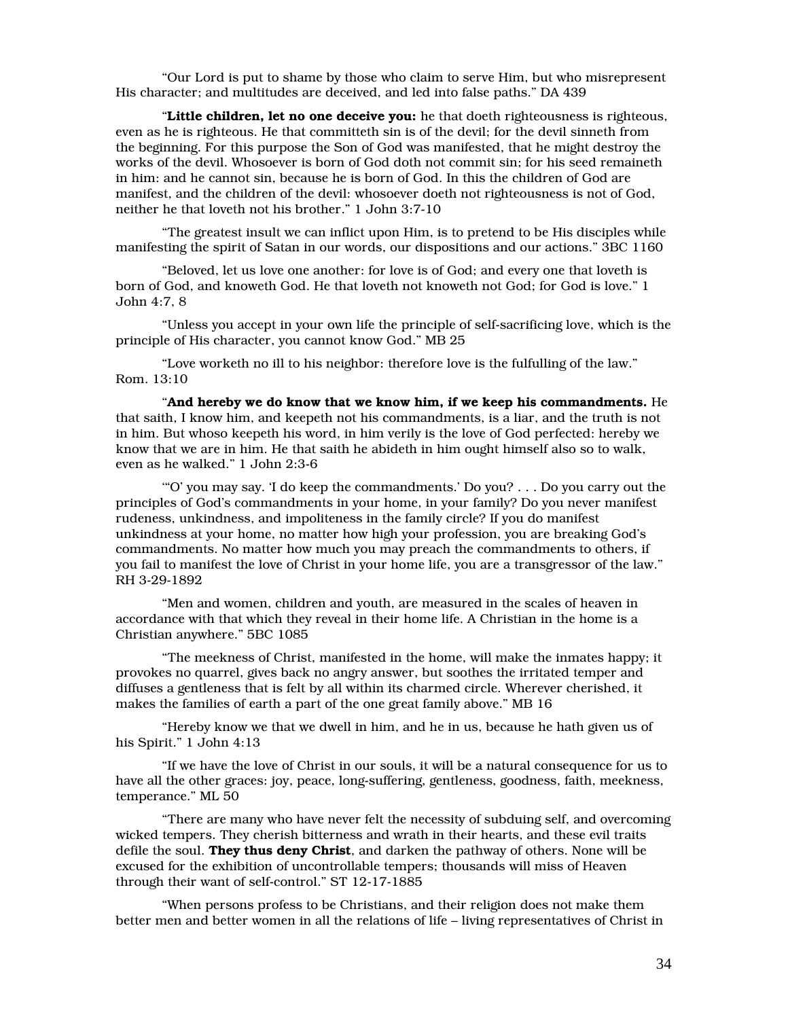"Our Lord is put to shame by those who claim to serve Him, but who misrepresent His character; and multitudes are deceived, and led into false paths." DA 439

"Little children, let no one deceive you: he that doeth righteousness is righteous, even as he is righteous. He that committeth sin is of the devil; for the devil sinneth from the beginning. For this purpose the Son of God was manifested, that he might destroy the works of the devil. Whosoever is born of God doth not commit sin; for his seed remaineth in him: and he cannot sin, because he is born of God. In this the children of God are manifest, and the children of the devil: whosoever doeth not righteousness is not of God, neither he that loveth not his brother." 1 John 3:7-10

"The greatest insult we can inflict upon Him, is to pretend to be His disciples while manifesting the spirit of Satan in our words, our dispositions and our actions." 3BC 1160

"Beloved, let us love one another: for love is of God; and every one that loveth is born of God, and knoweth God. He that loveth not knoweth not God; for God is love." 1 John 4:7, 8

"Unless you accept in your own life the principle of self-sacrificing love, which is the principle of His character, you cannot know God." MB 25

"Love worketh no ill to his neighbor: therefore love is the fulfulling of the law." Rom. 13:10

"And hereby we do know that we know him, if we keep his commandments. He that saith, I know him, and keepeth not his commandments, is a liar, and the truth is not in him. But whoso keepeth his word, in him verily is the love of God perfected: hereby we know that we are in him. He that saith he abideth in him ought himself also so to walk, even as he walked." 1 John 2:3-6

'"O' you may say. 'I do keep the commandments.' Do you? . . . Do you carry out the principles of God's commandments in your home, in your family? Do you never manifest rudeness, unkindness, and impoliteness in the family circle? If you do manifest unkindness at your home, no matter how high your profession, you are breaking God's commandments. No matter how much you may preach the commandments to others, if you fail to manifest the love of Christ in your home life, you are a transgressor of the law." RH 3-29-1892

"Men and women, children and youth, are measured in the scales of heaven in accordance with that which they reveal in their home life. A Christian in the home is a Christian anywhere." 5BC 1085

"The meekness of Christ, manifested in the home, will make the inmates happy; it provokes no quarrel, gives back no angry answer, but soothes the irritated temper and diffuses a gentleness that is felt by all within its charmed circle. Wherever cherished, it makes the families of earth a part of the one great family above." MB 16

"Hereby know we that we dwell in him, and he in us, because he hath given us of his Spirit." 1 John 4:13

"If we have the love of Christ in our souls, it will be a natural consequence for us to have all the other graces: joy, peace, long-suffering, gentleness, goodness, faith, meekness, temperance." ML 50

"There are many who have never felt the necessity of subduing self, and overcoming wicked tempers. They cherish bitterness and wrath in their hearts, and these evil traits defile the soul. They thus deny Christ, and darken the pathway of others. None will be excused for the exhibition of uncontrollable tempers; thousands will miss of Heaven through their want of self-control." ST 12-17-1885

"When persons profess to be Christians, and their religion does not make them better men and better women in all the relations of life – living representatives of Christ in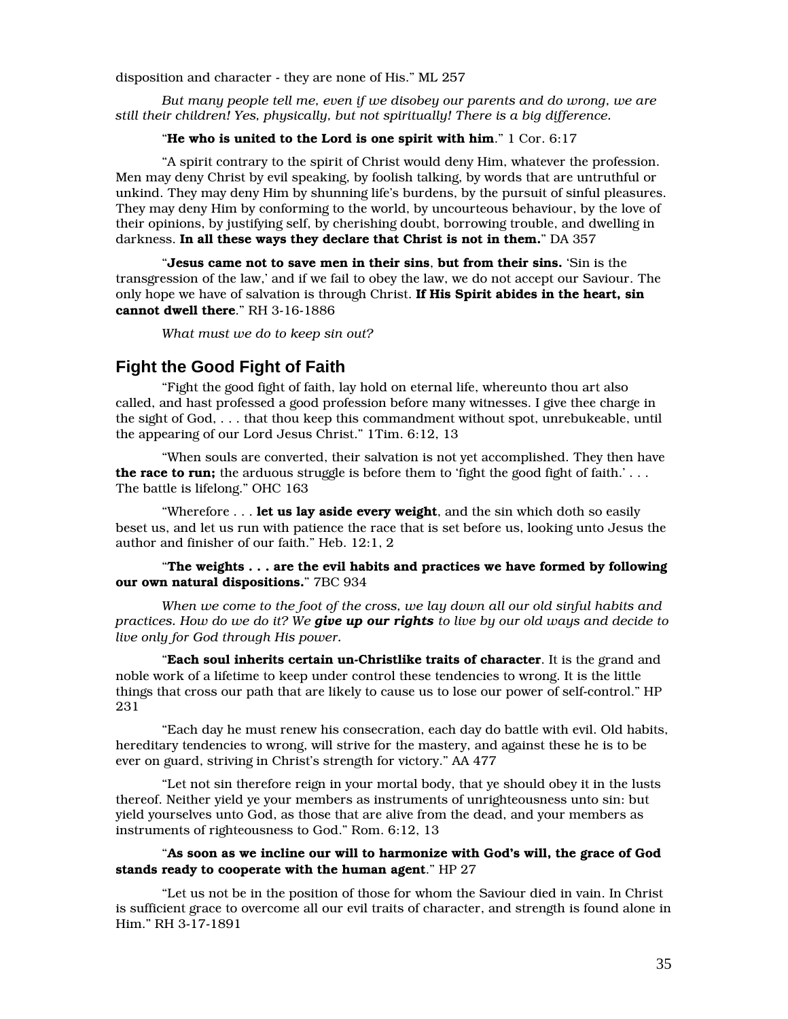disposition and character - they are none of His." ML 257

*But many people tell me, even if we disobey our parents and do wrong, we are still their children! Yes, physically, but not spiritually! There is a big difference.* 

#### "He who is united to the Lord is one spirit with him." 1 Cor. 6:17

"A spirit contrary to the spirit of Christ would deny Him, whatever the profession. Men may deny Christ by evil speaking, by foolish talking, by words that are untruthful or unkind. They may deny Him by shunning life's burdens, by the pursuit of sinful pleasures. They may deny Him by conforming to the world, by uncourteous behaviour, by the love of their opinions, by justifying self, by cherishing doubt, borrowing trouble, and dwelling in darkness. In all these ways they declare that Christ is not in them." DA 357

"Jesus came not to save men in their sins, but from their sins. 'Sin is the transgression of the law,' and if we fail to obey the law, we do not accept our Saviour. The only hope we have of salvation is through Christ. If His Spirit abides in the heart, sin cannot dwell there." RH 3-16-1886

*What must we do to keep sin out?* 

### **Fight the Good Fight of Faith**

"Fight the good fight of faith, lay hold on eternal life, whereunto thou art also called, and hast professed a good profession before many witnesses. I give thee charge in the sight of God, . . . that thou keep this commandment without spot, unrebukeable, until the appearing of our Lord Jesus Christ." 1Tim. 6:12, 13

"When souls are converted, their salvation is not yet accomplished. They then have **the race to run;** the arduous struggle is before them to 'fight the good fight of faith.'  $\dots$ The battle is lifelong." OHC 163

"Wherefore  $\ldots$  let us lay aside every weight, and the sin which doth so easily beset us, and let us run with patience the race that is set before us, looking unto Jesus the author and finisher of our faith." Heb. 12:1, 2

### "The weights . . . are the evil habits and practices we have formed by following our own natural dispositions." 7BC 934

*When we come to the foot of the cross, we lay down all our old sinful habits and practices. How do we do it? We give up our rights to live by our old ways and decide to live only for God through His power.* 

**"Each soul inherits certain un-Christlike traits of character**. It is the grand and noble work of a lifetime to keep under control these tendencies to wrong. It is the little things that cross our path that are likely to cause us to lose our power of self-control." HP 231

"Each day he must renew his consecration, each day do battle with evil. Old habits, hereditary tendencies to wrong, will strive for the mastery, and against these he is to be ever on guard, striving in Christ's strength for victory." AA 477

"Let not sin therefore reign in your mortal body, that ye should obey it in the lusts thereof. Neither yield ye your members as instruments of unrighteousness unto sin: but yield yourselves unto God, as those that are alive from the dead, and your members as instruments of righteousness to God." Rom. 6:12, 13

### "As soon as we incline our will to harmonize with God's will, the grace of God stands ready to cooperate with the human agent." HP 27

"Let us not be in the position of those for whom the Saviour died in vain. In Christ is sufficient grace to overcome all our evil traits of character, and strength is found alone in Him." RH 3-17-1891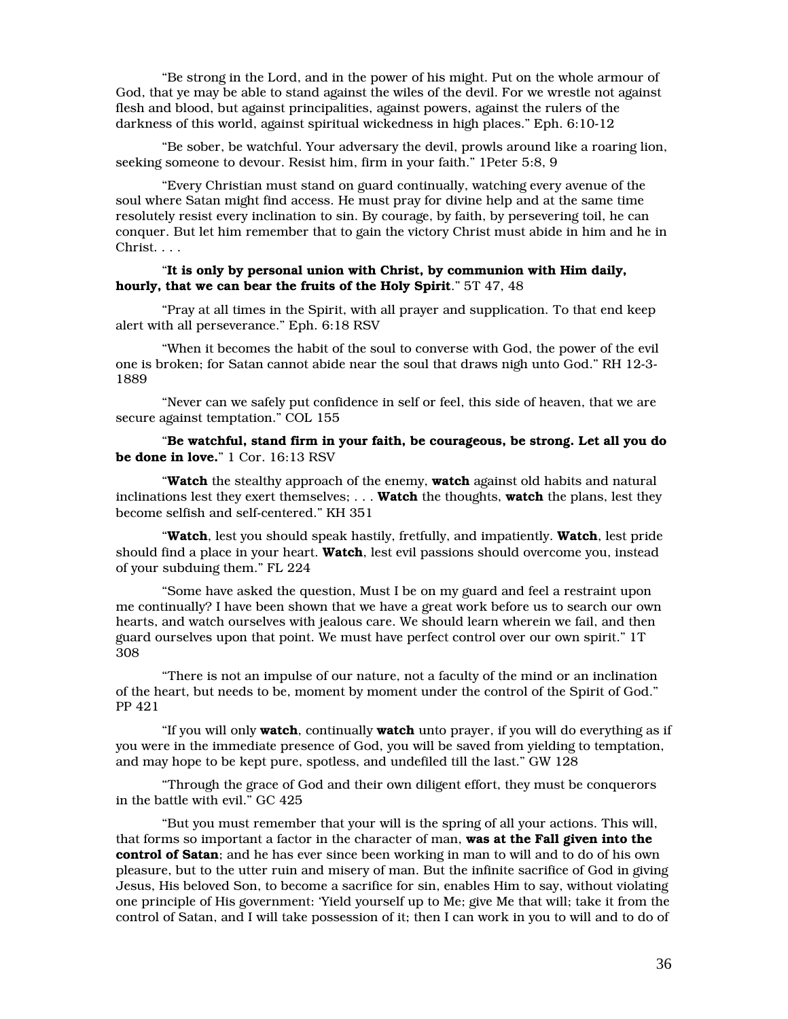"Be strong in the Lord, and in the power of his might. Put on the whole armour of God, that ye may be able to stand against the wiles of the devil. For we wrestle not against flesh and blood, but against principalities, against powers, against the rulers of the darkness of this world, against spiritual wickedness in high places." Eph. 6:10-12

"Be sober, be watchful. Your adversary the devil, prowls around like a roaring lion, seeking someone to devour. Resist him, firm in your faith." 1Peter 5:8, 9

"Every Christian must stand on guard continually, watching every avenue of the soul where Satan might find access. He must pray for divine help and at the same time resolutely resist every inclination to sin. By courage, by faith, by persevering toil, he can conquer. But let him remember that to gain the victory Christ must abide in him and he in Christ. . . .

#### "It is only by personal union with Christ, by communion with Him daily, hourly, that we can bear the fruits of the Holy Spirit." 5T 47, 48

"Pray at all times in the Spirit, with all prayer and supplication. To that end keep alert with all perseverance." Eph. 6:18 RSV

"When it becomes the habit of the soul to converse with God, the power of the evil one is broken; for Satan cannot abide near the soul that draws nigh unto God." RH 12-3- 1889

"Never can we safely put confidence in self or feel, this side of heaven, that we are secure against temptation." COL 155

"Be watchful, stand firm in your faith, be courageous, be strong. Let all you do be done in love." 1 Cor. 16:13 RSV

"Watch the stealthy approach of the enemy, watch against old habits and natural inclinations lest they exert themselves;  $\dots$  **Watch** the thoughts, **watch** the plans, lest they become selfish and self-centered." KH 351

"Watch, lest you should speak hastily, fretfully, and impatiently. Watch, lest pride should find a place in your heart. Watch, lest evil passions should overcome you, instead of your subduing them." FL 224

"Some have asked the question, Must I be on my guard and feel a restraint upon me continually? I have been shown that we have a great work before us to search our own hearts, and watch ourselves with jealous care. We should learn wherein we fail, and then guard ourselves upon that point. We must have perfect control over our own spirit." 1T 308

"There is not an impulse of our nature, not a faculty of the mind or an inclination of the heart, but needs to be, moment by moment under the control of the Spirit of God." PP 421

"If you will only **watch**, continually **watch** unto prayer, if you will do everything as if you were in the immediate presence of God, you will be saved from yielding to temptation, and may hope to be kept pure, spotless, and undefiled till the last." GW 128

"Through the grace of God and their own diligent effort, they must be conquerors in the battle with evil." GC 425

"But you must remember that your will is the spring of all your actions. This will, that forms so important a factor in the character of man, was at the Fall given into the control of Satan; and he has ever since been working in man to will and to do of his own pleasure, but to the utter ruin and misery of man. But the infinite sacrifice of God in giving Jesus, His beloved Son, to become a sacrifice for sin, enables Him to say, without violating one principle of His government: 'Yield yourself up to Me; give Me that will; take it from the control of Satan, and I will take possession of it; then I can work in you to will and to do of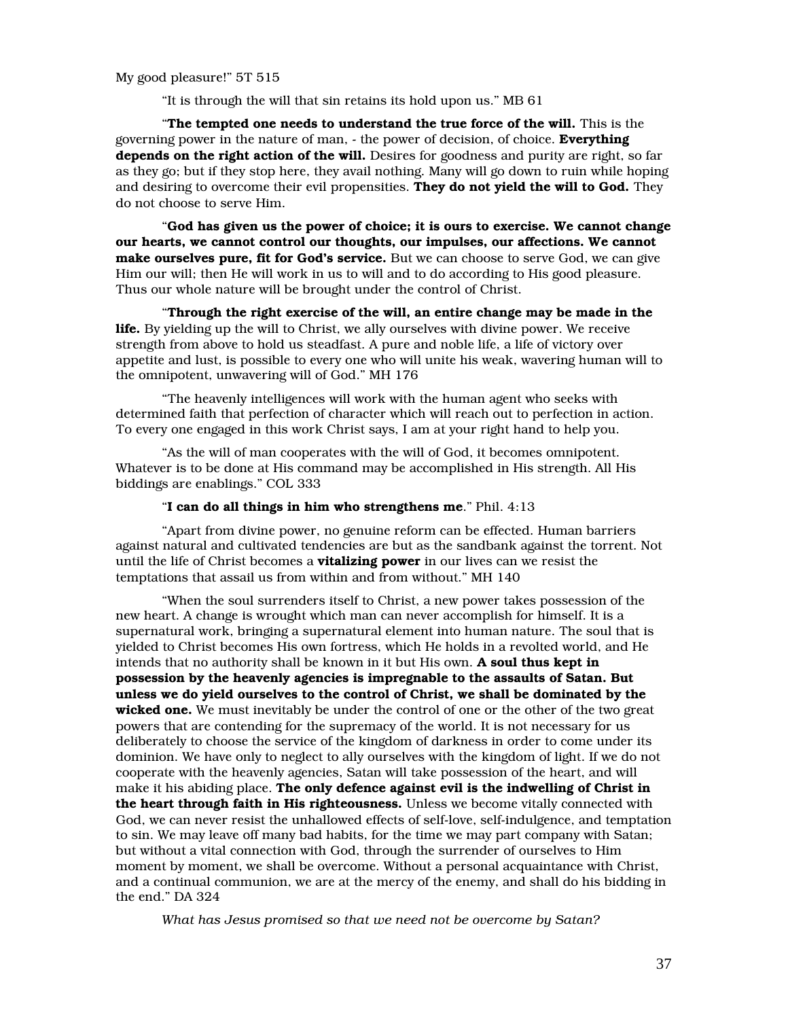My good pleasure!" 5T 515

"It is through the will that sin retains its hold upon us." MB 61

"The tempted one needs to understand the true force of the will. This is the governing power in the nature of man, - the power of decision, of choice. Everything depends on the right action of the will. Desires for goodness and purity are right, so far as they go; but if they stop here, they avail nothing. Many will go down to ruin while hoping and desiring to overcome their evil propensities. They do not yield the will to God. They do not choose to serve Him.

"God has given us the power of choice; it is ours to exercise. We cannot change our hearts, we cannot control our thoughts, our impulses, our affections. We cannot make ourselves pure, fit for God's service. But we can choose to serve God, we can give Him our will; then He will work in us to will and to do according to His good pleasure. Thus our whole nature will be brought under the control of Christ.

"Through the right exercise of the will, an entire change may be made in the life. By yielding up the will to Christ, we ally ourselves with divine power. We receive strength from above to hold us steadfast. A pure and noble life, a life of victory over appetite and lust, is possible to every one who will unite his weak, wavering human will to the omnipotent, unwavering will of God." MH 176

"The heavenly intelligences will work with the human agent who seeks with determined faith that perfection of character which will reach out to perfection in action. To every one engaged in this work Christ says, I am at your right hand to help you.

"As the will of man cooperates with the will of God, it becomes omnipotent. Whatever is to be done at His command may be accomplished in His strength. All His biddings are enablings." COL 333

#### "I can do all things in him who strengthens me." Phil. 4:13

"Apart from divine power, no genuine reform can be effected. Human barriers against natural and cultivated tendencies are but as the sandbank against the torrent. Not until the life of Christ becomes a **vitalizing power** in our lives can we resist the temptations that assail us from within and from without." MH 140

"When the soul surrenders itself to Christ, a new power takes possession of the new heart. A change is wrought which man can never accomplish for himself. It is a supernatural work, bringing a supernatural element into human nature. The soul that is yielded to Christ becomes His own fortress, which He holds in a revolted world, and He intends that no authority shall be known in it but His own. A soul thus kept in possession by the heavenly agencies is impregnable to the assaults of Satan. But unless we do yield ourselves to the control of Christ, we shall be dominated by the wicked one. We must inevitably be under the control of one or the other of the two great powers that are contending for the supremacy of the world. It is not necessary for us deliberately to choose the service of the kingdom of darkness in order to come under its dominion. We have only to neglect to ally ourselves with the kingdom of light. If we do not cooperate with the heavenly agencies, Satan will take possession of the heart, and will make it his abiding place. The only defence against evil is the indwelling of Christ in the heart through faith in His righteousness. Unless we become vitally connected with God, we can never resist the unhallowed effects of self-love, self-indulgence, and temptation to sin. We may leave off many bad habits, for the time we may part company with Satan; but without a vital connection with God, through the surrender of ourselves to Him moment by moment, we shall be overcome. Without a personal acquaintance with Christ, and a continual communion, we are at the mercy of the enemy, and shall do his bidding in the end." DA 324

*What has Jesus promised so that we need not be overcome by Satan?*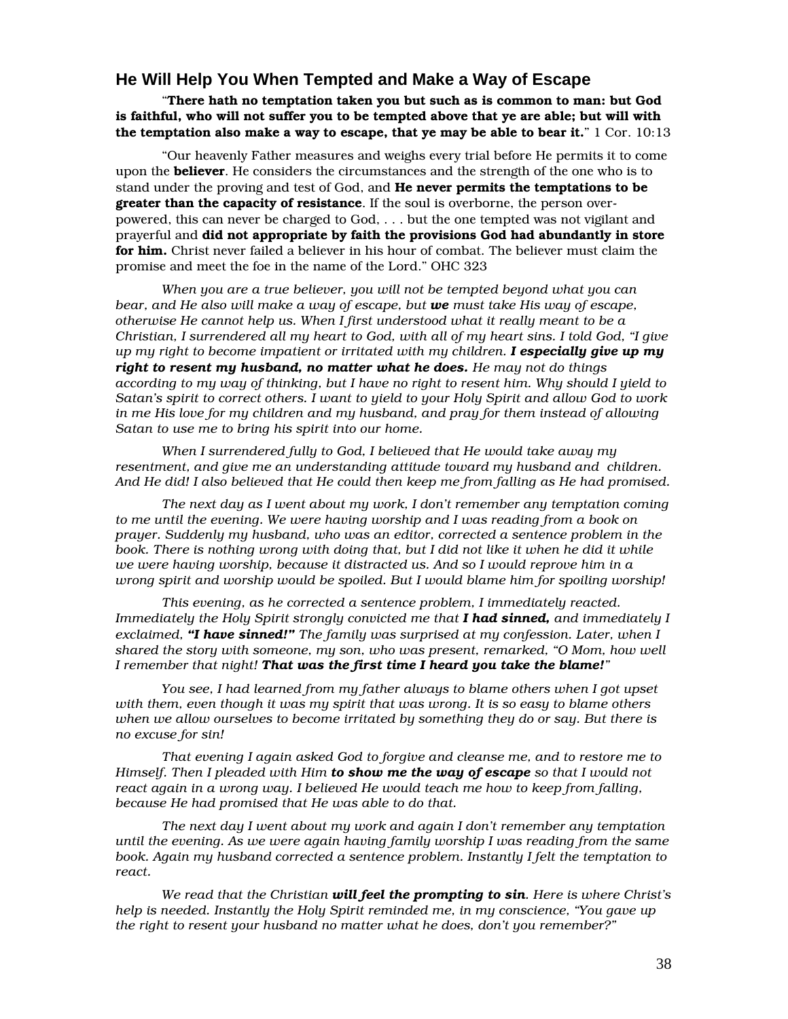# **He Will Help You When Tempted and Make a Way of Escape**

"There hath no temptation taken you but such as is common to man: but God is faithful, who will not suffer you to be tempted above that ye are able; but will with the temptation also make a way to escape, that ye may be able to bear it."  $1 \text{ Cor. } 10:13$ 

"Our heavenly Father measures and weighs every trial before He permits it to come upon the **believer**. He considers the circumstances and the strength of the one who is to stand under the proving and test of God, and He never permits the temptations to be greater than the capacity of resistance. If the soul is overborne, the person overpowered, this can never be charged to God, . . . but the one tempted was not vigilant and prayerful and did not appropriate by faith the provisions God had abundantly in store for him. Christ never failed a believer in his hour of combat. The believer must claim the promise and meet the foe in the name of the Lord." OHC 323

*When you are a true believer, you will not be tempted beyond what you can bear, and He also will make a way of escape, but we must take His way of escape, otherwise He cannot help us. When I first understood what it really meant to be a Christian, I surrendered all my heart to God, with all of my heart sins. I told God, "I give up my right to become impatient or irritated with my children. I especially give up my right to resent my husband, no matter what he does. He may not do things according to my way of thinking, but I have no right to resent him. Why should I yield to Satan's spirit to correct others. I want to yield to your Holy Spirit and allow God to work in me His love for my children and my husband, and pray for them instead of allowing Satan to use me to bring his spirit into our home.* 

*When I surrendered fully to God, I believed that He would take away my resentment, and give me an understanding attitude toward my husband and children. And He did! I also believed that He could then keep me from falling as He had promised.* 

*The next day as I went about my work, I don't remember any temptation coming to me until the evening. We were having worship and I was reading from a book on prayer. Suddenly my husband, who was an editor, corrected a sentence problem in the*  book. There is nothing wrong with doing that, but I did not like it when he did it while *we were having worship, because it distracted us. And so I would reprove him in a wrong spirit and worship would be spoiled. But I would blame him for spoiling worship!* 

*This evening, as he corrected a sentence problem, I immediately reacted. Immediately the Holy Spirit strongly convicted me that I had sinned, and immediately I exclaimed, "I have sinned!" The family was surprised at my confession. Later, when I shared the story with someone, my son, who was present, remarked, "O Mom, how well I remember that night! That was the first time I heard you take the blame!"* 

*You see, I had learned from my father always to blame others when I got upset with them, even though it was my spirit that was wrong. It is so easy to blame others when we allow ourselves to become irritated by something they do or say. But there is no excuse for sin!* 

*That evening I again asked God to forgive and cleanse me, and to restore me to Himself. Then I pleaded with Him to show me the way of escape so that I would not react again in a wrong way. I believed He would teach me how to keep from falling, because He had promised that He was able to do that.* 

*The next day I went about my work and again I don't remember any temptation until the evening. As we were again having family worship I was reading from the same book. Again my husband corrected a sentence problem. Instantly I felt the temptation to react.* 

*We read that the Christian will feel the prompting to sin. Here is where Christ's help is needed. Instantly the Holy Spirit reminded me, in my conscience, "You gave up the right to resent your husband no matter what he does, don't you remember?"*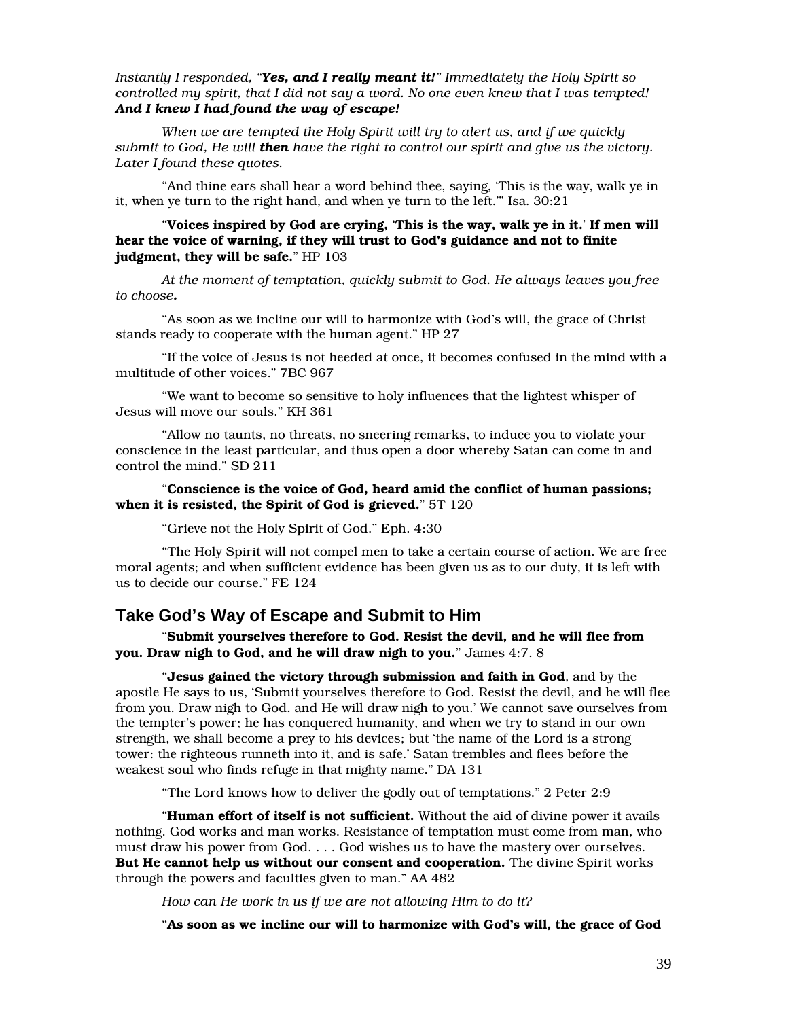*Instantly I responded, "Yes, and I really meant it!" Immediately the Holy Spirit so controlled my spirit, that I did not say a word. No one even knew that I was tempted! And I knew I had found the way of escape!* 

*When we are tempted the Holy Spirit will try to alert us, and if we quickly submit to God, He will then have the right to control our spirit and give us the victory. Later I found these quotes.* 

"And thine ears shall hear a word behind thee, saying, 'This is the way, walk ye in it, when ye turn to the right hand, and when ye turn to the left.'" Isa. 30:21

### "Voices inspired by God are crying, 'This is the way, walk ye in it.' If men will hear the voice of warning, if they will trust to God's guidance and not to finite judgment, they will be safe." HP 103

*At the moment of temptation, quickly submit to God. He always leaves you free to choose.* 

"As soon as we incline our will to harmonize with God's will, the grace of Christ stands ready to cooperate with the human agent." HP 27

"If the voice of Jesus is not heeded at once, it becomes confused in the mind with a multitude of other voices." 7BC 967

"We want to become so sensitive to holy influences that the lightest whisper of Jesus will move our souls." KH 361

"Allow no taunts, no threats, no sneering remarks, to induce you to violate your conscience in the least particular, and thus open a door whereby Satan can come in and control the mind." SD 211

### "Conscience is the voice of God, heard amid the conflict of human passions; when it is resisted, the Spirit of God is grieved." 5T 120

"Grieve not the Holy Spirit of God." Eph. 4:30

"The Holy Spirit will not compel men to take a certain course of action. We are free moral agents; and when sufficient evidence has been given us as to our duty, it is left with us to decide our course." FE 124

## **Take God's Way of Escape and Submit to Him**

"Submit yourselves therefore to God. Resist the devil, and he will flee from you. Draw nigh to God, and he will draw nigh to you." James 4:7, 8

"Jesus gained the victory through submission and faith in God, and by the apostle He says to us, 'Submit yourselves therefore to God. Resist the devil, and he will flee from you. Draw nigh to God, and He will draw nigh to you.' We cannot save ourselves from the tempter's power; he has conquered humanity, and when we try to stand in our own strength, we shall become a prey to his devices; but 'the name of the Lord is a strong tower: the righteous runneth into it, and is safe.' Satan trembles and flees before the weakest soul who finds refuge in that mighty name." DA 131

"The Lord knows how to deliver the godly out of temptations." 2 Peter 2:9

"Human effort of itself is not sufficient. Without the aid of divine power it avails nothing. God works and man works. Resistance of temptation must come from man, who must draw his power from God. . . . God wishes us to have the mastery over ourselves. But He cannot help us without our consent and cooperation. The divine Spirit works through the powers and faculties given to man." AA 482

*How can He work in us if we are not allowing Him to do it?* 

"As soon as we incline our will to harmonize with God's will, the grace of God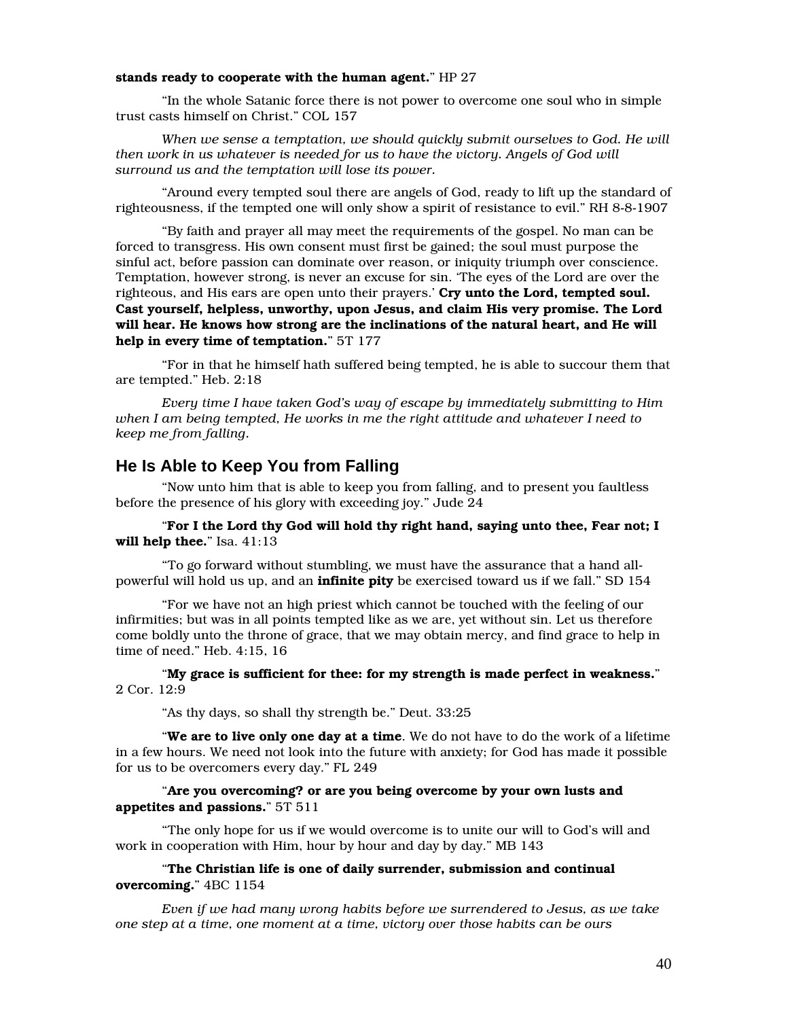#### stands ready to cooperate with the human agent." HP 27

"In the whole Satanic force there is not power to overcome one soul who in simple trust casts himself on Christ." COL 157

*When we sense a temptation, we should quickly submit ourselves to God. He will then work in us whatever is needed for us to have the victory. Angels of God will surround us and the temptation will lose its power.* 

"Around every tempted soul there are angels of God, ready to lift up the standard of righteousness, if the tempted one will only show a spirit of resistance to evil." RH 8-8-1907

"By faith and prayer all may meet the requirements of the gospel. No man can be forced to transgress. His own consent must first be gained; the soul must purpose the sinful act, before passion can dominate over reason, or iniquity triumph over conscience. Temptation, however strong, is never an excuse for sin. 'The eyes of the Lord are over the righteous, and His ears are open unto their prayers.' Cry unto the Lord, tempted soul. Cast yourself, helpless, unworthy, upon Jesus, and claim His very promise. The Lord will hear. He knows how strong are the inclinations of the natural heart, and He will help in every time of temptation." 5T 177

"For in that he himself hath suffered being tempted, he is able to succour them that are tempted." Heb. 2:18

*Every time I have taken God's way of escape by immediately submitting to Him when I am being tempted, He works in me the right attitude and whatever I need to keep me from falling.* 

# **He Is Able to Keep You from Falling**

"Now unto him that is able to keep you from falling, and to present you faultless before the presence of his glory with exceeding joy." Jude 24

"For I the Lord thy God will hold thy right hand, saying unto thee, Fear not; I will help thee." Isa. 41:13

"To go forward without stumbling, we must have the assurance that a hand allpowerful will hold us up, and an **infinite pity** be exercised toward us if we fall." SD 154

"For we have not an high priest which cannot be touched with the feeling of our infirmities; but was in all points tempted like as we are, yet without sin. Let us therefore come boldly unto the throne of grace, that we may obtain mercy, and find grace to help in time of need." Heb. 4:15, 16

"My grace is sufficient for thee: for my strength is made perfect in weakness." 2 Cor. 12:9

"As thy days, so shall thy strength be." Deut. 33:25

"We are to live only one day at a time. We do not have to do the work of a lifetime in a few hours. We need not look into the future with anxiety; for God has made it possible for us to be overcomers every day." FL 249

### "Are you overcoming? or are you being overcome by your own lusts and appetites and passions." 5T 511

"The only hope for us if we would overcome is to unite our will to God's will and work in cooperation with Him, hour by hour and day by day." MB 143

"The Christian life is one of daily surrender, submission and continual overcoming." 4BC 1154

*Even if we had many wrong habits before we surrendered to Jesus, as we take one step at a time, one moment at a time, victory over those habits can be ours*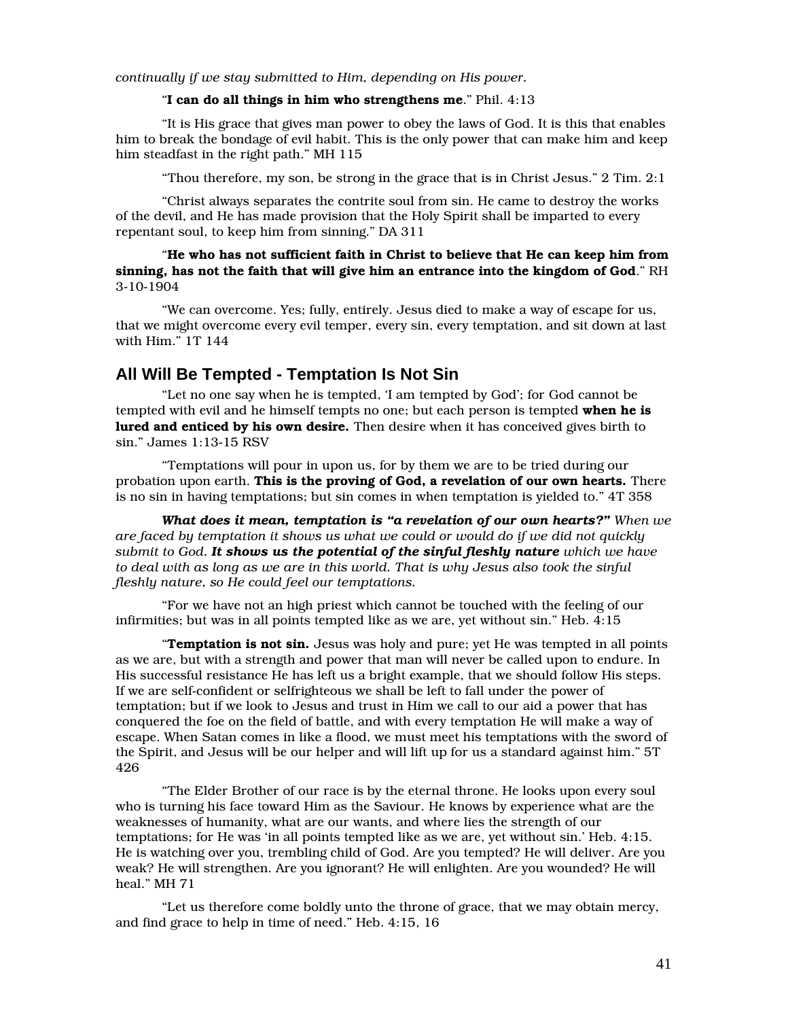*continually if we stay submitted to Him, depending on His power.* 

#### "I can do all things in him who strengthens me." Phil. 4:13

"It is His grace that gives man power to obey the laws of God. It is this that enables him to break the bondage of evil habit. This is the only power that can make him and keep him steadfast in the right path." MH 115

"Thou therefore, my son, be strong in the grace that is in Christ Jesus." 2 Tim. 2:1

"Christ always separates the contrite soul from sin. He came to destroy the works of the devil, and He has made provision that the Holy Spirit shall be imparted to every repentant soul, to keep him from sinning." DA 311

### "He who has not sufficient faith in Christ to believe that He can keep him from sinning, has not the faith that will give him an entrance into the kingdom of God." RH 3-10-1904

"We can overcome. Yes; fully, entirely. Jesus died to make a way of escape for us, that we might overcome every evil temper, every sin, every temptation, and sit down at last with Him." 1T 144

## **All Will Be Tempted - Temptation Is Not Sin**

"Let no one say when he is tempted, 'I am tempted by God'; for God cannot be tempted with evil and he himself tempts no one; but each person is tempted when he is lured and enticed by his own desire. Then desire when it has conceived gives birth to sin." James 1:13-15 RSV

"Temptations will pour in upon us, for by them we are to be tried during our probation upon earth. This is the proving of God, a revelation of our own hearts. There is no sin in having temptations; but sin comes in when temptation is yielded to." 4T 358

*What does it mean, temptation is "a revelation of our own hearts?" When we are faced by temptation it shows us what we could or would do if we did not quickly submit to God. It shows us the potential of the sinful fleshly nature which we have to deal with as long as we are in this world. That is why Jesus also took the sinful fleshly nature, so He could feel our temptations.* 

"For we have not an high priest which cannot be touched with the feeling of our infirmities; but was in all points tempted like as we are, yet without sin." Heb. 4:15

"Temptation is not sin. Jesus was holy and pure; yet He was tempted in all points as we are, but with a strength and power that man will never be called upon to endure. In His successful resistance He has left us a bright example, that we should follow His steps. If we are self-confident or selfrighteous we shall be left to fall under the power of temptation; but if we look to Jesus and trust in Him we call to our aid a power that has conquered the foe on the field of battle, and with every temptation He will make a way of escape. When Satan comes in like a flood, we must meet his temptations with the sword of the Spirit, and Jesus will be our helper and will lift up for us a standard against him." 5T 426

"The Elder Brother of our race is by the eternal throne. He looks upon every soul who is turning his face toward Him as the Saviour. He knows by experience what are the weaknesses of humanity, what are our wants, and where lies the strength of our temptations; for He was 'in all points tempted like as we are, yet without sin.' Heb. 4:15. He is watching over you, trembling child of God. Are you tempted? He will deliver. Are you weak? He will strengthen. Are you ignorant? He will enlighten. Are you wounded? He will heal." MH 71

"Let us therefore come boldly unto the throne of grace, that we may obtain mercy, and find grace to help in time of need." Heb. 4:15, 16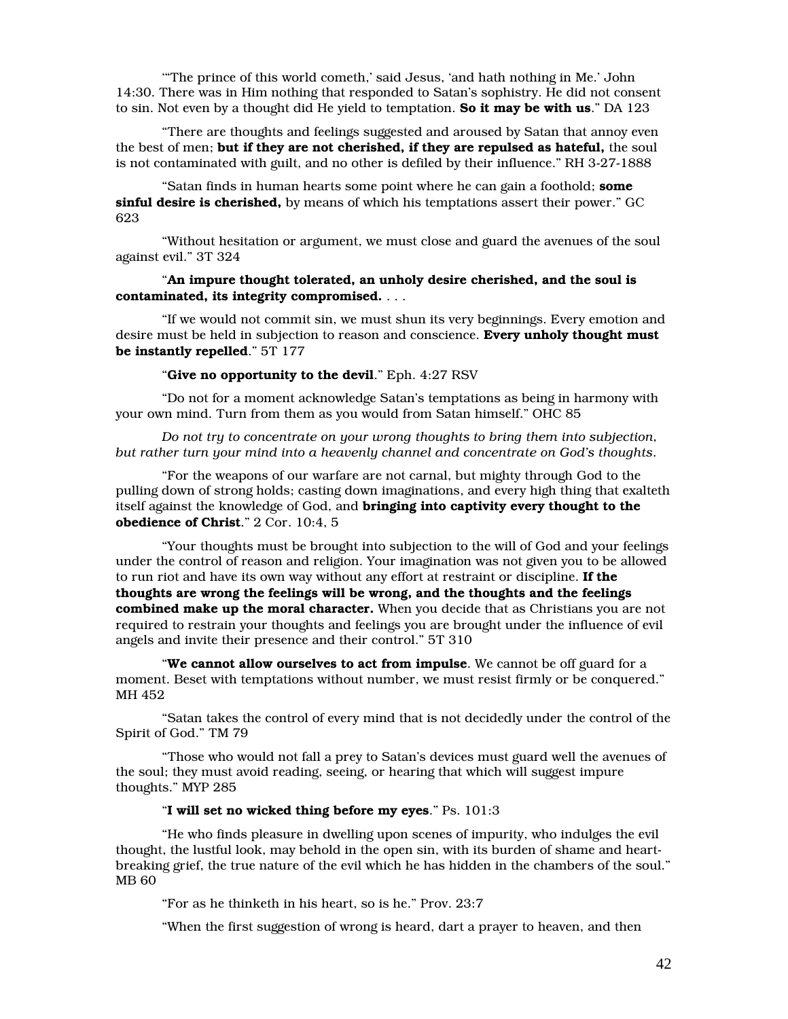'"The prince of this world cometh,' said Jesus, 'and hath nothing in Me.' John 14:30. There was in Him nothing that responded to Satan's sophistry. He did not consent to sin. Not even by a thought did He yield to temptation. So it may be with us." DA 123

"There are thoughts and feelings suggested and aroused by Satan that annoy even the best of men; but if they are not cherished, if they are repulsed as hateful, the soul is not contaminated with guilt, and no other is defiled by their influence." RH 3-27-1888

"Satan finds in human hearts some point where he can gain a foothold; some sinful desire is cherished, by means of which his temptations assert their power." GC 623

"Without hesitation or argument, we must close and guard the avenues of the soul against evil." 3T 324

### "An impure thought tolerated, an unholy desire cherished, and the soul is contaminated, its integrity compromised. . . .

"If we would not commit sin, we must shun its very beginnings. Every emotion and desire must be held in subjection to reason and conscience. Every unholy thought must be instantly repelled." 5T 177

## "Give no opportunity to the devil." Eph. 4:27 RSV

"Do not for a moment acknowledge Satan's temptations as being in harmony with your own mind. Turn from them as you would from Satan himself." OHC 85

*Do not try to concentrate on your wrong thoughts to bring them into subjection, but rather turn your mind into a heavenly channel and concentrate on God's thoughts*.

"For the weapons of our warfare are not carnal, but mighty through God to the pulling down of strong holds; casting down imaginations, and every high thing that exalteth itself against the knowledge of God, and bringing into captivity every thought to the obedience of Christ." 2 Cor. 10:4, 5

"Your thoughts must be brought into subjection to the will of God and your feelings under the control of reason and religion. Your imagination was not given you to be allowed to run riot and have its own way without any effort at restraint or discipline. If the thoughts are wrong the feelings will be wrong, and the thoughts and the feelings combined make up the moral character. When you decide that as Christians you are not required to restrain your thoughts and feelings you are brought under the influence of evil angels and invite their presence and their control." 5T 310

"We cannot allow ourselves to act from impulse. We cannot be off guard for a moment. Beset with temptations without number, we must resist firmly or be conquered." MH 452

"Satan takes the control of every mind that is not decidedly under the control of the Spirit of God." TM 79

"Those who would not fall a prey to Satan's devices must guard well the avenues of the soul; they must avoid reading, seeing, or hearing that which will suggest impure thoughts." MYP 285

### "I will set no wicked thing before my eyes." Ps. 101:3

"He who finds pleasure in dwelling upon scenes of impurity, who indulges the evil thought, the lustful look, may behold in the open sin, with its burden of shame and heartbreaking grief, the true nature of the evil which he has hidden in the chambers of the soul." MB 60

"For as he thinketh in his heart, so is he." Prov. 23:7

"When the first suggestion of wrong is heard, dart a prayer to heaven, and then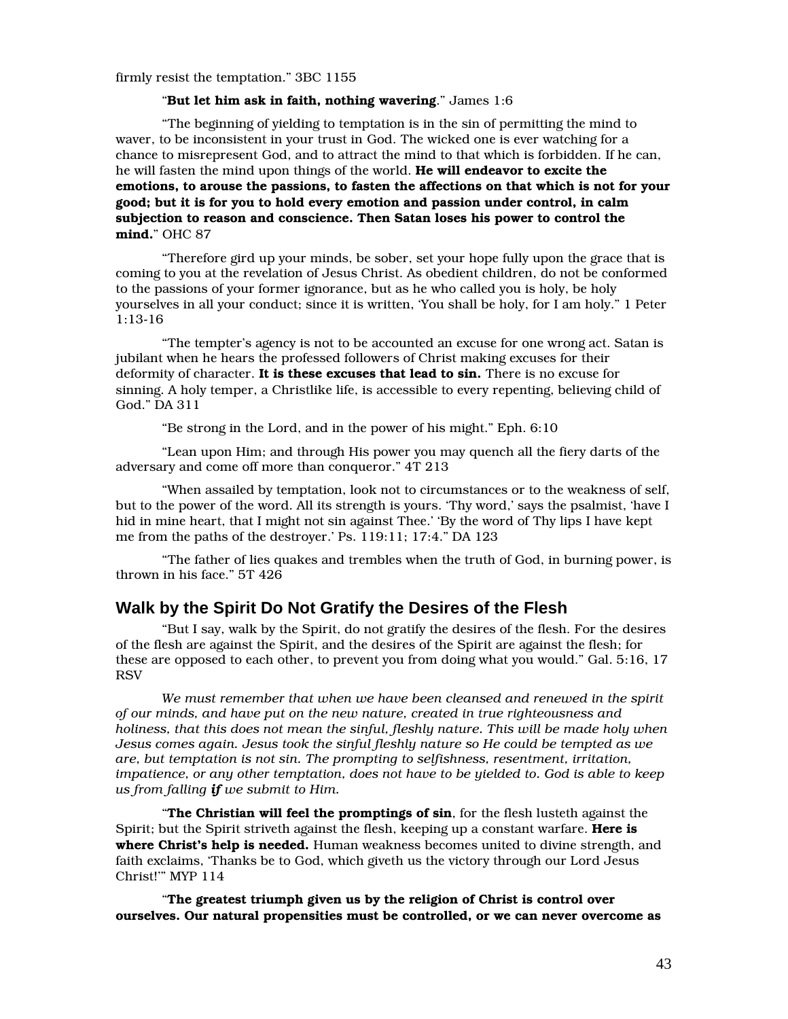firmly resist the temptation." 3BC 1155

#### "But let him ask in faith, nothing wavering." James 1:6

"The beginning of yielding to temptation is in the sin of permitting the mind to waver, to be inconsistent in your trust in God. The wicked one is ever watching for a chance to misrepresent God, and to attract the mind to that which is forbidden. If he can, he will fasten the mind upon things of the world. He will endeavor to excite the emotions, to arouse the passions, to fasten the affections on that which is not for your good; but it is for you to hold every emotion and passion under control, in calm subjection to reason and conscience. Then Satan loses his power to control the mind." OHC 87

"Therefore gird up your minds, be sober, set your hope fully upon the grace that is coming to you at the revelation of Jesus Christ. As obedient children, do not be conformed to the passions of your former ignorance, but as he who called you is holy, be holy yourselves in all your conduct; since it is written, 'You shall be holy, for I am holy." 1 Peter 1:13-16

"The tempter's agency is not to be accounted an excuse for one wrong act. Satan is jubilant when he hears the professed followers of Christ making excuses for their deformity of character. It is these excuses that lead to sin. There is no excuse for sinning. A holy temper, a Christlike life, is accessible to every repenting, believing child of God." DA 311

"Be strong in the Lord, and in the power of his might." Eph. 6:10

"Lean upon Him; and through His power you may quench all the fiery darts of the adversary and come off more than conqueror." 4T 213

"When assailed by temptation, look not to circumstances or to the weakness of self, but to the power of the word. All its strength is yours. 'Thy word,' says the psalmist, 'have I hid in mine heart, that I might not sin against Thee.' 'By the word of Thy lips I have kept me from the paths of the destroyer.' Ps. 119:11; 17:4." DA 123

"The father of lies quakes and trembles when the truth of God, in burning power, is thrown in his face." 5T 426

## **Walk by the Spirit Do Not Gratify the Desires of the Flesh**

"But I say, walk by the Spirit, do not gratify the desires of the flesh. For the desires of the flesh are against the Spirit, and the desires of the Spirit are against the flesh; for these are opposed to each other, to prevent you from doing what you would." Gal. 5:16, 17 RSV

*We must remember that when we have been cleansed and renewed in the spirit of our minds, and have put on the new nature, created in true righteousness and holiness, that this does not mean the sinful, fleshly nature. This will be made holy when Jesus comes again. Jesus took the sinful fleshly nature so He could be tempted as we are, but temptation is not sin. The prompting to selfishness, resentment, irritation, impatience, or any other temptation, does not have to be yielded to. God is able to keep us from falling if we submit to Him.* 

"The Christian will feel the promptings of sin, for the flesh lusteth against the Spirit; but the Spirit striveth against the flesh, keeping up a constant warfare. Here is where Christ's help is needed. Human weakness becomes united to divine strength, and faith exclaims, 'Thanks be to God, which giveth us the victory through our Lord Jesus Christ!'" MYP 114

"The greatest triumph given us by the religion of Christ is control over ourselves. Our natural propensities must be controlled, or we can never overcome as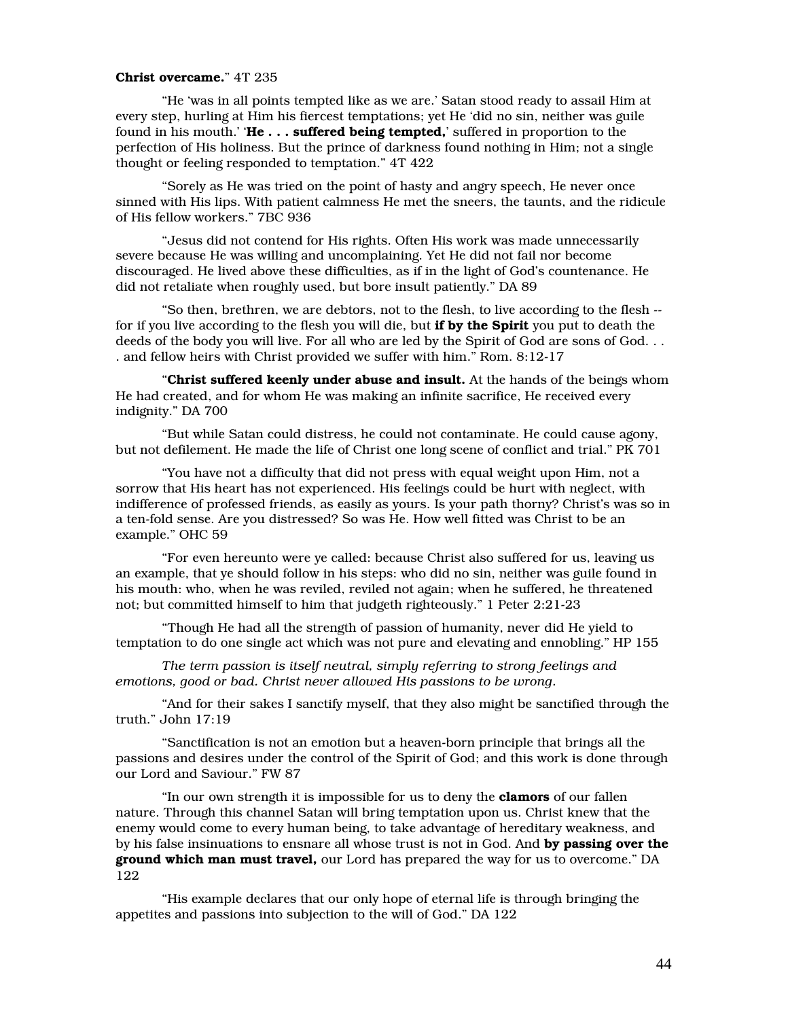#### Christ overcame." 4T 235

"He 'was in all points tempted like as we are.' Satan stood ready to assail Him at every step, hurling at Him his fiercest temptations; yet He 'did no sin, neither was guile found in his mouth.' **He...** suffered being tempted,' suffered in proportion to the perfection of His holiness. But the prince of darkness found nothing in Him; not a single thought or feeling responded to temptation." 4T 422

"Sorely as He was tried on the point of hasty and angry speech, He never once sinned with His lips. With patient calmness He met the sneers, the taunts, and the ridicule of His fellow workers." 7BC 936

"Jesus did not contend for His rights. Often His work was made unnecessarily severe because He was willing and uncomplaining. Yet He did not fail nor become discouraged. He lived above these difficulties, as if in the light of God's countenance. He did not retaliate when roughly used, but bore insult patiently." DA 89

"So then, brethren, we are debtors, not to the flesh, to live according to the flesh - for if you live according to the flesh you will die, but **if by the Spirit** you put to death the deeds of the body you will live. For all who are led by the Spirit of God are sons of God. . . . and fellow heirs with Christ provided we suffer with him." Rom. 8:12-17

"Christ suffered keenly under abuse and insult. At the hands of the beings whom He had created, and for whom He was making an infinite sacrifice, He received every indignity." DA 700

"But while Satan could distress, he could not contaminate. He could cause agony, but not defilement. He made the life of Christ one long scene of conflict and trial." PK 701

"You have not a difficulty that did not press with equal weight upon Him, not a sorrow that His heart has not experienced. His feelings could be hurt with neglect, with indifference of professed friends, as easily as yours. Is your path thorny? Christ's was so in a ten-fold sense. Are you distressed? So was He. How well fitted was Christ to be an example." OHC 59

"For even hereunto were ye called: because Christ also suffered for us, leaving us an example, that ye should follow in his steps: who did no sin, neither was guile found in his mouth: who, when he was reviled, reviled not again; when he suffered, he threatened not; but committed himself to him that judgeth righteously." 1 Peter 2:21-23

"Though He had all the strength of passion of humanity, never did He yield to temptation to do one single act which was not pure and elevating and ennobling." HP 155

*The term passion is itself neutral, simply referring to strong feelings and emotions, good or bad. Christ never allowed His passions to be wrong.* 

"And for their sakes I sanctify myself, that they also might be sanctified through the truth." John 17:19

"Sanctification is not an emotion but a heaven-born principle that brings all the passions and desires under the control of the Spirit of God; and this work is done through our Lord and Saviour." FW 87

"In our own strength it is impossible for us to deny the **clamors** of our fallen nature. Through this channel Satan will bring temptation upon us. Christ knew that the enemy would come to every human being, to take advantage of hereditary weakness, and by his false insinuations to ensnare all whose trust is not in God. And by passing over the **ground which man must travel,** our Lord has prepared the way for us to overcome." DA 122

"His example declares that our only hope of eternal life is through bringing the appetites and passions into subjection to the will of God." DA 122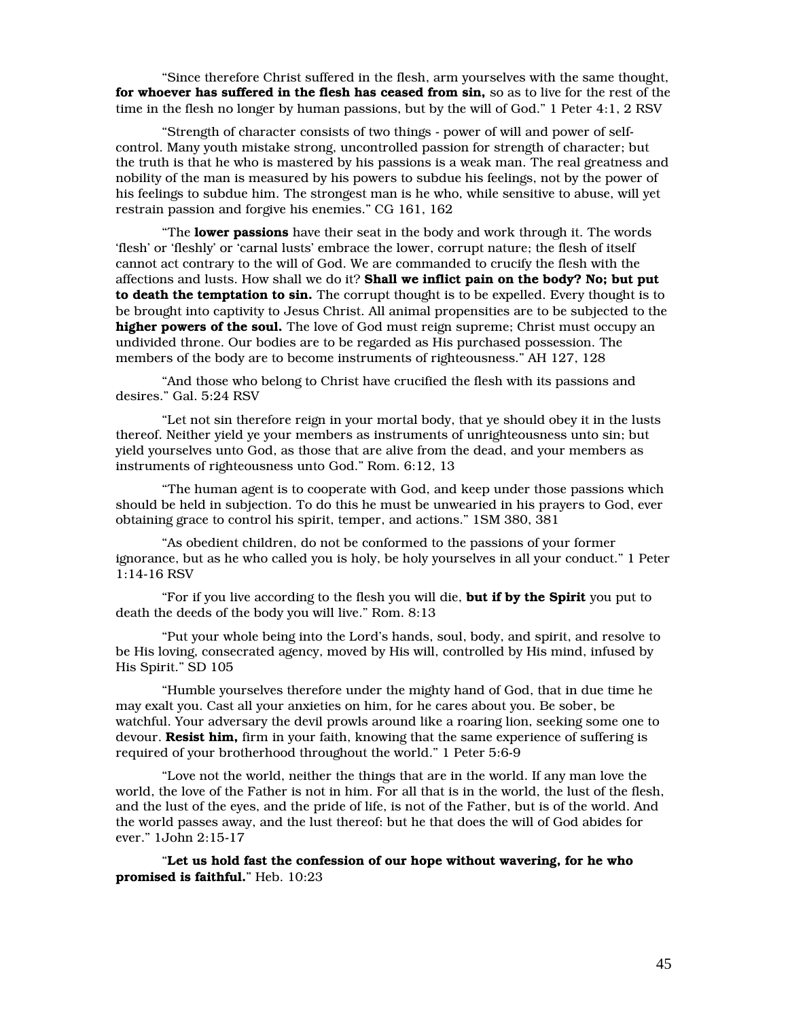"Since therefore Christ suffered in the flesh, arm yourselves with the same thought, for whoever has suffered in the flesh has ceased from sin, so as to live for the rest of the time in the flesh no longer by human passions, but by the will of God." 1 Peter 4:1, 2 RSV

"Strength of character consists of two things - power of will and power of selfcontrol. Many youth mistake strong, uncontrolled passion for strength of character; but the truth is that he who is mastered by his passions is a weak man. The real greatness and nobility of the man is measured by his powers to subdue his feelings, not by the power of his feelings to subdue him. The strongest man is he who, while sensitive to abuse, will yet restrain passion and forgive his enemies." CG 161, 162

"The lower passions have their seat in the body and work through it. The words 'flesh' or 'fleshly' or 'carnal lusts' embrace the lower, corrupt nature; the flesh of itself cannot act contrary to the will of God. We are commanded to crucify the flesh with the affections and lusts. How shall we do it? **Shall we inflict pain on the body? No; but put** to death the temptation to sin. The corrupt thought is to be expelled. Every thought is to be brought into captivity to Jesus Christ. All animal propensities are to be subjected to the higher powers of the soul. The love of God must reign supreme; Christ must occupy an undivided throne. Our bodies are to be regarded as His purchased possession. The members of the body are to become instruments of righteousness." AH 127, 128

"And those who belong to Christ have crucified the flesh with its passions and desires." Gal. 5:24 RSV

"Let not sin therefore reign in your mortal body, that ye should obey it in the lusts thereof. Neither yield ye your members as instruments of unrighteousness unto sin; but yield yourselves unto God, as those that are alive from the dead, and your members as instruments of righteousness unto God." Rom. 6:12, 13

"The human agent is to cooperate with God, and keep under those passions which should be held in subjection. To do this he must be unwearied in his prayers to God, ever obtaining grace to control his spirit, temper, and actions." 1SM 380, 381

"As obedient children, do not be conformed to the passions of your former ignorance, but as he who called you is holy, be holy yourselves in all your conduct." 1 Peter 1:14-16 RSV

"For if you live according to the flesh you will die, but if by the Spirit you put to death the deeds of the body you will live." Rom. 8:13

"Put your whole being into the Lord's hands, soul, body, and spirit, and resolve to be His loving, consecrated agency, moved by His will, controlled by His mind, infused by His Spirit." SD 105

"Humble yourselves therefore under the mighty hand of God, that in due time he may exalt you. Cast all your anxieties on him, for he cares about you. Be sober, be watchful. Your adversary the devil prowls around like a roaring lion, seeking some one to devour. Resist him, firm in your faith, knowing that the same experience of suffering is required of your brotherhood throughout the world." 1 Peter 5:6-9

"Love not the world, neither the things that are in the world. If any man love the world, the love of the Father is not in him. For all that is in the world, the lust of the flesh, and the lust of the eyes, and the pride of life, is not of the Father, but is of the world. And the world passes away, and the lust thereof: but he that does the will of God abides for ever." 1John 2:15-17

"Let us hold fast the confession of our hope without wavering, for he who promised is faithful." Heb. 10:23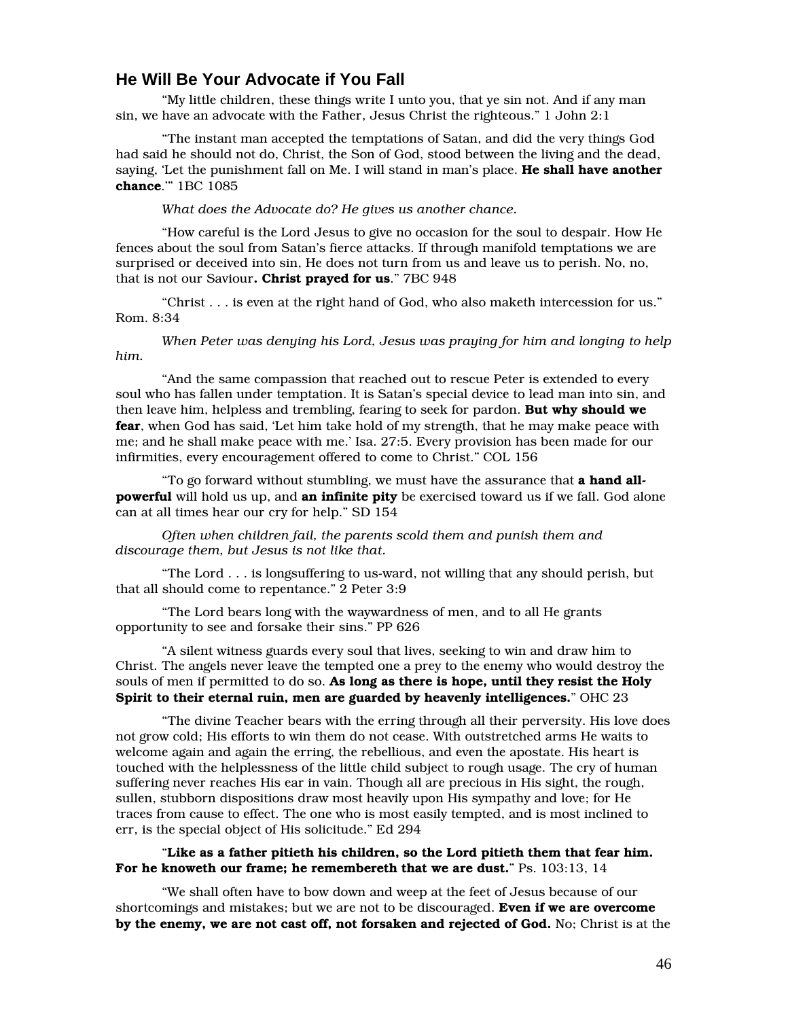# **He Will Be Your Advocate if You Fall**

"My little children, these things write I unto you, that ye sin not. And if any man sin, we have an advocate with the Father, Jesus Christ the righteous." 1 John 2:1

"The instant man accepted the temptations of Satan, and did the very things God had said he should not do, Christ, the Son of God, stood between the living and the dead, saying, 'Let the punishment fall on Me. I will stand in man's place. He shall have another chance.'" 1BC 1085

*What does the Advocate do? He gives us another chance.* 

"How careful is the Lord Jesus to give no occasion for the soul to despair. How He fences about the soul from Satan's fierce attacks. If through manifold temptations we are surprised or deceived into sin, He does not turn from us and leave us to perish. No, no, that is not our Saviour. Christ prayed for us." 7BC 948

"Christ . . . is even at the right hand of God, who also maketh intercession for us." Rom. 8:34

*When Peter was denying his Lord, Jesus was praying for him and longing to help him.* 

"And the same compassion that reached out to rescue Peter is extended to every soul who has fallen under temptation. It is Satan's special device to lead man into sin, and then leave him, helpless and trembling, fearing to seek for pardon. But why should we fear, when God has said, 'Let him take hold of my strength, that he may make peace with me; and he shall make peace with me.' Isa. 27:5. Every provision has been made for our infirmities, every encouragement offered to come to Christ." COL 156

"To go forward without stumbling, we must have the assurance that **a hand allpowerful** will hold us up, and **an infinite pity** be exercised toward us if we fall. God alone can at all times hear our cry for help." SD 154

*Often when children fail, the parents scold them and punish them and discourage them, but Jesus is not like that.* 

"The Lord . . . is longsuffering to us-ward, not willing that any should perish, but that all should come to repentance." 2 Peter 3:9

"The Lord bears long with the waywardness of men, and to all He grants opportunity to see and forsake their sins." PP 626

"A silent witness guards every soul that lives, seeking to win and draw him to Christ. The angels never leave the tempted one a prey to the enemy who would destroy the souls of men if permitted to do so. As long as there is hope, until they resist the Holy Spirit to their eternal ruin, men are guarded by heavenly intelligences." OHC 23

"The divine Teacher bears with the erring through all their perversity. His love does not grow cold; His efforts to win them do not cease. With outstretched arms He waits to welcome again and again the erring, the rebellious, and even the apostate. His heart is touched with the helplessness of the little child subject to rough usage. The cry of human suffering never reaches His ear in vain. Though all are precious in His sight, the rough, sullen, stubborn dispositions draw most heavily upon His sympathy and love; for He traces from cause to effect. The one who is most easily tempted, and is most inclined to err, is the special object of His solicitude." Ed 294

"Like as a father pitieth his children, so the Lord pitieth them that fear him. For he knoweth our frame; he remembereth that we are dust." Ps. 103:13, 14

"We shall often have to bow down and weep at the feet of Jesus because of our shortcomings and mistakes; but we are not to be discouraged. Even if we are overcome by the enemy, we are not cast off, not forsaken and rejected of God. No; Christ is at the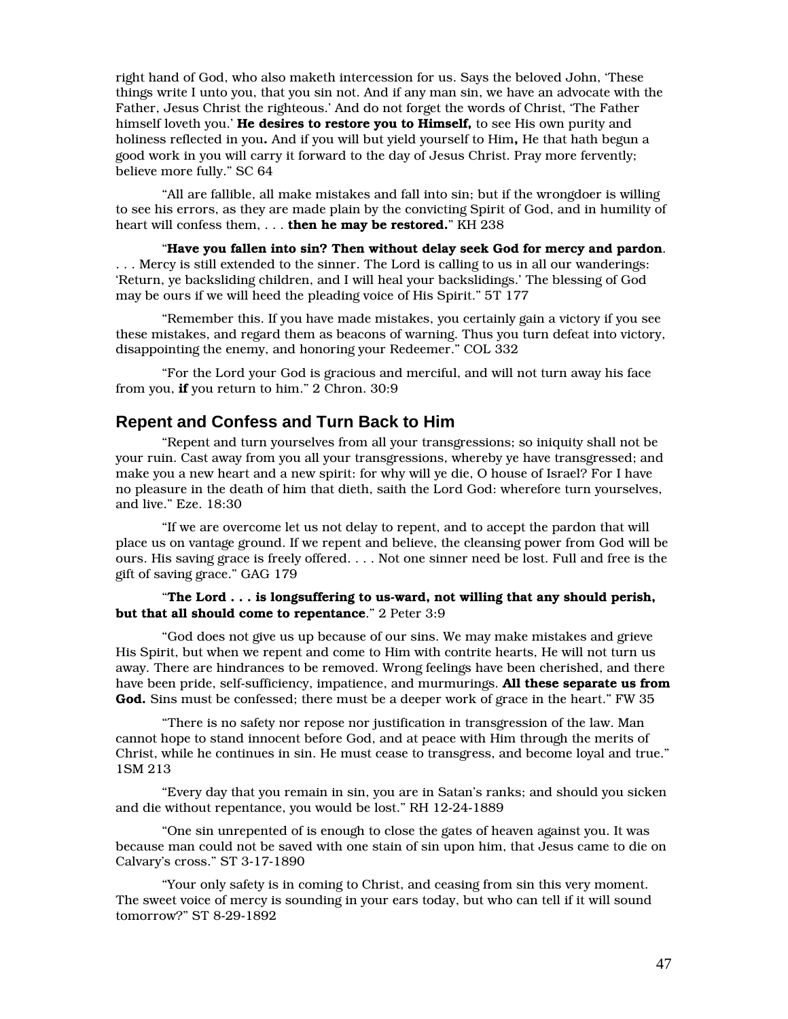right hand of God, who also maketh intercession for us. Says the beloved John, 'These things write I unto you, that you sin not. And if any man sin, we have an advocate with the Father, Jesus Christ the righteous.' And do not forget the words of Christ, 'The Father himself loveth you.' He desires to restore you to Himself, to see His own purity and holiness reflected in you. And if you will but yield yourself to Him, He that hath begun a good work in you will carry it forward to the day of Jesus Christ. Pray more fervently; believe more fully." SC 64

"All are fallible, all make mistakes and fall into sin; but if the wrongdoer is willing to see his errors, as they are made plain by the convicting Spirit of God, and in humility of heart will confess them, . . . then he may be restored." KH 238

"Have you fallen into sin? Then without delay seek God for mercy and pardon. . . . Mercy is still extended to the sinner. The Lord is calling to us in all our wanderings: 'Return, ye backsliding children, and I will heal your backslidings.' The blessing of God may be ours if we will heed the pleading voice of His Spirit." 5T 177

"Remember this. If you have made mistakes, you certainly gain a victory if you see these mistakes, and regard them as beacons of warning. Thus you turn defeat into victory, disappointing the enemy, and honoring your Redeemer." COL 332

"For the Lord your God is gracious and merciful, and will not turn away his face from you, if you return to him." 2 Chron. 30:9

## **Repent and Confess and Turn Back to Him**

"Repent and turn yourselves from all your transgressions; so iniquity shall not be your ruin. Cast away from you all your transgressions, whereby ye have transgressed; and make you a new heart and a new spirit: for why will ye die, O house of Israel? For I have no pleasure in the death of him that dieth, saith the Lord God: wherefore turn yourselves, and live." Eze. 18:30

"If we are overcome let us not delay to repent, and to accept the pardon that will place us on vantage ground. If we repent and believe, the cleansing power from God will be ours. His saving grace is freely offered. . . . Not one sinner need be lost. Full and free is the gift of saving grace." GAG 179

### "The Lord  $\ldots$  is longsuffering to us-ward, not willing that any should perish, but that all should come to repentance." 2 Peter 3:9

"God does not give us up because of our sins. We may make mistakes and grieve His Spirit, but when we repent and come to Him with contrite hearts, He will not turn us away. There are hindrances to be removed. Wrong feelings have been cherished, and there have been pride, self-sufficiency, impatience, and murmurings. All these separate us from God. Sins must be confessed; there must be a deeper work of grace in the heart." FW 35

"There is no safety nor repose nor justification in transgression of the law. Man cannot hope to stand innocent before God, and at peace with Him through the merits of Christ, while he continues in sin. He must cease to transgress, and become loyal and true." 1SM 213

"Every day that you remain in sin, you are in Satan's ranks; and should you sicken and die without repentance, you would be lost." RH 12-24-1889

"One sin unrepented of is enough to close the gates of heaven against you. It was because man could not be saved with one stain of sin upon him, that Jesus came to die on Calvary's cross." ST 3-17-1890

"Your only safety is in coming to Christ, and ceasing from sin this very moment. The sweet voice of mercy is sounding in your ears today, but who can tell if it will sound tomorrow?" ST 8-29-1892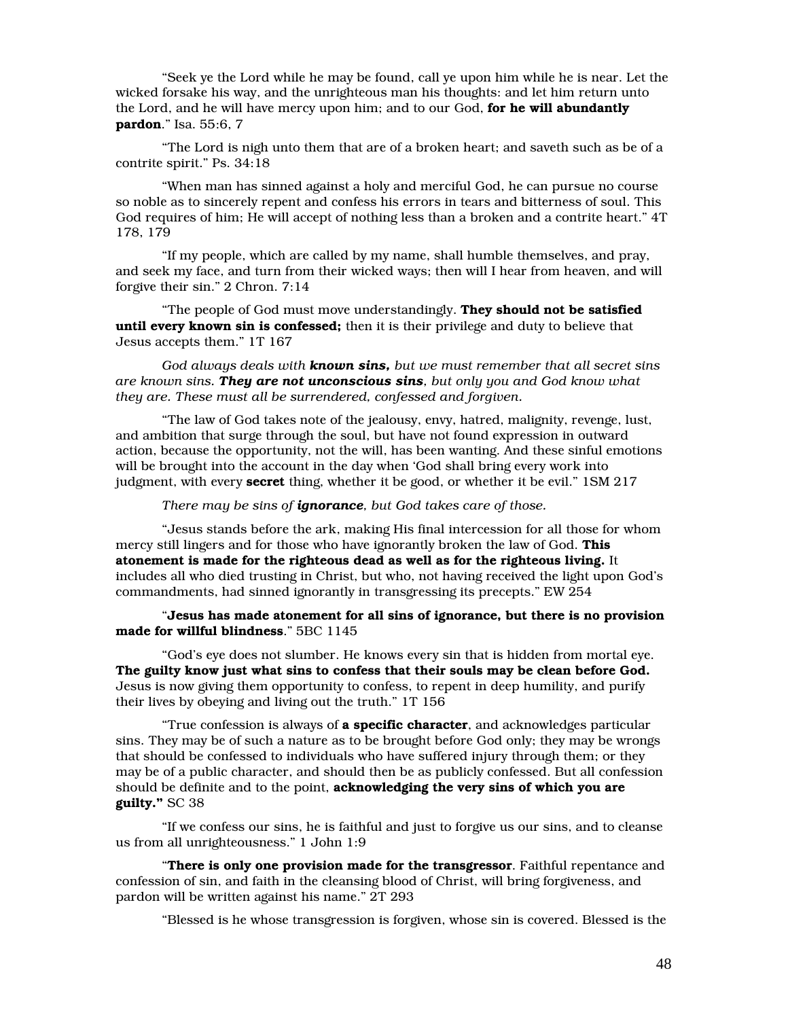"Seek ye the Lord while he may be found, call ye upon him while he is near. Let the wicked forsake his way, and the unrighteous man his thoughts: and let him return unto the Lord, and he will have mercy upon him; and to our God, for he will abundantly pardon." Isa. 55:6, 7

"The Lord is nigh unto them that are of a broken heart; and saveth such as be of a contrite spirit." Ps. 34:18

"When man has sinned against a holy and merciful God, he can pursue no course so noble as to sincerely repent and confess his errors in tears and bitterness of soul. This God requires of him; He will accept of nothing less than a broken and a contrite heart." 4T 178, 179

"If my people, which are called by my name, shall humble themselves, and pray, and seek my face, and turn from their wicked ways; then will I hear from heaven, and will forgive their sin." 2 Chron. 7:14

"The people of God must move understandingly. They should not be satisfied until every known sin is confessed; then it is their privilege and duty to believe that Jesus accepts them." 1T 167

*God always deals with known sins, but we must remember that all secret sins are known sins. They are not unconscious sins, but only you and God know what they are. These must all be surrendered, confessed and forgiven.* 

"The law of God takes note of the jealousy, envy, hatred, malignity, revenge, lust, and ambition that surge through the soul, but have not found expression in outward action, because the opportunity, not the will, has been wanting. And these sinful emotions will be brought into the account in the day when 'God shall bring every work into judgment, with every **secret** thing, whether it be good, or whether it be evil." 1SM 217

#### *There may be sins of ignorance, but God takes care of those.*

"Jesus stands before the ark, making His final intercession for all those for whom mercy still lingers and for those who have ignorantly broken the law of God. This atonement is made for the righteous dead as well as for the righteous living. It includes all who died trusting in Christ, but who, not having received the light upon God's commandments, had sinned ignorantly in transgressing its precepts." EW 254

### "Jesus has made atonement for all sins of ignorance, but there is no provision made for willful blindness." 5BC 1145

"God's eye does not slumber. He knows every sin that is hidden from mortal eye. The guilty know just what sins to confess that their souls may be clean before God. Jesus is now giving them opportunity to confess, to repent in deep humility, and purify their lives by obeying and living out the truth." 1T 156

"True confession is always of **a specific character**, and acknowledges particular sins. They may be of such a nature as to be brought before God only; they may be wrongs that should be confessed to individuals who have suffered injury through them; or they may be of a public character, and should then be as publicly confessed. But all confession should be definite and to the point, acknowledging the very sins of which you are guilty." SC 38

"If we confess our sins, he is faithful and just to forgive us our sins, and to cleanse us from all unrighteousness." 1 John 1:9

"There is only one provision made for the transgressor. Faithful repentance and confession of sin, and faith in the cleansing blood of Christ, will bring forgiveness, and pardon will be written against his name." 2T 293

"Blessed is he whose transgression is forgiven, whose sin is covered. Blessed is the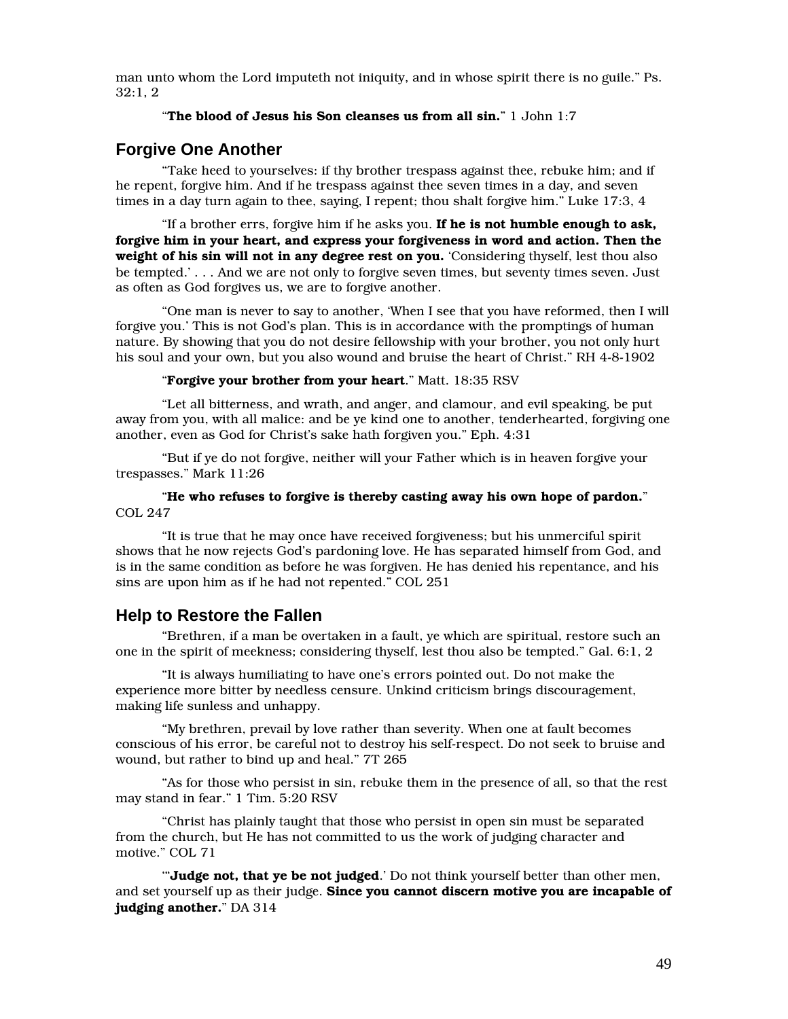man unto whom the Lord imputeth not iniquity, and in whose spirit there is no guile." Ps. 32:1, 2

#### "The blood of Jesus his Son cleanses us from all sin." 1 John 1:7

## **Forgive One Another**

"Take heed to yourselves: if thy brother trespass against thee, rebuke him; and if he repent, forgive him. And if he trespass against thee seven times in a day, and seven times in a day turn again to thee, saying, I repent; thou shalt forgive him." Luke 17:3, 4

"If a brother errs, forgive him if he asks you. If he is not humble enough to ask, forgive him in your heart, and express your forgiveness in word and action. Then the weight of his sin will not in any degree rest on you. 'Considering thyself, lest thou also be tempted.' . . . And we are not only to forgive seven times, but seventy times seven. Just as often as God forgives us, we are to forgive another.

"One man is never to say to another, 'When I see that you have reformed, then I will forgive you.' This is not God's plan. This is in accordance with the promptings of human nature. By showing that you do not desire fellowship with your brother, you not only hurt his soul and your own, but you also wound and bruise the heart of Christ." RH 4-8-1902

### "Forgive your brother from your heart." Matt. 18:35 RSV

"Let all bitterness, and wrath, and anger, and clamour, and evil speaking, be put away from you, with all malice: and be ye kind one to another, tenderhearted, forgiving one another, even as God for Christ's sake hath forgiven you." Eph. 4:31

"But if ye do not forgive, neither will your Father which is in heaven forgive your trespasses." Mark 11:26

## "He who refuses to forgive is thereby casting away his own hope of pardon." COL 247

"It is true that he may once have received forgiveness; but his unmerciful spirit shows that he now rejects God's pardoning love. He has separated himself from God, and is in the same condition as before he was forgiven. He has denied his repentance, and his sins are upon him as if he had not repented." COL 251

## **Help to Restore the Fallen**

"Brethren, if a man be overtaken in a fault, ye which are spiritual, restore such an one in the spirit of meekness; considering thyself, lest thou also be tempted." Gal. 6:1, 2

"It is always humiliating to have one's errors pointed out. Do not make the experience more bitter by needless censure. Unkind criticism brings discouragement, making life sunless and unhappy.

"My brethren, prevail by love rather than severity. When one at fault becomes conscious of his error, be careful not to destroy his self-respect. Do not seek to bruise and wound, but rather to bind up and heal." 7T 265

"As for those who persist in sin, rebuke them in the presence of all, so that the rest may stand in fear." 1 Tim. 5:20 RSV

"Christ has plainly taught that those who persist in open sin must be separated from the church, but He has not committed to us the work of judging character and motive." COL 71

"Judge not, that ye be not judged.' Do not think yourself better than other men, and set yourself up as their judge. Since you cannot discern motive you are incapable of judging another." DA 314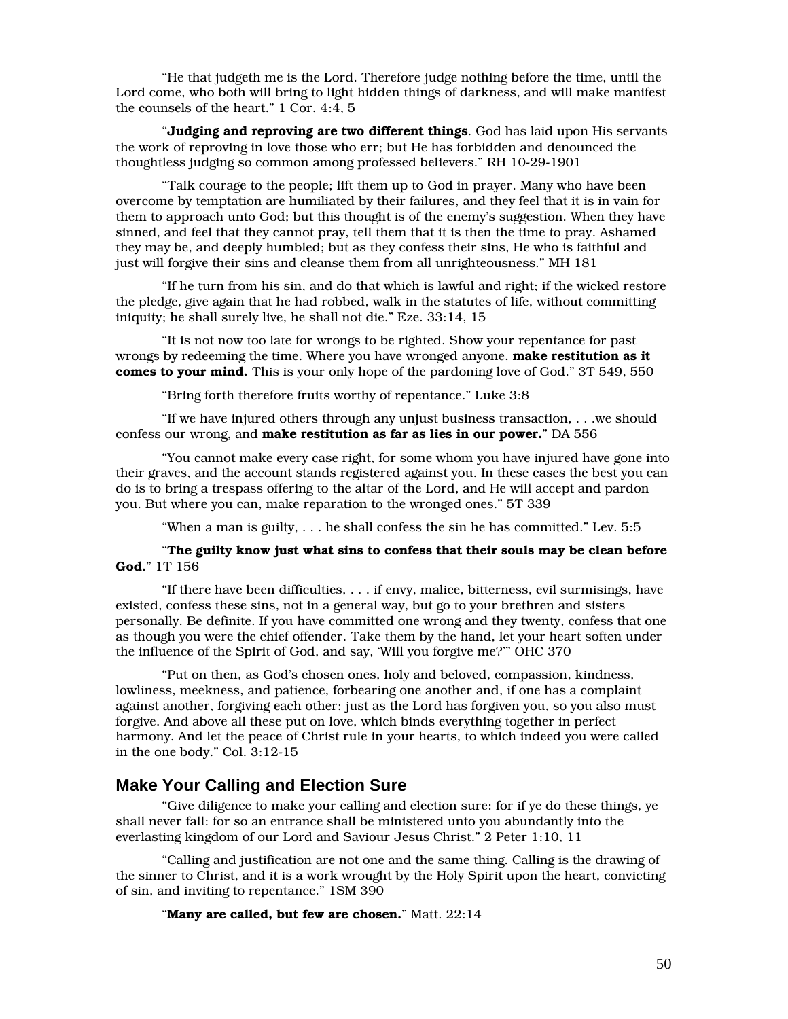"He that judgeth me is the Lord. Therefore judge nothing before the time, until the Lord come, who both will bring to light hidden things of darkness, and will make manifest the counsels of the heart." 1 Cor. 4:4, 5

"Judging and reproving are two different things. God has laid upon His servants the work of reproving in love those who err; but He has forbidden and denounced the thoughtless judging so common among professed believers." RH 10-29-1901

"Talk courage to the people; lift them up to God in prayer. Many who have been overcome by temptation are humiliated by their failures, and they feel that it is in vain for them to approach unto God; but this thought is of the enemy's suggestion. When they have sinned, and feel that they cannot pray, tell them that it is then the time to pray. Ashamed they may be, and deeply humbled; but as they confess their sins, He who is faithful and just will forgive their sins and cleanse them from all unrighteousness." MH 181

"If he turn from his sin, and do that which is lawful and right; if the wicked restore the pledge, give again that he had robbed, walk in the statutes of life, without committing iniquity; he shall surely live, he shall not die." Eze. 33:14, 15

"It is not now too late for wrongs to be righted. Show your repentance for past wrongs by redeeming the time. Where you have wronged anyone, **make restitution as it** comes to your mind. This is your only hope of the pardoning love of God." 3T 549, 550

"Bring forth therefore fruits worthy of repentance." Luke 3:8

"If we have injured others through any unjust business transaction, . . .we should confess our wrong, and **make restitution as far as lies in our power.**" DA 556

"You cannot make every case right, for some whom you have injured have gone into their graves, and the account stands registered against you. In these cases the best you can do is to bring a trespass offering to the altar of the Lord, and He will accept and pardon you. But where you can, make reparation to the wronged ones." 5T 339

"When a man is guilty, . . . he shall confess the sin he has committed." Lev. 5:5

### "The guilty know just what sins to confess that their souls may be clean before God." 1T 156

"If there have been difficulties, . . . if envy, malice, bitterness, evil surmisings, have existed, confess these sins, not in a general way, but go to your brethren and sisters personally. Be definite. If you have committed one wrong and they twenty, confess that one as though you were the chief offender. Take them by the hand, let your heart soften under the influence of the Spirit of God, and say, 'Will you forgive me?'" OHC 370

"Put on then, as God's chosen ones, holy and beloved, compassion, kindness, lowliness, meekness, and patience, forbearing one another and, if one has a complaint against another, forgiving each other; just as the Lord has forgiven you, so you also must forgive. And above all these put on love, which binds everything together in perfect harmony. And let the peace of Christ rule in your hearts, to which indeed you were called in the one body." Col. 3:12-15

## **Make Your Calling and Election Sure**

"Give diligence to make your calling and election sure: for if ye do these things, ye shall never fall: for so an entrance shall be ministered unto you abundantly into the everlasting kingdom of our Lord and Saviour Jesus Christ." 2 Peter 1:10, 11

"Calling and justification are not one and the same thing. Calling is the drawing of the sinner to Christ, and it is a work wrought by the Holy Spirit upon the heart, convicting of sin, and inviting to repentance." 1SM 390

"Many are called, but few are chosen." Matt. 22:14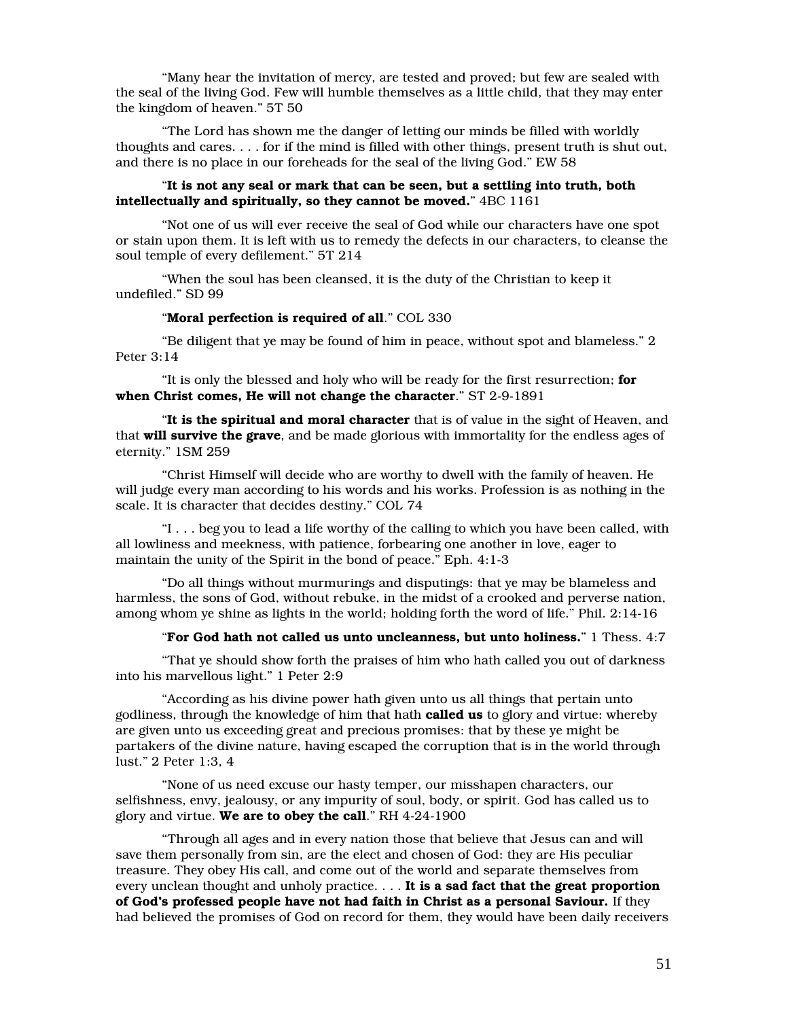"Many hear the invitation of mercy, are tested and proved; but few are sealed with the seal of the living God. Few will humble themselves as a little child, that they may enter the kingdom of heaven." 5T 50

"The Lord has shown me the danger of letting our minds be filled with worldly thoughts and cares. . . . for if the mind is filled with other things, present truth is shut out, and there is no place in our foreheads for the seal of the living God." EW 58

### "It is not any seal or mark that can be seen, but a settling into truth, both intellectually and spiritually, so they cannot be moved." 4BC 1161

"Not one of us will ever receive the seal of God while our characters have one spot or stain upon them. It is left with us to remedy the defects in our characters, to cleanse the soul temple of every defilement." 5T 214

"When the soul has been cleansed, it is the duty of the Christian to keep it undefiled." SD 99

## "Moral perfection is required of all." COL 330

"Be diligent that ye may be found of him in peace, without spot and blameless." 2 Peter 3:14

"It is only the blessed and holy who will be ready for the first resurrection; for when Christ comes, He will not change the character." ST 2-9-1891

"It is the spiritual and moral character that is of value in the sight of Heaven, and that will survive the grave, and be made glorious with immortality for the endless ages of eternity." 1SM 259

"Christ Himself will decide who are worthy to dwell with the family of heaven. He will judge every man according to his words and his works. Profession is as nothing in the scale. It is character that decides destiny." COL 74

"I . . . beg you to lead a life worthy of the calling to which you have been called, with all lowliness and meekness, with patience, forbearing one another in love, eager to maintain the unity of the Spirit in the bond of peace." Eph. 4:1-3

"Do all things without murmurings and disputings: that ye may be blameless and harmless, the sons of God, without rebuke, in the midst of a crooked and perverse nation, among whom ye shine as lights in the world; holding forth the word of life." Phil. 2:14-16

#### "For God hath not called us unto uncleanness, but unto holiness." 1 Thess. 4:7

"That ye should show forth the praises of him who hath called you out of darkness into his marvellous light." 1 Peter 2:9

"According as his divine power hath given unto us all things that pertain unto godliness, through the knowledge of him that hath **called us** to glory and virtue: whereby are given unto us exceeding great and precious promises: that by these ye might be partakers of the divine nature, having escaped the corruption that is in the world through lust." 2 Peter 1:3, 4

"None of us need excuse our hasty temper, our misshapen characters, our selfishness, envy, jealousy, or any impurity of soul, body, or spirit. God has called us to glory and virtue. We are to obey the call." RH 4-24-1900

"Through all ages and in every nation those that believe that Jesus can and will save them personally from sin, are the elect and chosen of God: they are His peculiar treasure. They obey His call, and come out of the world and separate themselves from every unclean thought and unholy practice. . . . It is a sad fact that the great proportion of God's professed people have not had faith in Christ as a personal Saviour. If they had believed the promises of God on record for them, they would have been daily receivers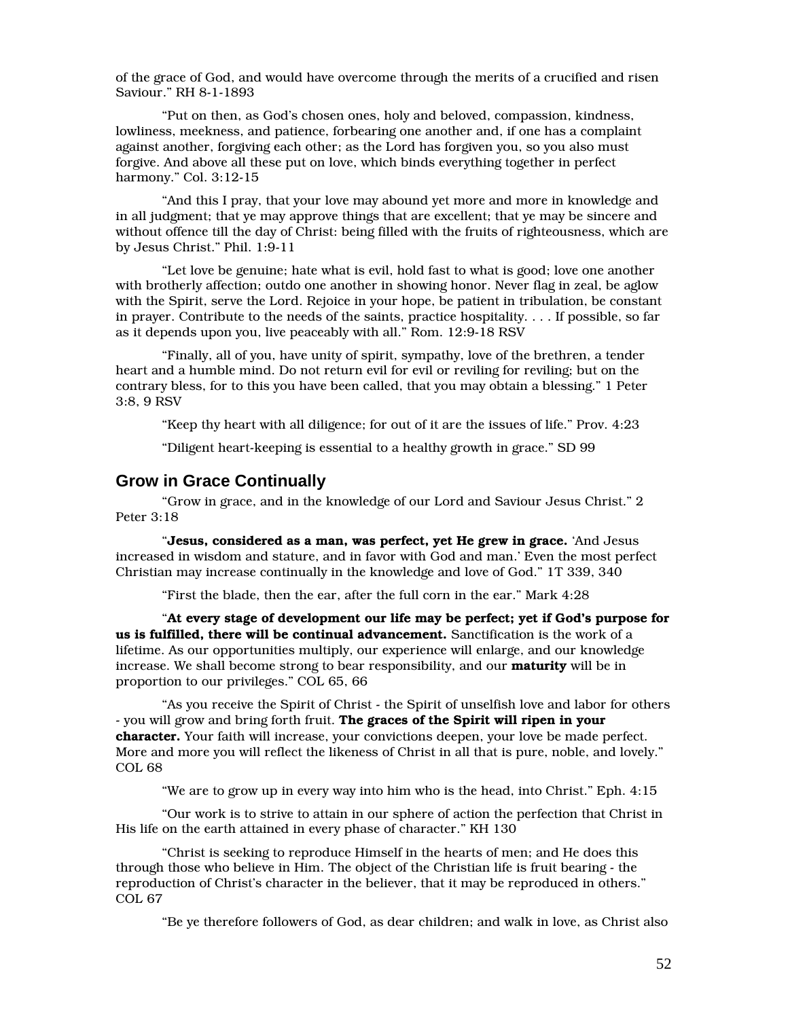of the grace of God, and would have overcome through the merits of a crucified and risen Saviour." RH 8-1-1893

"Put on then, as God's chosen ones, holy and beloved, compassion, kindness, lowliness, meekness, and patience, forbearing one another and, if one has a complaint against another, forgiving each other; as the Lord has forgiven you, so you also must forgive. And above all these put on love, which binds everything together in perfect harmony." Col. 3:12-15

"And this I pray, that your love may abound yet more and more in knowledge and in all judgment; that ye may approve things that are excellent; that ye may be sincere and without offence till the day of Christ: being filled with the fruits of righteousness, which are by Jesus Christ." Phil. 1:9-11

"Let love be genuine; hate what is evil, hold fast to what is good; love one another with brotherly affection; outdo one another in showing honor. Never flag in zeal, be aglow with the Spirit, serve the Lord. Rejoice in your hope, be patient in tribulation, be constant in prayer. Contribute to the needs of the saints, practice hospitality. . . . If possible, so far as it depends upon you, live peaceably with all." Rom. 12:9-18 RSV

"Finally, all of you, have unity of spirit, sympathy, love of the brethren, a tender heart and a humble mind. Do not return evil for evil or reviling for reviling; but on the contrary bless, for to this you have been called, that you may obtain a blessing." 1 Peter 3:8, 9 RSV

"Keep thy heart with all diligence; for out of it are the issues of life." Prov. 4:23

"Diligent heart-keeping is essential to a healthy growth in grace." SD 99

## **Grow in Grace Continually**

"Grow in grace, and in the knowledge of our Lord and Saviour Jesus Christ." 2 Peter 3:18

"Jesus, considered as a man, was perfect, yet He grew in grace. 'And Jesus increased in wisdom and stature, and in favor with God and man.' Even the most perfect Christian may increase continually in the knowledge and love of God." 1T 339, 340

"First the blade, then the ear, after the full corn in the ear." Mark 4:28

"At every stage of development our life may be perfect; yet if God's purpose for us is fulfilled, there will be continual advancement. Sanctification is the work of a lifetime. As our opportunities multiply, our experience will enlarge, and our knowledge increase. We shall become strong to bear responsibility, and our maturity will be in proportion to our privileges." COL 65, 66

"As you receive the Spirit of Christ - the Spirit of unselfish love and labor for others - you will grow and bring forth fruit. The graces of the Spirit will ripen in your character. Your faith will increase, your convictions deepen, your love be made perfect. More and more you will reflect the likeness of Christ in all that is pure, noble, and lovely." COL 68

"We are to grow up in every way into him who is the head, into Christ." Eph. 4:15

"Our work is to strive to attain in our sphere of action the perfection that Christ in His life on the earth attained in every phase of character." KH 130

"Christ is seeking to reproduce Himself in the hearts of men; and He does this through those who believe in Him. The object of the Christian life is fruit bearing - the reproduction of Christ's character in the believer, that it may be reproduced in others." COL 67

"Be ye therefore followers of God, as dear children; and walk in love, as Christ also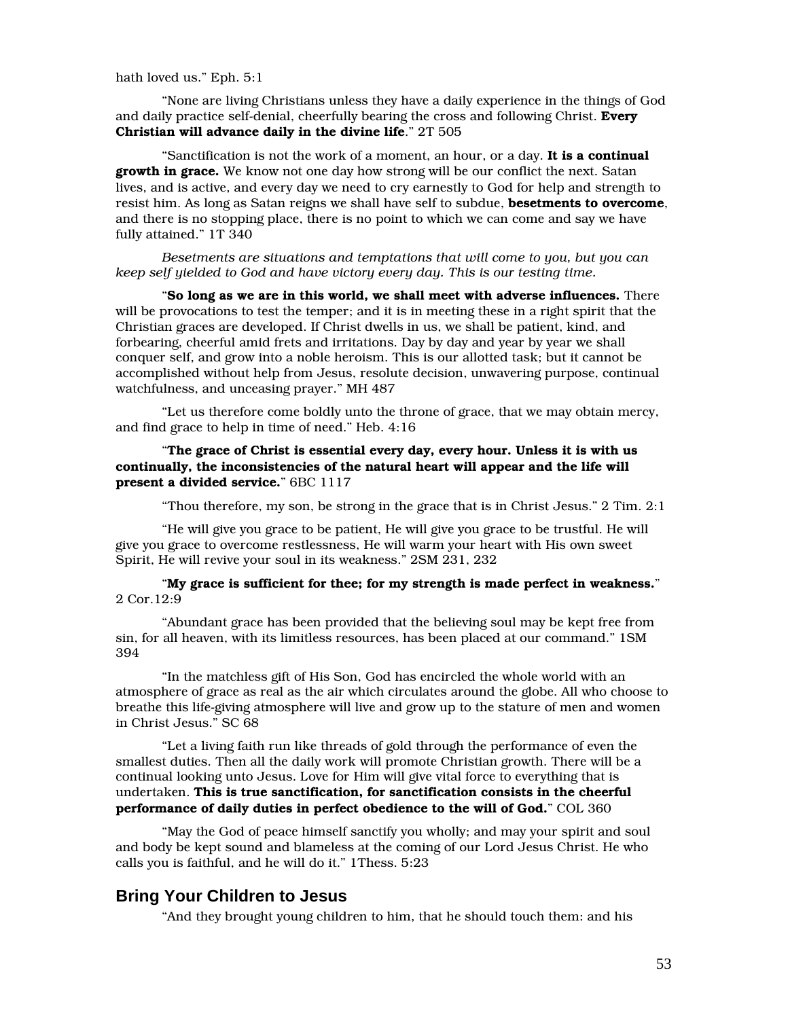hath loved us." Eph. 5:1

"None are living Christians unless they have a daily experience in the things of God and daily practice self-denial, cheerfully bearing the cross and following Christ. **Every** Christian will advance daily in the divine life." 2T 505

"Sanctification is not the work of a moment, an hour, or a day. It is a continual growth in grace. We know not one day how strong will be our conflict the next. Satan lives, and is active, and every day we need to cry earnestly to God for help and strength to resist him. As long as Satan reigns we shall have self to subdue, **besetments to overcome**, and there is no stopping place, there is no point to which we can come and say we have fully attained." 1T 340

*Besetments are situations and temptations that will come to you, but you can keep self yielded to God and have victory every day. This is our testing time.* 

"So long as we are in this world, we shall meet with adverse influences. There will be provocations to test the temper; and it is in meeting these in a right spirit that the Christian graces are developed. If Christ dwells in us, we shall be patient, kind, and forbearing, cheerful amid frets and irritations. Day by day and year by year we shall conquer self, and grow into a noble heroism. This is our allotted task; but it cannot be accomplished without help from Jesus, resolute decision, unwavering purpose, continual watchfulness, and unceasing prayer." MH 487

"Let us therefore come boldly unto the throne of grace, that we may obtain mercy, and find grace to help in time of need." Heb. 4:16

"The grace of Christ is essential every day, every hour. Unless it is with us continually, the inconsistencies of the natural heart will appear and the life will present a divided service." 6BC 1117

"Thou therefore, my son, be strong in the grace that is in Christ Jesus." 2 Tim. 2:1

"He will give you grace to be patient, He will give you grace to be trustful. He will give you grace to overcome restlessness, He will warm your heart with His own sweet Spirit, He will revive your soul in its weakness." 2SM 231, 232

"My grace is sufficient for thee; for my strength is made perfect in weakness." 2 Cor.12:9

"Abundant grace has been provided that the believing soul may be kept free from sin, for all heaven, with its limitless resources, has been placed at our command." 1SM 394

"In the matchless gift of His Son, God has encircled the whole world with an atmosphere of grace as real as the air which circulates around the globe. All who choose to breathe this life-giving atmosphere will live and grow up to the stature of men and women in Christ Jesus." SC 68

"Let a living faith run like threads of gold through the performance of even the smallest duties. Then all the daily work will promote Christian growth. There will be a continual looking unto Jesus. Love for Him will give vital force to everything that is undertaken. This is true sanctification, for sanctification consists in the cheerful performance of daily duties in perfect obedience to the will of God." COL 360

"May the God of peace himself sanctify you wholly; and may your spirit and soul and body be kept sound and blameless at the coming of our Lord Jesus Christ. He who calls you is faithful, and he will do it." 1Thess. 5:23

# **Bring Your Children to Jesus**

"And they brought young children to him, that he should touch them: and his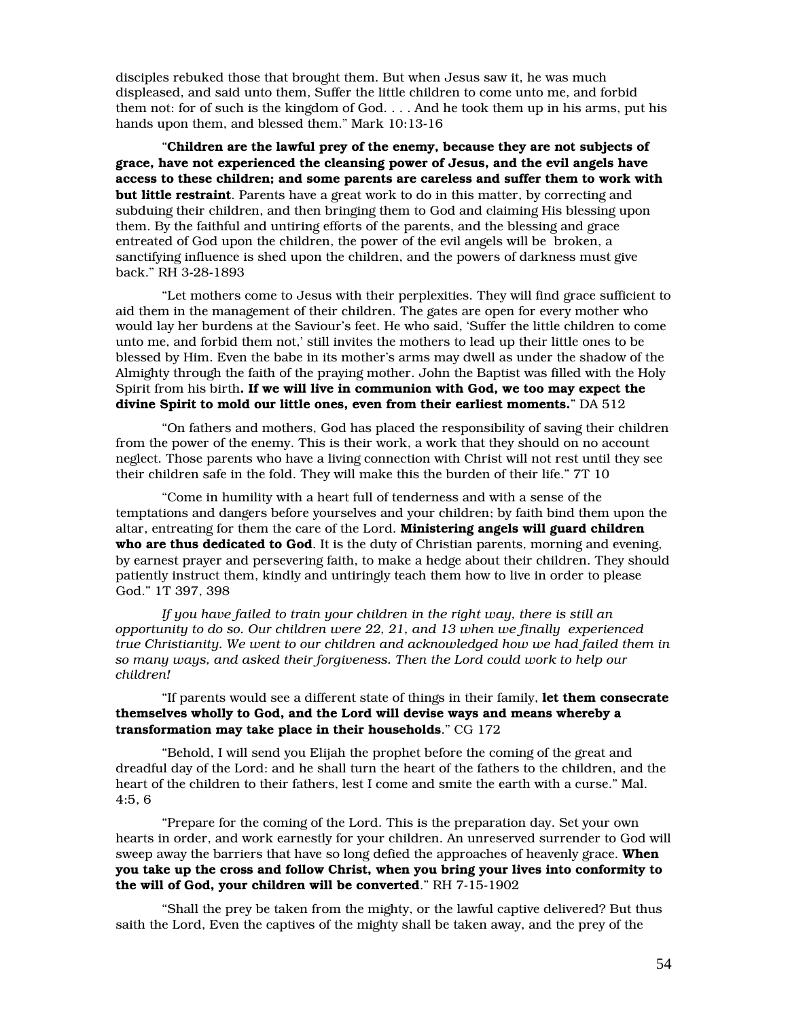disciples rebuked those that brought them. But when Jesus saw it, he was much displeased, and said unto them, Suffer the little children to come unto me, and forbid them not: for of such is the kingdom of God. . . . And he took them up in his arms, put his hands upon them, and blessed them." Mark 10:13-16

"Children are the lawful prey of the enemy, because they are not subjects of grace, have not experienced the cleansing power of Jesus, and the evil angels have access to these children; and some parents are careless and suffer them to work with but little restraint. Parents have a great work to do in this matter, by correcting and subduing their children, and then bringing them to God and claiming His blessing upon them. By the faithful and untiring efforts of the parents, and the blessing and grace entreated of God upon the children, the power of the evil angels will be broken, a sanctifying influence is shed upon the children, and the powers of darkness must give back." RH 3-28-1893

"Let mothers come to Jesus with their perplexities. They will find grace sufficient to aid them in the management of their children. The gates are open for every mother who would lay her burdens at the Saviour's feet. He who said, 'Suffer the little children to come unto me, and forbid them not,' still invites the mothers to lead up their little ones to be blessed by Him. Even the babe in its mother's arms may dwell as under the shadow of the Almighty through the faith of the praying mother. John the Baptist was filled with the Holy Spirit from his birth. If we will live in communion with God, we too may expect the divine Spirit to mold our little ones, even from their earliest moments." DA 512

"On fathers and mothers, God has placed the responsibility of saving their children from the power of the enemy. This is their work, a work that they should on no account neglect. Those parents who have a living connection with Christ will not rest until they see their children safe in the fold. They will make this the burden of their life." 7T 10

"Come in humility with a heart full of tenderness and with a sense of the temptations and dangers before yourselves and your children; by faith bind them upon the altar, entreating for them the care of the Lord. Ministering angels will guard children who are thus dedicated to God. It is the duty of Christian parents, morning and evening, by earnest prayer and persevering faith, to make a hedge about their children. They should patiently instruct them, kindly and untiringly teach them how to live in order to please God." 1T 397, 398

*If you have failed to train your children in the right way, there is still an opportunity to do so. Our children were 22, 21, and 13 when we finally experienced true Christianity. We went to our children and acknowledged how we had failed them in so many ways, and asked their forgiveness. Then the Lord could work to help our children!* 

"If parents would see a different state of things in their family, let them consecrate themselves wholly to God, and the Lord will devise ways and means whereby a transformation may take place in their households." CG 172

"Behold, I will send you Elijah the prophet before the coming of the great and dreadful day of the Lord: and he shall turn the heart of the fathers to the children, and the heart of the children to their fathers, lest I come and smite the earth with a curse." Mal. 4:5, 6

"Prepare for the coming of the Lord. This is the preparation day. Set your own hearts in order, and work earnestly for your children. An unreserved surrender to God will sweep away the barriers that have so long defied the approaches of heavenly grace. When you take up the cross and follow Christ, when you bring your lives into conformity to the will of God, your children will be converted." RH 7-15-1902

"Shall the prey be taken from the mighty, or the lawful captive delivered? But thus saith the Lord, Even the captives of the mighty shall be taken away, and the prey of the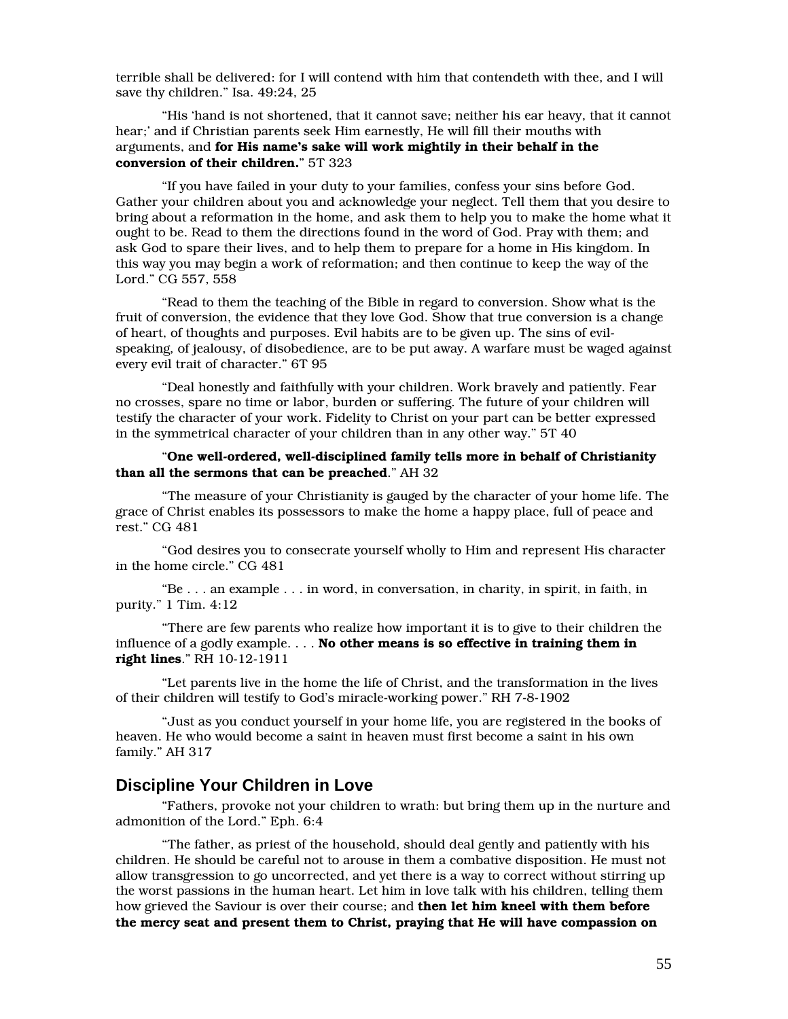terrible shall be delivered: for I will contend with him that contendeth with thee, and I will save thy children." Isa. 49:24, 25

"His 'hand is not shortened, that it cannot save; neither his ear heavy, that it cannot hear;' and if Christian parents seek Him earnestly, He will fill their mouths with arguments, and for His name's sake will work mightily in their behalf in the conversion of their children." 5T 323

"If you have failed in your duty to your families, confess your sins before God. Gather your children about you and acknowledge your neglect. Tell them that you desire to bring about a reformation in the home, and ask them to help you to make the home what it ought to be. Read to them the directions found in the word of God. Pray with them; and ask God to spare their lives, and to help them to prepare for a home in His kingdom. In this way you may begin a work of reformation; and then continue to keep the way of the Lord." CG 557, 558

"Read to them the teaching of the Bible in regard to conversion. Show what is the fruit of conversion, the evidence that they love God. Show that true conversion is a change of heart, of thoughts and purposes. Evil habits are to be given up. The sins of evilspeaking, of jealousy, of disobedience, are to be put away. A warfare must be waged against every evil trait of character." 6T 95

"Deal honestly and faithfully with your children. Work bravely and patiently. Fear no crosses, spare no time or labor, burden or suffering. The future of your children will testify the character of your work. Fidelity to Christ on your part can be better expressed in the symmetrical character of your children than in any other way." 5T 40

#### "One well-ordered, well-disciplined family tells more in behalf of Christianity than all the sermons that can be preached." AH 32

"The measure of your Christianity is gauged by the character of your home life. The grace of Christ enables its possessors to make the home a happy place, full of peace and rest." CG 481

"God desires you to consecrate yourself wholly to Him and represent His character in the home circle." CG 481

"Be . . . an example . . . in word, in conversation, in charity, in spirit, in faith, in purity." 1 Tim. 4:12

"There are few parents who realize how important it is to give to their children the influence of a godly example. . . . No other means is so effective in training them in right lines." RH 10-12-1911

"Let parents live in the home the life of Christ, and the transformation in the lives of their children will testify to God's miracle-working power." RH 7-8-1902

"Just as you conduct yourself in your home life, you are registered in the books of heaven. He who would become a saint in heaven must first become a saint in his own family." AH 317

## **Discipline Your Children in Love**

"Fathers, provoke not your children to wrath: but bring them up in the nurture and admonition of the Lord." Eph. 6:4

"The father, as priest of the household, should deal gently and patiently with his children. He should be careful not to arouse in them a combative disposition. He must not allow transgression to go uncorrected, and yet there is a way to correct without stirring up the worst passions in the human heart. Let him in love talk with his children, telling them how grieved the Saviour is over their course; and then let him kneel with them before the mercy seat and present them to Christ, praying that He will have compassion on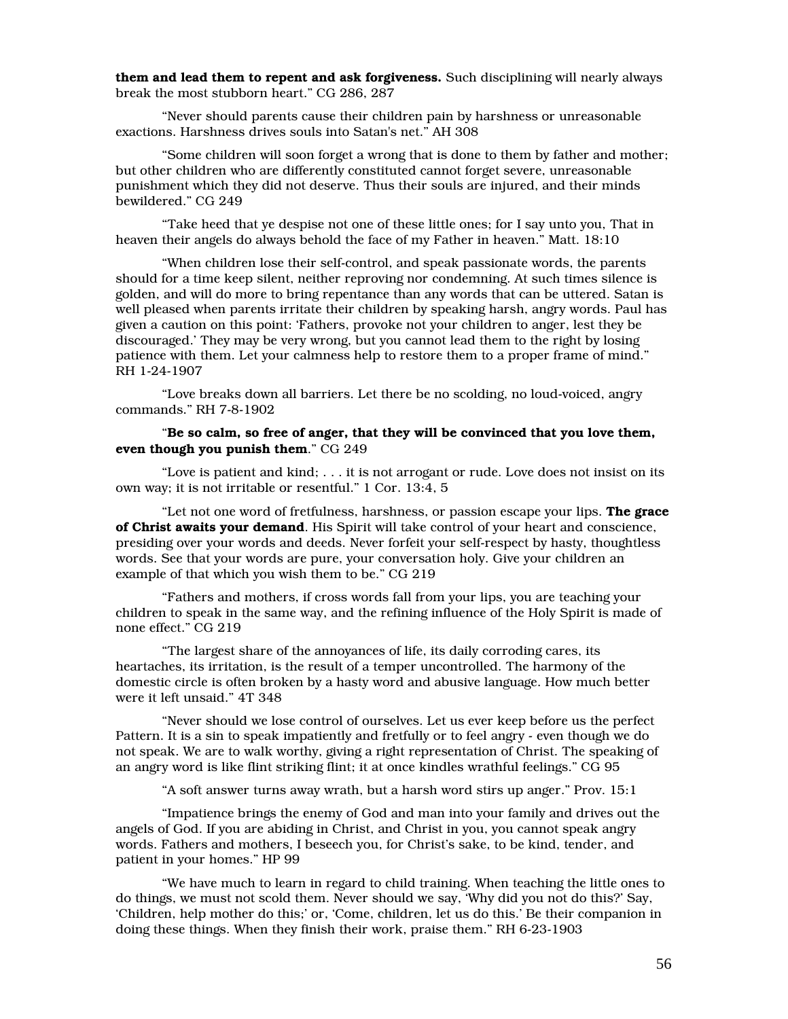them and lead them to repent and ask forgiveness. Such disciplining will nearly always break the most stubborn heart." CG 286, 287

"Never should parents cause their children pain by harshness or unreasonable exactions. Harshness drives souls into Satan's net." AH 308

"Some children will soon forget a wrong that is done to them by father and mother; but other children who are differently constituted cannot forget severe, unreasonable punishment which they did not deserve. Thus their souls are injured, and their minds bewildered." CG 249

"Take heed that ye despise not one of these little ones; for I say unto you, That in heaven their angels do always behold the face of my Father in heaven." Matt. 18:10

"When children lose their self-control, and speak passionate words, the parents should for a time keep silent, neither reproving nor condemning. At such times silence is golden, and will do more to bring repentance than any words that can be uttered. Satan is well pleased when parents irritate their children by speaking harsh, angry words. Paul has given a caution on this point: 'Fathers, provoke not your children to anger, lest they be discouraged.' They may be very wrong, but you cannot lead them to the right by losing patience with them. Let your calmness help to restore them to a proper frame of mind." RH 1-24-1907

"Love breaks down all barriers. Let there be no scolding, no loud-voiced, angry commands." RH 7-8-1902

### "Be so calm, so free of anger, that they will be convinced that you love them, even though you punish them." CG 249

"Love is patient and kind; . . . it is not arrogant or rude. Love does not insist on its own way; it is not irritable or resentful." 1 Cor. 13:4, 5

"Let not one word of fretfulness, harshness, or passion escape your lips. **The grace** of Christ awaits your demand. His Spirit will take control of your heart and conscience, presiding over your words and deeds. Never forfeit your self-respect by hasty, thoughtless words. See that your words are pure, your conversation holy. Give your children an example of that which you wish them to be." CG 219

"Fathers and mothers, if cross words fall from your lips, you are teaching your children to speak in the same way, and the refining influence of the Holy Spirit is made of none effect." CG 219

"The largest share of the annoyances of life, its daily corroding cares, its heartaches, its irritation, is the result of a temper uncontrolled. The harmony of the domestic circle is often broken by a hasty word and abusive language. How much better were it left unsaid." 4T 348

"Never should we lose control of ourselves. Let us ever keep before us the perfect Pattern. It is a sin to speak impatiently and fretfully or to feel angry - even though we do not speak. We are to walk worthy, giving a right representation of Christ. The speaking of an angry word is like flint striking flint; it at once kindles wrathful feelings." CG 95

"A soft answer turns away wrath, but a harsh word stirs up anger." Prov. 15:1

"Impatience brings the enemy of God and man into your family and drives out the angels of God. If you are abiding in Christ, and Christ in you, you cannot speak angry words. Fathers and mothers, I beseech you, for Christ's sake, to be kind, tender, and patient in your homes." HP 99

"We have much to learn in regard to child training. When teaching the little ones to do things, we must not scold them. Never should we say, 'Why did you not do this?' Say, 'Children, help mother do this;' or, 'Come, children, let us do this.' Be their companion in doing these things. When they finish their work, praise them." RH 6-23-1903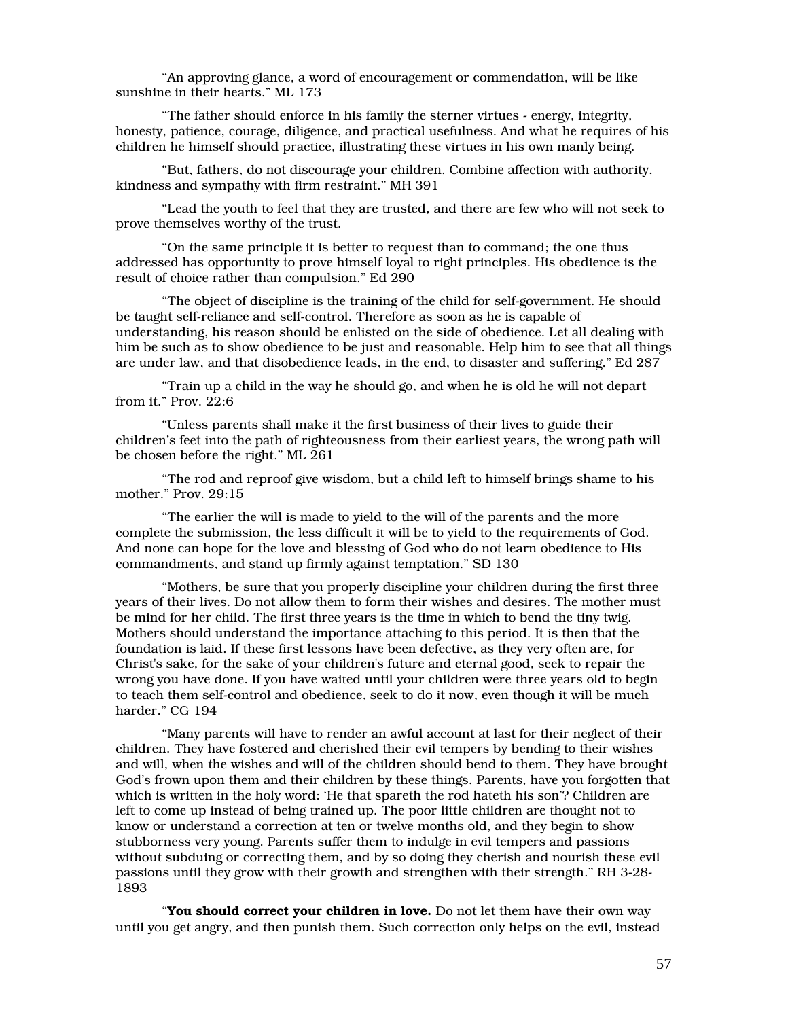"An approving glance, a word of encouragement or commendation, will be like sunshine in their hearts." ML 173

"The father should enforce in his family the sterner virtues - energy, integrity, honesty, patience, courage, diligence, and practical usefulness. And what he requires of his children he himself should practice, illustrating these virtues in his own manly being.

"But, fathers, do not discourage your children. Combine affection with authority, kindness and sympathy with firm restraint." MH 391

"Lead the youth to feel that they are trusted, and there are few who will not seek to prove themselves worthy of the trust.

"On the same principle it is better to request than to command; the one thus addressed has opportunity to prove himself loyal to right principles. His obedience is the result of choice rather than compulsion." Ed 290

"The object of discipline is the training of the child for self-government. He should be taught self-reliance and self-control. Therefore as soon as he is capable of understanding, his reason should be enlisted on the side of obedience. Let all dealing with him be such as to show obedience to be just and reasonable. Help him to see that all things are under law, and that disobedience leads, in the end, to disaster and suffering." Ed 287

"Train up a child in the way he should go, and when he is old he will not depart from it." Prov. 22:6

"Unless parents shall make it the first business of their lives to guide their children's feet into the path of righteousness from their earliest years, the wrong path will be chosen before the right." ML 261

"The rod and reproof give wisdom, but a child left to himself brings shame to his mother." Prov. 29:15

"The earlier the will is made to yield to the will of the parents and the more complete the submission, the less difficult it will be to yield to the requirements of God. And none can hope for the love and blessing of God who do not learn obedience to His commandments, and stand up firmly against temptation." SD 130

"Mothers, be sure that you properly discipline your children during the first three years of their lives. Do not allow them to form their wishes and desires. The mother must be mind for her child. The first three years is the time in which to bend the tiny twig. Mothers should understand the importance attaching to this period. It is then that the foundation is laid. If these first lessons have been defective, as they very often are, for Christ's sake, for the sake of your children's future and eternal good, seek to repair the wrong you have done. If you have waited until your children were three years old to begin to teach them self-control and obedience, seek to do it now, even though it will be much harder." CG 194

"Many parents will have to render an awful account at last for their neglect of their children. They have fostered and cherished their evil tempers by bending to their wishes and will, when the wishes and will of the children should bend to them. They have brought God's frown upon them and their children by these things. Parents, have you forgotten that which is written in the holy word: 'He that spareth the rod hateth his son'? Children are left to come up instead of being trained up. The poor little children are thought not to know or understand a correction at ten or twelve months old, and they begin to show stubborness very young. Parents suffer them to indulge in evil tempers and passions without subduing or correcting them, and by so doing they cherish and nourish these evil passions until they grow with their growth and strengthen with their strength." RH 3-28- 1893

"You should correct your children in love. Do not let them have their own way until you get angry, and then punish them. Such correction only helps on the evil, instead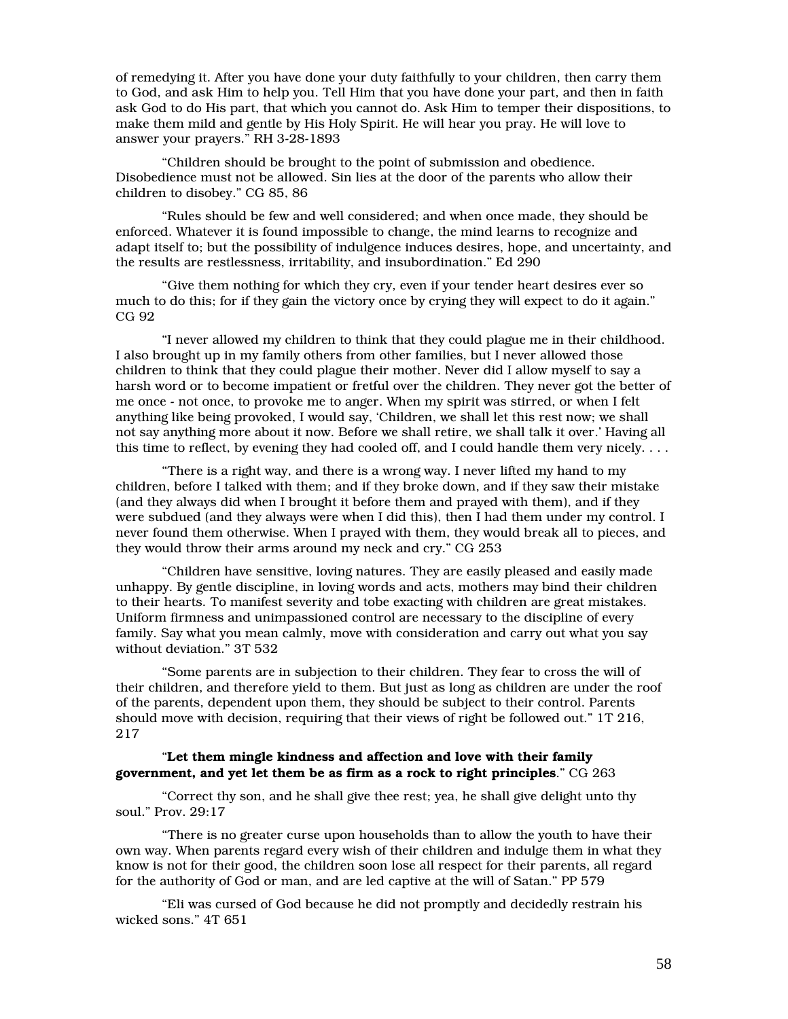of remedying it. After you have done your duty faithfully to your children, then carry them to God, and ask Him to help you. Tell Him that you have done your part, and then in faith ask God to do His part, that which you cannot do. Ask Him to temper their dispositions, to make them mild and gentle by His Holy Spirit. He will hear you pray. He will love to answer your prayers." RH 3-28-1893

"Children should be brought to the point of submission and obedience. Disobedience must not be allowed. Sin lies at the door of the parents who allow their children to disobey." CG 85, 86

"Rules should be few and well considered; and when once made, they should be enforced. Whatever it is found impossible to change, the mind learns to recognize and adapt itself to; but the possibility of indulgence induces desires, hope, and uncertainty, and the results are restlessness, irritability, and insubordination." Ed 290

"Give them nothing for which they cry, even if your tender heart desires ever so much to do this; for if they gain the victory once by crying they will expect to do it again." CG 92

"I never allowed my children to think that they could plague me in their childhood. I also brought up in my family others from other families, but I never allowed those children to think that they could plague their mother. Never did I allow myself to say a harsh word or to become impatient or fretful over the children. They never got the better of me once - not once, to provoke me to anger. When my spirit was stirred, or when I felt anything like being provoked, I would say, 'Children, we shall let this rest now; we shall not say anything more about it now. Before we shall retire, we shall talk it over.' Having all this time to reflect, by evening they had cooled off, and I could handle them very nicely. . . .

"There is a right way, and there is a wrong way. I never lifted my hand to my children, before I talked with them; and if they broke down, and if they saw their mistake (and they always did when I brought it before them and prayed with them), and if they were subdued (and they always were when I did this), then I had them under my control. I never found them otherwise. When I prayed with them, they would break all to pieces, and they would throw their arms around my neck and cry." CG 253

"Children have sensitive, loving natures. They are easily pleased and easily made unhappy. By gentle discipline, in loving words and acts, mothers may bind their children to their hearts. To manifest severity and tobe exacting with children are great mistakes. Uniform firmness and unimpassioned control are necessary to the discipline of every family. Say what you mean calmly, move with consideration and carry out what you say without deviation." 3T 532

"Some parents are in subjection to their children. They fear to cross the will of their children, and therefore yield to them. But just as long as children are under the roof of the parents, dependent upon them, they should be subject to their control. Parents should move with decision, requiring that their views of right be followed out." 1T 216, 217

### "Let them mingle kindness and affection and love with their family government, and yet let them be as firm as a rock to right principles." CG 263

"Correct thy son, and he shall give thee rest; yea, he shall give delight unto thy soul." Prov. 29:17

"There is no greater curse upon households than to allow the youth to have their own way. When parents regard every wish of their children and indulge them in what they know is not for their good, the children soon lose all respect for their parents, all regard for the authority of God or man, and are led captive at the will of Satan." PP 579

"Eli was cursed of God because he did not promptly and decidedly restrain his wicked sons." 4T 651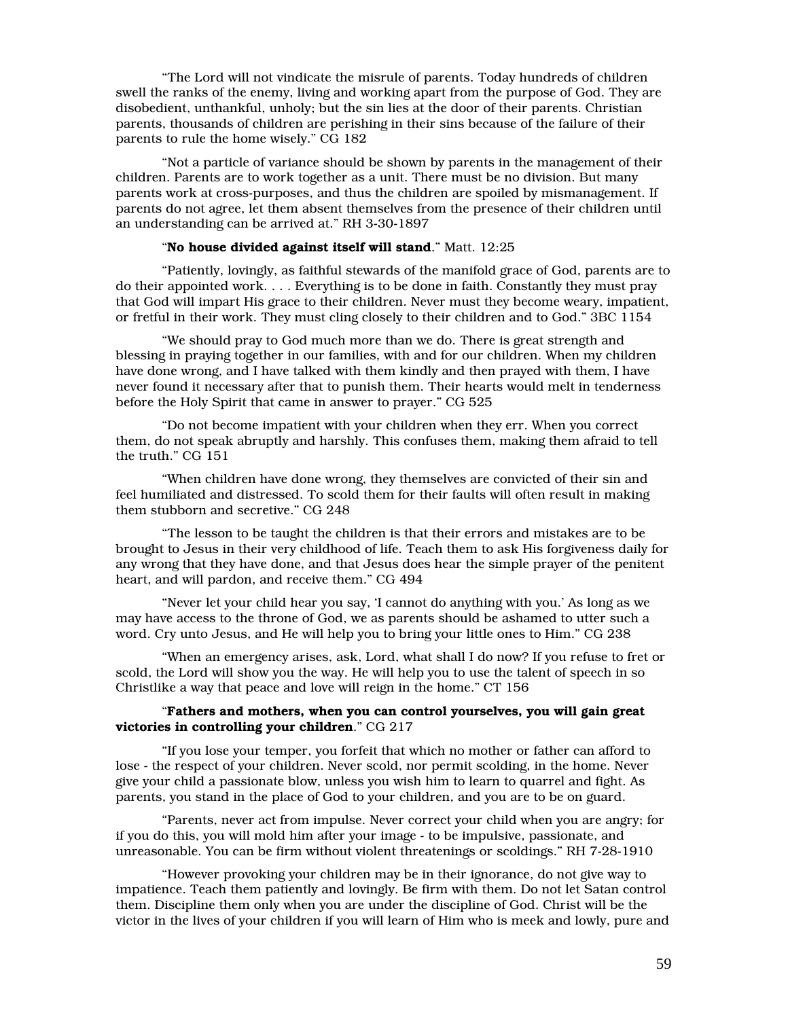"The Lord will not vindicate the misrule of parents. Today hundreds of children swell the ranks of the enemy, living and working apart from the purpose of God. They are disobedient, unthankful, unholy; but the sin lies at the door of their parents. Christian parents, thousands of children are perishing in their sins because of the failure of their parents to rule the home wisely." CG 182

"Not a particle of variance should be shown by parents in the management of their children. Parents are to work together as a unit. There must be no division. But many parents work at cross-purposes, and thus the children are spoiled by mismanagement. If parents do not agree, let them absent themselves from the presence of their children until an understanding can be arrived at." RH 3-30-1897

### "No house divided against itself will stand." Matt. 12:25

"Patiently, lovingly, as faithful stewards of the manifold grace of God, parents are to do their appointed work. . . . Everything is to be done in faith. Constantly they must pray that God will impart His grace to their children. Never must they become weary, impatient, or fretful in their work. They must cling closely to their children and to God." 3BC 1154

"We should pray to God much more than we do. There is great strength and blessing in praying together in our families, with and for our children. When my children have done wrong, and I have talked with them kindly and then prayed with them, I have never found it necessary after that to punish them. Their hearts would melt in tenderness before the Holy Spirit that came in answer to prayer." CG 525

"Do not become impatient with your children when they err. When you correct them, do not speak abruptly and harshly. This confuses them, making them afraid to tell the truth." CG 151

"When children have done wrong, they themselves are convicted of their sin and feel humiliated and distressed. To scold them for their faults will often result in making them stubborn and secretive." CG 248

"The lesson to be taught the children is that their errors and mistakes are to be brought to Jesus in their very childhood of life. Teach them to ask His forgiveness daily for any wrong that they have done, and that Jesus does hear the simple prayer of the penitent heart, and will pardon, and receive them." CG 494

"Never let your child hear you say, 'I cannot do anything with you.' As long as we may have access to the throne of God, we as parents should be ashamed to utter such a word. Cry unto Jesus, and He will help you to bring your little ones to Him." CG 238

"When an emergency arises, ask, Lord, what shall I do now? If you refuse to fret or scold, the Lord will show you the way. He will help you to use the talent of speech in so Christlike a way that peace and love will reign in the home." CT 156

### "Fathers and mothers, when you can control yourselves, you will gain great victories in controlling your children." CG 217

"If you lose your temper, you forfeit that which no mother or father can afford to lose - the respect of your children. Never scold, nor permit scolding, in the home. Never give your child a passionate blow, unless you wish him to learn to quarrel and fight. As parents, you stand in the place of God to your children, and you are to be on guard.

"Parents, never act from impulse. Never correct your child when you are angry; for if you do this, you will mold him after your image - to be impulsive, passionate, and unreasonable. You can be firm without violent threatenings or scoldings." RH 7-28-1910

"However provoking your children may be in their ignorance, do not give way to impatience. Teach them patiently and lovingly. Be firm with them. Do not let Satan control them. Discipline them only when you are under the discipline of God. Christ will be the victor in the lives of your children if you will learn of Him who is meek and lowly, pure and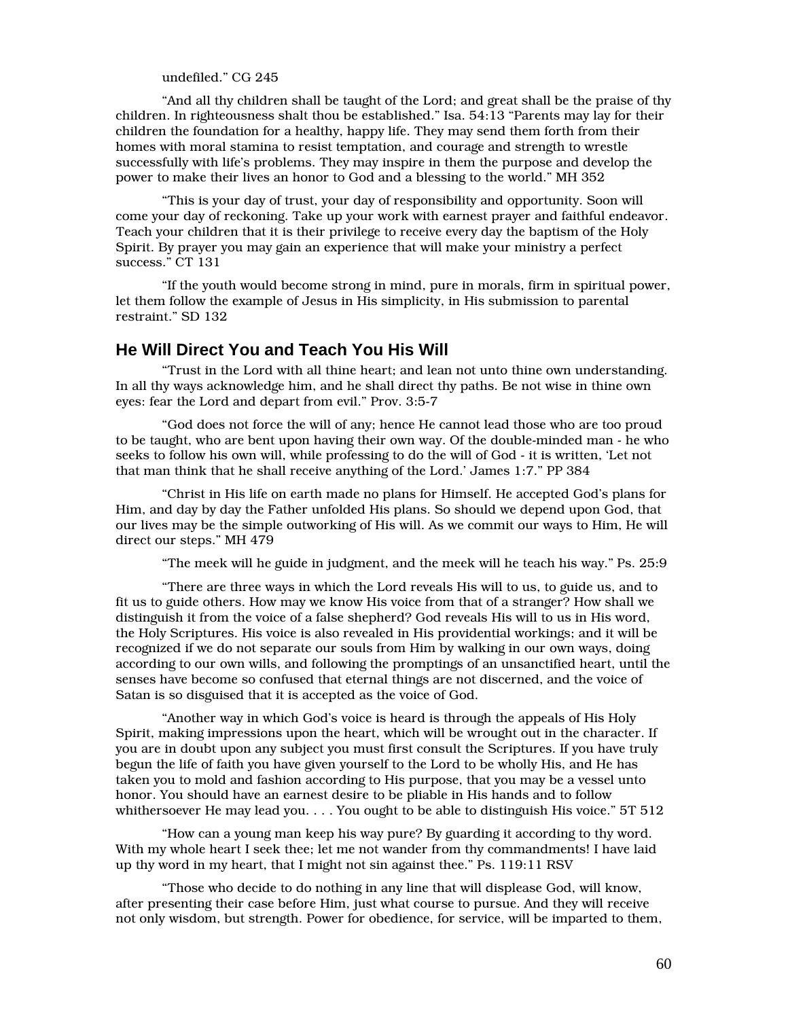undefiled." CG 245

"And all thy children shall be taught of the Lord; and great shall be the praise of thy children. In righteousness shalt thou be established." Isa. 54:13 "Parents may lay for their children the foundation for a healthy, happy life. They may send them forth from their homes with moral stamina to resist temptation, and courage and strength to wrestle successfully with life's problems. They may inspire in them the purpose and develop the power to make their lives an honor to God and a blessing to the world." MH 352

"This is your day of trust, your day of responsibility and opportunity. Soon will come your day of reckoning. Take up your work with earnest prayer and faithful endeavor. Teach your children that it is their privilege to receive every day the baptism of the Holy Spirit. By prayer you may gain an experience that will make your ministry a perfect success." CT 131

"If the youth would become strong in mind, pure in morals, firm in spiritual power, let them follow the example of Jesus in His simplicity, in His submission to parental restraint." SD 132

# **He Will Direct You and Teach You His Will**

"Trust in the Lord with all thine heart; and lean not unto thine own understanding. In all thy ways acknowledge him, and he shall direct thy paths. Be not wise in thine own eyes: fear the Lord and depart from evil." Prov. 3:5-7

"God does not force the will of any; hence He cannot lead those who are too proud to be taught, who are bent upon having their own way. Of the double-minded man - he who seeks to follow his own will, while professing to do the will of God - it is written, 'Let not that man think that he shall receive anything of the Lord.' James 1:7." PP 384

"Christ in His life on earth made no plans for Himself. He accepted God's plans for Him, and day by day the Father unfolded His plans. So should we depend upon God, that our lives may be the simple outworking of His will. As we commit our ways to Him, He will direct our steps." MH 479

"The meek will he guide in judgment, and the meek will he teach his way." Ps. 25:9

"There are three ways in which the Lord reveals His will to us, to guide us, and to fit us to guide others. How may we know His voice from that of a stranger? How shall we distinguish it from the voice of a false shepherd? God reveals His will to us in His word, the Holy Scriptures. His voice is also revealed in His providential workings; and it will be recognized if we do not separate our souls from Him by walking in our own ways, doing according to our own wills, and following the promptings of an unsanctified heart, until the senses have become so confused that eternal things are not discerned, and the voice of Satan is so disguised that it is accepted as the voice of God.

"Another way in which God's voice is heard is through the appeals of His Holy Spirit, making impressions upon the heart, which will be wrought out in the character. If you are in doubt upon any subject you must first consult the Scriptures. If you have truly begun the life of faith you have given yourself to the Lord to be wholly His, and He has taken you to mold and fashion according to His purpose, that you may be a vessel unto honor. You should have an earnest desire to be pliable in His hands and to follow whithersoever He may lead you. . . . You ought to be able to distinguish His voice." 5T 512

"How can a young man keep his way pure? By guarding it according to thy word. With my whole heart I seek thee; let me not wander from thy commandments! I have laid up thy word in my heart, that I might not sin against thee." Ps. 119:11 RSV

"Those who decide to do nothing in any line that will displease God, will know, after presenting their case before Him, just what course to pursue. And they will receive not only wisdom, but strength. Power for obedience, for service, will be imparted to them,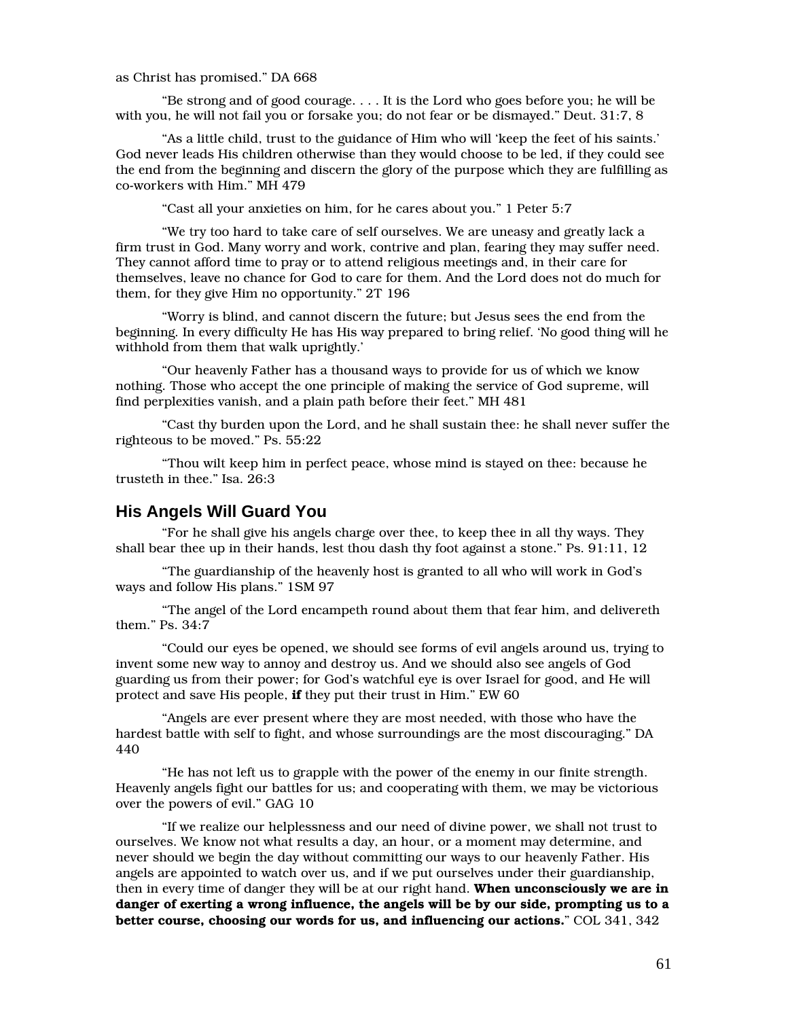#### as Christ has promised." DA 668

"Be strong and of good courage. . . . It is the Lord who goes before you; he will be with you, he will not fail you or forsake you; do not fear or be dismayed." Deut. 31:7, 8

"As a little child, trust to the guidance of Him who will 'keep the feet of his saints.' God never leads His children otherwise than they would choose to be led, if they could see the end from the beginning and discern the glory of the purpose which they are fulfilling as co-workers with Him." MH 479

"Cast all your anxieties on him, for he cares about you." 1 Peter 5:7

"We try too hard to take care of self ourselves. We are uneasy and greatly lack a firm trust in God. Many worry and work, contrive and plan, fearing they may suffer need. They cannot afford time to pray or to attend religious meetings and, in their care for themselves, leave no chance for God to care for them. And the Lord does not do much for them, for they give Him no opportunity." 2T 196

"Worry is blind, and cannot discern the future; but Jesus sees the end from the beginning. In every difficulty He has His way prepared to bring relief. 'No good thing will he withhold from them that walk uprightly.'

"Our heavenly Father has a thousand ways to provide for us of which we know nothing. Those who accept the one principle of making the service of God supreme, will find perplexities vanish, and a plain path before their feet." MH 481

"Cast thy burden upon the Lord, and he shall sustain thee: he shall never suffer the righteous to be moved." Ps. 55:22

"Thou wilt keep him in perfect peace, whose mind is stayed on thee: because he trusteth in thee." Isa. 26:3

## **His Angels Will Guard You**

"For he shall give his angels charge over thee, to keep thee in all thy ways. They shall bear thee up in their hands, lest thou dash thy foot against a stone." Ps. 91:11, 12

"The guardianship of the heavenly host is granted to all who will work in God's ways and follow His plans." 1SM 97

"The angel of the Lord encampeth round about them that fear him, and delivereth them." Ps. 34:7

"Could our eyes be opened, we should see forms of evil angels around us, trying to invent some new way to annoy and destroy us. And we should also see angels of God guarding us from their power; for God's watchful eye is over Israel for good, and He will protect and save His people, if they put their trust in Him." EW 60

"Angels are ever present where they are most needed, with those who have the hardest battle with self to fight, and whose surroundings are the most discouraging." DA 440

"He has not left us to grapple with the power of the enemy in our finite strength. Heavenly angels fight our battles for us; and cooperating with them, we may be victorious over the powers of evil." GAG 10

"If we realize our helplessness and our need of divine power, we shall not trust to ourselves. We know not what results a day, an hour, or a moment may determine, and never should we begin the day without committing our ways to our heavenly Father. His angels are appointed to watch over us, and if we put ourselves under their guardianship, then in every time of danger they will be at our right hand. When unconsciously we are in danger of exerting a wrong influence, the angels will be by our side, prompting us to a better course, choosing our words for us, and influencing our actions." COL 341, 342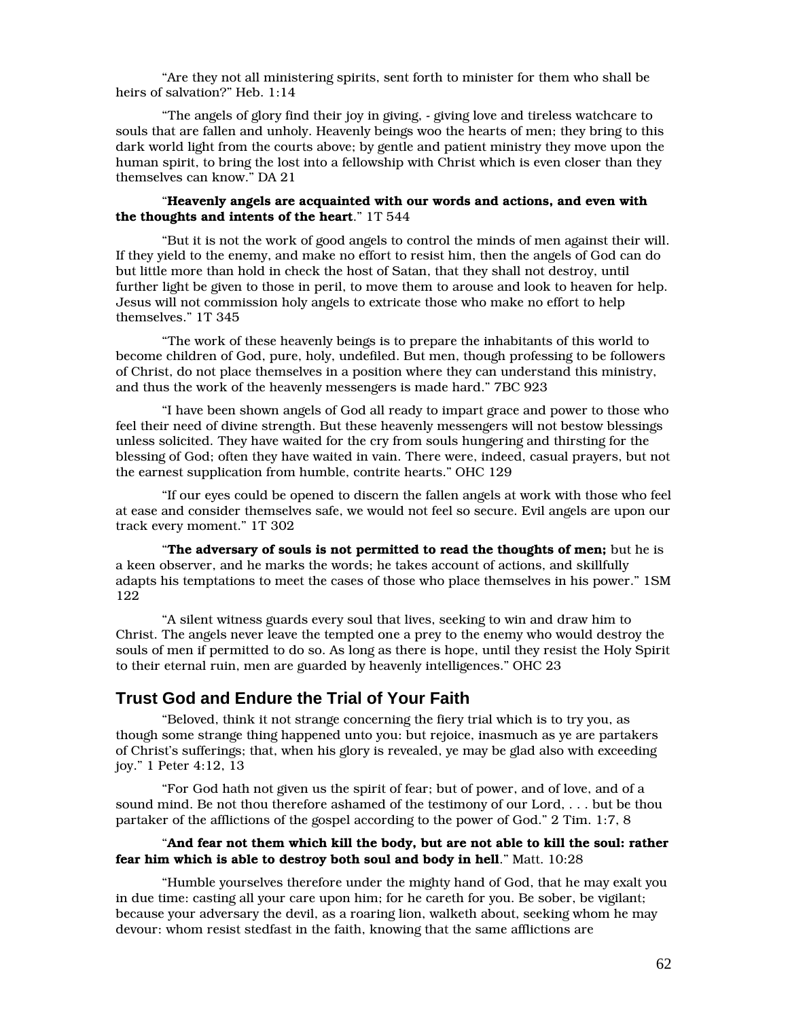"Are they not all ministering spirits, sent forth to minister for them who shall be heirs of salvation?" Heb. 1:14

"The angels of glory find their joy in giving, - giving love and tireless watchcare to souls that are fallen and unholy. Heavenly beings woo the hearts of men; they bring to this dark world light from the courts above; by gentle and patient ministry they move upon the human spirit, to bring the lost into a fellowship with Christ which is even closer than they themselves can know." DA 21

### "Heavenly angels are acquainted with our words and actions, and even with the thoughts and intents of the heart." 1T 544

"But it is not the work of good angels to control the minds of men against their will. If they yield to the enemy, and make no effort to resist him, then the angels of God can do but little more than hold in check the host of Satan, that they shall not destroy, until further light be given to those in peril, to move them to arouse and look to heaven for help. Jesus will not commission holy angels to extricate those who make no effort to help themselves." 1T 345

"The work of these heavenly beings is to prepare the inhabitants of this world to become children of God, pure, holy, undefiled. But men, though professing to be followers of Christ, do not place themselves in a position where they can understand this ministry, and thus the work of the heavenly messengers is made hard." 7BC 923

"I have been shown angels of God all ready to impart grace and power to those who feel their need of divine strength. But these heavenly messengers will not bestow blessings unless solicited. They have waited for the cry from souls hungering and thirsting for the blessing of God; often they have waited in vain. There were, indeed, casual prayers, but not the earnest supplication from humble, contrite hearts." OHC 129

"If our eyes could be opened to discern the fallen angels at work with those who feel at ease and consider themselves safe, we would not feel so secure. Evil angels are upon our track every moment." 1T 302

"The adversary of souls is not permitted to read the thoughts of men; but he is a keen observer, and he marks the words; he takes account of actions, and skillfully adapts his temptations to meet the cases of those who place themselves in his power." 1SM 122

"A silent witness guards every soul that lives, seeking to win and draw him to Christ. The angels never leave the tempted one a prey to the enemy who would destroy the souls of men if permitted to do so. As long as there is hope, until they resist the Holy Spirit to their eternal ruin, men are guarded by heavenly intelligences." OHC 23

## **Trust God and Endure the Trial of Your Faith**

"Beloved, think it not strange concerning the fiery trial which is to try you, as though some strange thing happened unto you: but rejoice, inasmuch as ye are partakers of Christ's sufferings; that, when his glory is revealed, ye may be glad also with exceeding joy." 1 Peter 4:12, 13

"For God hath not given us the spirit of fear; but of power, and of love, and of a sound mind. Be not thou therefore ashamed of the testimony of our Lord, . . . but be thou partaker of the afflictions of the gospel according to the power of God." 2 Tim. 1:7, 8

## "And fear not them which kill the body, but are not able to kill the soul: rather fear him which is able to destroy both soul and body in hell." Matt. 10:28

"Humble yourselves therefore under the mighty hand of God, that he may exalt you in due time: casting all your care upon him; for he careth for you. Be sober, be vigilant; because your adversary the devil, as a roaring lion, walketh about, seeking whom he may devour: whom resist stedfast in the faith, knowing that the same afflictions are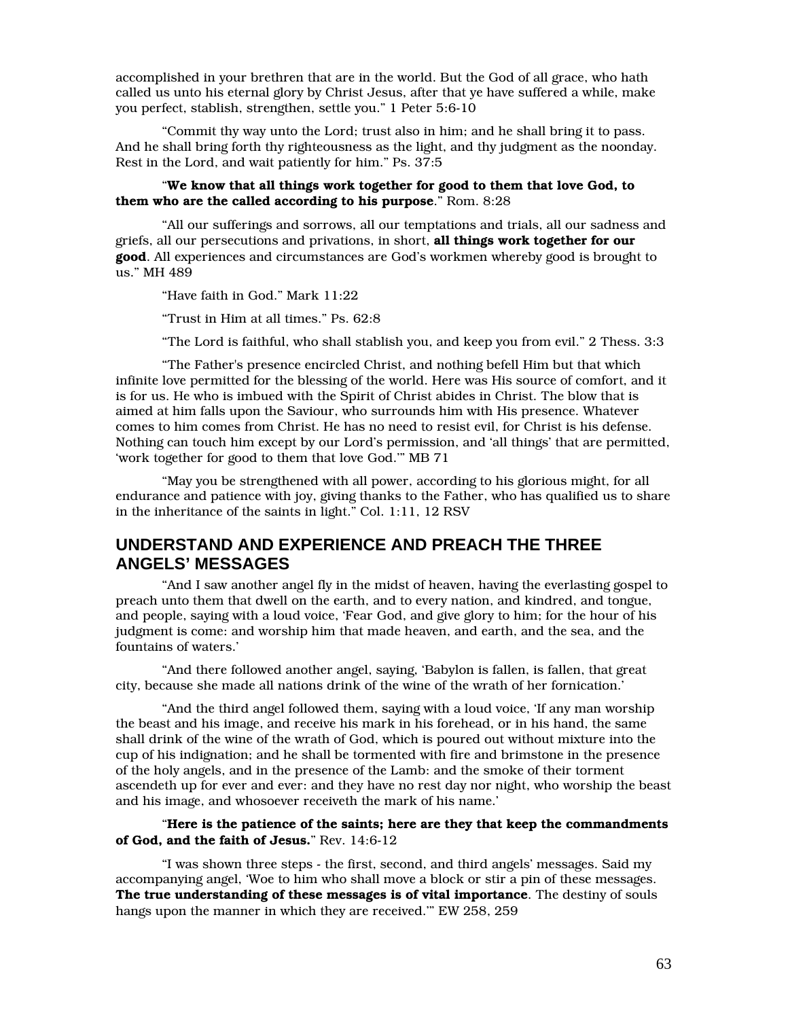accomplished in your brethren that are in the world. But the God of all grace, who hath called us unto his eternal glory by Christ Jesus, after that ye have suffered a while, make you perfect, stablish, strengthen, settle you." 1 Peter 5:6-10

"Commit thy way unto the Lord; trust also in him; and he shall bring it to pass. And he shall bring forth thy righteousness as the light, and thy judgment as the noonday. Rest in the Lord, and wait patiently for him." Ps. 37:5

### "We know that all things work together for good to them that love God, to them who are the called according to his purpose." Rom. 8:28

"All our sufferings and sorrows, all our temptations and trials, all our sadness and griefs, all our persecutions and privations, in short, all things work together for our good. All experiences and circumstances are God's workmen whereby good is brought to us." MH 489

"Have faith in God." Mark 11:22

"Trust in Him at all times." Ps. 62:8

"The Lord is faithful, who shall stablish you, and keep you from evil." 2 Thess. 3:3

"The Father's presence encircled Christ, and nothing befell Him but that which infinite love permitted for the blessing of the world. Here was His source of comfort, and it is for us. He who is imbued with the Spirit of Christ abides in Christ. The blow that is aimed at him falls upon the Saviour, who surrounds him with His presence. Whatever comes to him comes from Christ. He has no need to resist evil, for Christ is his defense. Nothing can touch him except by our Lord's permission, and 'all things' that are permitted, 'work together for good to them that love God.'" MB 71

"May you be strengthened with all power, according to his glorious might, for all endurance and patience with joy, giving thanks to the Father, who has qualified us to share in the inheritance of the saints in light." Col. 1:11, 12 RSV

# **UNDERSTAND AND EXPERIENCE AND PREACH THE THREE ANGELS' MESSAGES**

"And I saw another angel fly in the midst of heaven, having the everlasting gospel to preach unto them that dwell on the earth, and to every nation, and kindred, and tongue, and people, saying with a loud voice, 'Fear God, and give glory to him; for the hour of his judgment is come: and worship him that made heaven, and earth, and the sea, and the fountains of waters.'

"And there followed another angel, saying, 'Babylon is fallen, is fallen, that great city, because she made all nations drink of the wine of the wrath of her fornication.'

"And the third angel followed them, saying with a loud voice, 'If any man worship the beast and his image, and receive his mark in his forehead, or in his hand, the same shall drink of the wine of the wrath of God, which is poured out without mixture into the cup of his indignation; and he shall be tormented with fire and brimstone in the presence of the holy angels, and in the presence of the Lamb: and the smoke of their torment ascendeth up for ever and ever: and they have no rest day nor night, who worship the beast and his image, and whosoever receiveth the mark of his name.'

#### "Here is the patience of the saints; here are they that keep the commandments of God, and the faith of Jesus." Rev. 14:6-12

"I was shown three steps - the first, second, and third angels' messages. Said my accompanying angel, 'Woe to him who shall move a block or stir a pin of these messages. The true understanding of these messages is of vital importance. The destiny of souls hangs upon the manner in which they are received.'" EW 258, 259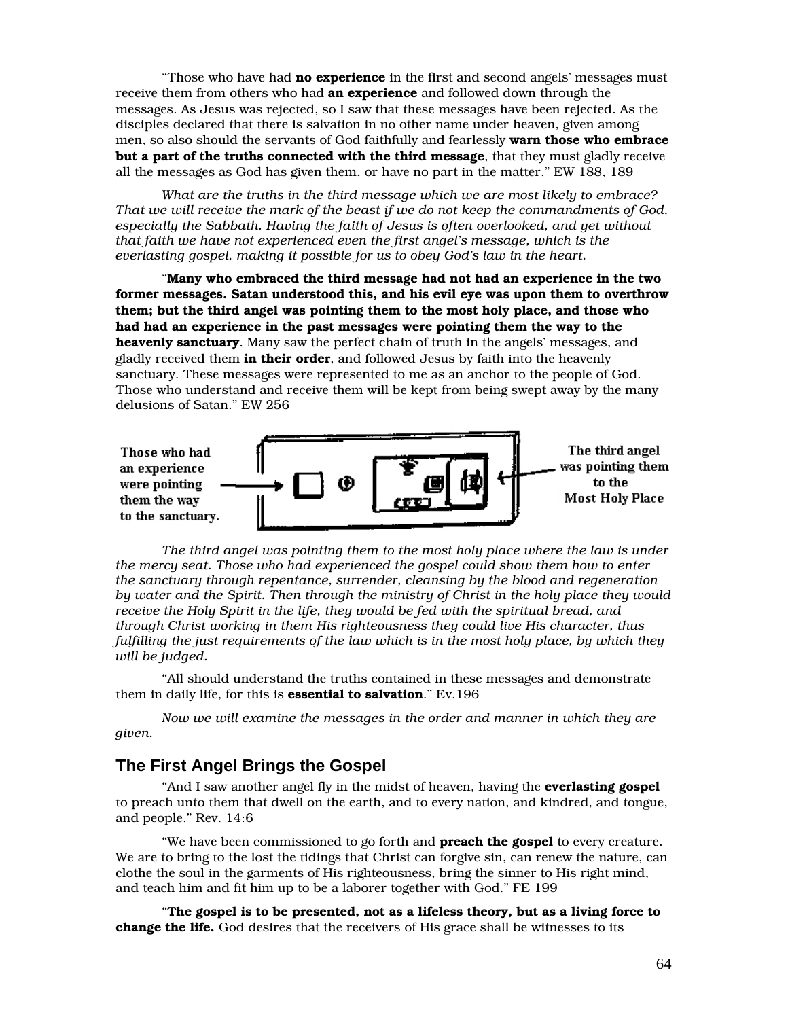"Those who have had **no experience** in the first and second angels' messages must receive them from others who had **an experience** and followed down through the messages. As Jesus was rejected, so I saw that these messages have been rejected. As the disciples declared that there is salvation in no other name under heaven, given among men, so also should the servants of God faithfully and fearlessly warn those who embrace but a part of the truths connected with the third message, that they must gladly receive all the messages as God has given them, or have no part in the matter." EW 188, 189

*What are the truths in the third message which we are most likely to embrace? That we will receive the mark of the beast if we do not keep the commandments of God, especially the Sabbath. Having the faith of Jesus is often overlooked, and yet without that faith we have not experienced even the first angel's message, which is the everlasting gospel, making it possible for us to obey God's law in the heart.* 

"Many who embraced the third message had not had an experience in the two former messages. Satan understood this, and his evil eye was upon them to overthrow them; but the third angel was pointing them to the most holy place, and those who had had an experience in the past messages were pointing them the way to the heavenly sanctuary. Many saw the perfect chain of truth in the angels' messages, and gladly received them in their order, and followed Jesus by faith into the heavenly sanctuary. These messages were represented to me as an anchor to the people of God. Those who understand and receive them will be kept from being swept away by the many delusions of Satan." EW 256



*The third angel was pointing them to the most holy place where the law is under the mercy seat. Those who had experienced the gospel could show them how to enter the sanctuary through repentance, surrender, cleansing by the blood and regeneration by water and the Spirit. Then through the ministry of Christ in the holy place they would receive the Holy Spirit in the life, they would be fed with the spiritual bread, and through Christ working in them His righteousness they could live His character, thus fulfilling the just requirements of the law which is in the most holy place, by which they will be judged.* 

"All should understand the truths contained in these messages and demonstrate them in daily life, for this is **essential to salvation**." Ev.196

*Now we will examine the messages in the order and manner in which they are given.* 

## **The First Angel Brings the Gospel**

"And I saw another angel fly in the midst of heaven, having the **everlasting gospel** to preach unto them that dwell on the earth, and to every nation, and kindred, and tongue, and people." Rev. 14:6

"We have been commissioned to go forth and **preach the gospel** to every creature. We are to bring to the lost the tidings that Christ can forgive sin, can renew the nature, can clothe the soul in the garments of His righteousness, bring the sinner to His right mind, and teach him and fit him up to be a laborer together with God." FE 199

"The gospel is to be presented, not as a lifeless theory, but as a living force to change the life. God desires that the receivers of His grace shall be witnesses to its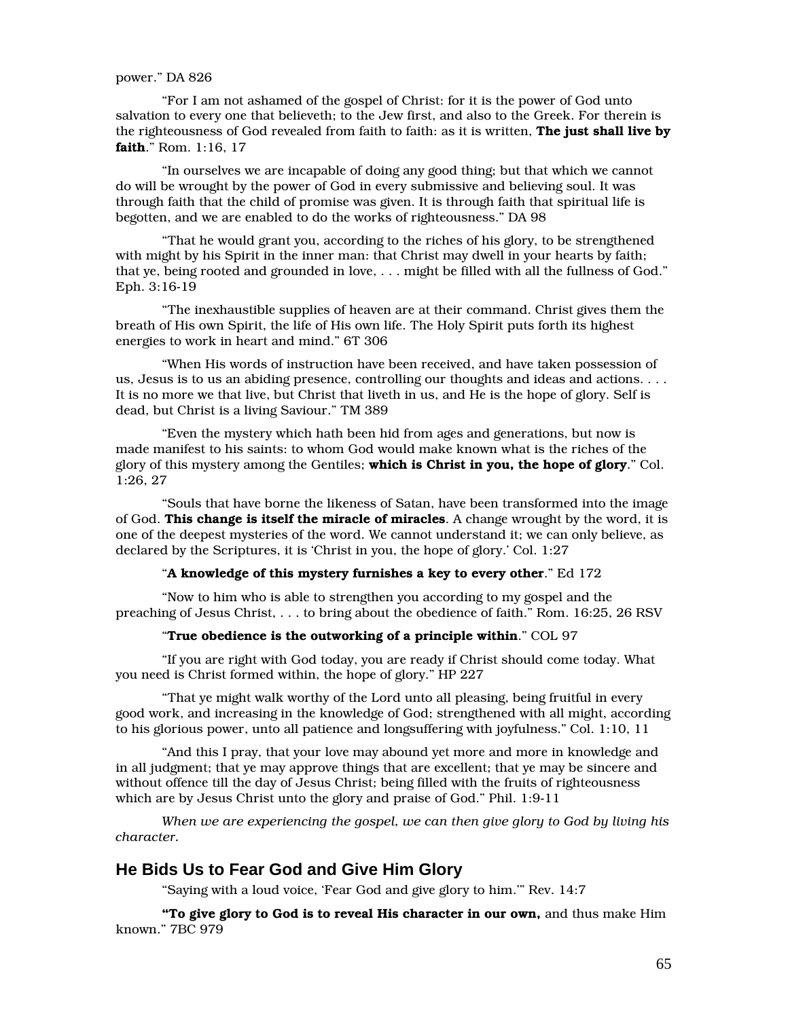#### power." DA 826

"For I am not ashamed of the gospel of Christ: for it is the power of God unto salvation to every one that believeth; to the Jew first, and also to the Greek. For therein is the righteousness of God revealed from faith to faith: as it is written, **The just shall live by** faith." Rom. 1:16, 17

"In ourselves we are incapable of doing any good thing; but that which we cannot do will be wrought by the power of God in every submissive and believing soul. It was through faith that the child of promise was given. It is through faith that spiritual life is begotten, and we are enabled to do the works of righteousness." DA 98

"That he would grant you, according to the riches of his glory, to be strengthened with might by his Spirit in the inner man: that Christ may dwell in your hearts by faith; that ye, being rooted and grounded in love, . . . might be filled with all the fullness of God." Eph. 3:16-19

"The inexhaustible supplies of heaven are at their command. Christ gives them the breath of His own Spirit, the life of His own life. The Holy Spirit puts forth its highest energies to work in heart and mind." 6T 306

"When His words of instruction have been received, and have taken possession of us, Jesus is to us an abiding presence, controlling our thoughts and ideas and actions. . . . It is no more we that live, but Christ that liveth in us, and He is the hope of glory. Self is dead, but Christ is a living Saviour." TM 389

"Even the mystery which hath been hid from ages and generations, but now is made manifest to his saints: to whom God would make known what is the riches of the glory of this mystery among the Gentiles; which is Christ in you, the hope of glory." Col. 1:26, 27

"Souls that have borne the likeness of Satan, have been transformed into the image of God. This change is itself the miracle of miracles. A change wrought by the word, it is one of the deepest mysteries of the word. We cannot understand it; we can only believe, as declared by the Scriptures, it is 'Christ in you, the hope of glory.' Col. 1:27

### "A knowledge of this mystery furnishes a key to every other." Ed 172

"Now to him who is able to strengthen you according to my gospel and the preaching of Jesus Christ, . . . to bring about the obedience of faith." Rom. 16:25, 26 RSV

#### "True obedience is the outworking of a principle within." COL 97

"If you are right with God today, you are ready if Christ should come today. What you need is Christ formed within, the hope of glory." HP 227

"That ye might walk worthy of the Lord unto all pleasing, being fruitful in every good work, and increasing in the knowledge of God; strengthened with all might, according to his glorious power, unto all patience and longsuffering with joyfulness." Col. 1:10, 11

"And this I pray, that your love may abound yet more and more in knowledge and in all judgment; that ye may approve things that are excellent; that ye may be sincere and without offence till the day of Jesus Christ; being filled with the fruits of righteousness which are by Jesus Christ unto the glory and praise of God." Phil. 1:9-11

*When we are experiencing the gospel, we can then give glory to God by living his character.* 

## **He Bids Us to Fear God and Give Him Glory**

"Saying with a loud voice, 'Fear God and give glory to him.'" Rev. 14:7

"To give glory to God is to reveal His character in our own, and thus make Him known." 7BC 979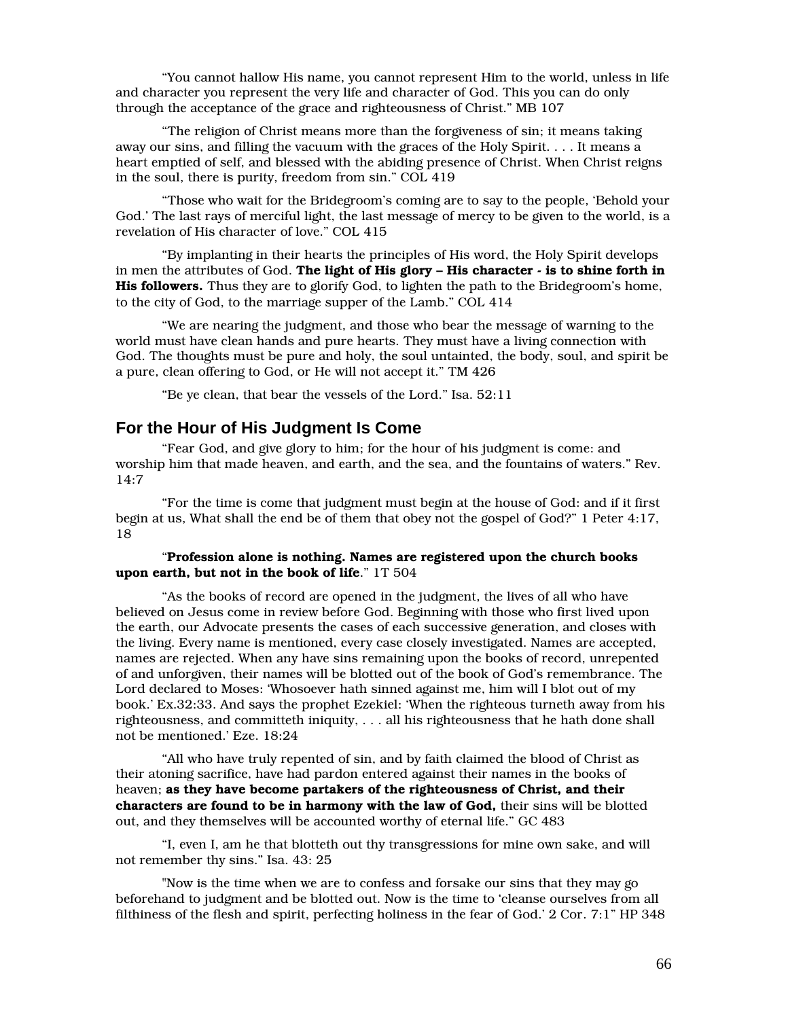"You cannot hallow His name, you cannot represent Him to the world, unless in life and character you represent the very life and character of God. This you can do only through the acceptance of the grace and righteousness of Christ." MB 107

"The religion of Christ means more than the forgiveness of sin; it means taking away our sins, and filling the vacuum with the graces of the Holy Spirit. . . . It means a heart emptied of self, and blessed with the abiding presence of Christ. When Christ reigns in the soul, there is purity, freedom from sin." COL 419

"Those who wait for the Bridegroom's coming are to say to the people, 'Behold your God.' The last rays of merciful light, the last message of mercy to be given to the world, is a revelation of His character of love." COL 415

"By implanting in their hearts the principles of His word, the Holy Spirit develops in men the attributes of God. The light of His glory – His character - is to shine forth in **His followers.** Thus they are to glorify God, to lighten the path to the Bridegroom's home, to the city of God, to the marriage supper of the Lamb." COL 414

"We are nearing the judgment, and those who bear the message of warning to the world must have clean hands and pure hearts. They must have a living connection with God. The thoughts must be pure and holy, the soul untainted, the body, soul, and spirit be a pure, clean offering to God, or He will not accept it." TM 426

"Be ye clean, that bear the vessels of the Lord." Isa. 52:11

## **For the Hour of His Judgment Is Come**

"Fear God, and give glory to him; for the hour of his judgment is come: and worship him that made heaven, and earth, and the sea, and the fountains of waters." Rev. 14:7

"For the time is come that judgment must begin at the house of God: and if it first begin at us, What shall the end be of them that obey not the gospel of God?" 1 Peter 4:17, 18

### "Profession alone is nothing. Names are registered upon the church books upon earth, but not in the book of life." 1T 504

"As the books of record are opened in the judgment, the lives of all who have believed on Jesus come in review before God. Beginning with those who first lived upon the earth, our Advocate presents the cases of each successive generation, and closes with the living. Every name is mentioned, every case closely investigated. Names are accepted, names are rejected. When any have sins remaining upon the books of record, unrepented of and unforgiven, their names will be blotted out of the book of God's remembrance. The Lord declared to Moses: 'Whosoever hath sinned against me, him will I blot out of my book.' Ex.32:33. And says the prophet Ezekiel: 'When the righteous turneth away from his righteousness, and committeth iniquity, . . . all his righteousness that he hath done shall not be mentioned.' Eze. 18:24

"All who have truly repented of sin, and by faith claimed the blood of Christ as their atoning sacrifice, have had pardon entered against their names in the books of heaven; as they have become partakers of the righteousness of Christ, and their characters are found to be in harmony with the law of God, their sins will be blotted out, and they themselves will be accounted worthy of eternal life." GC 483

"I, even I, am he that blotteth out thy transgressions for mine own sake, and will not remember thy sins." Isa. 43: 25

"Now is the time when we are to confess and forsake our sins that they may go beforehand to judgment and be blotted out. Now is the time to 'cleanse ourselves from all filthiness of the flesh and spirit, perfecting holiness in the fear of God.' 2 Cor. 7:1" HP 348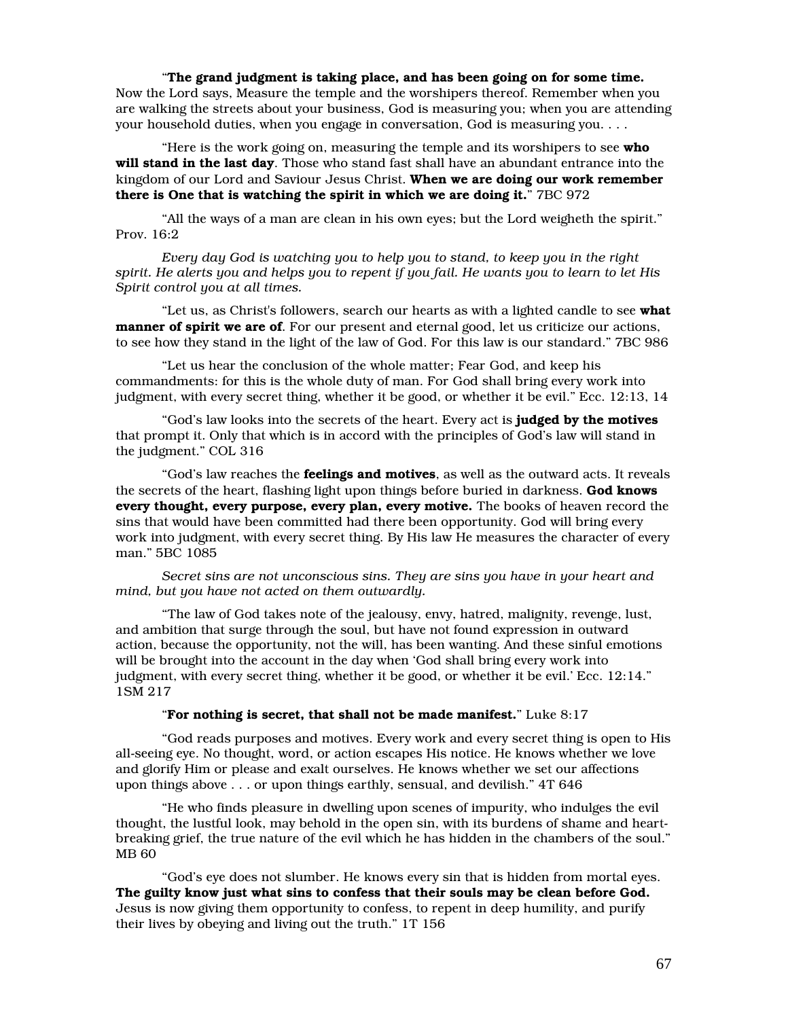#### "The grand judgment is taking place, and has been going on for some time.

Now the Lord says, Measure the temple and the worshipers thereof. Remember when you are walking the streets about your business, God is measuring you; when you are attending your household duties, when you engage in conversation, God is measuring you. . . .

"Here is the work going on, measuring the temple and its worshipers to see who will stand in the last day. Those who stand fast shall have an abundant entrance into the kingdom of our Lord and Saviour Jesus Christ. When we are doing our work remember there is One that is watching the spirit in which we are doing it."  $7BC 972$ 

"All the ways of a man are clean in his own eyes; but the Lord weigheth the spirit." Prov. 16:2

*Every day God is watching you to help you to stand, to keep you in the right spirit. He alerts you and helps you to repent if you fail. He wants you to learn to let His Spirit control you at all times.* 

"Let us, as Christ's followers, search our hearts as with a lighted candle to see what manner of spirit we are of. For our present and eternal good, let us criticize our actions, to see how they stand in the light of the law of God. For this law is our standard." 7BC 986

"Let us hear the conclusion of the whole matter; Fear God, and keep his commandments: for this is the whole duty of man. For God shall bring every work into judgment, with every secret thing, whether it be good, or whether it be evil." Ecc. 12:13, 14

"God's law looks into the secrets of the heart. Every act is judged by the motives that prompt it. Only that which is in accord with the principles of God's law will stand in the judgment." COL 316

"God's law reaches the **feelings and motives**, as well as the outward acts. It reveals the secrets of the heart, flashing light upon things before buried in darkness. God knows every thought, every purpose, every plan, every motive. The books of heaven record the sins that would have been committed had there been opportunity. God will bring every work into judgment, with every secret thing. By His law He measures the character of every man." 5BC 1085

*Secret sins are not unconscious sins. They are sins you have in your heart and mind, but you have not acted on them outwardly.* 

"The law of God takes note of the jealousy, envy, hatred, malignity, revenge, lust, and ambition that surge through the soul, but have not found expression in outward action, because the opportunity, not the will, has been wanting. And these sinful emotions will be brought into the account in the day when 'God shall bring every work into judgment, with every secret thing, whether it be good, or whether it be evil.' Ecc. 12:14." 1SM 217

## "For nothing is secret, that shall not be made manifest." Luke 8:17

"God reads purposes and motives. Every work and every secret thing is open to His all-seeing eye. No thought, word, or action escapes His notice. He knows whether we love and glorify Him or please and exalt ourselves. He knows whether we set our affections upon things above . . . or upon things earthly, sensual, and devilish." 4T 646

"He who finds pleasure in dwelling upon scenes of impurity, who indulges the evil thought, the lustful look, may behold in the open sin, with its burdens of shame and heartbreaking grief, the true nature of the evil which he has hidden in the chambers of the soul." MB 60

"God's eye does not slumber. He knows every sin that is hidden from mortal eyes. The guilty know just what sins to confess that their souls may be clean before God. Jesus is now giving them opportunity to confess, to repent in deep humility, and purify their lives by obeying and living out the truth." 1T 156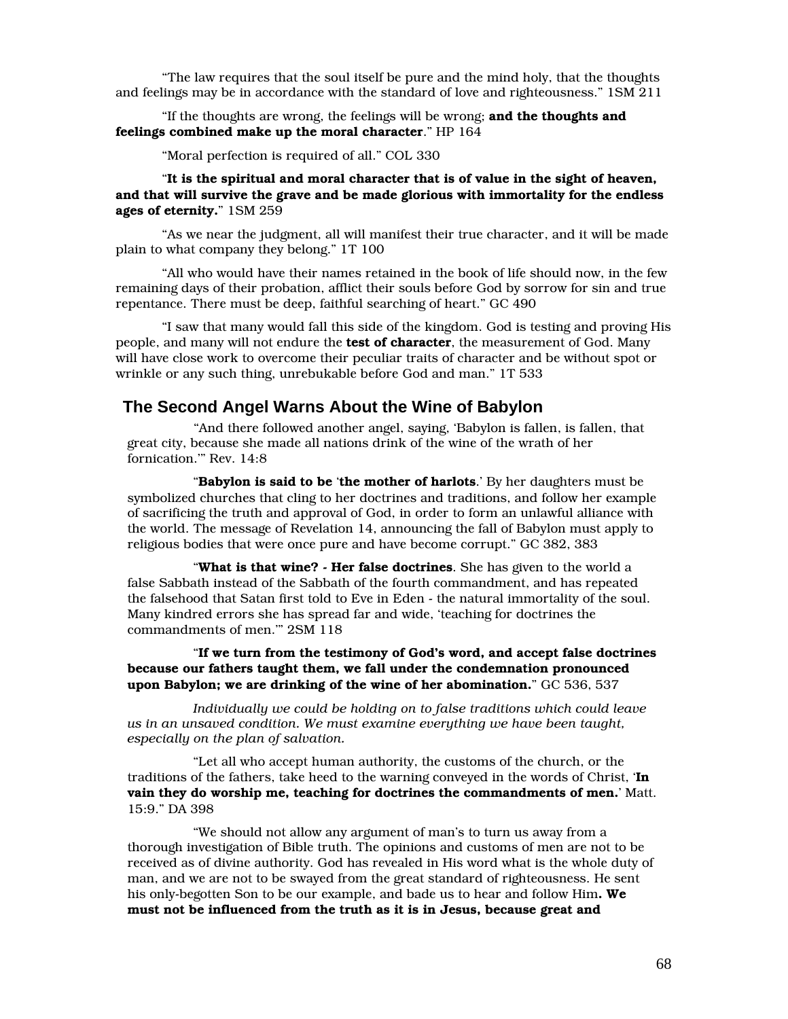"The law requires that the soul itself be pure and the mind holy, that the thoughts and feelings may be in accordance with the standard of love and righteousness." 1SM 211

"If the thoughts are wrong, the feelings will be wrong; and the thoughts and feelings combined make up the moral character." HP 164

"Moral perfection is required of all." COL 330

"It is the spiritual and moral character that is of value in the sight of heaven, and that will survive the grave and be made glorious with immortality for the endless ages of eternity." 1SM 259

"As we near the judgment, all will manifest their true character, and it will be made plain to what company they belong." 1T 100

"All who would have their names retained in the book of life should now, in the few remaining days of their probation, afflict their souls before God by sorrow for sin and true repentance. There must be deep, faithful searching of heart." GC 490

"I saw that many would fall this side of the kingdom. God is testing and proving His people, and many will not endure the test of character, the measurement of God. Many will have close work to overcome their peculiar traits of character and be without spot or wrinkle or any such thing, unrebukable before God and man." 1T 533

## **The Second Angel Warns About the Wine of Babylon**

 "And there followed another angel, saying, 'Babylon is fallen, is fallen, that great city, because she made all nations drink of the wine of the wrath of her fornication.'" Rev. 14:8

"Babylon is said to be 'the mother of harlots.' By her daughters must be symbolized churches that cling to her doctrines and traditions, and follow her example of sacrificing the truth and approval of God, in order to form an unlawful alliance with the world. The message of Revelation 14, announcing the fall of Babylon must apply to religious bodies that were once pure and have become corrupt." GC 382, 383

"What is that wine? - Her false doctrines. She has given to the world a false Sabbath instead of the Sabbath of the fourth commandment, and has repeated the falsehood that Satan first told to Eve in Eden - the natural immortality of the soul. Many kindred errors she has spread far and wide, 'teaching for doctrines the commandments of men.'" 2SM 118

 "If we turn from the testimony of God's word, and accept false doctrines because our fathers taught them, we fall under the condemnation pronounced upon Babylon; we are drinking of the wine of her abomination." GC 536, 537

 *Individually we could be holding on to false traditions which could leave us in an unsaved condition. We must examine everything we have been taught, especially on the plan of salvation.* 

 "Let all who accept human authority, the customs of the church, or the traditions of the fathers, take heed to the warning conveyed in the words of Christ, 'In vain they do worship me, teaching for doctrines the commandments of men.' Matt. 15:9." DA 398

 "We should not allow any argument of man's to turn us away from a thorough investigation of Bible truth. The opinions and customs of men are not to be received as of divine authority. God has revealed in His word what is the whole duty of man, and we are not to be swayed from the great standard of righteousness. He sent his only-begotten Son to be our example, and bade us to hear and follow Him. We must not be influenced from the truth as it is in Jesus, because great and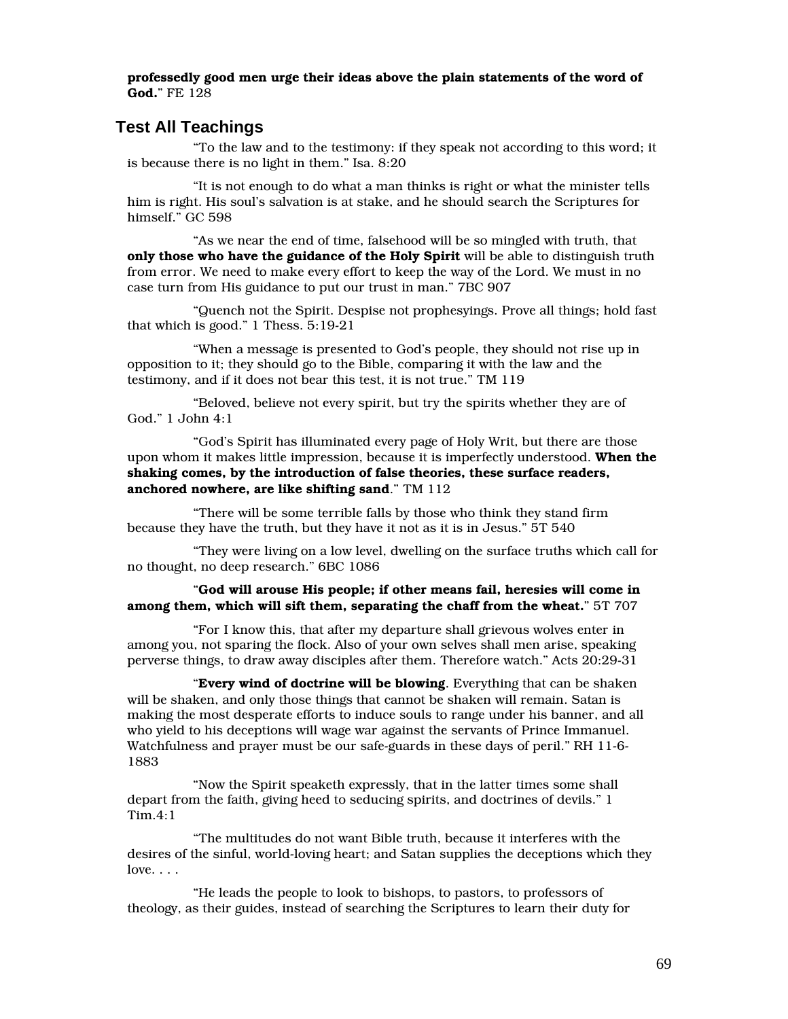### professedly good men urge their ideas above the plain statements of the word of God." FE 128

## **Test All Teachings**

 "To the law and to the testimony: if they speak not according to this word; it is because there is no light in them." Isa. 8:20

 "It is not enough to do what a man thinks is right or what the minister tells him is right. His soul's salvation is at stake, and he should search the Scriptures for himself." GC 598

 "As we near the end of time, falsehood will be so mingled with truth, that only those who have the guidance of the Holy Spirit will be able to distinguish truth from error. We need to make every effort to keep the way of the Lord. We must in no case turn from His guidance to put our trust in man." 7BC 907

 "Quench not the Spirit. Despise not prophesyings. Prove all things; hold fast that which is good." 1 Thess. 5:19-21

 "When a message is presented to God's people, they should not rise up in opposition to it; they should go to the Bible, comparing it with the law and the testimony, and if it does not bear this test, it is not true." TM 119

 "Beloved, believe not every spirit, but try the spirits whether they are of God." 1 John 4:1

 "God's Spirit has illuminated every page of Holy Writ, but there are those upon whom it makes little impression, because it is imperfectly understood. When the shaking comes, by the introduction of false theories, these surface readers, anchored nowhere, are like shifting sand." TM 112

 "There will be some terrible falls by those who think they stand firm because they have the truth, but they have it not as it is in Jesus." 5T 540

 "They were living on a low level, dwelling on the surface truths which call for no thought, no deep research." 6BC 1086

## "God will arouse His people; if other means fail, heresies will come in among them, which will sift them, separating the chaff from the wheat." 5T 707

 "For I know this, that after my departure shall grievous wolves enter in among you, not sparing the flock. Also of your own selves shall men arise, speaking perverse things, to draw away disciples after them. Therefore watch." Acts 20:29-31

"Every wind of doctrine will be blowing. Everything that can be shaken will be shaken, and only those things that cannot be shaken will remain. Satan is making the most desperate efforts to induce souls to range under his banner, and all who yield to his deceptions will wage war against the servants of Prince Immanuel. Watchfulness and prayer must be our safe-guards in these days of peril." RH 11-6- 1883

 "Now the Spirit speaketh expressly, that in the latter times some shall depart from the faith, giving heed to seducing spirits, and doctrines of devils." 1 Tim.4:1

 "The multitudes do not want Bible truth, because it interferes with the desires of the sinful, world-loving heart; and Satan supplies the deceptions which they love. . . .

 "He leads the people to look to bishops, to pastors, to professors of theology, as their guides, instead of searching the Scriptures to learn their duty for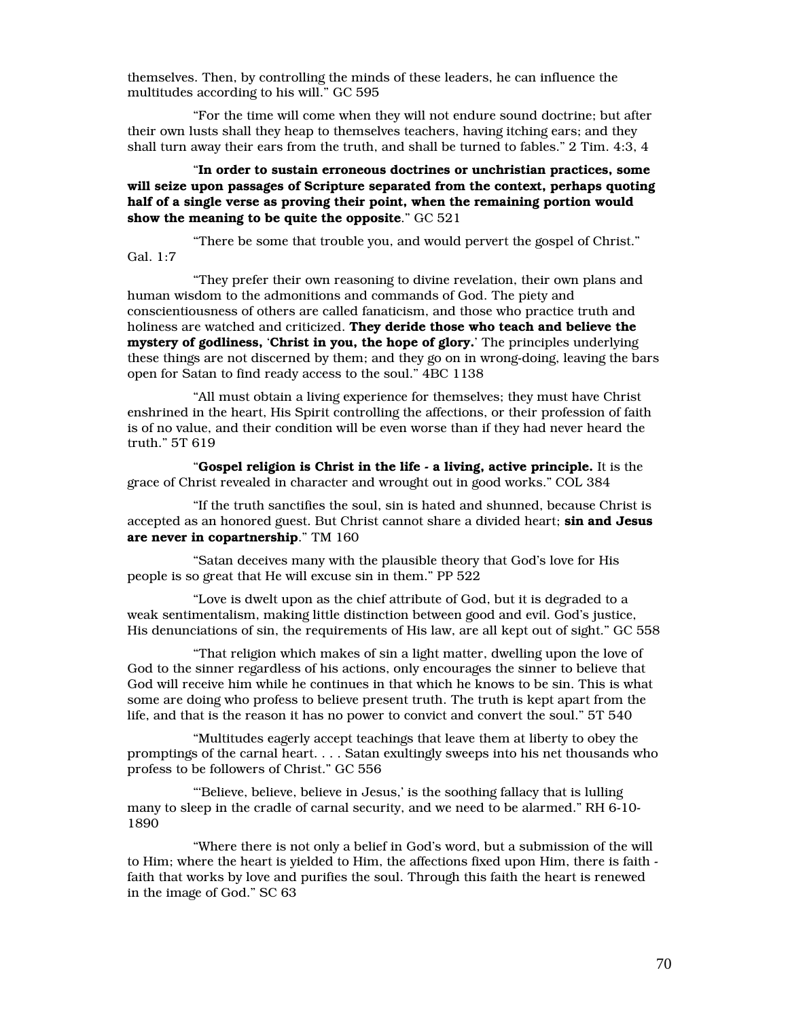themselves. Then, by controlling the minds of these leaders, he can influence the multitudes according to his will." GC 595

 "For the time will come when they will not endure sound doctrine; but after their own lusts shall they heap to themselves teachers, having itching ears; and they shall turn away their ears from the truth, and shall be turned to fables." 2 Tim. 4:3, 4

## "In order to sustain erroneous doctrines or unchristian practices, some will seize upon passages of Scripture separated from the context, perhaps quoting half of a single verse as proving their point, when the remaining portion would show the meaning to be quite the opposite." GC 521

 "There be some that trouble you, and would pervert the gospel of Christ." Gal. 1:7

 "They prefer their own reasoning to divine revelation, their own plans and human wisdom to the admonitions and commands of God. The piety and conscientiousness of others are called fanaticism, and those who practice truth and holiness are watched and criticized. They deride those who teach and believe the mystery of godliness, 'Christ in you, the hope of glory.' The principles underlying these things are not discerned by them; and they go on in wrong-doing, leaving the bars open for Satan to find ready access to the soul." 4BC 1138

 "All must obtain a living experience for themselves; they must have Christ enshrined in the heart, His Spirit controlling the affections, or their profession of faith is of no value, and their condition will be even worse than if they had never heard the truth." 5T 619

 "Gospel religion is Christ in the life - a living, active principle. It is the grace of Christ revealed in character and wrought out in good works." COL 384

 "If the truth sanctifies the soul, sin is hated and shunned, because Christ is accepted as an honored guest. But Christ cannot share a divided heart; sin and Jesus are never in copartnership." TM 160

 "Satan deceives many with the plausible theory that God's love for His people is so great that He will excuse sin in them." PP 522

 "Love is dwelt upon as the chief attribute of God, but it is degraded to a weak sentimentalism, making little distinction between good and evil. God's justice, His denunciations of sin, the requirements of His law, are all kept out of sight." GC 558

 "That religion which makes of sin a light matter, dwelling upon the love of God to the sinner regardless of his actions, only encourages the sinner to believe that God will receive him while he continues in that which he knows to be sin. This is what some are doing who profess to believe present truth. The truth is kept apart from the life, and that is the reason it has no power to convict and convert the soul." 5T 540

 "Multitudes eagerly accept teachings that leave them at liberty to obey the promptings of the carnal heart. . . . Satan exultingly sweeps into his net thousands who profess to be followers of Christ." GC 556

 "'Believe, believe, believe in Jesus,' is the soothing fallacy that is lulling many to sleep in the cradle of carnal security, and we need to be alarmed." RH 6-10- 1890

 "Where there is not only a belief in God's word, but a submission of the will to Him; where the heart is yielded to Him, the affections fixed upon Him, there is faith faith that works by love and purifies the soul. Through this faith the heart is renewed in the image of God." SC 63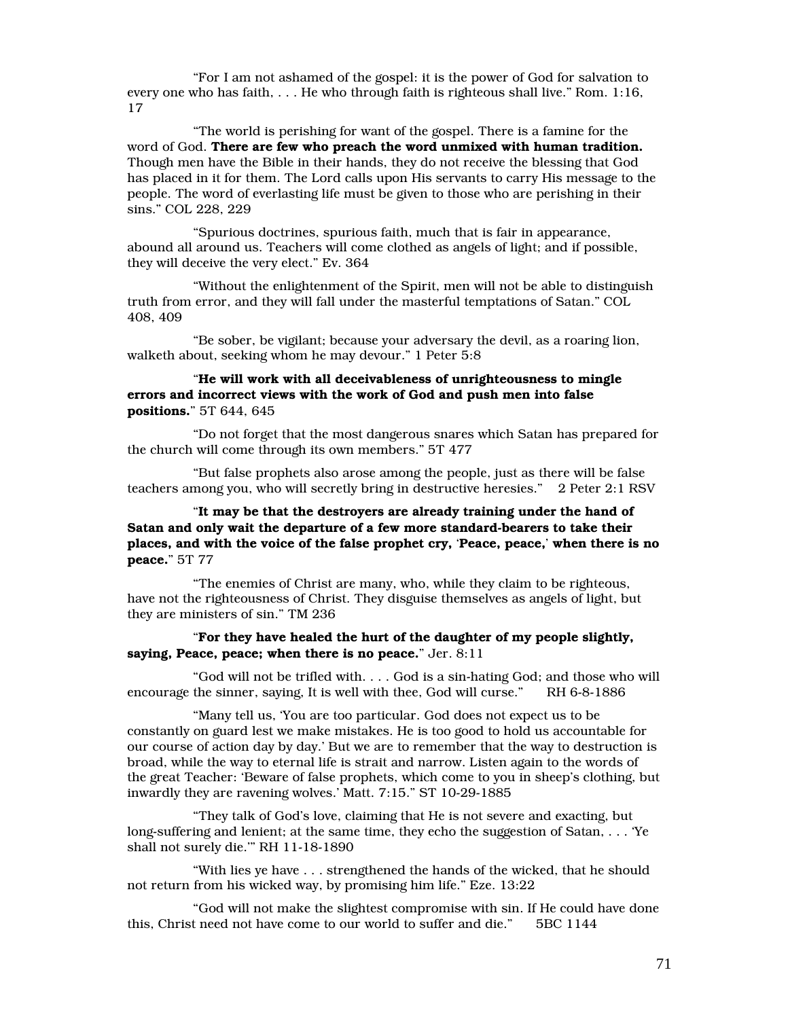"For I am not ashamed of the gospel: it is the power of God for salvation to every one who has faith, . . . He who through faith is righteous shall live." Rom. 1:16, 17

 "The world is perishing for want of the gospel. There is a famine for the word of God. There are few who preach the word unmixed with human tradition. Though men have the Bible in their hands, they do not receive the blessing that God has placed in it for them. The Lord calls upon His servants to carry His message to the people. The word of everlasting life must be given to those who are perishing in their sins." COL 228, 229

 "Spurious doctrines, spurious faith, much that is fair in appearance, abound all around us. Teachers will come clothed as angels of light; and if possible, they will deceive the very elect." Ev. 364

 "Without the enlightenment of the Spirit, men will not be able to distinguish truth from error, and they will fall under the masterful temptations of Satan." COL 408, 409

 "Be sober, be vigilant; because your adversary the devil, as a roaring lion, walketh about, seeking whom he may devour." 1 Peter 5:8

## "He will work with all deceivableness of unrighteousness to mingle errors and incorrect views with the work of God and push men into false positions." 5T 644, 645

 "Do not forget that the most dangerous snares which Satan has prepared for the church will come through its own members." 5T 477

 "But false prophets also arose among the people, just as there will be false teachers among you, who will secretly bring in destructive heresies." 2 Peter 2:1 RSV

## "It may be that the destroyers are already training under the hand of Satan and only wait the departure of a few more standard-bearers to take their places, and with the voice of the false prophet cry, 'Peace, peace,' when there is no peace." 5T 77

 "The enemies of Christ are many, who, while they claim to be righteous, have not the righteousness of Christ. They disguise themselves as angels of light, but they are ministers of sin." TM 236

### "For they have healed the hurt of the daughter of my people slightly, saying, Peace, peace; when there is no peace." Jer. 8:11

 "God will not be trifled with. . . . God is a sin-hating God; and those who will encourage the sinner, saying, It is well with thee, God will curse." RH 6-8-1886

 "Many tell us, 'You are too particular. God does not expect us to be constantly on guard lest we make mistakes. He is too good to hold us accountable for our course of action day by day.' But we are to remember that the way to destruction is broad, while the way to eternal life is strait and narrow. Listen again to the words of the great Teacher: 'Beware of false prophets, which come to you in sheep's clothing, but inwardly they are ravening wolves.' Matt. 7:15." ST 10-29-1885

 "They talk of God's love, claiming that He is not severe and exacting, but long-suffering and lenient; at the same time, they echo the suggestion of Satan, . . . 'Ye shall not surely die.'" RH 11-18-1890

 "With lies ye have . . . strengthened the hands of the wicked, that he should not return from his wicked way, by promising him life." Eze. 13:22

 "God will not make the slightest compromise with sin. If He could have done this, Christ need not have come to our world to suffer and die." 5BC 1144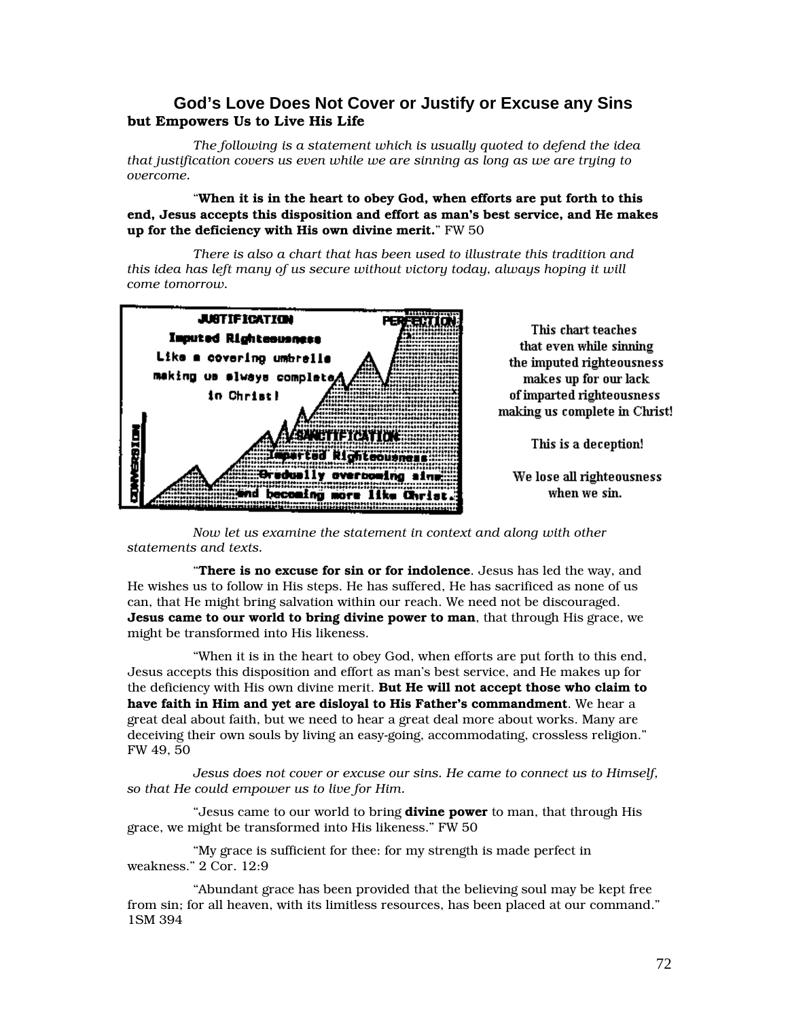## **God's Love Does Not Cover or Justify or Excuse any Sins** but Empowers Us to Live His Life

 *The following is a statement which is usually quoted to defend the idea that justification covers us even while we are sinning as long as we are trying to overcome.* 

 "When it is in the heart to obey God, when efforts are put forth to this end, Jesus accepts this disposition and effort as man's best service, and He makes up for the deficiency with His own divine merit." FW 50

 *There is also a chart that has been used to illustrate this tradition and this idea has left many of us secure without victory today, always hoping it will come tomorrow.* 



This chart teaches that even while sinning the imputed righteousness makes up for our lack of imparted righteousness making us complete in Christ!

This is a deception!

We lose all righteousness when we sin.

 *Now let us examine the statement in context and along with other statements and texts.* 

"There is no excuse for sin or for indolence. Jesus has led the way, and He wishes us to follow in His steps. He has suffered, He has sacrificed as none of us can, that He might bring salvation within our reach. We need not be discouraged. Jesus came to our world to bring divine power to man, that through His grace, we might be transformed into His likeness.

 "When it is in the heart to obey God, when efforts are put forth to this end, Jesus accepts this disposition and effort as man's best service, and He makes up for the deficiency with His own divine merit. But He will not accept those who claim to have faith in Him and yet are disloyal to His Father's commandment. We hear a great deal about faith, but we need to hear a great deal more about works. Many are deceiving their own souls by living an easy-going, accommodating, crossless religion." FW 49, 50

 *Jesus does not cover or excuse our sins. He came to connect us to Himself, so that He could empower us to live for Him.* 

"Jesus came to our world to bring **divine power** to man, that through His grace, we might be transformed into His likeness." FW 50

 "My grace is sufficient for thee: for my strength is made perfect in weakness." 2 Cor. 12:9

 "Abundant grace has been provided that the believing soul may be kept free from sin; for all heaven, with its limitless resources, has been placed at our command." 1SM 394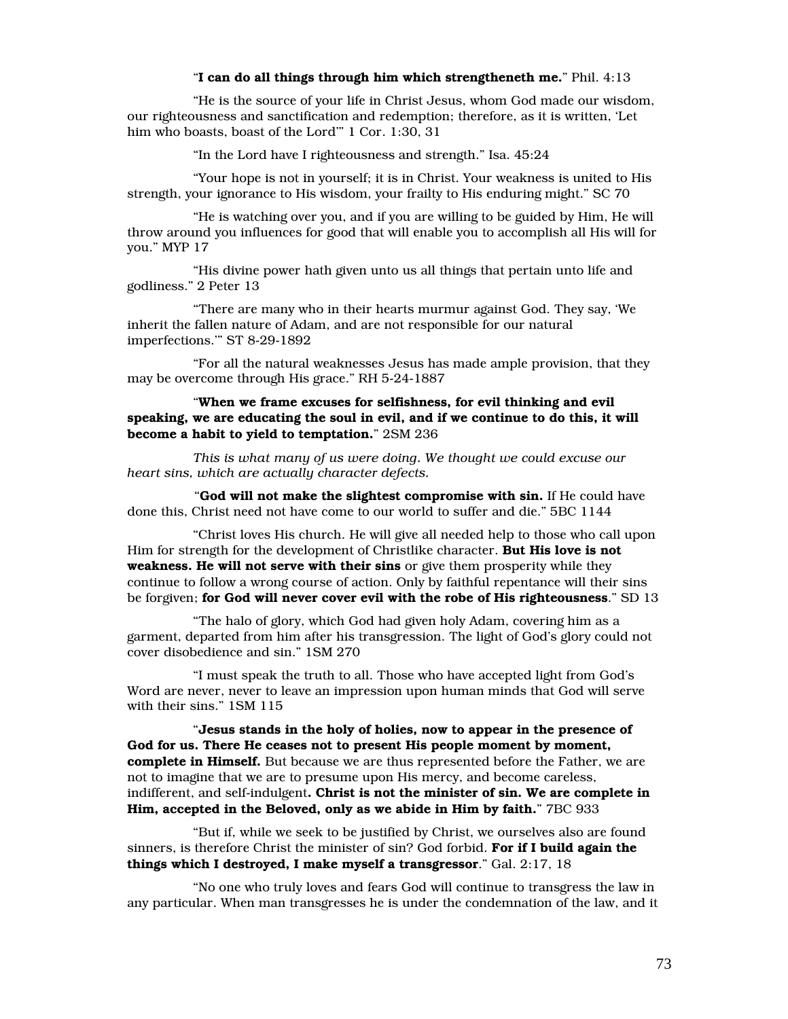#### "I can do all things through him which strengtheneth me." Phil. 4:13

 "He is the source of your life in Christ Jesus, whom God made our wisdom, our righteousness and sanctification and redemption; therefore, as it is written, 'Let him who boasts, boast of the Lord" 1 Cor. 1:30, 31

"In the Lord have I righteousness and strength." Isa. 45:24

 "Your hope is not in yourself; it is in Christ. Your weakness is united to His strength, your ignorance to His wisdom, your frailty to His enduring might." SC 70

 "He is watching over you, and if you are willing to be guided by Him, He will throw around you influences for good that will enable you to accomplish all His will for you." MYP 17

 "His divine power hath given unto us all things that pertain unto life and godliness." 2 Peter 13

 "There are many who in their hearts murmur against God. They say, 'We inherit the fallen nature of Adam, and are not responsible for our natural imperfections.'" ST 8-29-1892

 "For all the natural weaknesses Jesus has made ample provision, that they may be overcome through His grace." RH 5-24-1887

 "When we frame excuses for selfishness, for evil thinking and evil speaking, we are educating the soul in evil, and if we continue to do this, it will become a habit to yield to temptation." 2SM 236

 *This is what many of us were doing. We thought we could excuse our heart sins, which are actually character defects.* 

"God will not make the slightest compromise with sin. If He could have done this, Christ need not have come to our world to suffer and die." 5BC 1144

 "Christ loves His church. He will give all needed help to those who call upon Him for strength for the development of Christlike character. But His love is not weakness. He will not serve with their sins or give them prosperity while they continue to follow a wrong course of action. Only by faithful repentance will their sins be forgiven; for God will never cover evil with the robe of His righteousness." SD 13

 "The halo of glory, which God had given holy Adam, covering him as a garment, departed from him after his transgression. The light of God's glory could not cover disobedience and sin." 1SM 270

 "I must speak the truth to all. Those who have accepted light from God's Word are never, never to leave an impression upon human minds that God will serve with their sins." 1SM 115

 "Jesus stands in the holy of holies, now to appear in the presence of God for us. There He ceases not to present His people moment by moment, complete in Himself. But because we are thus represented before the Father, we are not to imagine that we are to presume upon His mercy, and become careless, indifferent, and self-indulgent. Christ is not the minister of sin. We are complete in Him, accepted in the Beloved, only as we abide in Him by faith." 7BC 933

 "But if, while we seek to be justified by Christ, we ourselves also are found sinners, is therefore Christ the minister of sin? God forbid. For if I build again the things which I destroyed, I make myself a transgressor." Gal. 2:17, 18

 "No one who truly loves and fears God will continue to transgress the law in any particular. When man transgresses he is under the condemnation of the law, and it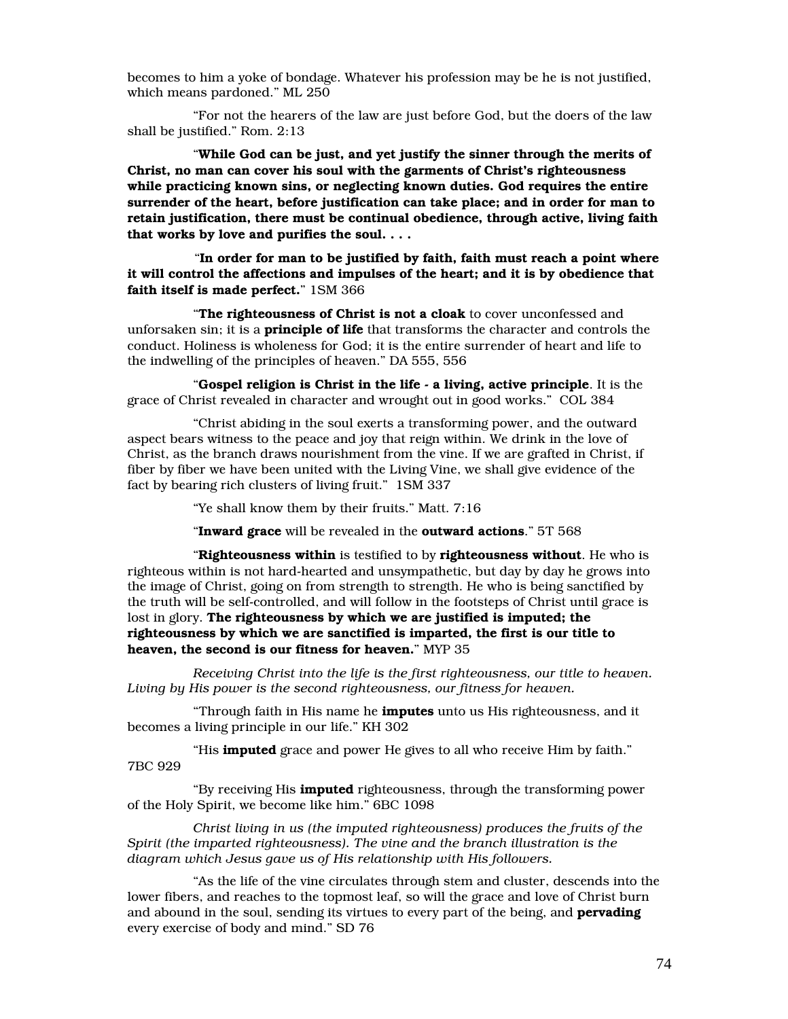becomes to him a yoke of bondage. Whatever his profession may be he is not justified, which means pardoned." ML 250

 "For not the hearers of the law are just before God, but the doers of the law shall be justified." Rom. 2:13

 "While God can be just, and yet justify the sinner through the merits of Christ, no man can cover his soul with the garments of Christ's righteousness while practicing known sins, or neglecting known duties. God requires the entire surrender of the heart, before justification can take place; and in order for man to retain justification, there must be continual obedience, through active, living faith that works by love and purifies the soul. . . .

 "In order for man to be justified by faith, faith must reach a point where it will control the affections and impulses of the heart; and it is by obedience that faith itself is made perfect." 1SM 366

"The righteousness of Christ is not a cloak to cover unconfessed and unforsaken sin; it is a **principle of life** that transforms the character and controls the conduct. Holiness is wholeness for God; it is the entire surrender of heart and life to the indwelling of the principles of heaven." DA 555, 556

 "Gospel religion is Christ in the life - a living, active principle. It is the grace of Christ revealed in character and wrought out in good works." COL 384

 "Christ abiding in the soul exerts a transforming power, and the outward aspect bears witness to the peace and joy that reign within. We drink in the love of Christ, as the branch draws nourishment from the vine. If we are grafted in Christ, if fiber by fiber we have been united with the Living Vine, we shall give evidence of the fact by bearing rich clusters of living fruit." 1SM 337

"Ye shall know them by their fruits." Matt. 7:16

"Inward grace will be revealed in the outward actions." 5T 568

"Righteousness within is testified to by righteousness without. He who is righteous within is not hard-hearted and unsympathetic, but day by day he grows into the image of Christ, going on from strength to strength. He who is being sanctified by the truth will be self-controlled, and will follow in the footsteps of Christ until grace is lost in glory. The righteousness by which we are justified is imputed; the righteousness by which we are sanctified is imparted, the first is our title to heaven, the second is our fitness for heaven." MYP 35

 *Receiving Christ into the life is the first righteousness, our title to heaven. Living by His power is the second righteousness, our fitness for heaven.* 

"Through faith in His name he **imputes** unto us His righteousness, and it becomes a living principle in our life." KH 302

"His *imputed* grace and power He gives to all who receive Him by faith." 7BC 929

"By receiving His **imputed** righteousness, through the transforming power of the Holy Spirit, we become like him." 6BC 1098

 *Christ living in us (the imputed righteousness) produces the fruits of the Spirit (the imparted righteousness). The vine and the branch illustration is the diagram which Jesus gave us of His relationship with His followers.* 

 "As the life of the vine circulates through stem and cluster, descends into the lower fibers, and reaches to the topmost leaf, so will the grace and love of Christ burn and abound in the soul, sending its virtues to every part of the being, and **pervading** every exercise of body and mind." SD 76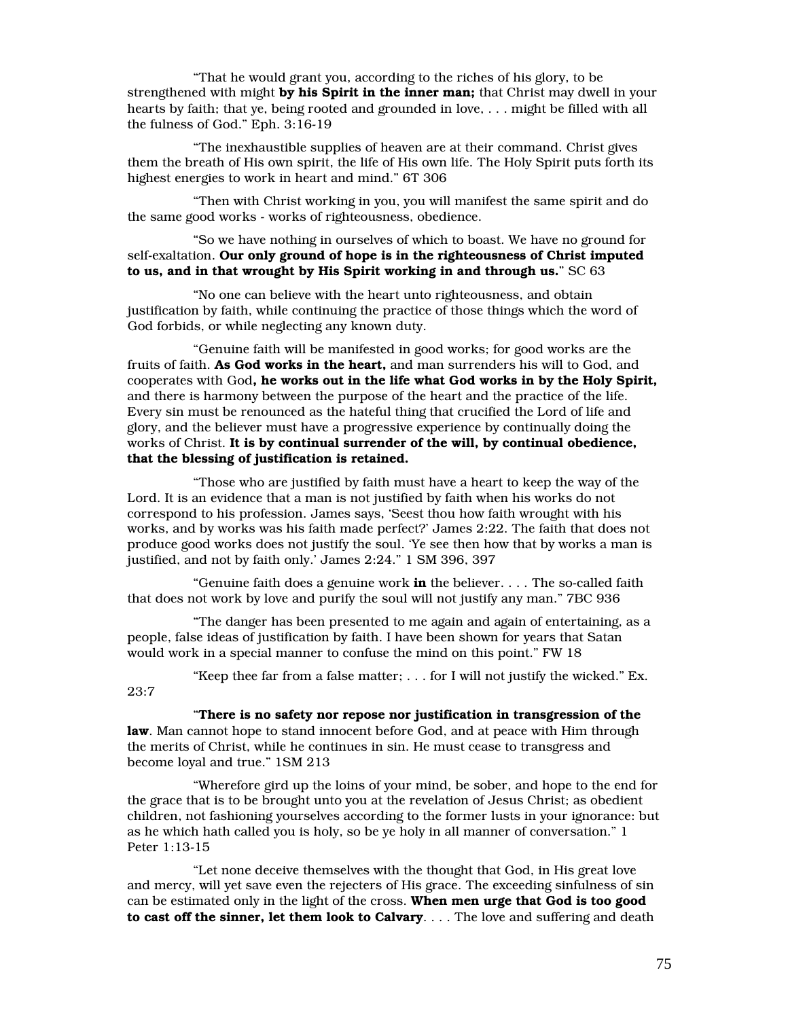"That he would grant you, according to the riches of his glory, to be strengthened with might by his Spirit in the inner man; that Christ may dwell in your hearts by faith; that ye, being rooted and grounded in love, . . . might be filled with all the fulness of God." Eph. 3:16-19

 "The inexhaustible supplies of heaven are at their command. Christ gives them the breath of His own spirit, the life of His own life. The Holy Spirit puts forth its highest energies to work in heart and mind." 6T 306

 "Then with Christ working in you, you will manifest the same spirit and do the same good works - works of righteousness, obedience.

 "So we have nothing in ourselves of which to boast. We have no ground for self-exaltation. Our only ground of hope is in the righteousness of Christ imputed to us, and in that wrought by His Spirit working in and through us." SC 63

 "No one can believe with the heart unto righteousness, and obtain justification by faith, while continuing the practice of those things which the word of God forbids, or while neglecting any known duty.

 "Genuine faith will be manifested in good works; for good works are the fruits of faith. As God works in the heart, and man surrenders his will to God, and cooperates with God, he works out in the life what God works in by the Holy Spirit, and there is harmony between the purpose of the heart and the practice of the life. Every sin must be renounced as the hateful thing that crucified the Lord of life and glory, and the believer must have a progressive experience by continually doing the works of Christ. It is by continual surrender of the will, by continual obedience, that the blessing of justification is retained.

 "Those who are justified by faith must have a heart to keep the way of the Lord. It is an evidence that a man is not justified by faith when his works do not correspond to his profession. James says, 'Seest thou how faith wrought with his works, and by works was his faith made perfect?' James 2:22. The faith that does not produce good works does not justify the soul. 'Ye see then how that by works a man is justified, and not by faith only.' James 2:24." 1 SM 396, 397

"Genuine faith does a genuine work in the believer.... The so-called faith that does not work by love and purify the soul will not justify any man." 7BC 936

 "The danger has been presented to me again and again of entertaining, as a people, false ideas of justification by faith. I have been shown for years that Satan would work in a special manner to confuse the mind on this point." FW 18

"Keep thee far from a false matter; . . . for I will not justify the wicked." Ex.

23:7

#### "There is no safety nor repose nor justification in transgression of the

law. Man cannot hope to stand innocent before God, and at peace with Him through the merits of Christ, while he continues in sin. He must cease to transgress and become loyal and true." 1SM 213

 "Wherefore gird up the loins of your mind, be sober, and hope to the end for the grace that is to be brought unto you at the revelation of Jesus Christ; as obedient children, not fashioning yourselves according to the former lusts in your ignorance: but as he which hath called you is holy, so be ye holy in all manner of conversation." 1 Peter 1:13-15

 "Let none deceive themselves with the thought that God, in His great love and mercy, will yet save even the rejecters of His grace. The exceeding sinfulness of sin can be estimated only in the light of the cross. When men urge that God is too good to cast off the sinner, let them look to Calvary. . . . The love and suffering and death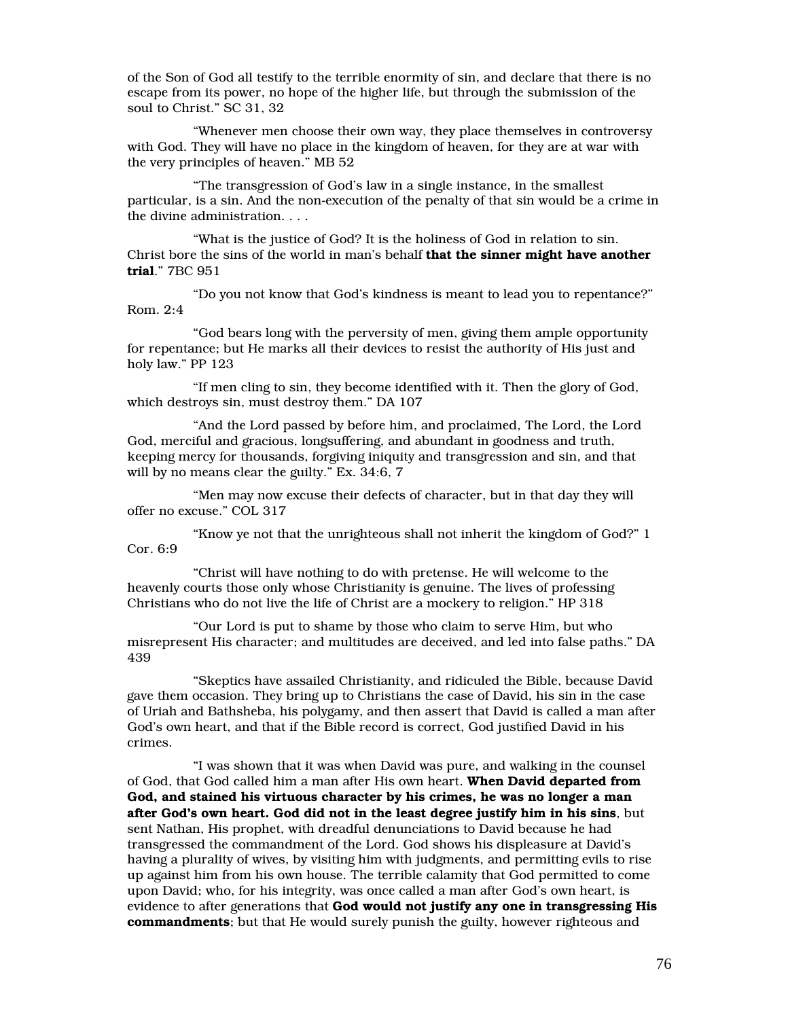of the Son of God all testify to the terrible enormity of sin, and declare that there is no escape from its power, no hope of the higher life, but through the submission of the soul to Christ." SC 31, 32

 "Whenever men choose their own way, they place themselves in controversy with God. They will have no place in the kingdom of heaven, for they are at war with the very principles of heaven." MB 52

 "The transgression of God's law in a single instance, in the smallest particular, is a sin. And the non-execution of the penalty of that sin would be a crime in the divine administration. . . .

 "What is the justice of God? It is the holiness of God in relation to sin. Christ bore the sins of the world in man's behalf that the sinner might have another trial." 7BC 951

 "Do you not know that God's kindness is meant to lead you to repentance?" Rom. 2:4

 "God bears long with the perversity of men, giving them ample opportunity for repentance; but He marks all their devices to resist the authority of His just and holy law." PP 123

 "If men cling to sin, they become identified with it. Then the glory of God, which destroys sin, must destroy them." DA 107

 "And the Lord passed by before him, and proclaimed, The Lord, the Lord God, merciful and gracious, longsuffering, and abundant in goodness and truth, keeping mercy for thousands, forgiving iniquity and transgression and sin, and that will by no means clear the guilty." Ex. 34:6, 7

 "Men may now excuse their defects of character, but in that day they will offer no excuse." COL 317

 "Know ye not that the unrighteous shall not inherit the kingdom of God?" 1 Cor. 6:9

 "Christ will have nothing to do with pretense. He will welcome to the heavenly courts those only whose Christianity is genuine. The lives of professing Christians who do not live the life of Christ are a mockery to religion." HP 318

 "Our Lord is put to shame by those who claim to serve Him, but who misrepresent His character; and multitudes are deceived, and led into false paths." DA 439

 "Skeptics have assailed Christianity, and ridiculed the Bible, because David gave them occasion. They bring up to Christians the case of David, his sin in the case of Uriah and Bathsheba, his polygamy, and then assert that David is called a man after God's own heart, and that if the Bible record is correct, God justified David in his crimes.

 "I was shown that it was when David was pure, and walking in the counsel of God, that God called him a man after His own heart. When David departed from God, and stained his virtuous character by his crimes, he was no longer a man after God's own heart. God did not in the least degree justify him in his sins, but sent Nathan, His prophet, with dreadful denunciations to David because he had transgressed the commandment of the Lord. God shows his displeasure at David's having a plurality of wives, by visiting him with judgments, and permitting evils to rise up against him from his own house. The terrible calamity that God permitted to come upon David; who, for his integrity, was once called a man after God's own heart, is evidence to after generations that God would not justify any one in transgressing His commandments; but that He would surely punish the guilty, however righteous and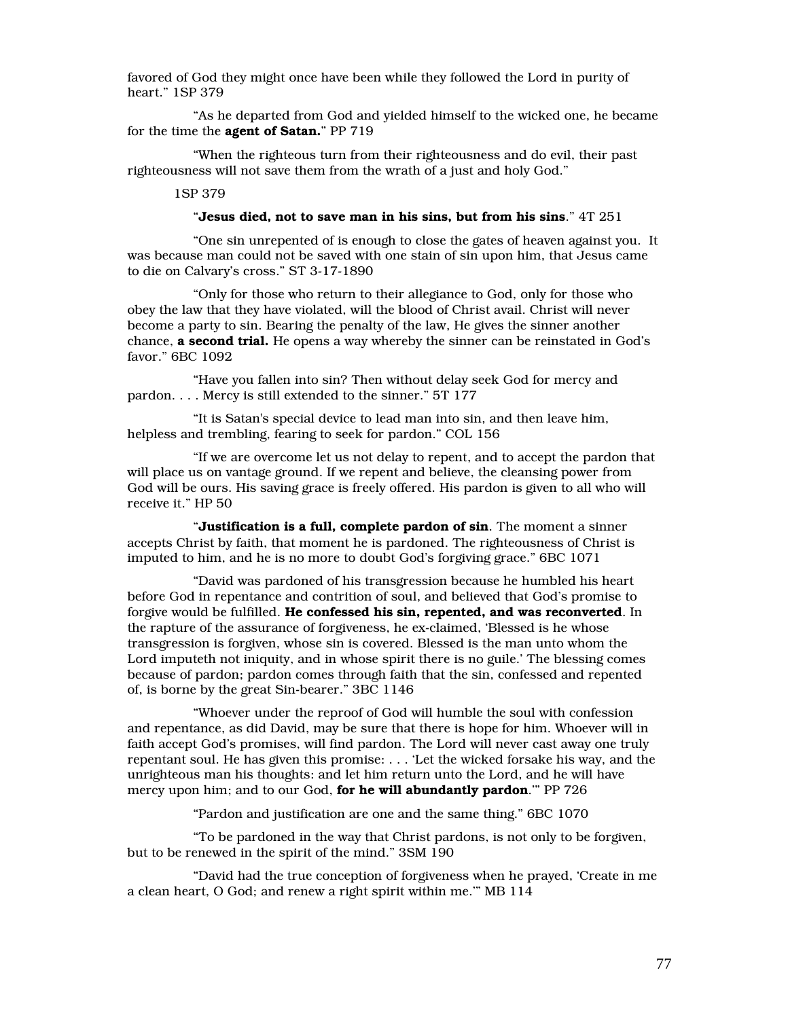favored of God they might once have been while they followed the Lord in purity of heart." 1SP 379

 "As he departed from God and yielded himself to the wicked one, he became for the time the agent of Satan." PP 719

 "When the righteous turn from their righteousness and do evil, their past righteousness will not save them from the wrath of a just and holy God."

1SP 379

#### "Jesus died, not to save man in his sins, but from his sins." 4T 251

 "One sin unrepented of is enough to close the gates of heaven against you. It was because man could not be saved with one stain of sin upon him, that Jesus came to die on Calvary's cross." ST 3-17-1890

 "Only for those who return to their allegiance to God, only for those who obey the law that they have violated, will the blood of Christ avail. Christ will never become a party to sin. Bearing the penalty of the law, He gives the sinner another chance, a second trial. He opens a way whereby the sinner can be reinstated in God's favor." 6BC 1092

 "Have you fallen into sin? Then without delay seek God for mercy and pardon. . . . Mercy is still extended to the sinner." 5T 177

 "It is Satan's special device to lead man into sin, and then leave him, helpless and trembling, fearing to seek for pardon." COL 156

 "If we are overcome let us not delay to repent, and to accept the pardon that will place us on vantage ground. If we repent and believe, the cleansing power from God will be ours. His saving grace is freely offered. His pardon is given to all who will receive it." HP 50

 "Justification is a full, complete pardon of sin. The moment a sinner accepts Christ by faith, that moment he is pardoned. The righteousness of Christ is imputed to him, and he is no more to doubt God's forgiving grace." 6BC 1071

 "David was pardoned of his transgression because he humbled his heart before God in repentance and contrition of soul, and believed that God's promise to forgive would be fulfilled. He confessed his sin, repented, and was reconverted. In the rapture of the assurance of forgiveness, he ex-claimed, 'Blessed is he whose transgression is forgiven, whose sin is covered. Blessed is the man unto whom the Lord imputeth not iniquity, and in whose spirit there is no guile.' The blessing comes because of pardon; pardon comes through faith that the sin, confessed and repented of, is borne by the great Sin-bearer." 3BC 1146

 "Whoever under the reproof of God will humble the soul with confession and repentance, as did David, may be sure that there is hope for him. Whoever will in faith accept God's promises, will find pardon. The Lord will never cast away one truly repentant soul. He has given this promise: . . . 'Let the wicked forsake his way, and the unrighteous man his thoughts: and let him return unto the Lord, and he will have mercy upon him; and to our God, for he will abundantly pardon.'" PP 726

"Pardon and justification are one and the same thing." 6BC 1070

 "To be pardoned in the way that Christ pardons, is not only to be forgiven, but to be renewed in the spirit of the mind." 3SM 190

 "David had the true conception of forgiveness when he prayed, 'Create in me a clean heart, O God; and renew a right spirit within me.'" MB 114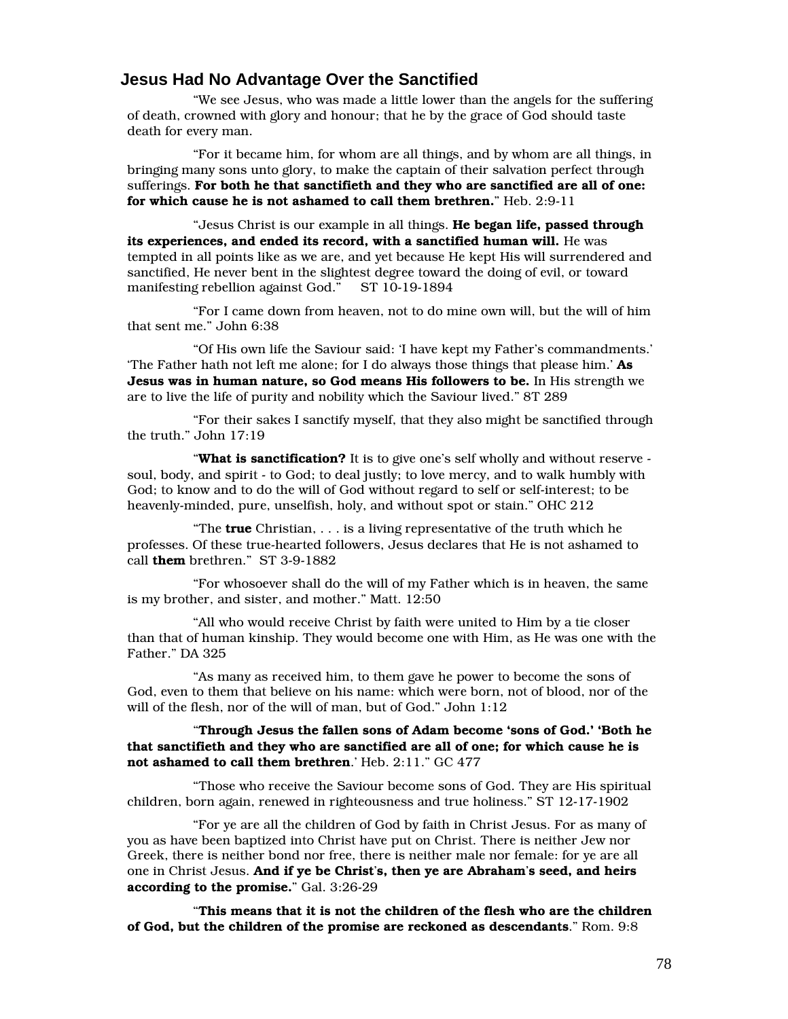## **Jesus Had No Advantage Over the Sanctified**

 "We see Jesus, who was made a little lower than the angels for the suffering of death, crowned with glory and honour; that he by the grace of God should taste death for every man.

 "For it became him, for whom are all things, and by whom are all things, in bringing many sons unto glory, to make the captain of their salvation perfect through sufferings. For both he that sanctifieth and they who are sanctified are all of one: for which cause he is not ashamed to call them brethren." Heb. 2:9-11

"Jesus Christ is our example in all things. He began life, passed through its experiences, and ended its record, with a sanctified human will. He was tempted in all points like as we are, and yet because He kept His will surrendered and sanctified, He never bent in the slightest degree toward the doing of evil, or toward manifesting rebellion against God." ST 10-19-1894

 "For I came down from heaven, not to do mine own will, but the will of him that sent me." John 6:38

 "Of His own life the Saviour said: 'I have kept my Father's commandments.' 'The Father hath not left me alone; for I do always those things that please him.' As Jesus was in human nature, so God means His followers to be. In His strength we are to live the life of purity and nobility which the Saviour lived." 8T 289

 "For their sakes I sanctify myself, that they also might be sanctified through the truth." John 17:19

"What is sanctification? It is to give one's self wholly and without reserve soul, body, and spirit - to God; to deal justly; to love mercy, and to walk humbly with God; to know and to do the will of God without regard to self or self-interest; to be heavenly-minded, pure, unselfish, holy, and without spot or stain." OHC 212

"The true Christian,  $\dots$  is a living representative of the truth which he professes. Of these true-hearted followers, Jesus declares that He is not ashamed to call them brethren." ST 3-9-1882

 "For whosoever shall do the will of my Father which is in heaven, the same is my brother, and sister, and mother." Matt. 12:50

 "All who would receive Christ by faith were united to Him by a tie closer than that of human kinship. They would become one with Him, as He was one with the Father." DA 325

 "As many as received him, to them gave he power to become the sons of God, even to them that believe on his name: which were born, not of blood, nor of the will of the flesh, nor of the will of man, but of God." John 1:12

### "Through Jesus the fallen sons of Adam become 'sons of God.' 'Both he that sanctifieth and they who are sanctified are all of one; for which cause he is not ashamed to call them brethren.' Heb. 2:11." GC 477

 "Those who receive the Saviour become sons of God. They are His spiritual children, born again, renewed in righteousness and true holiness." ST 12-17-1902

 "For ye are all the children of God by faith in Christ Jesus. For as many of you as have been baptized into Christ have put on Christ. There is neither Jew nor Greek, there is neither bond nor free, there is neither male nor female: for ye are all one in Christ Jesus. And if ye be Christ's, then ye are Abraham's seed, and heirs according to the promise." Gal. 3:26-29

 "This means that it is not the children of the flesh who are the children of God, but the children of the promise are reckoned as descendants." Rom. 9:8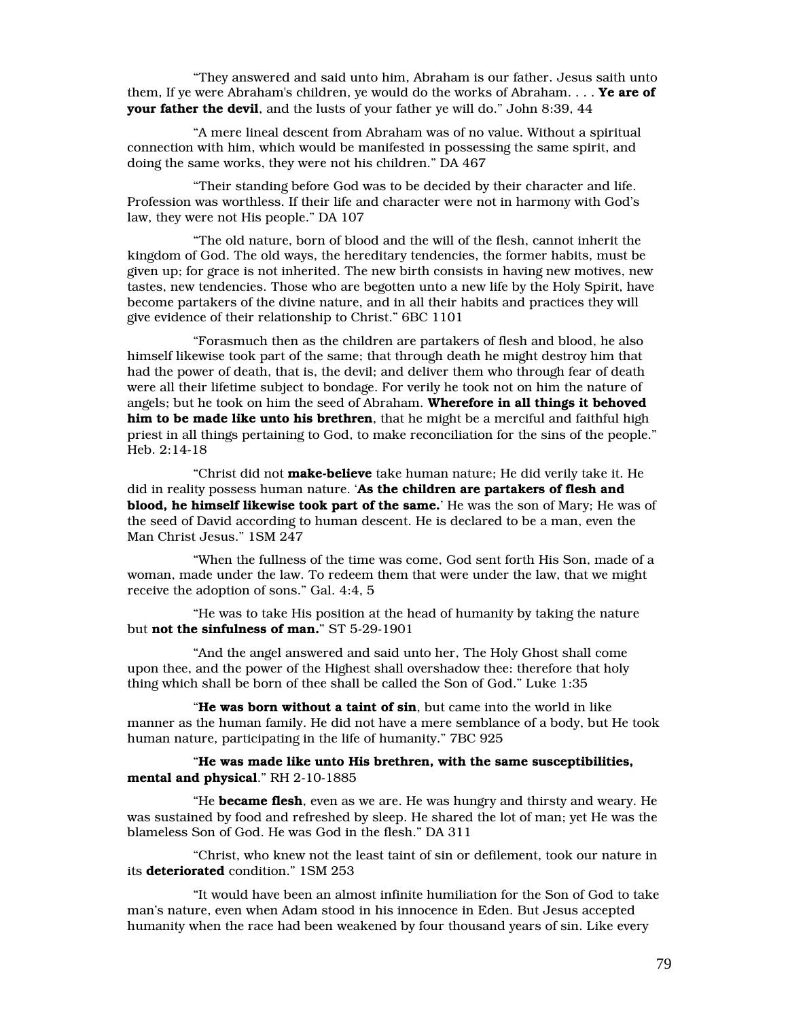"They answered and said unto him, Abraham is our father. Jesus saith unto them, If ye were Abraham's children, ye would do the works of Abraham. . . . **Ye are of** your father the devil, and the lusts of your father ye will do." John 8:39, 44

 "A mere lineal descent from Abraham was of no value. Without a spiritual connection with him, which would be manifested in possessing the same spirit, and doing the same works, they were not his children." DA 467

 "Their standing before God was to be decided by their character and life. Profession was worthless. If their life and character were not in harmony with God's law, they were not His people." DA 107

 "The old nature, born of blood and the will of the flesh, cannot inherit the kingdom of God. The old ways, the hereditary tendencies, the former habits, must be given up; for grace is not inherited. The new birth consists in having new motives, new tastes, new tendencies. Those who are begotten unto a new life by the Holy Spirit, have become partakers of the divine nature, and in all their habits and practices they will give evidence of their relationship to Christ." 6BC 1101

 "Forasmuch then as the children are partakers of flesh and blood, he also himself likewise took part of the same; that through death he might destroy him that had the power of death, that is, the devil; and deliver them who through fear of death were all their lifetime subject to bondage. For verily he took not on him the nature of angels; but he took on him the seed of Abraham. Wherefore in all things it behoved him to be made like unto his brethren, that he might be a merciful and faithful high priest in all things pertaining to God, to make reconciliation for the sins of the people." Heb. 2:14-18

"Christ did not make-believe take human nature; He did verily take it. He did in reality possess human nature. 'As the children are partakers of flesh and blood, he himself likewise took part of the same.' He was the son of Mary; He was of the seed of David according to human descent. He is declared to be a man, even the Man Christ Jesus." 1SM 247

 "When the fullness of the time was come, God sent forth His Son, made of a woman, made under the law. To redeem them that were under the law, that we might receive the adoption of sons." Gal. 4:4, 5

 "He was to take His position at the head of humanity by taking the nature but not the sinfulness of man." ST 5-29-1901

 "And the angel answered and said unto her, The Holy Ghost shall come upon thee, and the power of the Highest shall overshadow thee: therefore that holy thing which shall be born of thee shall be called the Son of God." Luke 1:35

**He was born without a taint of sin**, but came into the world in like manner as the human family. He did not have a mere semblance of a body, but He took human nature, participating in the life of humanity." 7BC 925

### "He was made like unto His brethren, with the same susceptibilities, mental and physical." RH 2-10-1885

"He **became flesh**, even as we are. He was hungry and thirsty and weary. He was sustained by food and refreshed by sleep. He shared the lot of man; yet He was the blameless Son of God. He was God in the flesh." DA 311

 "Christ, who knew not the least taint of sin or defilement, took our nature in its deteriorated condition." 1SM 253

 "It would have been an almost infinite humiliation for the Son of God to take man's nature, even when Adam stood in his innocence in Eden. But Jesus accepted humanity when the race had been weakened by four thousand years of sin. Like every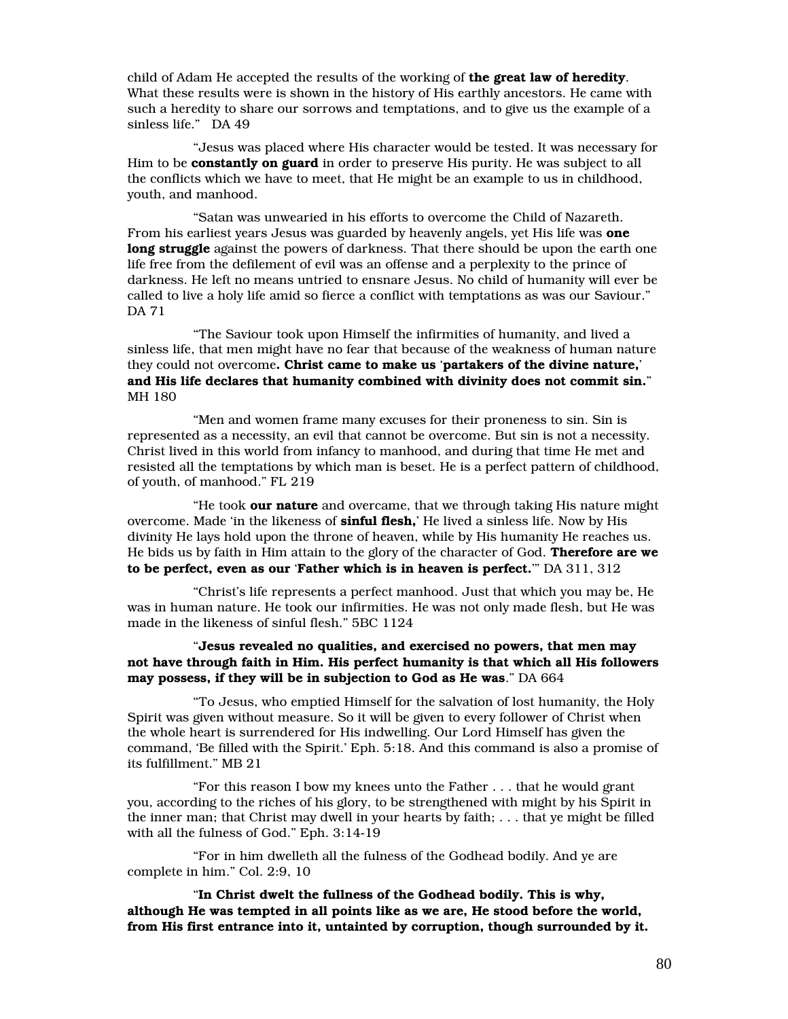child of Adam He accepted the results of the working of the great law of heredity. What these results were is shown in the history of His earthly ancestors. He came with such a heredity to share our sorrows and temptations, and to give us the example of a sinless life." DA 49

 "Jesus was placed where His character would be tested. It was necessary for Him to be **constantly on guard** in order to preserve His purity. He was subject to all the conflicts which we have to meet, that He might be an example to us in childhood, youth, and manhood.

 "Satan was unwearied in his efforts to overcome the Child of Nazareth. From his earliest years Jesus was guarded by heavenly angels, yet His life was one long struggle against the powers of darkness. That there should be upon the earth one life free from the defilement of evil was an offense and a perplexity to the prince of darkness. He left no means untried to ensnare Jesus. No child of humanity will ever be called to live a holy life amid so fierce a conflict with temptations as was our Saviour." DA 71

 "The Saviour took upon Himself the infirmities of humanity, and lived a sinless life, that men might have no fear that because of the weakness of human nature they could not overcome. Christ came to make us 'partakers of the divine nature,' and His life declares that humanity combined with divinity does not commit sin." MH 180

 "Men and women frame many excuses for their proneness to sin. Sin is represented as a necessity, an evil that cannot be overcome. But sin is not a necessity. Christ lived in this world from infancy to manhood, and during that time He met and resisted all the temptations by which man is beset. He is a perfect pattern of childhood, of youth, of manhood." FL 219

"He took **our nature** and overcame, that we through taking His nature might overcome. Made 'in the likeness of **sinful flesh**,' He lived a sinless life. Now by His divinity He lays hold upon the throne of heaven, while by His humanity He reaches us. He bids us by faith in Him attain to the glory of the character of God. Therefore are we to be perfect, even as our 'Father which is in heaven is perfect.'" DA 311, 312

 "Christ's life represents a perfect manhood. Just that which you may be, He was in human nature. He took our infirmities. He was not only made flesh, but He was made in the likeness of sinful flesh." 5BC 1124

## "Jesus revealed no qualities, and exercised no powers, that men may not have through faith in Him. His perfect humanity is that which all His followers may possess, if they will be in subjection to God as He was." DA 664

 "To Jesus, who emptied Himself for the salvation of lost humanity, the Holy Spirit was given without measure. So it will be given to every follower of Christ when the whole heart is surrendered for His indwelling. Our Lord Himself has given the command, 'Be filled with the Spirit.' Eph. 5:18. And this command is also a promise of its fulfillment." MB 21

 "For this reason I bow my knees unto the Father . . . that he would grant you, according to the riches of his glory, to be strengthened with might by his Spirit in the inner man; that Christ may dwell in your hearts by faith; . . . that ye might be filled with all the fulness of God." Eph. 3:14-19

 "For in him dwelleth all the fulness of the Godhead bodily. And ye are complete in him." Col. 2:9, 10

 "In Christ dwelt the fullness of the Godhead bodily. This is why, although He was tempted in all points like as we are, He stood before the world, from His first entrance into it, untainted by corruption, though surrounded by it.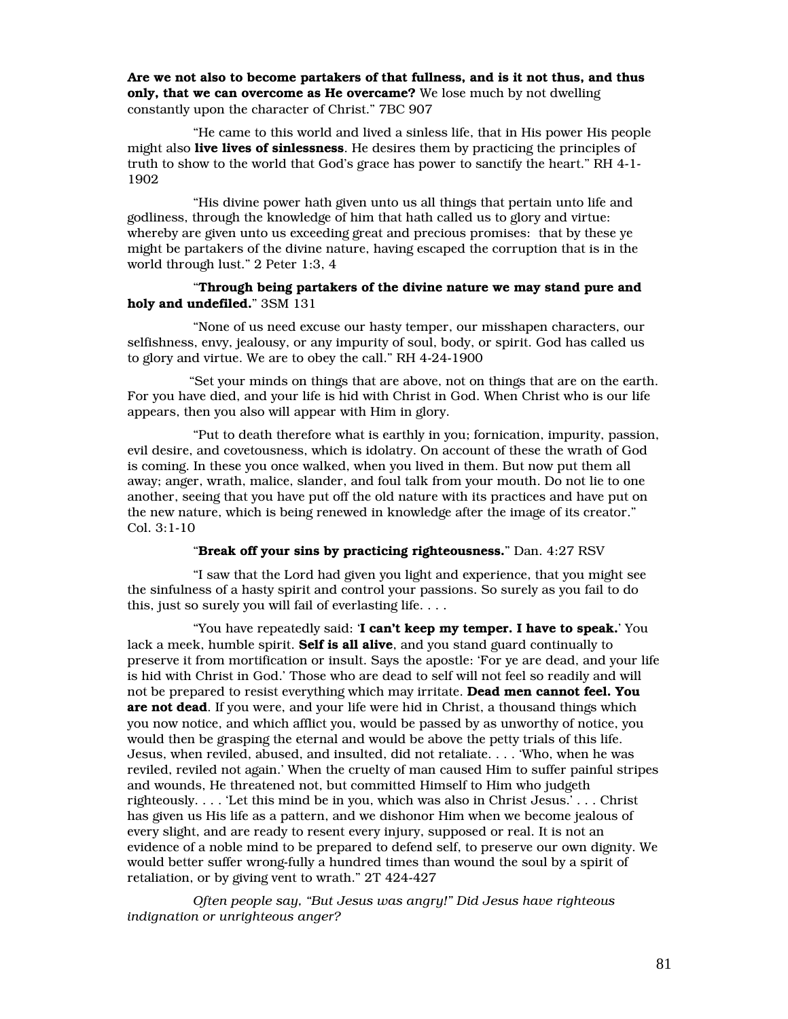Are we not also to become partakers of that fullness, and is it not thus, and thus only, that we can overcome as He overcame? We lose much by not dwelling constantly upon the character of Christ." 7BC 907

 "He came to this world and lived a sinless life, that in His power His people might also live lives of sinlessness. He desires them by practicing the principles of truth to show to the world that God's grace has power to sanctify the heart." RH 4-1- 1902

 "His divine power hath given unto us all things that pertain unto life and godliness, through the knowledge of him that hath called us to glory and virtue: whereby are given unto us exceeding great and precious promises: that by these ye might be partakers of the divine nature, having escaped the corruption that is in the world through lust." 2 Peter 1:3, 4

## "Through being partakers of the divine nature we may stand pure and holy and undefiled." 3SM 131

 "None of us need excuse our hasty temper, our misshapen characters, our selfishness, envy, jealousy, or any impurity of soul, body, or spirit. God has called us to glory and virtue. We are to obey the call." RH 4-24-1900

 "Set your minds on things that are above, not on things that are on the earth. For you have died, and your life is hid with Christ in God. When Christ who is our life appears, then you also will appear with Him in glory.

 "Put to death therefore what is earthly in you; fornication, impurity, passion, evil desire, and covetousness, which is idolatry. On account of these the wrath of God is coming. In these you once walked, when you lived in them. But now put them all away; anger, wrath, malice, slander, and foul talk from your mouth. Do not lie to one another, seeing that you have put off the old nature with its practices and have put on the new nature, which is being renewed in knowledge after the image of its creator." Col. 3:1-10

## "Break off your sins by practicing righteousness." Dan. 4:27 RSV

 "I saw that the Lord had given you light and experience, that you might see the sinfulness of a hasty spirit and control your passions. So surely as you fail to do this, just so surely you will fail of everlasting life. . . .

"You have repeatedly said: 'I can't keep my temper. I have to speak.' You lack a meek, humble spirit. Self is all alive, and you stand guard continually to preserve it from mortification or insult. Says the apostle: 'For ye are dead, and your life is hid with Christ in God.' Those who are dead to self will not feel so readily and will not be prepared to resist everything which may irritate. Dead men cannot feel. You are not dead. If you were, and your life were hid in Christ, a thousand things which you now notice, and which afflict you, would be passed by as unworthy of notice, you would then be grasping the eternal and would be above the petty trials of this life. Jesus, when reviled, abused, and insulted, did not retaliate. . . . 'Who, when he was reviled, reviled not again.' When the cruelty of man caused Him to suffer painful stripes and wounds, He threatened not, but committed Himself to Him who judgeth righteously. . . . 'Let this mind be in you, which was also in Christ Jesus.' . . . Christ has given us His life as a pattern, and we dishonor Him when we become jealous of every slight, and are ready to resent every injury, supposed or real. It is not an evidence of a noble mind to be prepared to defend self, to preserve our own dignity. We would better suffer wrong-fully a hundred times than wound the soul by a spirit of retaliation, or by giving vent to wrath." 2T 424-427

 *Often people say, "But Jesus was angry!" Did Jesus have righteous indignation or unrighteous anger?*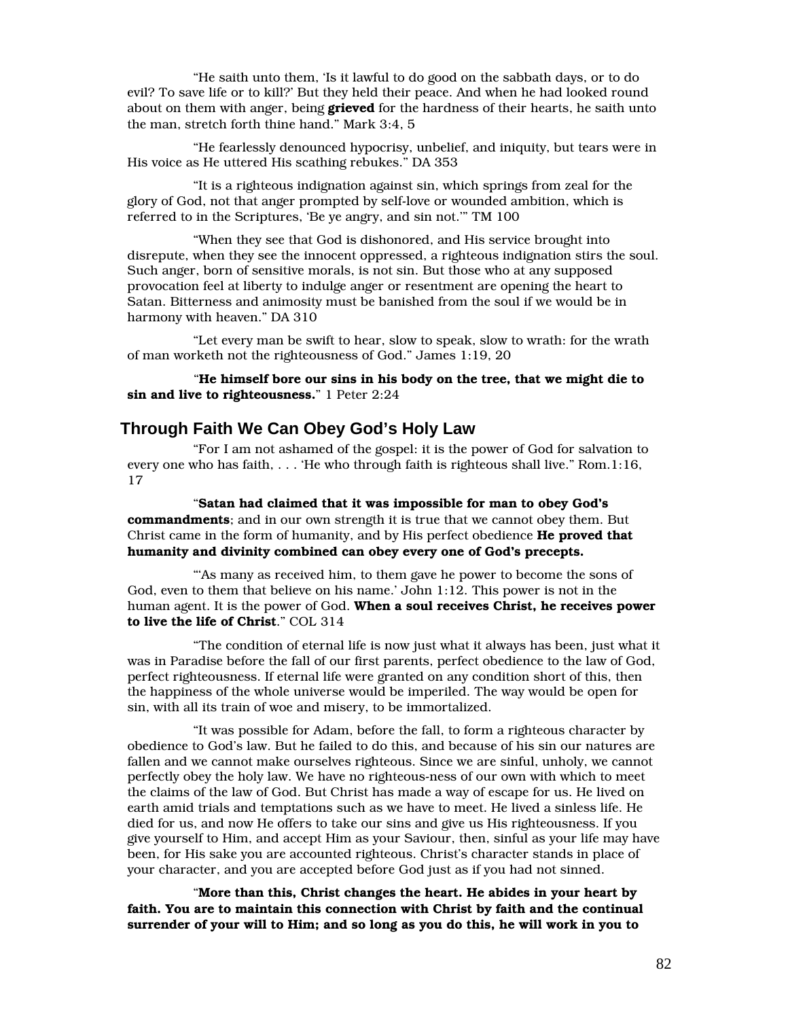"He saith unto them, 'Is it lawful to do good on the sabbath days, or to do evil? To save life or to kill?' But they held their peace. And when he had looked round about on them with anger, being **grieved** for the hardness of their hearts, he saith unto the man, stretch forth thine hand." Mark 3:4, 5

 "He fearlessly denounced hypocrisy, unbelief, and iniquity, but tears were in His voice as He uttered His scathing rebukes." DA 353

 "It is a righteous indignation against sin, which springs from zeal for the glory of God, not that anger prompted by self-love or wounded ambition, which is referred to in the Scriptures, 'Be ye angry, and sin not.'" TM 100

 "When they see that God is dishonored, and His service brought into disrepute, when they see the innocent oppressed, a righteous indignation stirs the soul. Such anger, born of sensitive morals, is not sin. But those who at any supposed provocation feel at liberty to indulge anger or resentment are opening the heart to Satan. Bitterness and animosity must be banished from the soul if we would be in harmony with heaven." DA 310

 "Let every man be swift to hear, slow to speak, slow to wrath: for the wrath of man worketh not the righteousness of God." James 1:19, 20

 "He himself bore our sins in his body on the tree, that we might die to sin and live to righteousness." 1 Peter 2:24

## **Through Faith We Can Obey God's Holy Law**

 "For I am not ashamed of the gospel: it is the power of God for salvation to every one who has faith, . . . 'He who through faith is righteous shall live." Rom.1:16, 17

 "Satan had claimed that it was impossible for man to obey God's commandments; and in our own strength it is true that we cannot obey them. But Christ came in the form of humanity, and by His perfect obedience He proved that humanity and divinity combined can obey every one of God's precepts.

 "'As many as received him, to them gave he power to become the sons of God, even to them that believe on his name.' John 1:12. This power is not in the human agent. It is the power of God. When a soul receives Christ, he receives power to live the life of Christ." COL 314

 "The condition of eternal life is now just what it always has been, just what it was in Paradise before the fall of our first parents, perfect obedience to the law of God, perfect righteousness. If eternal life were granted on any condition short of this, then the happiness of the whole universe would be imperiled. The way would be open for sin, with all its train of woe and misery, to be immortalized.

 "It was possible for Adam, before the fall, to form a righteous character by obedience to God's law. But he failed to do this, and because of his sin our natures are fallen and we cannot make ourselves righteous. Since we are sinful, unholy, we cannot perfectly obey the holy law. We have no righteous-ness of our own with which to meet the claims of the law of God. But Christ has made a way of escape for us. He lived on earth amid trials and temptations such as we have to meet. He lived a sinless life. He died for us, and now He offers to take our sins and give us His righteousness. If you give yourself to Him, and accept Him as your Saviour, then, sinful as your life may have been, for His sake you are accounted righteous. Christ's character stands in place of your character, and you are accepted before God just as if you had not sinned.

 "More than this, Christ changes the heart. He abides in your heart by faith. You are to maintain this connection with Christ by faith and the continual surrender of your will to Him; and so long as you do this, he will work in you to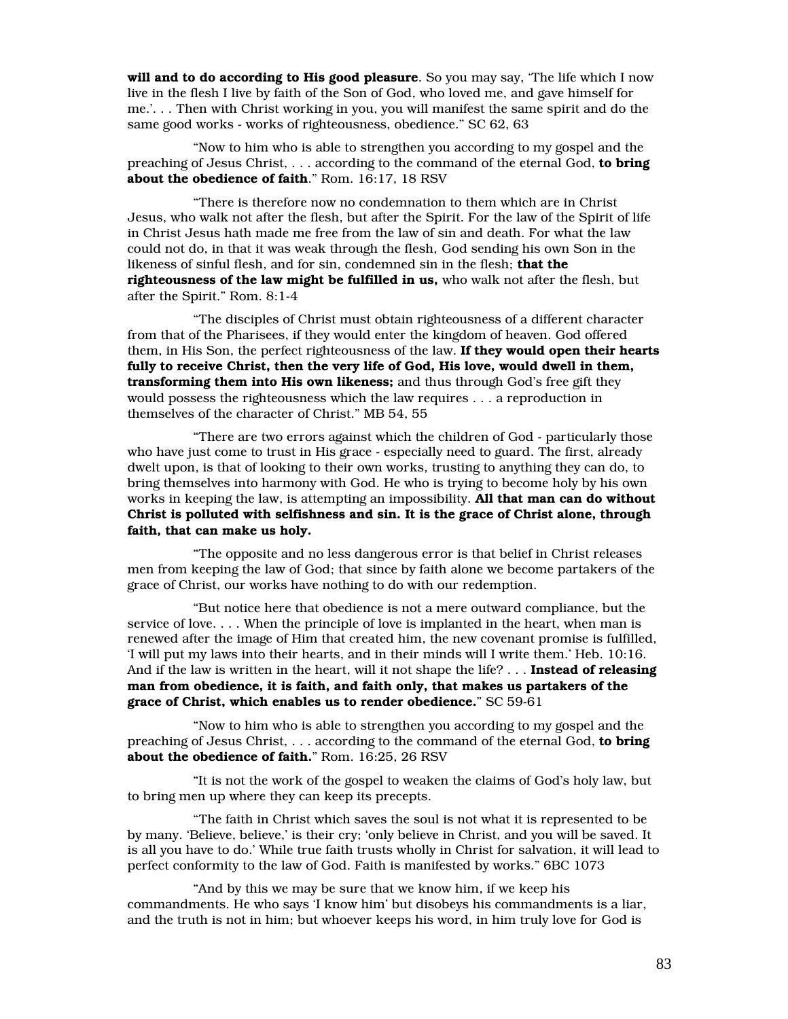will and to do according to His good pleasure. So you may say, 'The life which I now live in the flesh I live by faith of the Son of God, who loved me, and gave himself for me.'. . . Then with Christ working in you, you will manifest the same spirit and do the same good works - works of righteousness, obedience." SC 62, 63

 "Now to him who is able to strengthen you according to my gospel and the preaching of Jesus Christ, . . . according to the command of the eternal God, to bring about the obedience of faith." Rom. 16:17, 18 RSV

 "There is therefore now no condemnation to them which are in Christ Jesus, who walk not after the flesh, but after the Spirit. For the law of the Spirit of life in Christ Jesus hath made me free from the law of sin and death. For what the law could not do, in that it was weak through the flesh, God sending his own Son in the likeness of sinful flesh, and for sin, condemned sin in the flesh; that the righteousness of the law might be fulfilled in us, who walk not after the flesh, but after the Spirit." Rom. 8:1-4

 "The disciples of Christ must obtain righteousness of a different character from that of the Pharisees, if they would enter the kingdom of heaven. God offered them, in His Son, the perfect righteousness of the law. If they would open their hearts fully to receive Christ, then the very life of God, His love, would dwell in them, transforming them into His own likeness; and thus through God's free gift they would possess the righteousness which the law requires . . . a reproduction in themselves of the character of Christ." MB 54, 55

 "There are two errors against which the children of God - particularly those who have just come to trust in His grace - especially need to guard. The first, already dwelt upon, is that of looking to their own works, trusting to anything they can do, to bring themselves into harmony with God. He who is trying to become holy by his own works in keeping the law, is attempting an impossibility. All that man can do without Christ is polluted with selfishness and sin. It is the grace of Christ alone, through faith, that can make us holy.

 "The opposite and no less dangerous error is that belief in Christ releases men from keeping the law of God; that since by faith alone we become partakers of the grace of Christ, our works have nothing to do with our redemption.

 "But notice here that obedience is not a mere outward compliance, but the service of love. . . . When the principle of love is implanted in the heart, when man is renewed after the image of Him that created him, the new covenant promise is fulfilled, 'I will put my laws into their hearts, and in their minds will I write them.' Heb. 10:16. And if the law is written in the heart, will it not shape the life?  $\dots$  Instead of releasing man from obedience, it is faith, and faith only, that makes us partakers of the grace of Christ, which enables us to render obedience." SC 59-61

 "Now to him who is able to strengthen you according to my gospel and the preaching of Jesus Christ, . . . according to the command of the eternal God, to bring about the obedience of faith." Rom. 16:25, 26 RSV

 "It is not the work of the gospel to weaken the claims of God's holy law, but to bring men up where they can keep its precepts.

 "The faith in Christ which saves the soul is not what it is represented to be by many. 'Believe, believe,' is their cry; 'only believe in Christ, and you will be saved. It is all you have to do.' While true faith trusts wholly in Christ for salvation, it will lead to perfect conformity to the law of God. Faith is manifested by works." 6BC 1073

 "And by this we may be sure that we know him, if we keep his commandments. He who says 'I know him' but disobeys his commandments is a liar, and the truth is not in him; but whoever keeps his word, in him truly love for God is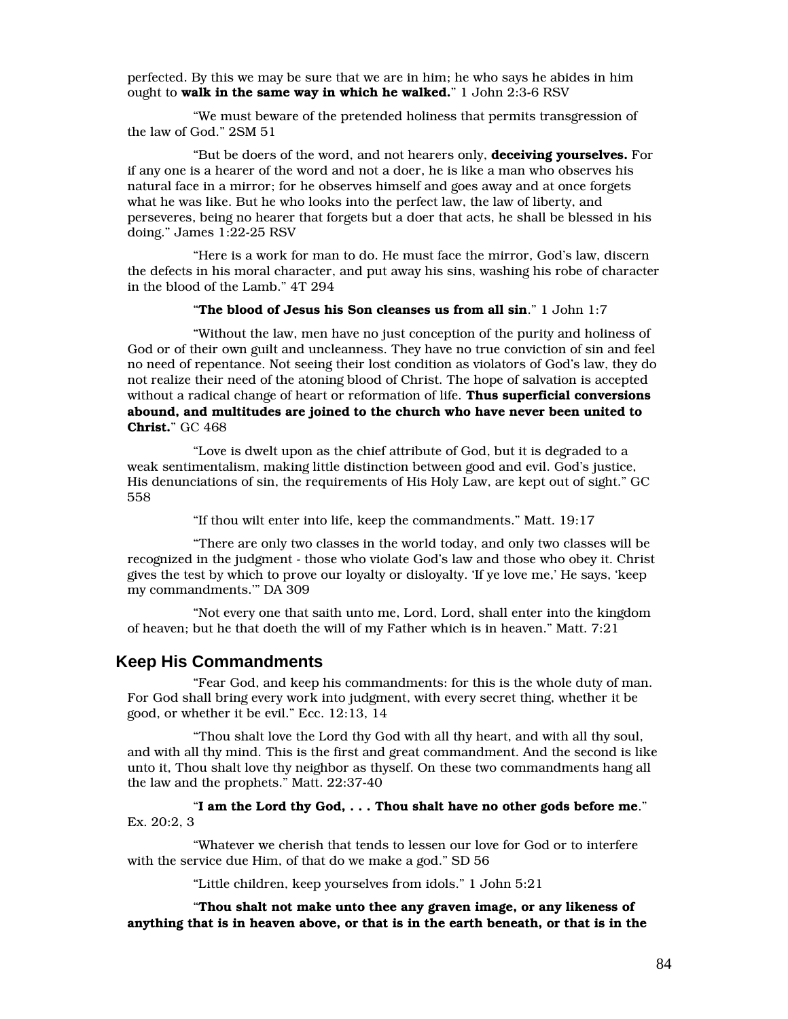perfected. By this we may be sure that we are in him; he who says he abides in him ought to walk in the same way in which he walked." 1 John 2:3-6 RSV

 "We must beware of the pretended holiness that permits transgression of the law of God." 2SM 51

 "But be doers of the word, and not hearers only, deceiving yourselves. For if any one is a hearer of the word and not a doer, he is like a man who observes his natural face in a mirror; for he observes himself and goes away and at once forgets what he was like. But he who looks into the perfect law, the law of liberty, and perseveres, being no hearer that forgets but a doer that acts, he shall be blessed in his doing." James 1:22-25 RSV

 "Here is a work for man to do. He must face the mirror, God's law, discern the defects in his moral character, and put away his sins, washing his robe of character in the blood of the Lamb." 4T 294

#### "The blood of Jesus his Son cleanses us from all sin." 1 John 1:7

 "Without the law, men have no just conception of the purity and holiness of God or of their own guilt and uncleanness. They have no true conviction of sin and feel no need of repentance. Not seeing their lost condition as violators of God's law, they do not realize their need of the atoning blood of Christ. The hope of salvation is accepted without a radical change of heart or reformation of life. Thus superficial conversions abound, and multitudes are joined to the church who have never been united to Christ." GC 468

 "Love is dwelt upon as the chief attribute of God, but it is degraded to a weak sentimentalism, making little distinction between good and evil. God's justice, His denunciations of sin, the requirements of His Holy Law, are kept out of sight." GC 558

"If thou wilt enter into life, keep the commandments." Matt. 19:17

 "There are only two classes in the world today, and only two classes will be recognized in the judgment - those who violate God's law and those who obey it. Christ gives the test by which to prove our loyalty or disloyalty. 'If ye love me,' He says, 'keep my commandments.'" DA 309

 "Not every one that saith unto me, Lord, Lord, shall enter into the kingdom of heaven; but he that doeth the will of my Father which is in heaven." Matt. 7:21

## **Keep His Commandments**

 "Fear God, and keep his commandments: for this is the whole duty of man. For God shall bring every work into judgment, with every secret thing, whether it be good, or whether it be evil." Ecc. 12:13, 14

 "Thou shalt love the Lord thy God with all thy heart, and with all thy soul, and with all thy mind. This is the first and great commandment. And the second is like unto it, Thou shalt love thy neighbor as thyself. On these two commandments hang all the law and the prophets." Matt. 22:37-40

## "I am the Lord thy God, . . . Thou shalt have no other gods before me." Ex. 20:2, 3

 "Whatever we cherish that tends to lessen our love for God or to interfere with the service due Him, of that do we make a god." SD 56

"Little children, keep yourselves from idols." 1 John 5:21

 "Thou shalt not make unto thee any graven image, or any likeness of anything that is in heaven above, or that is in the earth beneath, or that is in the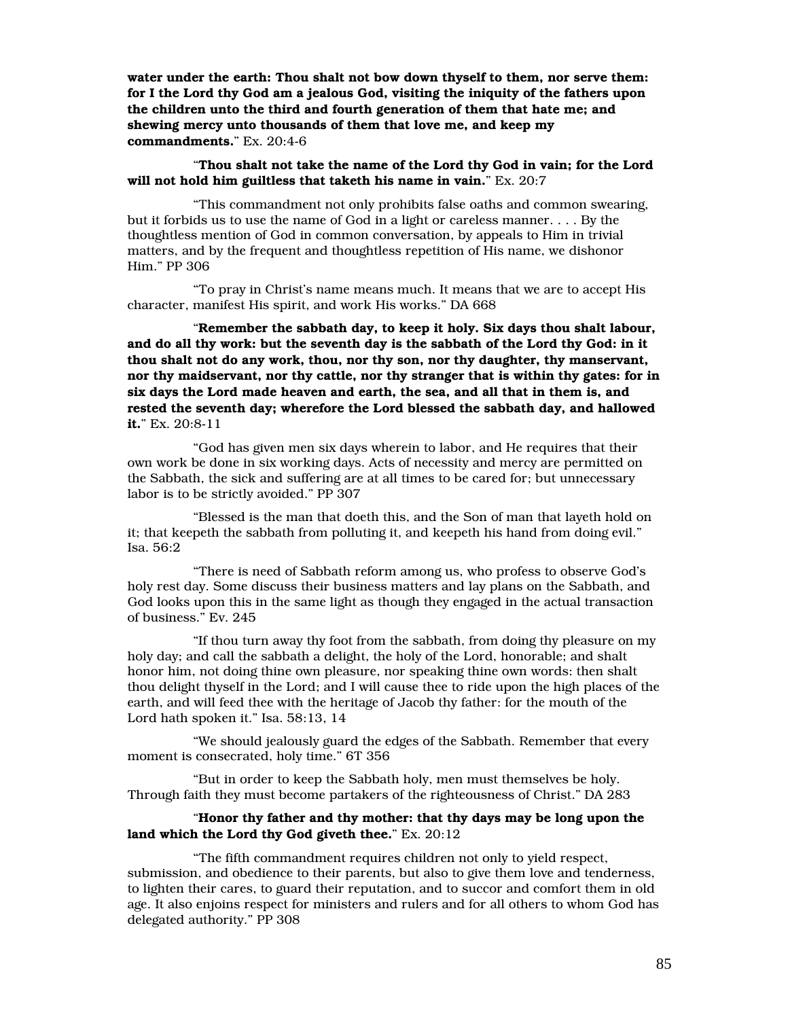water under the earth: Thou shalt not bow down thyself to them, nor serve them: for I the Lord thy God am a jealous God, visiting the iniquity of the fathers upon the children unto the third and fourth generation of them that hate me; and shewing mercy unto thousands of them that love me, and keep my commandments." Ex. 20:4-6

 "Thou shalt not take the name of the Lord thy God in vain; for the Lord will not hold him guiltless that taketh his name in vain." Ex. 20:7

 "This commandment not only prohibits false oaths and common swearing, but it forbids us to use the name of God in a light or careless manner. . . . By the thoughtless mention of God in common conversation, by appeals to Him in trivial matters, and by the frequent and thoughtless repetition of His name, we dishonor Him." PP 306

 "To pray in Christ's name means much. It means that we are to accept His character, manifest His spirit, and work His works." DA 668

 "Remember the sabbath day, to keep it holy. Six days thou shalt labour, and do all thy work: but the seventh day is the sabbath of the Lord thy God: in it thou shalt not do any work, thou, nor thy son, nor thy daughter, thy manservant, nor thy maidservant, nor thy cattle, nor thy stranger that is within thy gates: for in six days the Lord made heaven and earth, the sea, and all that in them is, and rested the seventh day; wherefore the Lord blessed the sabbath day, and hallowed it." Ex. 20:8-11

 "God has given men six days wherein to labor, and He requires that their own work be done in six working days. Acts of necessity and mercy are permitted on the Sabbath, the sick and suffering are at all times to be cared for; but unnecessary labor is to be strictly avoided." PP 307

 "Blessed is the man that doeth this, and the Son of man that layeth hold on it; that keepeth the sabbath from polluting it, and keepeth his hand from doing evil." Isa. 56:2

 "There is need of Sabbath reform among us, who profess to observe God's holy rest day. Some discuss their business matters and lay plans on the Sabbath, and God looks upon this in the same light as though they engaged in the actual transaction of business." Ev. 245

 "If thou turn away thy foot from the sabbath, from doing thy pleasure on my holy day; and call the sabbath a delight, the holy of the Lord, honorable; and shalt honor him, not doing thine own pleasure, nor speaking thine own words: then shalt thou delight thyself in the Lord; and I will cause thee to ride upon the high places of the earth, and will feed thee with the heritage of Jacob thy father: for the mouth of the Lord hath spoken it." Isa. 58:13, 14

 "We should jealously guard the edges of the Sabbath. Remember that every moment is consecrated, holy time." 6T 356

 "But in order to keep the Sabbath holy, men must themselves be holy. Through faith they must become partakers of the righteousness of Christ." DA 283

### "Honor thy father and thy mother: that thy days may be long upon the land which the Lord thy God giveth thee." Ex. 20:12

 "The fifth commandment requires children not only to yield respect, submission, and obedience to their parents, but also to give them love and tenderness, to lighten their cares, to guard their reputation, and to succor and comfort them in old age. It also enjoins respect for ministers and rulers and for all others to whom God has delegated authority." PP 308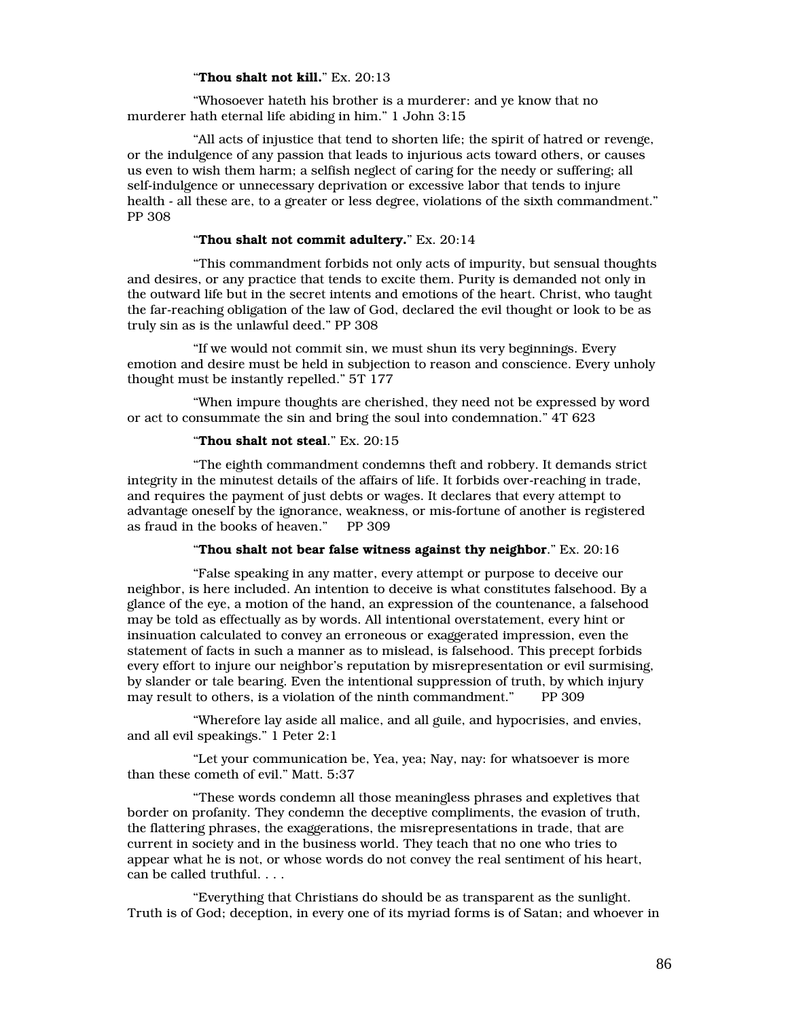### "Thou shalt not kill." Ex. 20:13

 "Whosoever hateth his brother is a murderer: and ye know that no murderer hath eternal life abiding in him." 1 John 3:15

 "All acts of injustice that tend to shorten life; the spirit of hatred or revenge, or the indulgence of any passion that leads to injurious acts toward others, or causes us even to wish them harm; a selfish neglect of caring for the needy or suffering; all self-indulgence or unnecessary deprivation or excessive labor that tends to injure health - all these are, to a greater or less degree, violations of the sixth commandment." PP 308

#### "Thou shalt not commit adultery." Ex. 20:14

 "This commandment forbids not only acts of impurity, but sensual thoughts and desires, or any practice that tends to excite them. Purity is demanded not only in the outward life but in the secret intents and emotions of the heart. Christ, who taught the far-reaching obligation of the law of God, declared the evil thought or look to be as truly sin as is the unlawful deed." PP 308

 "If we would not commit sin, we must shun its very beginnings. Every emotion and desire must be held in subjection to reason and conscience. Every unholy thought must be instantly repelled." 5T 177

 "When impure thoughts are cherished, they need not be expressed by word or act to consummate the sin and bring the soul into condemnation." 4T 623

### "Thou shalt not steal." Ex. 20:15

 "The eighth commandment condemns theft and robbery. It demands strict integrity in the minutest details of the affairs of life. It forbids over-reaching in trade, and requires the payment of just debts or wages. It declares that every attempt to advantage oneself by the ignorance, weakness, or mis-fortune of another is registered as fraud in the books of heaven." PP 309

#### "Thou shalt not bear false witness against thy neighbor."  $Ex. 20:16$

 "False speaking in any matter, every attempt or purpose to deceive our neighbor, is here included. An intention to deceive is what constitutes falsehood. By a glance of the eye, a motion of the hand, an expression of the countenance, a falsehood may be told as effectually as by words. All intentional overstatement, every hint or insinuation calculated to convey an erroneous or exaggerated impression, even the statement of facts in such a manner as to mislead, is falsehood. This precept forbids every effort to injure our neighbor's reputation by misrepresentation or evil surmising, by slander or tale bearing. Even the intentional suppression of truth, by which injury may result to others, is a violation of the ninth commandment." PP 309

 "Wherefore lay aside all malice, and all guile, and hypocrisies, and envies, and all evil speakings." 1 Peter 2:1

 "Let your communication be, Yea, yea; Nay, nay: for whatsoever is more than these cometh of evil." Matt. 5:37

 "These words condemn all those meaningless phrases and expletives that border on profanity. They condemn the deceptive compliments, the evasion of truth, the flattering phrases, the exaggerations, the misrepresentations in trade, that are current in society and in the business world. They teach that no one who tries to appear what he is not, or whose words do not convey the real sentiment of his heart, can be called truthful. . . .

 "Everything that Christians do should be as transparent as the sunlight. Truth is of God; deception, in every one of its myriad forms is of Satan; and whoever in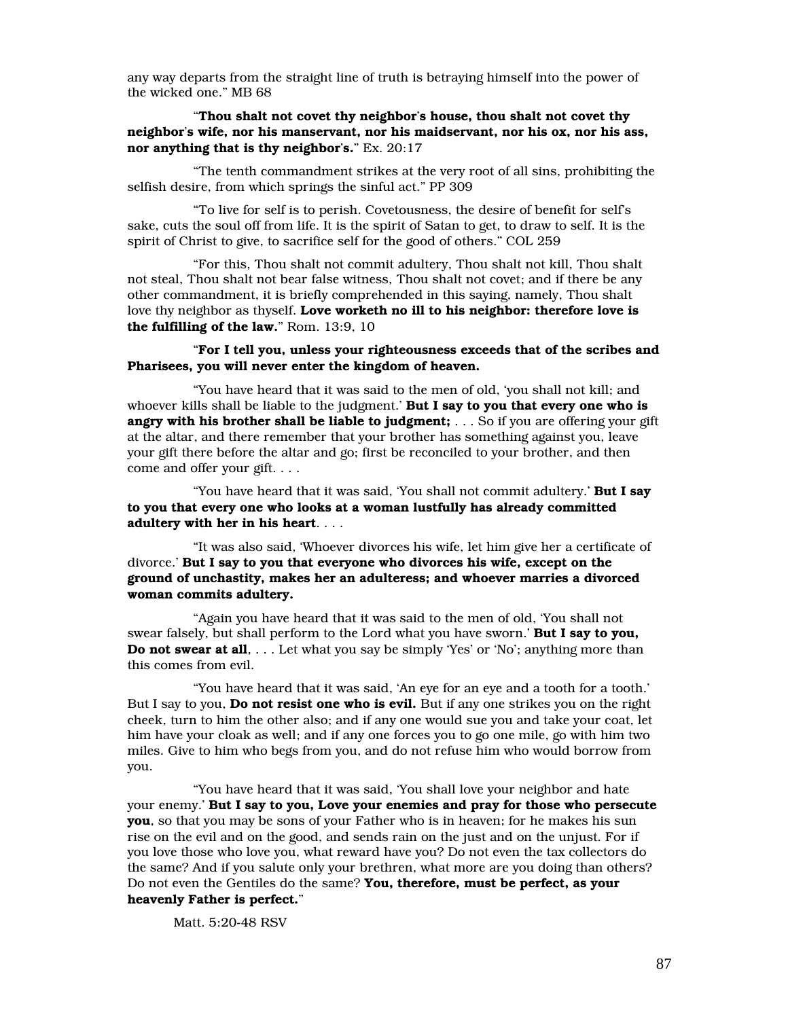any way departs from the straight line of truth is betraying himself into the power of the wicked one." MB 68

## "Thou shalt not covet thy neighbor's house, thou shalt not covet thy neighbor's wife, nor his manservant, nor his maidservant, nor his ox, nor his ass, nor anything that is thy neighbor's." Ex. 20:17

 "The tenth commandment strikes at the very root of all sins, prohibiting the selfish desire, from which springs the sinful act." PP 309

 "To live for self is to perish. Covetousness, the desire of benefit for self's sake, cuts the soul off from life. It is the spirit of Satan to get, to draw to self. It is the spirit of Christ to give, to sacrifice self for the good of others." COL 259

 "For this, Thou shalt not commit adultery, Thou shalt not kill, Thou shalt not steal, Thou shalt not bear false witness, Thou shalt not covet; and if there be any other commandment, it is briefly comprehended in this saying, namely, Thou shalt love thy neighbor as thyself. Love worketh no ill to his neighbor: therefore love is the fulfilling of the law." Rom. 13:9, 10

## "For I tell you, unless your righteousness exceeds that of the scribes and Pharisees, you will never enter the kingdom of heaven.

 "You have heard that it was said to the men of old, 'you shall not kill; and whoever kills shall be liable to the judgment.' But I say to you that every one who is angry with his brother shall be liable to judgment; . . . So if you are offering your gift at the altar, and there remember that your brother has something against you, leave your gift there before the altar and go; first be reconciled to your brother, and then come and offer your gift. . . .

"You have heard that it was said, 'You shall not commit adultery.' But I say to you that every one who looks at a woman lustfully has already committed adultery with her in his heart. . . .

 "It was also said, 'Whoever divorces his wife, let him give her a certificate of divorce.' But I say to you that everyone who divorces his wife, except on the ground of unchastity, makes her an adulteress; and whoever marries a divorced woman commits adultery.

 "Again you have heard that it was said to the men of old, 'You shall not swear falsely, but shall perform to the Lord what you have sworn.' But I say to you, **Do not swear at all,** . . . Let what you say be simply 'Yes' or 'No'; anything more than this comes from evil.

 "You have heard that it was said, 'An eye for an eye and a tooth for a tooth.' But I say to you, **Do not resist one who is evil.** But if any one strikes you on the right cheek, turn to him the other also; and if any one would sue you and take your coat, let him have your cloak as well; and if any one forces you to go one mile, go with him two miles. Give to him who begs from you, and do not refuse him who would borrow from you.

 "You have heard that it was said, 'You shall love your neighbor and hate your enemy.' But I say to you, Love your enemies and pray for those who persecute you, so that you may be sons of your Father who is in heaven; for he makes his sun rise on the evil and on the good, and sends rain on the just and on the unjust. For if you love those who love you, what reward have you? Do not even the tax collectors do the same? And if you salute only your brethren, what more are you doing than others? Do not even the Gentiles do the same? You, therefore, must be perfect, as your heavenly Father is perfect."

Matt. 5:20-48 RSV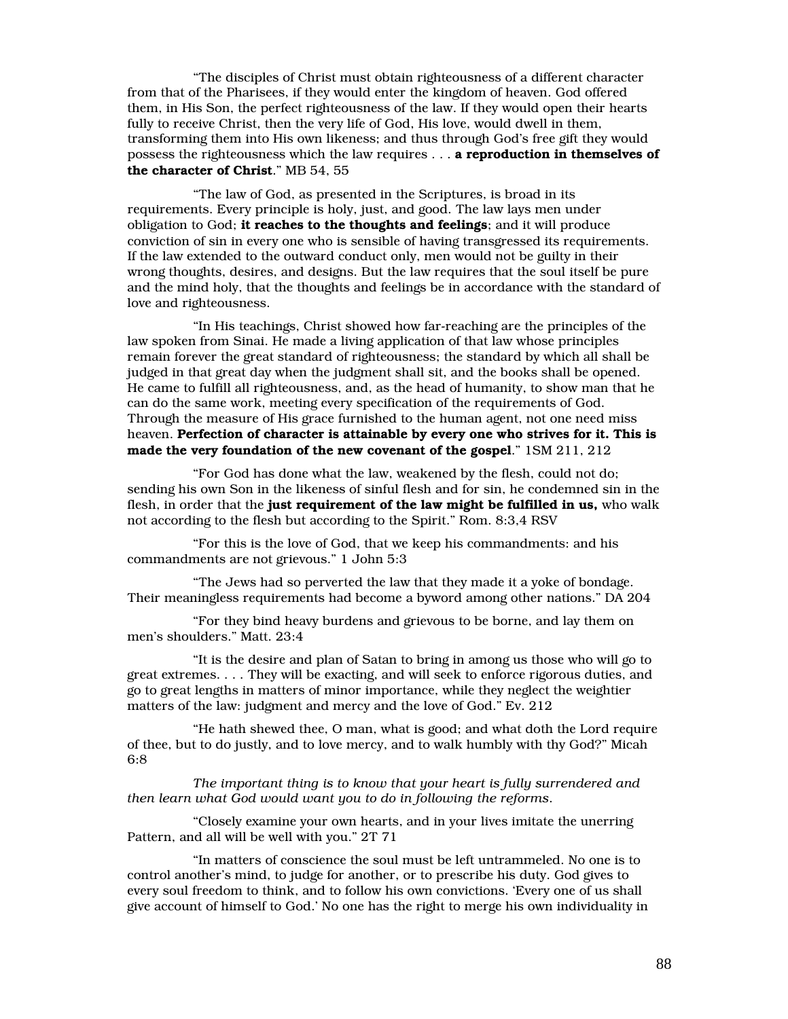"The disciples of Christ must obtain righteousness of a different character from that of the Pharisees, if they would enter the kingdom of heaven. God offered them, in His Son, the perfect righteousness of the law. If they would open their hearts fully to receive Christ, then the very life of God, His love, would dwell in them, transforming them into His own likeness; and thus through God's free gift they would possess the righteousness which the law requires . . . a reproduction in themselves of the character of Christ." MB 54, 55

 "The law of God, as presented in the Scriptures, is broad in its requirements. Every principle is holy, just, and good. The law lays men under obligation to God; it reaches to the thoughts and feelings; and it will produce conviction of sin in every one who is sensible of having transgressed its requirements. If the law extended to the outward conduct only, men would not be guilty in their wrong thoughts, desires, and designs. But the law requires that the soul itself be pure and the mind holy, that the thoughts and feelings be in accordance with the standard of love and righteousness.

 "In His teachings, Christ showed how far-reaching are the principles of the law spoken from Sinai. He made a living application of that law whose principles remain forever the great standard of righteousness; the standard by which all shall be judged in that great day when the judgment shall sit, and the books shall be opened. He came to fulfill all righteousness, and, as the head of humanity, to show man that he can do the same work, meeting every specification of the requirements of God. Through the measure of His grace furnished to the human agent, not one need miss heaven. Perfection of character is attainable by every one who strives for it. This is made the very foundation of the new covenant of the gospel." 1SM 211, 212

 "For God has done what the law, weakened by the flesh, could not do; sending his own Son in the likeness of sinful flesh and for sin, he condemned sin in the flesh, in order that the just requirement of the law might be fulfilled in us, who walk not according to the flesh but according to the Spirit." Rom. 8:3,4 RSV

 "For this is the love of God, that we keep his commandments: and his commandments are not grievous." 1 John 5:3

 "The Jews had so perverted the law that they made it a yoke of bondage. Their meaningless requirements had become a byword among other nations." DA 204

 "For they bind heavy burdens and grievous to be borne, and lay them on men's shoulders." Matt. 23:4

 "It is the desire and plan of Satan to bring in among us those who will go to great extremes. . . . They will be exacting, and will seek to enforce rigorous duties, and go to great lengths in matters of minor importance, while they neglect the weightier matters of the law: judgment and mercy and the love of God." Ev. 212

 "He hath shewed thee, O man, what is good; and what doth the Lord require of thee, but to do justly, and to love mercy, and to walk humbly with thy God?" Micah 6:8

 *The important thing is to know that your heart is fully surrendered and then learn what God would want you to do in following the reforms*.

 "Closely examine your own hearts, and in your lives imitate the unerring Pattern, and all will be well with you." 2T 71

 "In matters of conscience the soul must be left untrammeled. No one is to control another's mind, to judge for another, or to prescribe his duty. God gives to every soul freedom to think, and to follow his own convictions. 'Every one of us shall give account of himself to God.' No one has the right to merge his own individuality in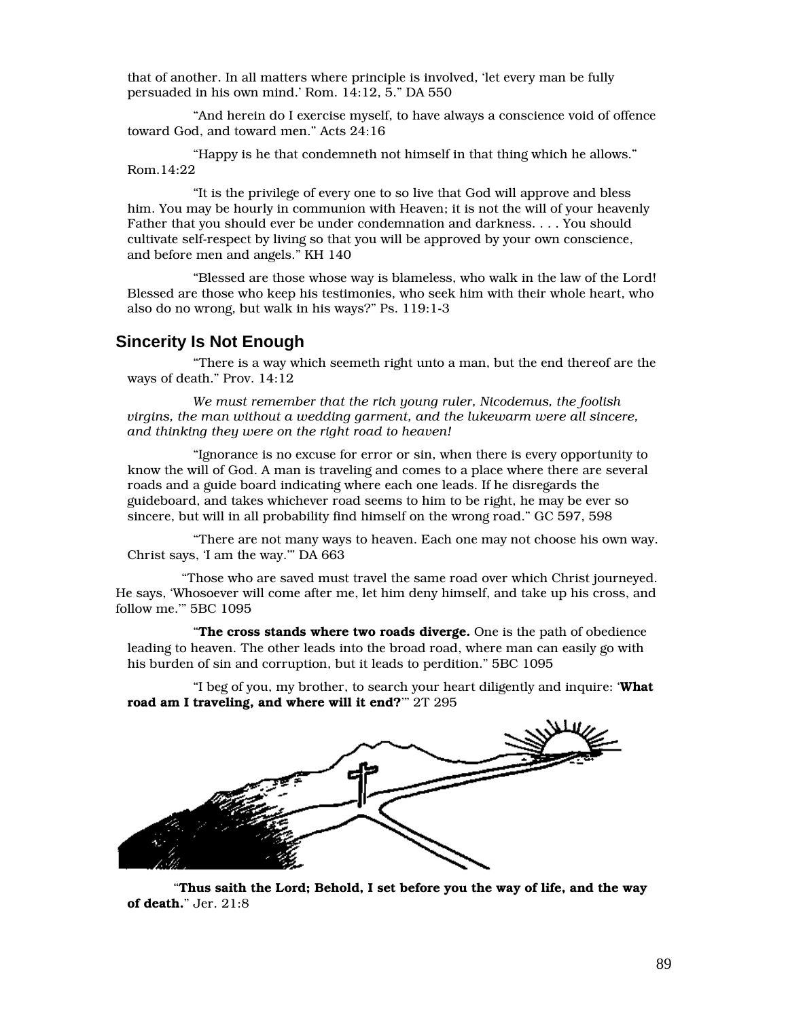that of another. In all matters where principle is involved, 'let every man be fully persuaded in his own mind.' Rom. 14:12, 5." DA 550

 "And herein do I exercise myself, to have always a conscience void of offence toward God, and toward men." Acts 24:16

 "Happy is he that condemneth not himself in that thing which he allows." Rom.14:22

 "It is the privilege of every one to so live that God will approve and bless him. You may be hourly in communion with Heaven; it is not the will of your heavenly Father that you should ever be under condemnation and darkness. . . . You should cultivate self-respect by living so that you will be approved by your own conscience, and before men and angels." KH 140

 "Blessed are those whose way is blameless, who walk in the law of the Lord! Blessed are those who keep his testimonies, who seek him with their whole heart, who also do no wrong, but walk in his ways?" Ps. 119:1-3

# **Sincerity Is Not Enough**

 "There is a way which seemeth right unto a man, but the end thereof are the ways of death." Prov. 14:12

 *We must remember that the rich young ruler, Nicodemus, the foolish virgins, the man without a wedding garment, and the lukewarm were all sincere, and thinking they were on the right road to heaven!*

 "Ignorance is no excuse for error or sin, when there is every opportunity to know the will of God. A man is traveling and comes to a place where there are several roads and a guide board indicating where each one leads. If he disregards the guideboard, and takes whichever road seems to him to be right, he may be ever so sincere, but will in all probability find himself on the wrong road." GC 597, 598

 "There are not many ways to heaven. Each one may not choose his own way. Christ says, 'I am the way.'" DA 663

 "Those who are saved must travel the same road over which Christ journeyed. He says, 'Whosoever will come after me, let him deny himself, and take up his cross, and follow me.'" 5BC 1095

"The cross stands where two roads diverge. One is the path of obedience leading to heaven. The other leads into the broad road, where man can easily go with his burden of sin and corruption, but it leads to perdition." 5BC 1095

"I beg of you, my brother, to search your heart diligently and inquire: 'What road am I traveling, and where will it end?'" 2T 295



"Thus saith the Lord; Behold, I set before you the way of life, and the way of death." Jer. 21:8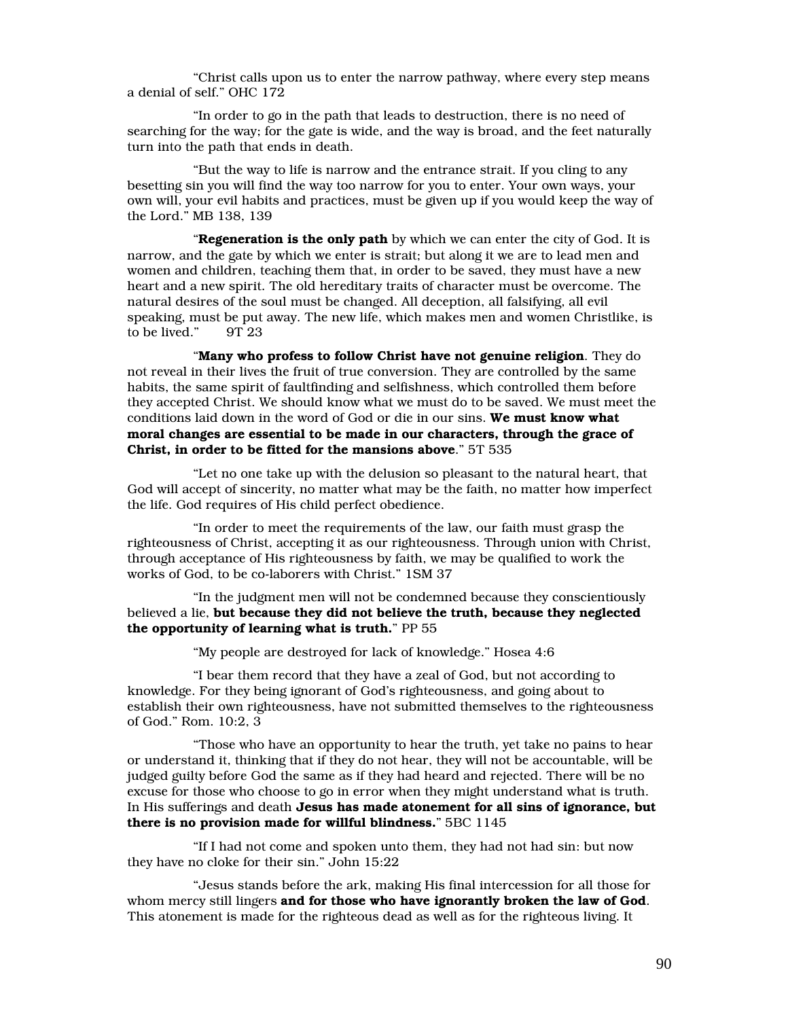"Christ calls upon us to enter the narrow pathway, where every step means a denial of self." OHC 172

 "In order to go in the path that leads to destruction, there is no need of searching for the way; for the gate is wide, and the way is broad, and the feet naturally turn into the path that ends in death.

 "But the way to life is narrow and the entrance strait. If you cling to any besetting sin you will find the way too narrow for you to enter. Your own ways, your own will, your evil habits and practices, must be given up if you would keep the way of the Lord." MB 138, 139

"Regeneration is the only path by which we can enter the city of God. It is narrow, and the gate by which we enter is strait; but along it we are to lead men and women and children, teaching them that, in order to be saved, they must have a new heart and a new spirit. The old hereditary traits of character must be overcome. The natural desires of the soul must be changed. All deception, all falsifying, all evil speaking, must be put away. The new life, which makes men and women Christlike, is to be lived." 9T 23

 "Many who profess to follow Christ have not genuine religion. They do not reveal in their lives the fruit of true conversion. They are controlled by the same habits, the same spirit of faultfinding and selfishness, which controlled them before they accepted Christ. We should know what we must do to be saved. We must meet the conditions laid down in the word of God or die in our sins. We must know what moral changes are essential to be made in our characters, through the grace of Christ, in order to be fitted for the mansions above." 5T 535

 "Let no one take up with the delusion so pleasant to the natural heart, that God will accept of sincerity, no matter what may be the faith, no matter how imperfect the life. God requires of His child perfect obedience.

 "In order to meet the requirements of the law, our faith must grasp the righteousness of Christ, accepting it as our righteousness. Through union with Christ, through acceptance of His righteousness by faith, we may be qualified to work the works of God, to be co-laborers with Christ." 1SM 37

 "In the judgment men will not be condemned because they conscientiously believed a lie, but because they did not believe the truth, because they neglected the opportunity of learning what is truth." PP 55

"My people are destroyed for lack of knowledge." Hosea 4:6

 "I bear them record that they have a zeal of God, but not according to knowledge. For they being ignorant of God's righteousness, and going about to establish their own righteousness, have not submitted themselves to the righteousness of God." Rom. 10:2, 3

 "Those who have an opportunity to hear the truth, yet take no pains to hear or understand it, thinking that if they do not hear, they will not be accountable, will be judged guilty before God the same as if they had heard and rejected. There will be no excuse for those who choose to go in error when they might understand what is truth. In His sufferings and death Jesus has made atonement for all sins of ignorance, but there is no provision made for willful blindness." 5BC 1145

 "If I had not come and spoken unto them, they had not had sin: but now they have no cloke for their sin." John 15:22

 "Jesus stands before the ark, making His final intercession for all those for whom mercy still lingers and for those who have ignorantly broken the law of God. This atonement is made for the righteous dead as well as for the righteous living. It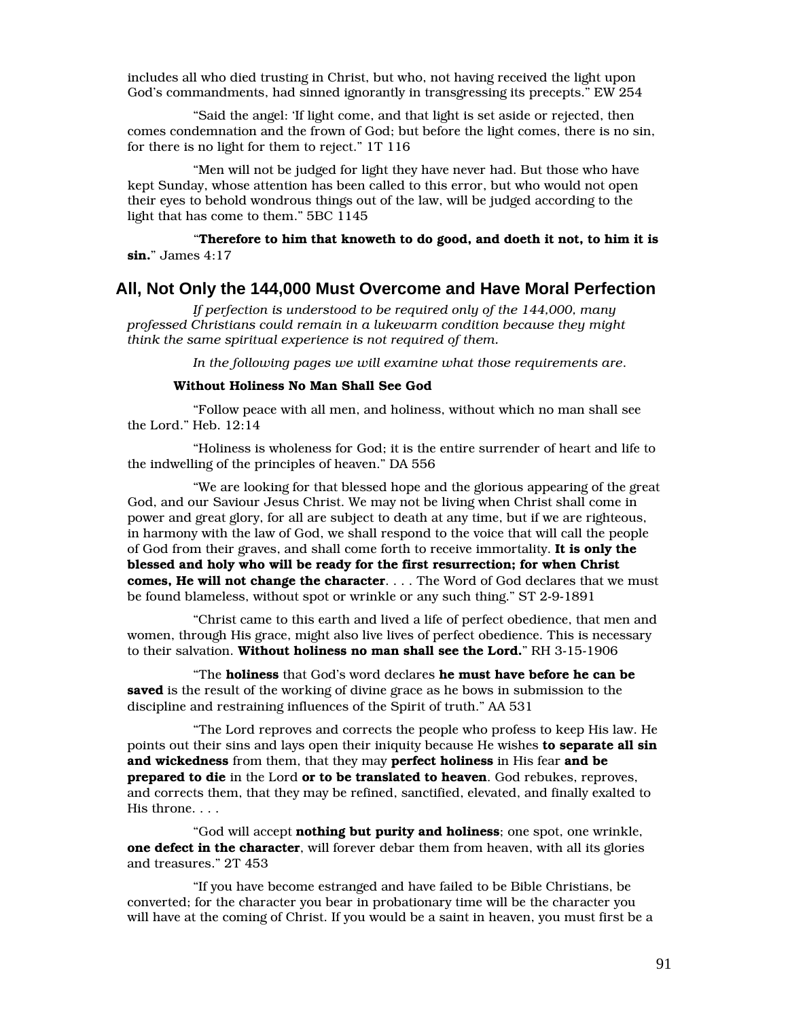includes all who died trusting in Christ, but who, not having received the light upon God's commandments, had sinned ignorantly in transgressing its precepts." EW 254

 "Said the angel: 'If light come, and that light is set aside or rejected, then comes condemnation and the frown of God; but before the light comes, there is no sin, for there is no light for them to reject." 1T 116

 "Men will not be judged for light they have never had. But those who have kept Sunday, whose attention has been called to this error, but who would not open their eyes to behold wondrous things out of the law, will be judged according to the light that has come to them." 5BC 1145

 "Therefore to him that knoweth to do good, and doeth it not, to him it is sin." James 4:17

## **All, Not Only the 144,000 Must Overcome and Have Moral Perfection**

 *If perfection is understood to be required only of the 144,000, many professed Christians could remain in a lukewarm condition because they might think the same spiritual experience is not required of them.* 

 *In the following pages we will examine what those requirements are*.

### Without Holiness No Man Shall See God

 "Follow peace with all men, and holiness, without which no man shall see the Lord." Heb. 12:14

 "Holiness is wholeness for God; it is the entire surrender of heart and life to the indwelling of the principles of heaven." DA 556

 "We are looking for that blessed hope and the glorious appearing of the great God, and our Saviour Jesus Christ. We may not be living when Christ shall come in power and great glory, for all are subject to death at any time, but if we are righteous, in harmony with the law of God, we shall respond to the voice that will call the people of God from their graves, and shall come forth to receive immortality. It is only the blessed and holy who will be ready for the first resurrection; for when Christ comes, He will not change the character. . . . The Word of God declares that we must be found blameless, without spot or wrinkle or any such thing." ST 2-9-1891

 "Christ came to this earth and lived a life of perfect obedience, that men and women, through His grace, might also live lives of perfect obedience. This is necessary to their salvation. Without holiness no man shall see the Lord." RH 3-15-1906

 "The holiness that God's word declares he must have before he can be saved is the result of the working of divine grace as he bows in submission to the discipline and restraining influences of the Spirit of truth." AA 531

 "The Lord reproves and corrects the people who profess to keep His law. He points out their sins and lays open their iniquity because He wishes to separate all sin and wickedness from them, that they may perfect holiness in His fear and be prepared to die in the Lord or to be translated to heaven. God rebukes, reproves, and corrects them, that they may be refined, sanctified, elevated, and finally exalted to His throne. . . .

"God will accept **nothing but purity and holiness**; one spot, one wrinkle, one defect in the character, will forever debar them from heaven, with all its glories and treasures." 2T 453

 "If you have become estranged and have failed to be Bible Christians, be converted; for the character you bear in probationary time will be the character you will have at the coming of Christ. If you would be a saint in heaven, you must first be a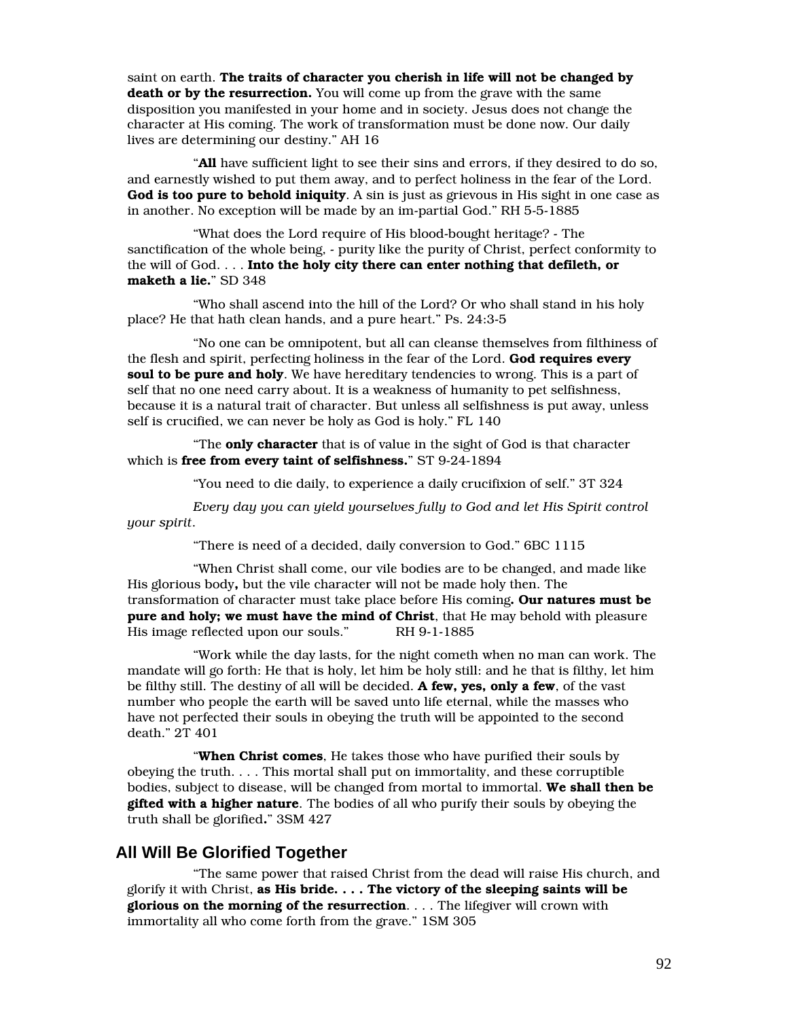saint on earth. The traits of character you cherish in life will not be changed by death or by the resurrection. You will come up from the grave with the same disposition you manifested in your home and in society. Jesus does not change the character at His coming. The work of transformation must be done now. Our daily lives are determining our destiny." AH 16

 "All have sufficient light to see their sins and errors, if they desired to do so, and earnestly wished to put them away, and to perfect holiness in the fear of the Lord. God is too pure to behold iniquity. A sin is just as grievous in His sight in one case as in another. No exception will be made by an im-partial God." RH 5-5-1885

 "What does the Lord require of His blood-bought heritage? - The sanctification of the whole being, - purity like the purity of Christ, perfect conformity to the will of God. . . . Into the holy city there can enter nothing that defileth, or maketh a lie." SD 348

 "Who shall ascend into the hill of the Lord? Or who shall stand in his holy place? He that hath clean hands, and a pure heart." Ps. 24:3-5

 "No one can be omnipotent, but all can cleanse themselves from filthiness of the flesh and spirit, perfecting holiness in the fear of the Lord. God requires every soul to be pure and holy. We have hereditary tendencies to wrong. This is a part of self that no one need carry about. It is a weakness of humanity to pet selfishness, because it is a natural trait of character. But unless all selfishness is put away, unless self is crucified, we can never be holy as God is holy." FL 140

"The **only character** that is of value in the sight of God is that character which is free from every taint of selfishness." ST 9-24-1894

"You need to die daily, to experience a daily crucifixion of self." 3T 324

 *Every day you can yield yourselves fully to God and let His Spirit control your spirit*.

"There is need of a decided, daily conversion to God." 6BC 1115

 "When Christ shall come, our vile bodies are to be changed, and made like His glorious body, but the vile character will not be made holy then. The transformation of character must take place before His coming. Our natures must be pure and holy; we must have the mind of Christ, that He may behold with pleasure His image reflected upon our souls." RH 9-1-1885

 "Work while the day lasts, for the night cometh when no man can work. The mandate will go forth: He that is holy, let him be holy still: and he that is filthy, let him be filthy still. The destiny of all will be decided. A few, yes, only a few, of the vast number who people the earth will be saved unto life eternal, while the masses who have not perfected their souls in obeying the truth will be appointed to the second death." 2T 401

"When Christ comes, He takes those who have purified their souls by obeying the truth. . . . This mortal shall put on immortality, and these corruptible bodies, subject to disease, will be changed from mortal to immortal. We shall then be gifted with a higher nature. The bodies of all who purify their souls by obeying the truth shall be glorified." 3SM 427

## **All Will Be Glorified Together**

 "The same power that raised Christ from the dead will raise His church, and glorify it with Christ, as His bride.  $\ldots$  The victory of the sleeping saints will be glorious on the morning of the resurrection. . . . The lifegiver will crown with immortality all who come forth from the grave." 1SM 305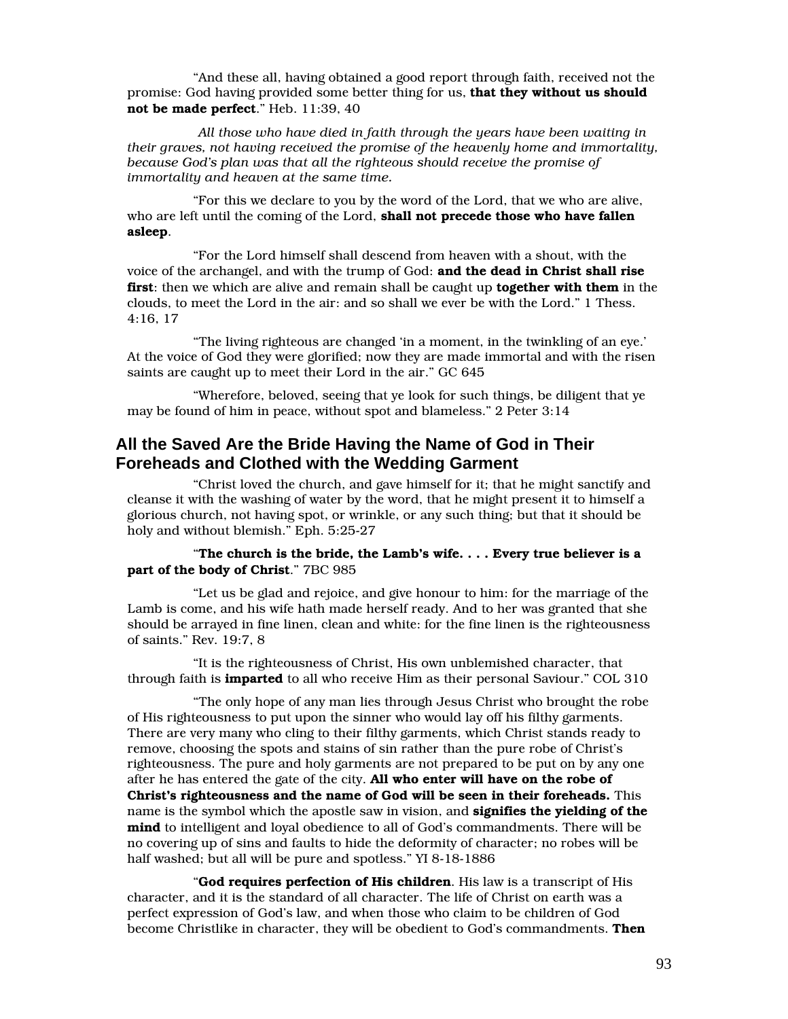"And these all, having obtained a good report through faith, received not the promise: God having provided some better thing for us, that they without us should not be made perfect." Heb. 11:39, 40

 *All those who have died in faith through the years have been waiting in their graves, not having received the promise of the heavenly home and immortality, because God's plan was that all the righteous should receive the promise of immortality and heaven at the same time.*

 "For this we declare to you by the word of the Lord, that we who are alive, who are left until the coming of the Lord, **shall not precede those who have fallen** asleep.

 "For the Lord himself shall descend from heaven with a shout, with the voice of the archangel, and with the trump of God: and the dead in Christ shall rise first: then we which are alive and remain shall be caught up together with them in the clouds, to meet the Lord in the air: and so shall we ever be with the Lord." 1 Thess. 4:16, 17

 "The living righteous are changed 'in a moment, in the twinkling of an eye.' At the voice of God they were glorified; now they are made immortal and with the risen saints are caught up to meet their Lord in the air." GC 645

 "Wherefore, beloved, seeing that ye look for such things, be diligent that ye may be found of him in peace, without spot and blameless." 2 Peter 3:14

# **All the Saved Are the Bride Having the Name of God in Their Foreheads and Clothed with the Wedding Garment**

 "Christ loved the church, and gave himself for it; that he might sanctify and cleanse it with the washing of water by the word, that he might present it to himself a glorious church, not having spot, or wrinkle, or any such thing; but that it should be holy and without blemish." Eph. 5:25-27

"The church is the bride, the Lamb's wife.  $\ldots$ . Every true believer is a part of the body of Christ." 7BC 985

 "Let us be glad and rejoice, and give honour to him: for the marriage of the Lamb is come, and his wife hath made herself ready. And to her was granted that she should be arrayed in fine linen, clean and white: for the fine linen is the righteousness of saints." Rev. 19:7, 8

 "It is the righteousness of Christ, His own unblemished character, that through faith is imparted to all who receive Him as their personal Saviour." COL 310

 "The only hope of any man lies through Jesus Christ who brought the robe of His righteousness to put upon the sinner who would lay off his filthy garments. There are very many who cling to their filthy garments, which Christ stands ready to remove, choosing the spots and stains of sin rather than the pure robe of Christ's righteousness. The pure and holy garments are not prepared to be put on by any one after he has entered the gate of the city. All who enter will have on the robe of Christ's righteousness and the name of God will be seen in their foreheads. This name is the symbol which the apostle saw in vision, and signifies the yielding of the mind to intelligent and loyal obedience to all of God's commandments. There will be no covering up of sins and faults to hide the deformity of character; no robes will be half washed; but all will be pure and spotless." YI 8-18-1886

"God requires perfection of His children. His law is a transcript of His character, and it is the standard of all character. The life of Christ on earth was a perfect expression of God's law, and when those who claim to be children of God become Christlike in character, they will be obedient to God's commandments. Then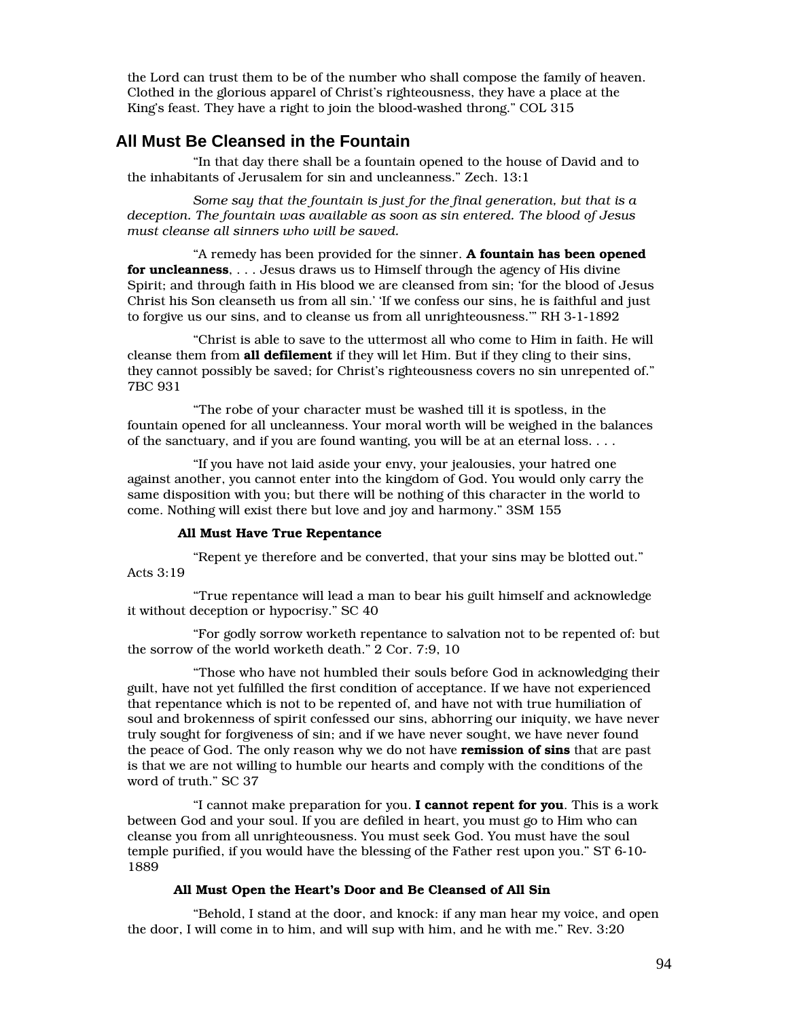the Lord can trust them to be of the number who shall compose the family of heaven. Clothed in the glorious apparel of Christ's righteousness, they have a place at the King's feast. They have a right to join the blood-washed throng." COL 315

## **All Must Be Cleansed in the Fountain**

 "In that day there shall be a fountain opened to the house of David and to the inhabitants of Jerusalem for sin and uncleanness." Zech. 13:1

 *Some say that the fountain is just for the final generation, but that is a deception. The fountain was available as soon as sin entered. The blood of Jesus must cleanse all sinners who will be saved.* 

"A remedy has been provided for the sinner. A fountain has been opened for uncleanness, . . . Jesus draws us to Himself through the agency of His divine Spirit; and through faith in His blood we are cleansed from sin; 'for the blood of Jesus Christ his Son cleanseth us from all sin.' 'If we confess our sins, he is faithful and just to forgive us our sins, and to cleanse us from all unrighteousness.'" RH 3-1-1892

 "Christ is able to save to the uttermost all who come to Him in faith. He will cleanse them from **all defilement** if they will let Him. But if they cling to their sins, they cannot possibly be saved; for Christ's righteousness covers no sin unrepented of." 7BC 931

 "The robe of your character must be washed till it is spotless, in the fountain opened for all uncleanness. Your moral worth will be weighed in the balances of the sanctuary, and if you are found wanting, you will be at an eternal loss. . . .

 "If you have not laid aside your envy, your jealousies, your hatred one against another, you cannot enter into the kingdom of God. You would only carry the same disposition with you; but there will be nothing of this character in the world to come. Nothing will exist there but love and joy and harmony." 3SM 155

#### All Must Have True Repentance

 "Repent ye therefore and be converted, that your sins may be blotted out." Acts 3:19

 "True repentance will lead a man to bear his guilt himself and acknowledge it without deception or hypocrisy." SC 40

 "For godly sorrow worketh repentance to salvation not to be repented of: but the sorrow of the world worketh death." 2 Cor. 7:9, 10

 "Those who have not humbled their souls before God in acknowledging their guilt, have not yet fulfilled the first condition of acceptance. If we have not experienced that repentance which is not to be repented of, and have not with true humiliation of soul and brokenness of spirit confessed our sins, abhorring our iniquity, we have never truly sought for forgiveness of sin; and if we have never sought, we have never found the peace of God. The only reason why we do not have **remission of sins** that are past is that we are not willing to humble our hearts and comply with the conditions of the word of truth." SC 37

"I cannot make preparation for you. **I cannot repent for you**. This is a work between God and your soul. If you are defiled in heart, you must go to Him who can cleanse you from all unrighteousness. You must seek God. You must have the soul temple purified, if you would have the blessing of the Father rest upon you." ST 6-10- 1889

#### All Must Open the Heart's Door and Be Cleansed of All Sin

 "Behold, I stand at the door, and knock: if any man hear my voice, and open the door, I will come in to him, and will sup with him, and he with me." Rev. 3:20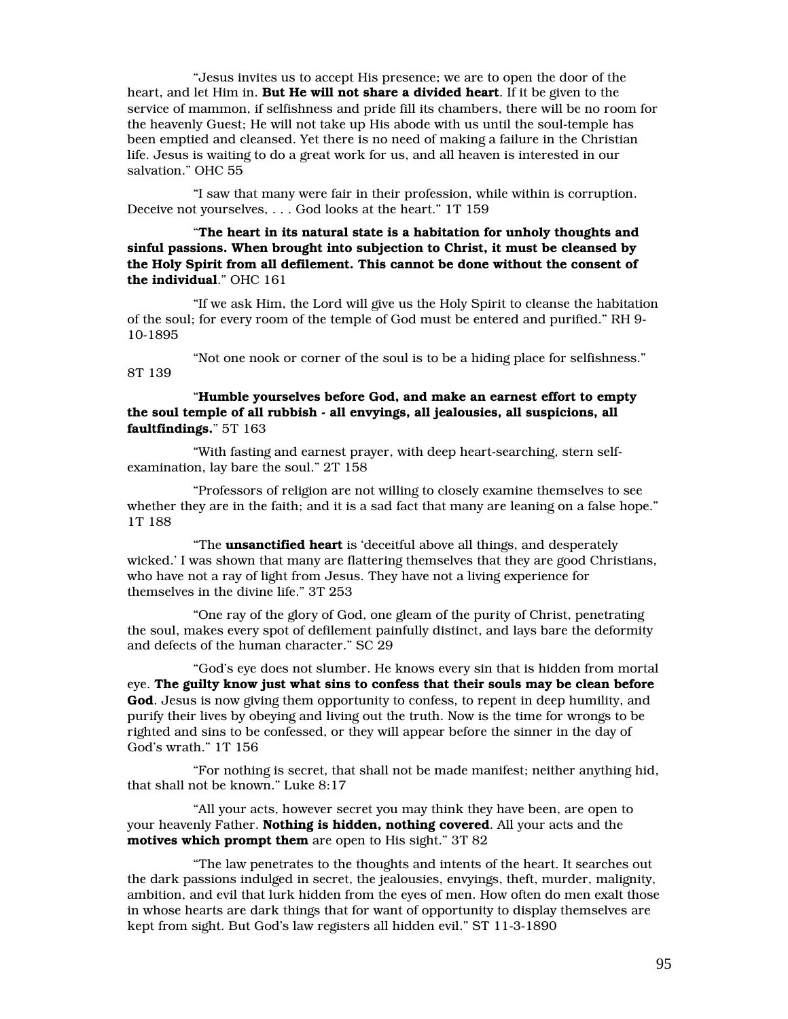"Jesus invites us to accept His presence; we are to open the door of the heart, and let Him in. But He will not share a divided heart. If it be given to the service of mammon, if selfishness and pride fill its chambers, there will be no room for the heavenly Guest; He will not take up His abode with us until the soul-temple has been emptied and cleansed. Yet there is no need of making a failure in the Christian life. Jesus is waiting to do a great work for us, and all heaven is interested in our salvation." OHC 55

 "I saw that many were fair in their profession, while within is corruption. Deceive not yourselves, . . . God looks at the heart." 1T 159

## "The heart in its natural state is a habitation for unholy thoughts and sinful passions. When brought into subjection to Christ, it must be cleansed by the Holy Spirit from all defilement. This cannot be done without the consent of the individual." OHC 161

 "If we ask Him, the Lord will give us the Holy Spirit to cleanse the habitation of the soul; for every room of the temple of God must be entered and purified." RH 9- 10-1895

 "Not one nook or corner of the soul is to be a hiding place for selfishness." 8T 139

## "Humble yourselves before God, and make an earnest effort to empty the soul temple of all rubbish - all envyings, all jealousies, all suspicions, all faultfindings." 5T 163

 "With fasting and earnest prayer, with deep heart-searching, stern selfexamination, lay bare the soul." 2T 158

 "Professors of religion are not willing to closely examine themselves to see whether they are in the faith; and it is a sad fact that many are leaning on a false hope." 1T 188

"The **unsanctified heart** is 'deceitful above all things, and desperately wicked.' I was shown that many are flattering themselves that they are good Christians, who have not a ray of light from Jesus. They have not a living experience for themselves in the divine life." 3T 253

 "One ray of the glory of God, one gleam of the purity of Christ, penetrating the soul, makes every spot of defilement painfully distinct, and lays bare the deformity and defects of the human character." SC 29

 "God's eye does not slumber. He knows every sin that is hidden from mortal eye. The guilty know just what sins to confess that their souls may be clean before God. Jesus is now giving them opportunity to confess, to repent in deep humility, and purify their lives by obeying and living out the truth. Now is the time for wrongs to be righted and sins to be confessed, or they will appear before the sinner in the day of God's wrath." 1T 156

 "For nothing is secret, that shall not be made manifest; neither anything hid, that shall not be known." Luke 8:17

 "All your acts, however secret you may think they have been, are open to your heavenly Father. Nothing is hidden, nothing covered. All your acts and the motives which prompt them are open to His sight." 3T 82

 "The law penetrates to the thoughts and intents of the heart. It searches out the dark passions indulged in secret, the jealousies, envyings, theft, murder, malignity, ambition, and evil that lurk hidden from the eyes of men. How often do men exalt those in whose hearts are dark things that for want of opportunity to display themselves are kept from sight. But God's law registers all hidden evil." ST 11-3-1890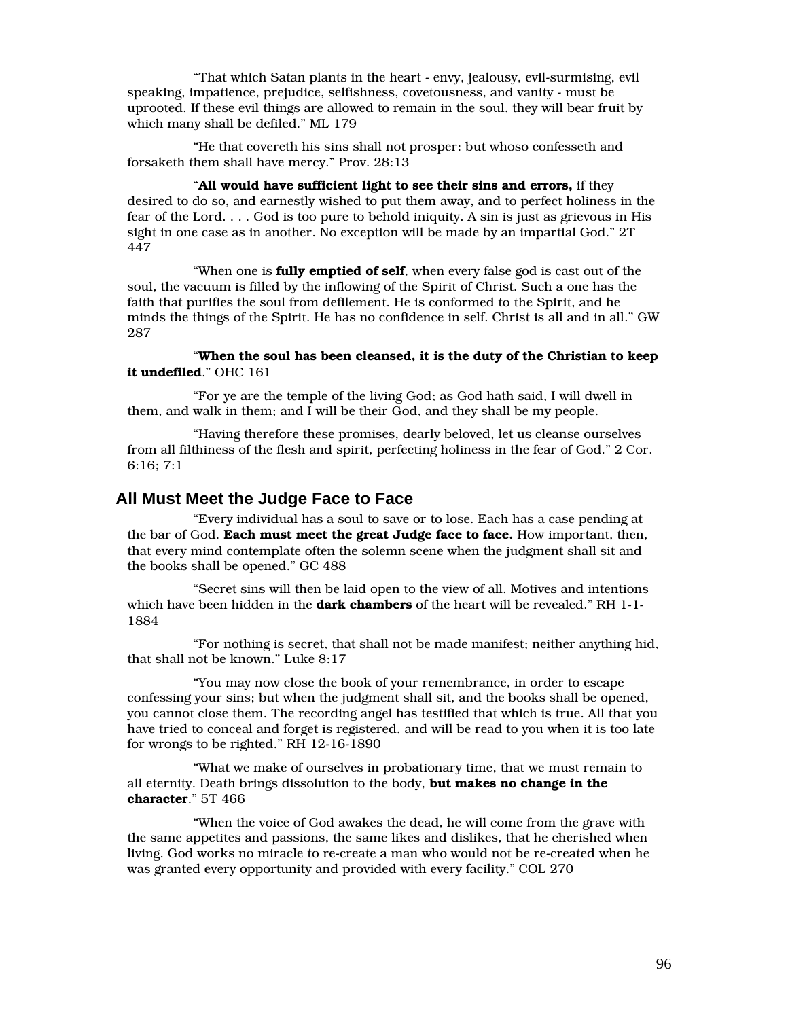"That which Satan plants in the heart - envy, jealousy, evil-surmising, evil speaking, impatience, prejudice, selfishness, covetousness, and vanity - must be uprooted. If these evil things are allowed to remain in the soul, they will bear fruit by which many shall be defiled." ML 179

 "He that covereth his sins shall not prosper: but whoso confesseth and forsaketh them shall have mercy." Prov. 28:13

"All would have sufficient light to see their sins and errors, if they desired to do so, and earnestly wished to put them away, and to perfect holiness in the fear of the Lord. . . . God is too pure to behold iniquity. A sin is just as grievous in His sight in one case as in another. No exception will be made by an impartial God." 2T 447

"When one is **fully emptied of self**, when every false god is cast out of the soul, the vacuum is filled by the inflowing of the Spirit of Christ. Such a one has the faith that purifies the soul from defilement. He is conformed to the Spirit, and he minds the things of the Spirit. He has no confidence in self. Christ is all and in all." GW 287

 "When the soul has been cleansed, it is the duty of the Christian to keep it undefiled." OHC 161

 "For ye are the temple of the living God; as God hath said, I will dwell in them, and walk in them; and I will be their God, and they shall be my people.

 "Having therefore these promises, dearly beloved, let us cleanse ourselves from all filthiness of the flesh and spirit, perfecting holiness in the fear of God." 2 Cor. 6:16; 7:1

# **All Must Meet the Judge Face to Face**

 "Every individual has a soul to save or to lose. Each has a case pending at the bar of God. Each must meet the great Judge face to face. How important, then, that every mind contemplate often the solemn scene when the judgment shall sit and the books shall be opened." GC 488

 "Secret sins will then be laid open to the view of all. Motives and intentions which have been hidden in the **dark chambers** of the heart will be revealed." RH  $1-1-$ 1884

 "For nothing is secret, that shall not be made manifest; neither anything hid, that shall not be known." Luke 8:17

 "You may now close the book of your remembrance, in order to escape confessing your sins; but when the judgment shall sit, and the books shall be opened, you cannot close them. The recording angel has testified that which is true. All that you have tried to conceal and forget is registered, and will be read to you when it is too late for wrongs to be righted." RH 12-16-1890

 "What we make of ourselves in probationary time, that we must remain to all eternity. Death brings dissolution to the body, but makes no change in the character." 5T 466

 "When the voice of God awakes the dead, he will come from the grave with the same appetites and passions, the same likes and dislikes, that he cherished when living. God works no miracle to re-create a man who would not be re-created when he was granted every opportunity and provided with every facility." COL 270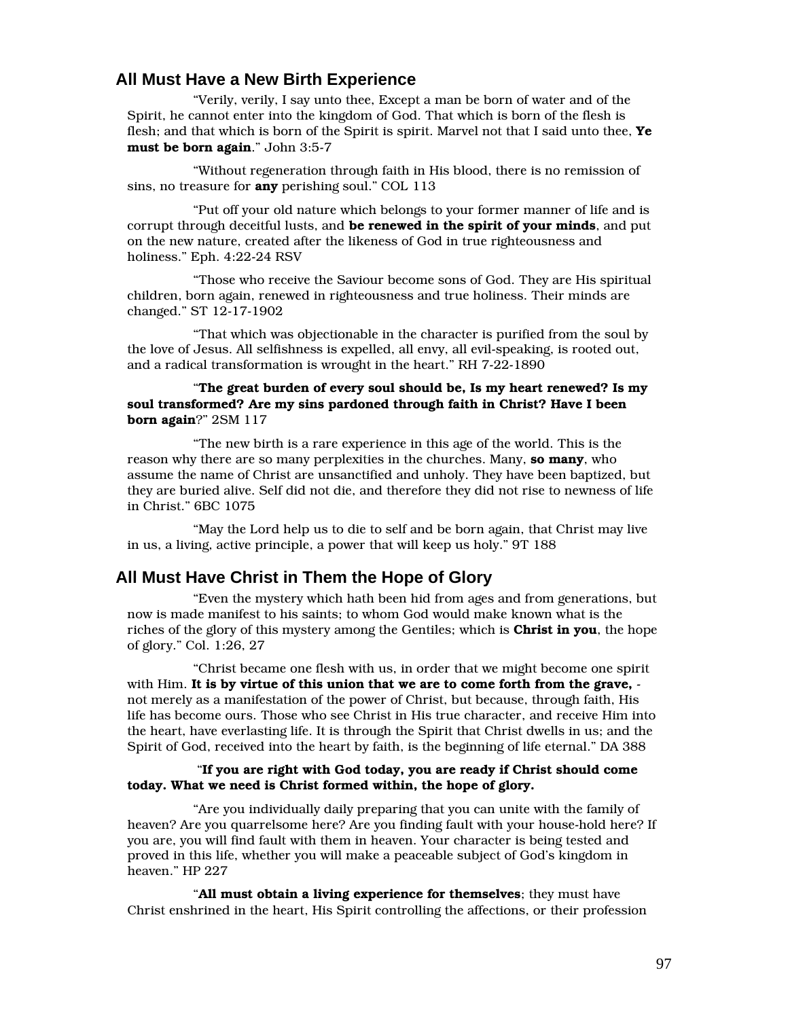# **All Must Have a New Birth Experience**

 "Verily, verily, I say unto thee, Except a man be born of water and of the Spirit, he cannot enter into the kingdom of God. That which is born of the flesh is flesh; and that which is born of the Spirit is spirit. Marvel not that I said unto thee, Ye must be born again." John 3:5-7

 "Without regeneration through faith in His blood, there is no remission of sins, no treasure for **any** perishing soul." COL 113

 "Put off your old nature which belongs to your former manner of life and is corrupt through deceitful lusts, and be renewed in the spirit of your minds, and put on the new nature, created after the likeness of God in true righteousness and holiness." Eph. 4:22-24 RSV

 "Those who receive the Saviour become sons of God. They are His spiritual children, born again, renewed in righteousness and true holiness. Their minds are changed." ST 12-17-1902

 "That which was objectionable in the character is purified from the soul by the love of Jesus. All selfishness is expelled, all envy, all evil-speaking, is rooted out, and a radical transformation is wrought in the heart." RH 7-22-1890

### "The great burden of every soul should be, Is my heart renewed? Is my soul transformed? Are my sins pardoned through faith in Christ? Have I been born again?" 2SM 117

 "The new birth is a rare experience in this age of the world. This is the reason why there are so many perplexities in the churches. Many, so many, who assume the name of Christ are unsanctified and unholy. They have been baptized, but they are buried alive. Self did not die, and therefore they did not rise to newness of life in Christ." 6BC 1075

 "May the Lord help us to die to self and be born again, that Christ may live in us, a living, active principle, a power that will keep us holy." 9T 188

## **All Must Have Christ in Them the Hope of Glory**

 "Even the mystery which hath been hid from ages and from generations, but now is made manifest to his saints; to whom God would make known what is the riches of the glory of this mystery among the Gentiles; which is **Christ in you**, the hope of glory." Col. 1:26, 27

 "Christ became one flesh with us, in order that we might become one spirit with Him. It is by virtue of this union that we are to come forth from the grave, not merely as a manifestation of the power of Christ, but because, through faith, His life has become ours. Those who see Christ in His true character, and receive Him into the heart, have everlasting life. It is through the Spirit that Christ dwells in us; and the Spirit of God, received into the heart by faith, is the beginning of life eternal." DA 388

## "If you are right with God today, you are ready if Christ should come today. What we need is Christ formed within, the hope of glory.

 "Are you individually daily preparing that you can unite with the family of heaven? Are you quarrelsome here? Are you finding fault with your house-hold here? If you are, you will find fault with them in heaven. Your character is being tested and proved in this life, whether you will make a peaceable subject of God's kingdom in heaven." HP 227

"All must obtain a living experience for themselves; they must have Christ enshrined in the heart, His Spirit controlling the affections, or their profession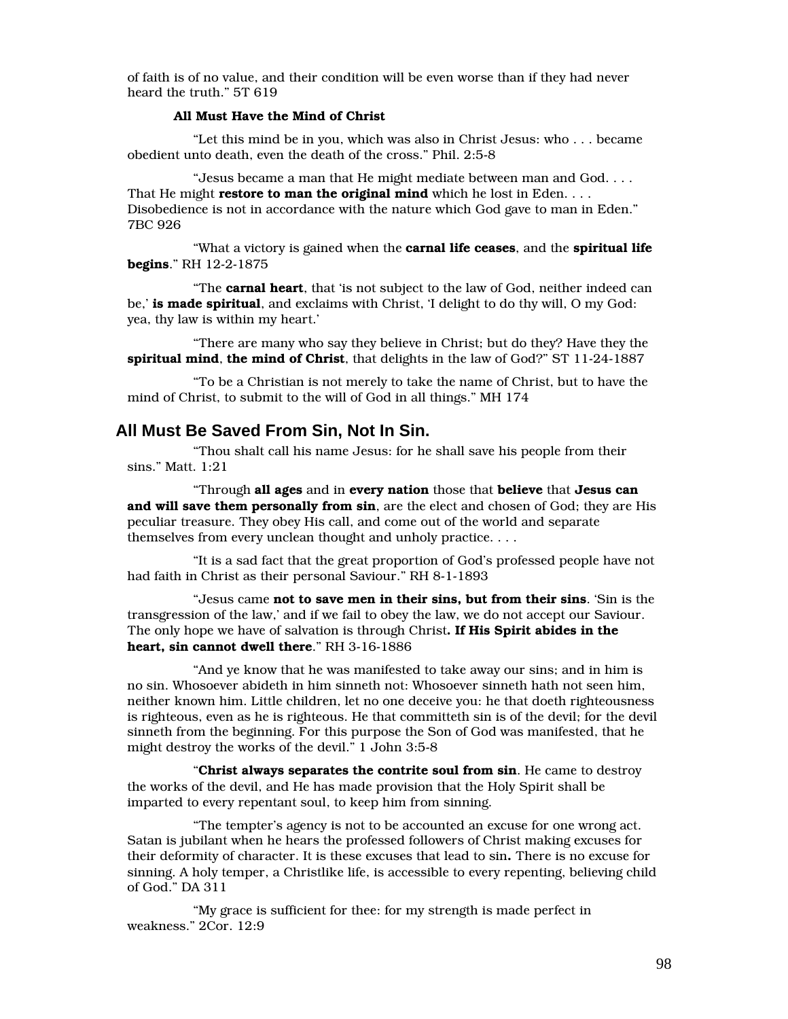of faith is of no value, and their condition will be even worse than if they had never heard the truth." 5T 619

#### All Must Have the Mind of Christ

 "Let this mind be in you, which was also in Christ Jesus: who . . . became obedient unto death, even the death of the cross." Phil. 2:5-8

 "Jesus became a man that He might mediate between man and God. . . . That He might **restore to man the original mind** which he lost in Eden.  $\dots$ Disobedience is not in accordance with the nature which God gave to man in Eden." 7BC 926

"What a victory is gained when the **carnal life ceases**, and the **spiritual life** begins." RH 12-2-1875

 "The carnal heart, that 'is not subject to the law of God, neither indeed can be,' is made spiritual, and exclaims with Christ, 'I delight to do thy will, O my God: yea, thy law is within my heart.'

 "There are many who say they believe in Christ; but do they? Have they the spiritual mind, the mind of Christ, that delights in the law of God?" ST 11-24-1887

 "To be a Christian is not merely to take the name of Christ, but to have the mind of Christ, to submit to the will of God in all things." MH 174

## **All Must Be Saved From Sin, Not In Sin.**

 "Thou shalt call his name Jesus: for he shall save his people from their sins." Matt. 1:21

"Through all ages and in every nation those that believe that Jesus can and will save them personally from sin, are the elect and chosen of God; they are His peculiar treasure. They obey His call, and come out of the world and separate themselves from every unclean thought and unholy practice. . . .

 "It is a sad fact that the great proportion of God's professed people have not had faith in Christ as their personal Saviour." RH 8-1-1893

 "Jesus came not to save men in their sins, but from their sins. 'Sin is the transgression of the law,' and if we fail to obey the law, we do not accept our Saviour. The only hope we have of salvation is through Christ. If His Spirit abides in the heart, sin cannot dwell there." RH 3-16-1886

 "And ye know that he was manifested to take away our sins; and in him is no sin. Whosoever abideth in him sinneth not: Whosoever sinneth hath not seen him, neither known him. Little children, let no one deceive you: he that doeth righteousness is righteous, even as he is righteous. He that committeth sin is of the devil; for the devil sinneth from the beginning. For this purpose the Son of God was manifested, that he might destroy the works of the devil." 1 John 3:5-8

 "Christ always separates the contrite soul from sin. He came to destroy the works of the devil, and He has made provision that the Holy Spirit shall be imparted to every repentant soul, to keep him from sinning.

 "The tempter's agency is not to be accounted an excuse for one wrong act. Satan is jubilant when he hears the professed followers of Christ making excuses for their deformity of character. It is these excuses that lead to sin. There is no excuse for sinning. A holy temper, a Christlike life, is accessible to every repenting, believing child of God." DA 311

 "My grace is sufficient for thee: for my strength is made perfect in weakness." 2Cor. 12:9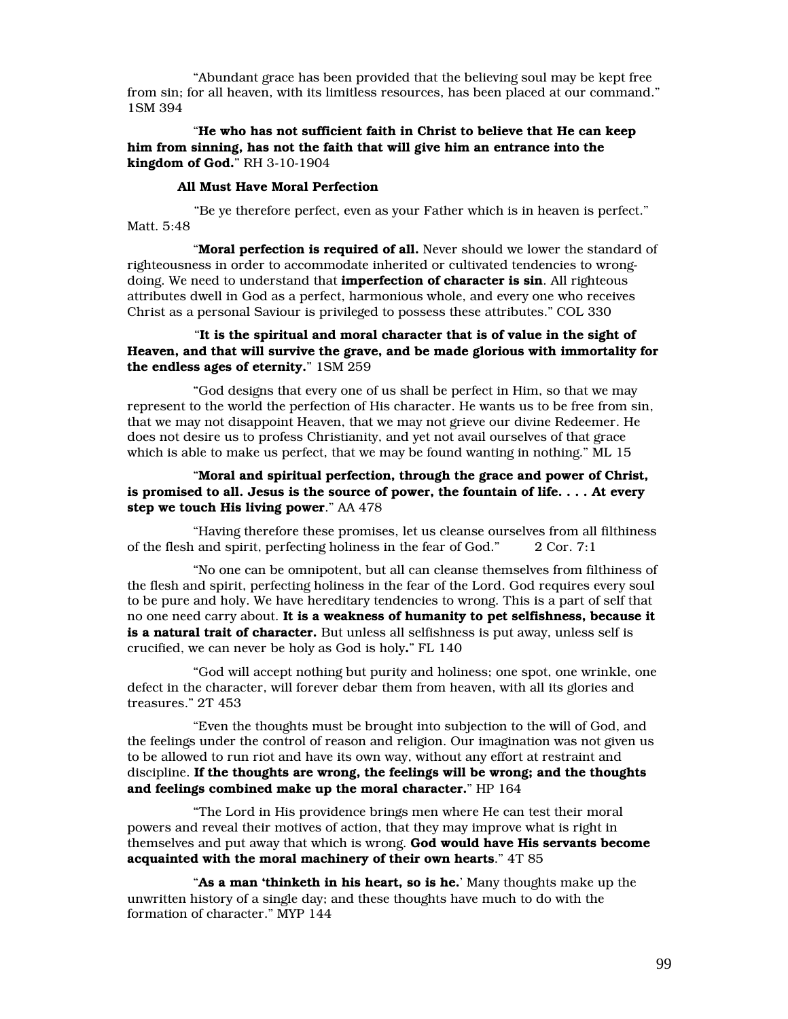"Abundant grace has been provided that the believing soul may be kept free from sin; for all heaven, with its limitless resources, has been placed at our command." 1SM 394

 "He who has not sufficient faith in Christ to believe that He can keep him from sinning, has not the faith that will give him an entrance into the kingdom of God." RH 3-10-1904

#### All Must Have Moral Perfection

 "Be ye therefore perfect, even as your Father which is in heaven is perfect." Matt. 5:48

"Moral perfection is required of all. Never should we lower the standard of righteousness in order to accommodate inherited or cultivated tendencies to wrongdoing. We need to understand that **imperfection of character is sin**. All righteous attributes dwell in God as a perfect, harmonious whole, and every one who receives Christ as a personal Saviour is privileged to possess these attributes." COL 330

## "It is the spiritual and moral character that is of value in the sight of Heaven, and that will survive the grave, and be made glorious with immortality for the endless ages of eternity." 1SM 259

 "God designs that every one of us shall be perfect in Him, so that we may represent to the world the perfection of His character. He wants us to be free from sin, that we may not disappoint Heaven, that we may not grieve our divine Redeemer. He does not desire us to profess Christianity, and yet not avail ourselves of that grace which is able to make us perfect, that we may be found wanting in nothing." ML 15

## "Moral and spiritual perfection, through the grace and power of Christ, is promised to all. Jesus is the source of power, the fountain of life.  $\dots$  At every step we touch His living power." AA 478

 "Having therefore these promises, let us cleanse ourselves from all filthiness of the flesh and spirit, perfecting holiness in the fear of God." 2 Cor. 7:1

 "No one can be omnipotent, but all can cleanse themselves from filthiness of the flesh and spirit, perfecting holiness in the fear of the Lord. God requires every soul to be pure and holy. We have hereditary tendencies to wrong. This is a part of self that no one need carry about. It is a weakness of humanity to pet selfishness, because it is a natural trait of character. But unless all selfishness is put away, unless self is crucified, we can never be holy as God is holy." FL 140

 "God will accept nothing but purity and holiness; one spot, one wrinkle, one defect in the character, will forever debar them from heaven, with all its glories and treasures." 2T 453

 "Even the thoughts must be brought into subjection to the will of God, and the feelings under the control of reason and religion. Our imagination was not given us to be allowed to run riot and have its own way, without any effort at restraint and discipline. If the thoughts are wrong, the feelings will be wrong; and the thoughts and feelings combined make up the moral character." HP 164

 "The Lord in His providence brings men where He can test their moral powers and reveal their motives of action, that they may improve what is right in themselves and put away that which is wrong. God would have His servants become acquainted with the moral machinery of their own hearts." 4T 85

"As a man 'thinketh in his heart, so is he.' Many thoughts make up the unwritten history of a single day; and these thoughts have much to do with the formation of character." MYP 144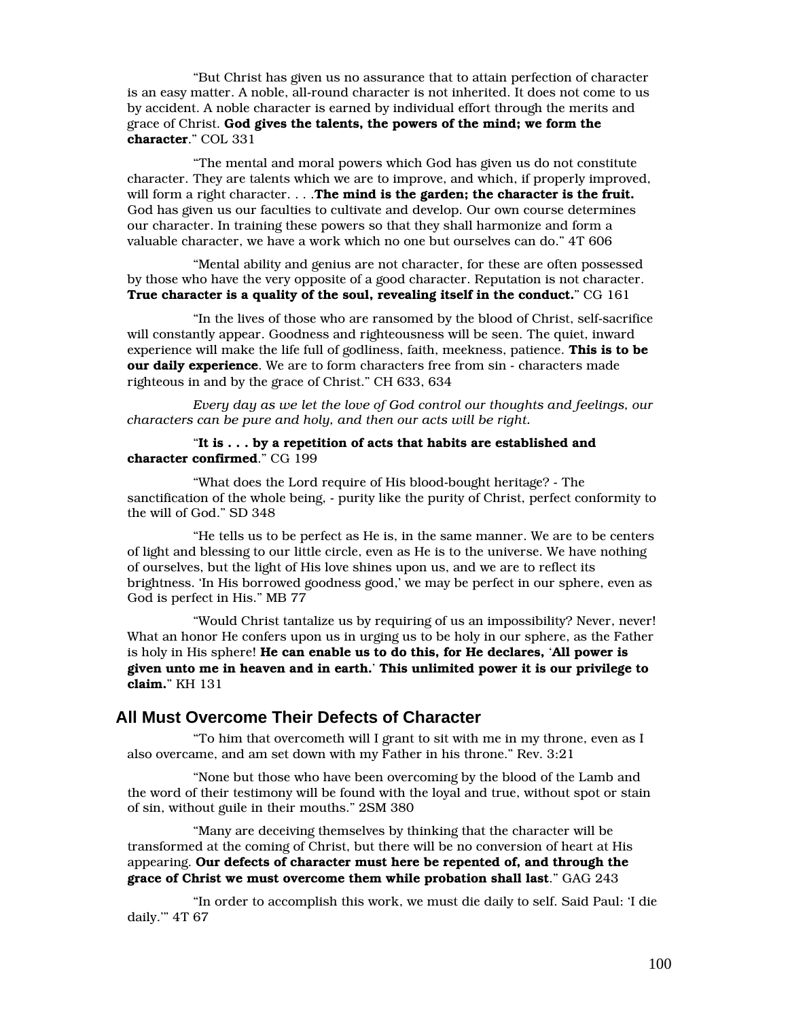"But Christ has given us no assurance that to attain perfection of character is an easy matter. A noble, all-round character is not inherited. It does not come to us by accident. A noble character is earned by individual effort through the merits and grace of Christ. God gives the talents, the powers of the mind; we form the character." COL 331

 "The mental and moral powers which God has given us do not constitute character. They are talents which we are to improve, and which, if properly improved, will form a right character.  $\ldots$  The mind is the garden; the character is the fruit. God has given us our faculties to cultivate and develop. Our own course determines our character. In training these powers so that they shall harmonize and form a valuable character, we have a work which no one but ourselves can do." 4T 606

 "Mental ability and genius are not character, for these are often possessed by those who have the very opposite of a good character. Reputation is not character. True character is a quality of the soul, revealing itself in the conduct." CG 161

 "In the lives of those who are ransomed by the blood of Christ, self-sacrifice will constantly appear. Goodness and righteousness will be seen. The quiet, inward experience will make the life full of godliness, faith, meekness, patience. This is to be our daily experience. We are to form characters free from sin - characters made righteous in and by the grace of Christ." CH 633, 634

 *Every day as we let the love of God control our thoughts and feelings, our characters can be pure and holy, and then our acts will be right.* 

## "It is . . . by a repetition of acts that habits are established and character confirmed." CG 199

 "What does the Lord require of His blood-bought heritage? - The sanctification of the whole being, - purity like the purity of Christ, perfect conformity to the will of God." SD 348

 "He tells us to be perfect as He is, in the same manner. We are to be centers of light and blessing to our little circle, even as He is to the universe. We have nothing of ourselves, but the light of His love shines upon us, and we are to reflect its brightness. 'In His borrowed goodness good,' we may be perfect in our sphere, even as God is perfect in His." MB 77

 "Would Christ tantalize us by requiring of us an impossibility? Never, never! What an honor He confers upon us in urging us to be holy in our sphere, as the Father is holy in His sphere! He can enable us to do this, for He declares, 'All power is given unto me in heaven and in earth.' This unlimited power it is our privilege to claim." KH 131

# **All Must Overcome Their Defects of Character**

 "To him that overcometh will I grant to sit with me in my throne, even as I also overcame, and am set down with my Father in his throne." Rev. 3:21

 "None but those who have been overcoming by the blood of the Lamb and the word of their testimony will be found with the loyal and true, without spot or stain of sin, without guile in their mouths." 2SM 380

 "Many are deceiving themselves by thinking that the character will be transformed at the coming of Christ, but there will be no conversion of heart at His appearing. Our defects of character must here be repented of, and through the grace of Christ we must overcome them while probation shall last." GAG 243

 "In order to accomplish this work, we must die daily to self. Said Paul: 'I die daily.'" 4T 67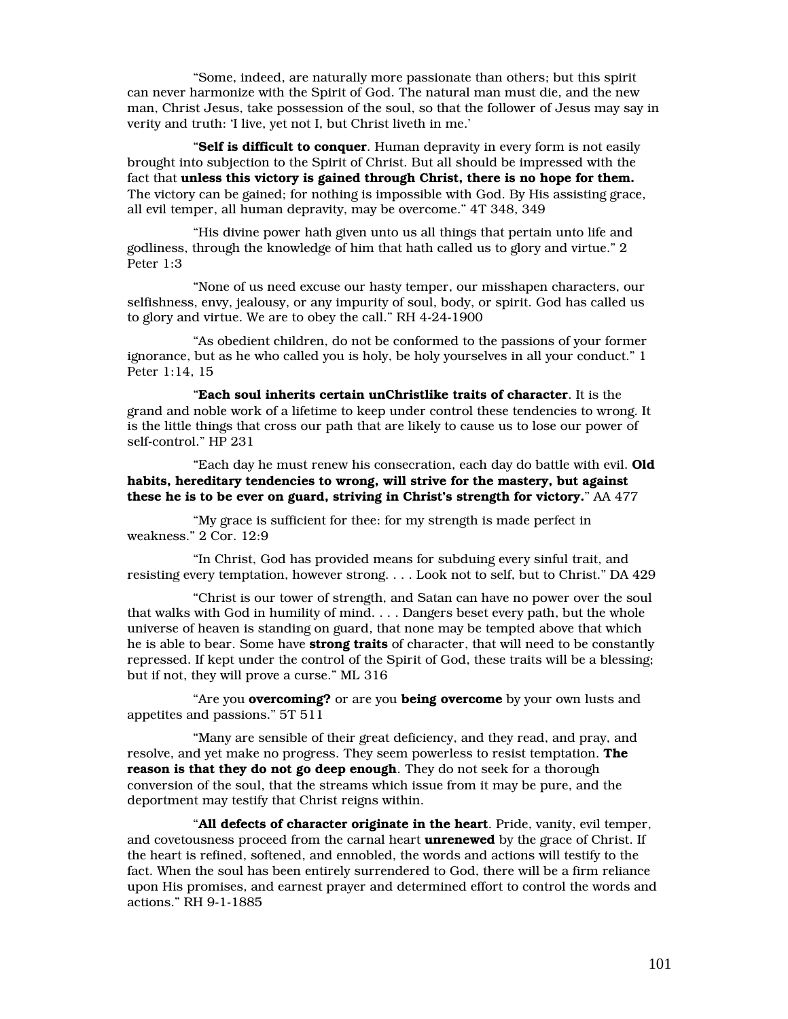"Some, indeed, are naturally more passionate than others; but this spirit can never harmonize with the Spirit of God. The natural man must die, and the new man, Christ Jesus, take possession of the soul, so that the follower of Jesus may say in verity and truth: 'I live, yet not I, but Christ liveth in me.'

"Self is difficult to conquer. Human depravity in every form is not easily brought into subjection to the Spirit of Christ. But all should be impressed with the fact that unless this victory is gained through Christ, there is no hope for them. The victory can be gained; for nothing is impossible with God. By His assisting grace, all evil temper, all human depravity, may be overcome." 4T 348, 349

 "His divine power hath given unto us all things that pertain unto life and godliness, through the knowledge of him that hath called us to glory and virtue." 2 Peter 1:3

 "None of us need excuse our hasty temper, our misshapen characters, our selfishness, envy, jealousy, or any impurity of soul, body, or spirit. God has called us to glory and virtue. We are to obey the call." RH 4-24-1900

 "As obedient children, do not be conformed to the passions of your former ignorance, but as he who called you is holy, be holy yourselves in all your conduct." 1 Peter 1:14, 15

 "Each soul inherits certain unChristlike traits of character. It is the grand and noble work of a lifetime to keep under control these tendencies to wrong. It is the little things that cross our path that are likely to cause us to lose our power of self-control." HP 231

 "Each day he must renew his consecration, each day do battle with evil. Old habits, hereditary tendencies to wrong, will strive for the mastery, but against these he is to be ever on guard, striving in Christ's strength for victory." AA 477

 "My grace is sufficient for thee: for my strength is made perfect in weakness." 2 Cor. 12:9

 "In Christ, God has provided means for subduing every sinful trait, and resisting every temptation, however strong. . . . Look not to self, but to Christ." DA 429

 "Christ is our tower of strength, and Satan can have no power over the soul that walks with God in humility of mind. . . . Dangers beset every path, but the whole universe of heaven is standing on guard, that none may be tempted above that which he is able to bear. Some have **strong traits** of character, that will need to be constantly repressed. If kept under the control of the Spirit of God, these traits will be a blessing; but if not, they will prove a curse." ML 316

"Are you **overcoming?** or are you **being overcome** by your own lusts and appetites and passions." 5T 511

 "Many are sensible of their great deficiency, and they read, and pray, and resolve, and yet make no progress. They seem powerless to resist temptation. The reason is that they do not go deep enough. They do not seek for a thorough conversion of the soul, that the streams which issue from it may be pure, and the deportment may testify that Christ reigns within.

"All defects of character originate in the heart. Pride, vanity, evil temper, and covetousness proceed from the carnal heart **unrenewed** by the grace of Christ. If the heart is refined, softened, and ennobled, the words and actions will testify to the fact. When the soul has been entirely surrendered to God, there will be a firm reliance upon His promises, and earnest prayer and determined effort to control the words and actions." RH 9-1-1885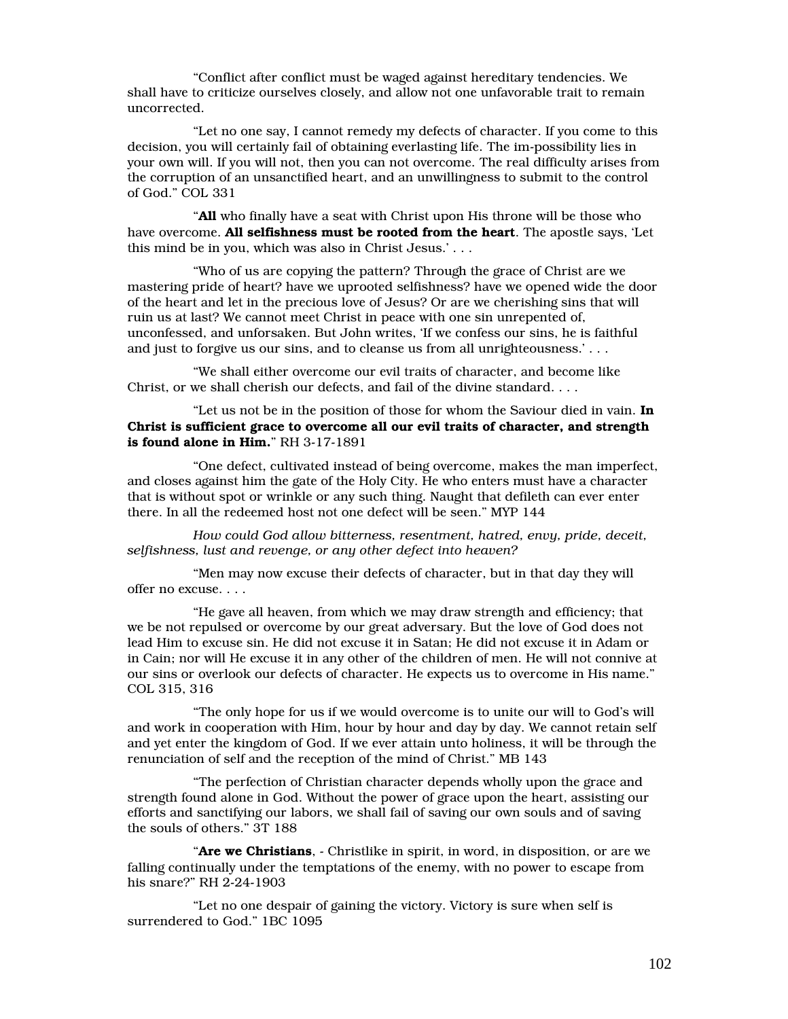"Conflict after conflict must be waged against hereditary tendencies. We shall have to criticize ourselves closely, and allow not one unfavorable trait to remain uncorrected.

 "Let no one say, I cannot remedy my defects of character. If you come to this decision, you will certainly fail of obtaining everlasting life. The im-possibility lies in your own will. If you will not, then you can not overcome. The real difficulty arises from the corruption of an unsanctified heart, and an unwillingness to submit to the control of God." COL 331

"All who finally have a seat with Christ upon His throne will be those who have overcome. All selfishness must be rooted from the heart. The apostle says, 'Let this mind be in you, which was also in Christ Jesus.' . . .

 "Who of us are copying the pattern? Through the grace of Christ are we mastering pride of heart? have we uprooted selfishness? have we opened wide the door of the heart and let in the precious love of Jesus? Or are we cherishing sins that will ruin us at last? We cannot meet Christ in peace with one sin unrepented of, unconfessed, and unforsaken. But John writes, 'If we confess our sins, he is faithful and just to forgive us our sins, and to cleanse us from all unrighteousness.' . . .

 "We shall either overcome our evil traits of character, and become like Christ, or we shall cherish our defects, and fail of the divine standard. . . .

 "Let us not be in the position of those for whom the Saviour died in vain. In Christ is sufficient grace to overcome all our evil traits of character, and strength is found alone in Him." RH 3-17-1891

 "One defect, cultivated instead of being overcome, makes the man imperfect, and closes against him the gate of the Holy City. He who enters must have a character that is without spot or wrinkle or any such thing. Naught that defileth can ever enter there. In all the redeemed host not one defect will be seen." MYP 144

 *How could God allow bitterness, resentment, hatred, envy, pride, deceit, selfishness, lust and revenge, or any other defect into heaven?* 

 "Men may now excuse their defects of character, but in that day they will offer no excuse. . . .

 "He gave all heaven, from which we may draw strength and efficiency; that we be not repulsed or overcome by our great adversary. But the love of God does not lead Him to excuse sin. He did not excuse it in Satan; He did not excuse it in Adam or in Cain; nor will He excuse it in any other of the children of men. He will not connive at our sins or overlook our defects of character. He expects us to overcome in His name." COL 315, 316

 "The only hope for us if we would overcome is to unite our will to God's will and work in cooperation with Him, hour by hour and day by day. We cannot retain self and yet enter the kingdom of God. If we ever attain unto holiness, it will be through the renunciation of self and the reception of the mind of Christ." MB 143

 "The perfection of Christian character depends wholly upon the grace and strength found alone in God. Without the power of grace upon the heart, assisting our efforts and sanctifying our labors, we shall fail of saving our own souls and of saving the souls of others." 3T 188

"Are we Christians, - Christlike in spirit, in word, in disposition, or are we falling continually under the temptations of the enemy, with no power to escape from his snare?" RH 2-24-1903

 "Let no one despair of gaining the victory. Victory is sure when self is surrendered to God." 1BC 1095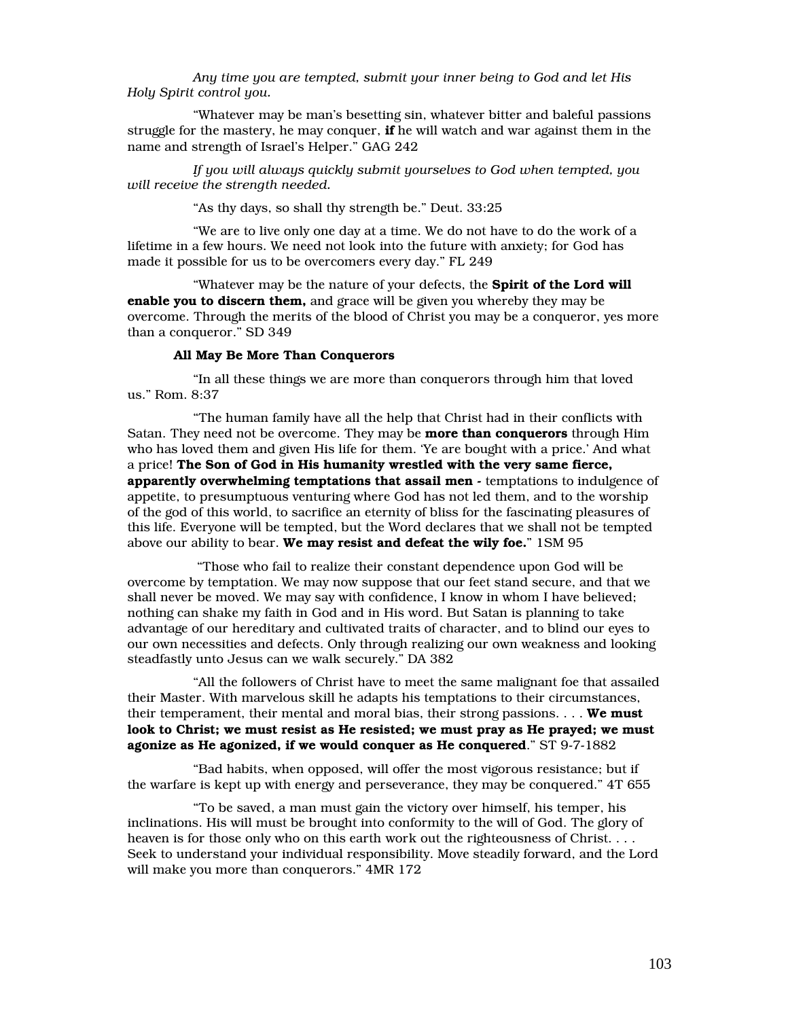*Any time you are tempted, submit your inner being to God and let His Holy Spirit control you.* 

 "Whatever may be man's besetting sin, whatever bitter and baleful passions struggle for the mastery, he may conquer, if he will watch and war against them in the name and strength of Israel's Helper." GAG 242

 *If you will always quickly submit yourselves to God when tempted, you will receive the strength needed.* 

"As thy days, so shall thy strength be." Deut. 33:25

 "We are to live only one day at a time. We do not have to do the work of a lifetime in a few hours. We need not look into the future with anxiety; for God has made it possible for us to be overcomers every day." FL 249

"Whatever may be the nature of your defects, the **Spirit of the Lord will enable you to discern them,** and grace will be given you whereby they may be overcome. Through the merits of the blood of Christ you may be a conqueror, yes more than a conqueror." SD 349

### All May Be More Than Conquerors

 "In all these things we are more than conquerors through him that loved us." Rom. 8:37

 "The human family have all the help that Christ had in their conflicts with Satan. They need not be overcome. They may be **more than conquerors** through Him who has loved them and given His life for them. 'Ye are bought with a price.' And what a price! The Son of God in His humanity wrestled with the very same fierce, apparently overwhelming temptations that assail men - temptations to indulgence of appetite, to presumptuous venturing where God has not led them, and to the worship of the god of this world, to sacrifice an eternity of bliss for the fascinating pleasures of this life. Everyone will be tempted, but the Word declares that we shall not be tempted above our ability to bear. We may resist and defeat the wily foe." 1SM 95

 "Those who fail to realize their constant dependence upon God will be overcome by temptation. We may now suppose that our feet stand secure, and that we shall never be moved. We may say with confidence, I know in whom I have believed; nothing can shake my faith in God and in His word. But Satan is planning to take advantage of our hereditary and cultivated traits of character, and to blind our eyes to our own necessities and defects. Only through realizing our own weakness and looking steadfastly unto Jesus can we walk securely." DA 382

 "All the followers of Christ have to meet the same malignant foe that assailed their Master. With marvelous skill he adapts his temptations to their circumstances, their temperament, their mental and moral bias, their strong passions.  $\dots$  We must look to Christ; we must resist as He resisted; we must pray as He prayed; we must agonize as He agonized, if we would conquer as He conquered." ST 9-7-1882

 "Bad habits, when opposed, will offer the most vigorous resistance; but if the warfare is kept up with energy and perseverance, they may be conquered." 4T 655

 "To be saved, a man must gain the victory over himself, his temper, his inclinations. His will must be brought into conformity to the will of God. The glory of heaven is for those only who on this earth work out the righteousness of Christ. . . . Seek to understand your individual responsibility. Move steadily forward, and the Lord will make you more than conquerors." 4MR 172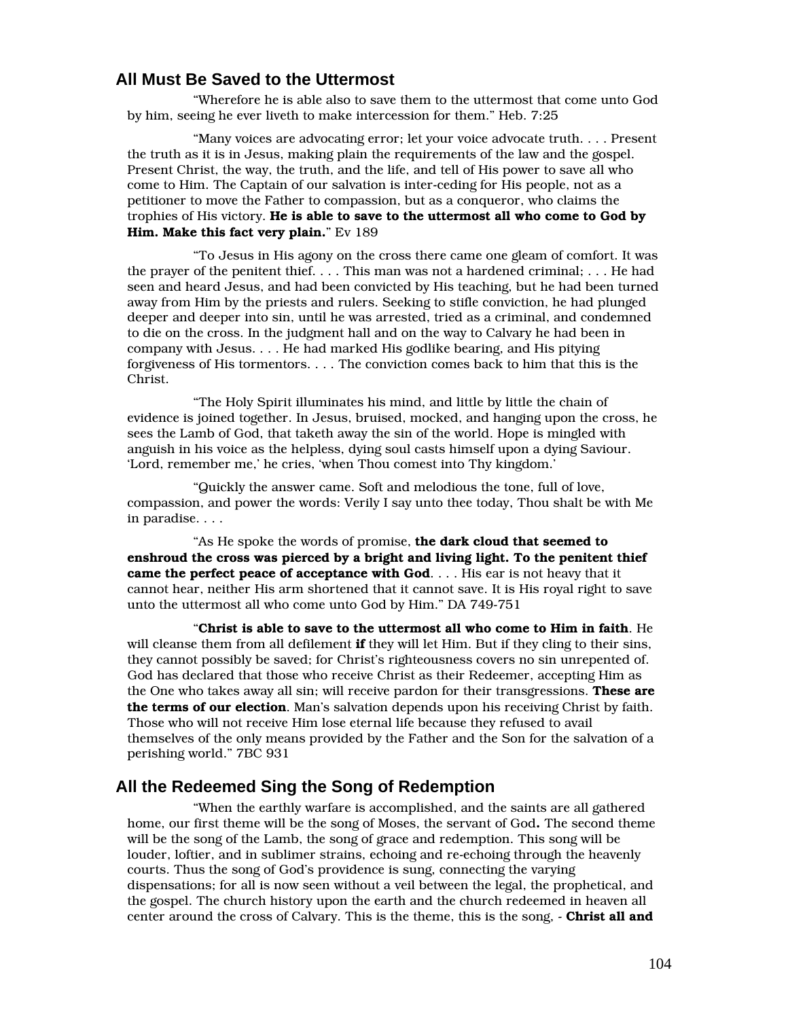# **All Must Be Saved to the Uttermost**

 "Wherefore he is able also to save them to the uttermost that come unto God by him, seeing he ever liveth to make intercession for them." Heb. 7:25

 "Many voices are advocating error; let your voice advocate truth. . . . Present the truth as it is in Jesus, making plain the requirements of the law and the gospel. Present Christ, the way, the truth, and the life, and tell of His power to save all who come to Him. The Captain of our salvation is inter-ceding for His people, not as a petitioner to move the Father to compassion, but as a conqueror, who claims the trophies of His victory. He is able to save to the uttermost all who come to God by Him. Make this fact very plain." Ev 189

 "To Jesus in His agony on the cross there came one gleam of comfort. It was the prayer of the penitent thief. . . . This man was not a hardened criminal; . . . He had seen and heard Jesus, and had been convicted by His teaching, but he had been turned away from Him by the priests and rulers. Seeking to stifle conviction, he had plunged deeper and deeper into sin, until he was arrested, tried as a criminal, and condemned to die on the cross. In the judgment hall and on the way to Calvary he had been in company with Jesus. . . . He had marked His godlike bearing, and His pitying forgiveness of His tormentors. . . . The conviction comes back to him that this is the Christ.

 "The Holy Spirit illuminates his mind, and little by little the chain of evidence is joined together. In Jesus, bruised, mocked, and hanging upon the cross, he sees the Lamb of God, that taketh away the sin of the world. Hope is mingled with anguish in his voice as the helpless, dying soul casts himself upon a dying Saviour. 'Lord, remember me,' he cries, 'when Thou comest into Thy kingdom.'

 "Quickly the answer came. Soft and melodious the tone, full of love, compassion, and power the words: Verily I say unto thee today, Thou shalt be with Me in paradise. . . .

"As He spoke the words of promise, the dark cloud that seemed to enshroud the cross was pierced by a bright and living light. To the penitent thief came the perfect peace of acceptance with God. . . . His ear is not heavy that it cannot hear, neither His arm shortened that it cannot save. It is His royal right to save unto the uttermost all who come unto God by Him." DA 749-751

 "Christ is able to save to the uttermost all who come to Him in faith. He will cleanse them from all defilement **if** they will let Him. But if they cling to their sins, they cannot possibly be saved; for Christ's righteousness covers no sin unrepented of. God has declared that those who receive Christ as their Redeemer, accepting Him as the One who takes away all sin; will receive pardon for their transgressions. **These are** the terms of our election. Man's salvation depends upon his receiving Christ by faith. Those who will not receive Him lose eternal life because they refused to avail themselves of the only means provided by the Father and the Son for the salvation of a perishing world." 7BC 931

## **All the Redeemed Sing the Song of Redemption**

 "When the earthly warfare is accomplished, and the saints are all gathered home, our first theme will be the song of Moses, the servant of God. The second theme will be the song of the Lamb, the song of grace and redemption. This song will be louder, loftier, and in sublimer strains, echoing and re-echoing through the heavenly courts. Thus the song of God's providence is sung, connecting the varying dispensations; for all is now seen without a veil between the legal, the prophetical, and the gospel. The church history upon the earth and the church redeemed in heaven all center around the cross of Calvary. This is the theme, this is the song, - Christ all and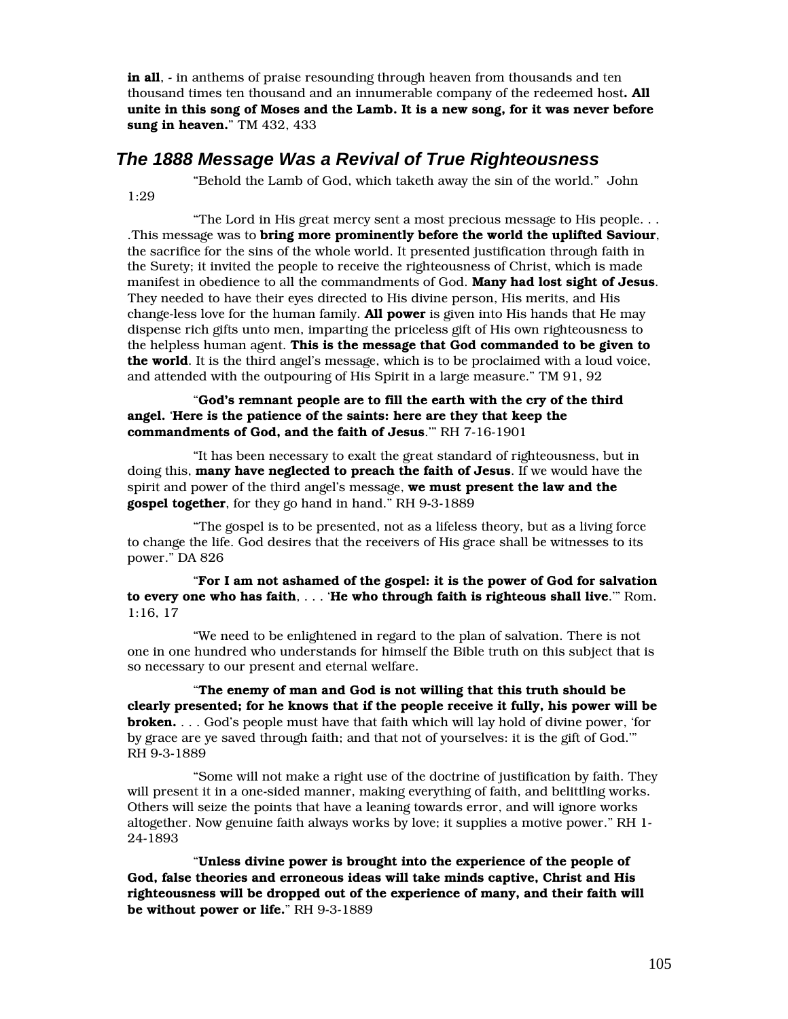in all, - in anthems of praise resounding through heaven from thousands and ten thousand times ten thousand and an innumerable company of the redeemed host. All unite in this song of Moses and the Lamb. It is a new song, for it was never before sung in heaven." TM 432, 433

# *The 1888 Message Was a Revival of True Righteousness*

1:29

"Behold the Lamb of God, which taketh away the sin of the world." John

 "The Lord in His great mercy sent a most precious message to His people. . . .This message was to bring more prominently before the world the uplifted Saviour, the sacrifice for the sins of the whole world. It presented justification through faith in the Surety; it invited the people to receive the righteousness of Christ, which is made manifest in obedience to all the commandments of God. Many had lost sight of Jesus. They needed to have their eyes directed to His divine person, His merits, and His change-less love for the human family. All power is given into His hands that He may dispense rich gifts unto men, imparting the priceless gift of His own righteousness to the helpless human agent. This is the message that God commanded to be given to the world. It is the third angel's message, which is to be proclaimed with a loud voice, and attended with the outpouring of His Spirit in a large measure." TM 91, 92

 "God's remnant people are to fill the earth with the cry of the third angel. 'Here is the patience of the saints: here are they that keep the commandments of God, and the faith of Jesus.'" RH 7-16-1901

 "It has been necessary to exalt the great standard of righteousness, but in doing this, **many have neglected to preach the faith of Jesus**. If we would have the spirit and power of the third angel's message, we must present the law and the gospel together, for they go hand in hand." RH 9-3-1889

 "The gospel is to be presented, not as a lifeless theory, but as a living force to change the life. God desires that the receivers of His grace shall be witnesses to its power." DA 826

 "For I am not ashamed of the gospel: it is the power of God for salvation to every one who has faith, . . . 'He who through faith is righteous shall live.'" Rom. 1:16, 17

 "We need to be enlightened in regard to the plan of salvation. There is not one in one hundred who understands for himself the Bible truth on this subject that is so necessary to our present and eternal welfare.

 "The enemy of man and God is not willing that this truth should be clearly presented; for he knows that if the people receive it fully, his power will be **broken.** . . . God's people must have that faith which will lay hold of divine power, 'for by grace are ye saved through faith; and that not of yourselves: it is the gift of God.'" RH 9-3-1889

 "Some will not make a right use of the doctrine of justification by faith. They will present it in a one-sided manner, making everything of faith, and belittling works. Others will seize the points that have a leaning towards error, and will ignore works altogether. Now genuine faith always works by love; it supplies a motive power." RH 1- 24-1893

 "Unless divine power is brought into the experience of the people of God, false theories and erroneous ideas will take minds captive, Christ and His righteousness will be dropped out of the experience of many, and their faith will be without power or life." RH 9-3-1889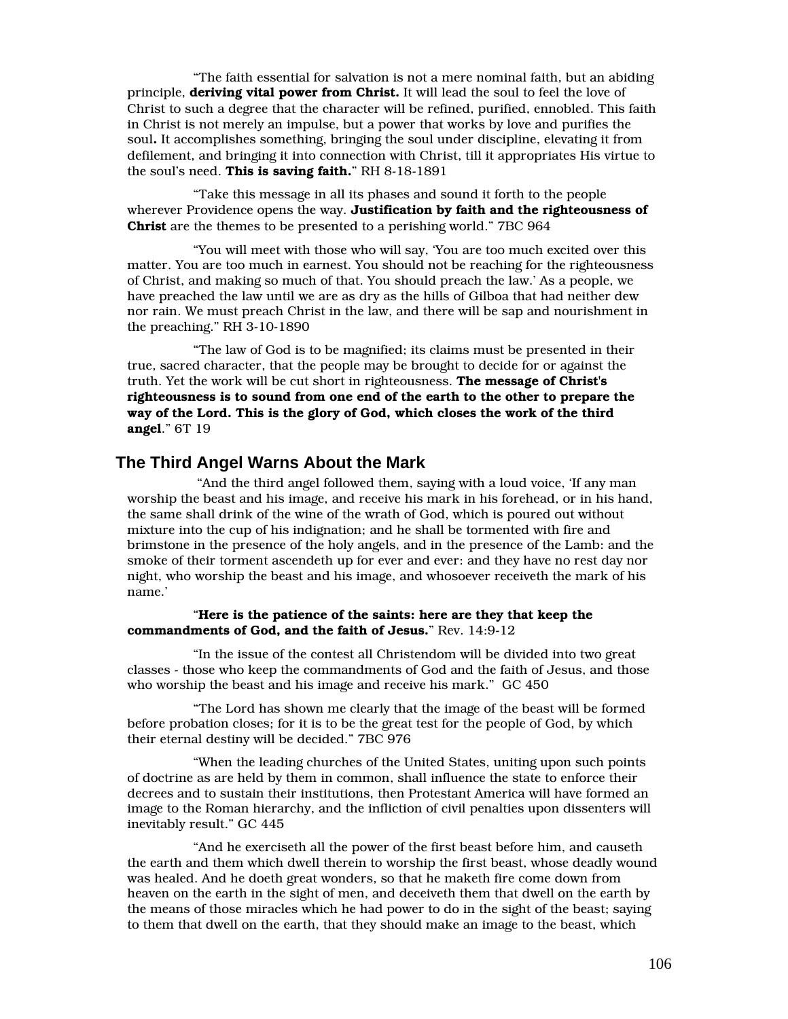"The faith essential for salvation is not a mere nominal faith, but an abiding principle, deriving vital power from Christ. It will lead the soul to feel the love of Christ to such a degree that the character will be refined, purified, ennobled. This faith in Christ is not merely an impulse, but a power that works by love and purifies the soul. It accomplishes something, bringing the soul under discipline, elevating it from defilement, and bringing it into connection with Christ, till it appropriates His virtue to the soul's need. This is saving faith." RH 8-18-1891

 "Take this message in all its phases and sound it forth to the people wherever Providence opens the way. Justification by faith and the righteousness of Christ are the themes to be presented to a perishing world." 7BC 964

 "You will meet with those who will say, 'You are too much excited over this matter. You are too much in earnest. You should not be reaching for the righteousness of Christ, and making so much of that. You should preach the law.' As a people, we have preached the law until we are as dry as the hills of Gilboa that had neither dew nor rain. We must preach Christ in the law, and there will be sap and nourishment in the preaching." RH 3-10-1890

 "The law of God is to be magnified; its claims must be presented in their true, sacred character, that the people may be brought to decide for or against the truth. Yet the work will be cut short in righteousness. The message of Christ's righteousness is to sound from one end of the earth to the other to prepare the way of the Lord. This is the glory of God, which closes the work of the third angel." 6T 19

## **The Third Angel Warns About the Mark**

 "And the third angel followed them, saying with a loud voice, 'If any man worship the beast and his image, and receive his mark in his forehead, or in his hand, the same shall drink of the wine of the wrath of God, which is poured out without mixture into the cup of his indignation; and he shall be tormented with fire and brimstone in the presence of the holy angels, and in the presence of the Lamb: and the smoke of their torment ascendeth up for ever and ever: and they have no rest day nor night, who worship the beast and his image, and whosoever receiveth the mark of his name.'

#### "Here is the patience of the saints: here are they that keep the commandments of God, and the faith of Jesus." Rev. 14:9-12

 "In the issue of the contest all Christendom will be divided into two great classes - those who keep the commandments of God and the faith of Jesus, and those who worship the beast and his image and receive his mark." GC 450

 "The Lord has shown me clearly that the image of the beast will be formed before probation closes; for it is to be the great test for the people of God, by which their eternal destiny will be decided." 7BC 976

 "When the leading churches of the United States, uniting upon such points of doctrine as are held by them in common, shall influence the state to enforce their decrees and to sustain their institutions, then Protestant America will have formed an image to the Roman hierarchy, and the infliction of civil penalties upon dissenters will inevitably result." GC 445

 "And he exerciseth all the power of the first beast before him, and causeth the earth and them which dwell therein to worship the first beast, whose deadly wound was healed. And he doeth great wonders, so that he maketh fire come down from heaven on the earth in the sight of men, and deceiveth them that dwell on the earth by the means of those miracles which he had power to do in the sight of the beast; saying to them that dwell on the earth, that they should make an image to the beast, which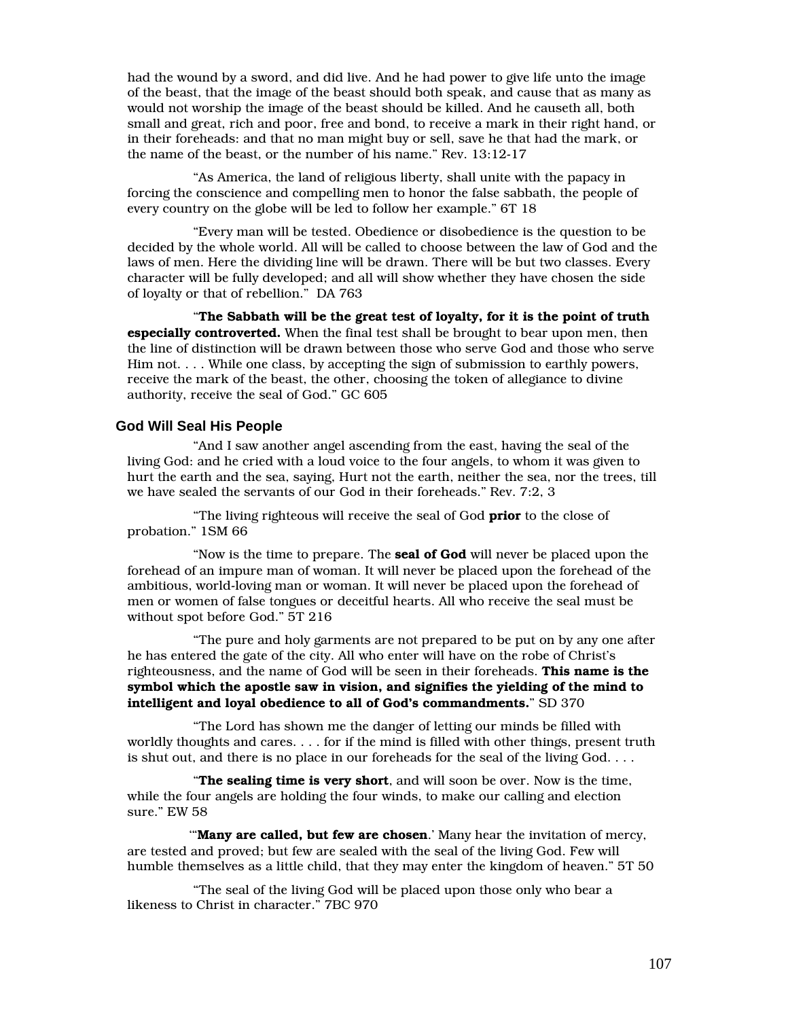had the wound by a sword, and did live. And he had power to give life unto the image of the beast, that the image of the beast should both speak, and cause that as many as would not worship the image of the beast should be killed. And he causeth all, both small and great, rich and poor, free and bond, to receive a mark in their right hand, or in their foreheads: and that no man might buy or sell, save he that had the mark, or the name of the beast, or the number of his name." Rev. 13:12-17

 "As America, the land of religious liberty, shall unite with the papacy in forcing the conscience and compelling men to honor the false sabbath, the people of every country on the globe will be led to follow her example." 6T 18

 "Every man will be tested. Obedience or disobedience is the question to be decided by the whole world. All will be called to choose between the law of God and the laws of men. Here the dividing line will be drawn. There will be but two classes. Every character will be fully developed; and all will show whether they have chosen the side of loyalty or that of rebellion." DA 763

 "The Sabbath will be the great test of loyalty, for it is the point of truth **especially controverted.** When the final test shall be brought to bear upon men, then the line of distinction will be drawn between those who serve God and those who serve Him not. . . . While one class, by accepting the sign of submission to earthly powers, receive the mark of the beast, the other, choosing the token of allegiance to divine authority, receive the seal of God." GC 605

### **God Will Seal His People**

 "And I saw another angel ascending from the east, having the seal of the living God: and he cried with a loud voice to the four angels, to whom it was given to hurt the earth and the sea, saying, Hurt not the earth, neither the sea, nor the trees, till we have sealed the servants of our God in their foreheads." Rev. 7:2, 3

"The living righteous will receive the seal of God **prior** to the close of probation." 1SM 66

 "Now is the time to prepare. The seal of God will never be placed upon the forehead of an impure man of woman. It will never be placed upon the forehead of the ambitious, world-loving man or woman. It will never be placed upon the forehead of men or women of false tongues or deceitful hearts. All who receive the seal must be without spot before God." 5T 216

 "The pure and holy garments are not prepared to be put on by any one after he has entered the gate of the city. All who enter will have on the robe of Christ's righteousness, and the name of God will be seen in their foreheads. This name is the symbol which the apostle saw in vision, and signifies the yielding of the mind to intelligent and loyal obedience to all of God's commandments." SD 370

 "The Lord has shown me the danger of letting our minds be filled with worldly thoughts and cares. . . . for if the mind is filled with other things, present truth is shut out, and there is no place in our foreheads for the seal of the living God. . . .

"The sealing time is very short, and will soon be over. Now is the time, while the four angels are holding the four winds, to make our calling and election sure." EW 58

"Many are called, but few are chosen.' Many hear the invitation of mercy, are tested and proved; but few are sealed with the seal of the living God. Few will humble themselves as a little child, that they may enter the kingdom of heaven." 5T 50

 "The seal of the living God will be placed upon those only who bear a likeness to Christ in character." 7BC 970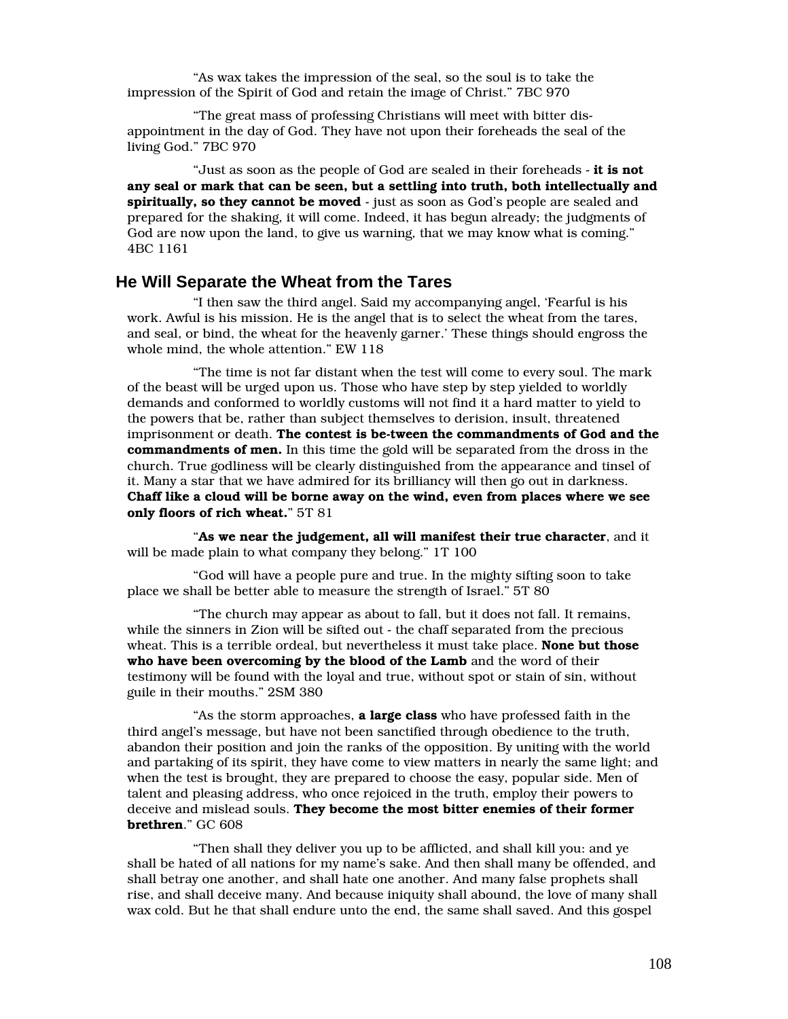"As wax takes the impression of the seal, so the soul is to take the impression of the Spirit of God and retain the image of Christ." 7BC 970

 "The great mass of professing Christians will meet with bitter disappointment in the day of God. They have not upon their foreheads the seal of the living God." 7BC 970

 "Just as soon as the people of God are sealed in their foreheads - it is not any seal or mark that can be seen, but a settling into truth, both intellectually and spiritually, so they cannot be moved - just as soon as God's people are sealed and prepared for the shaking, it will come. Indeed, it has begun already; the judgments of God are now upon the land, to give us warning, that we may know what is coming." 4BC 1161

## **He Will Separate the Wheat from the Tares**

 "I then saw the third angel. Said my accompanying angel, 'Fearful is his work. Awful is his mission. He is the angel that is to select the wheat from the tares, and seal, or bind, the wheat for the heavenly garner.' These things should engross the whole mind, the whole attention." EW 118

 "The time is not far distant when the test will come to every soul. The mark of the beast will be urged upon us. Those who have step by step yielded to worldly demands and conformed to worldly customs will not find it a hard matter to yield to the powers that be, rather than subject themselves to derision, insult, threatened imprisonment or death. The contest is be-tween the commandments of God and the commandments of men. In this time the gold will be separated from the dross in the church. True godliness will be clearly distinguished from the appearance and tinsel of it. Many a star that we have admired for its brilliancy will then go out in darkness. Chaff like a cloud will be borne away on the wind, even from places where we see only floors of rich wheat." 5T 81

"As we near the judgement, all will manifest their true character, and it will be made plain to what company they belong." 1T 100

 "God will have a people pure and true. In the mighty sifting soon to take place we shall be better able to measure the strength of Israel." 5T 80

 "The church may appear as about to fall, but it does not fall. It remains, while the sinners in Zion will be sifted out - the chaff separated from the precious wheat. This is a terrible ordeal, but nevertheless it must take place. **None but those** who have been overcoming by the blood of the Lamb and the word of their testimony will be found with the loyal and true, without spot or stain of sin, without guile in their mouths." 2SM 380

"As the storm approaches, a large class who have professed faith in the third angel's message, but have not been sanctified through obedience to the truth, abandon their position and join the ranks of the opposition. By uniting with the world and partaking of its spirit, they have come to view matters in nearly the same light; and when the test is brought, they are prepared to choose the easy, popular side. Men of talent and pleasing address, who once rejoiced in the truth, employ their powers to deceive and mislead souls. They become the most bitter enemies of their former brethren." GC 608

 "Then shall they deliver you up to be afflicted, and shall kill you: and ye shall be hated of all nations for my name's sake. And then shall many be offended, and shall betray one another, and shall hate one another. And many false prophets shall rise, and shall deceive many. And because iniquity shall abound, the love of many shall wax cold. But he that shall endure unto the end, the same shall saved. And this gospel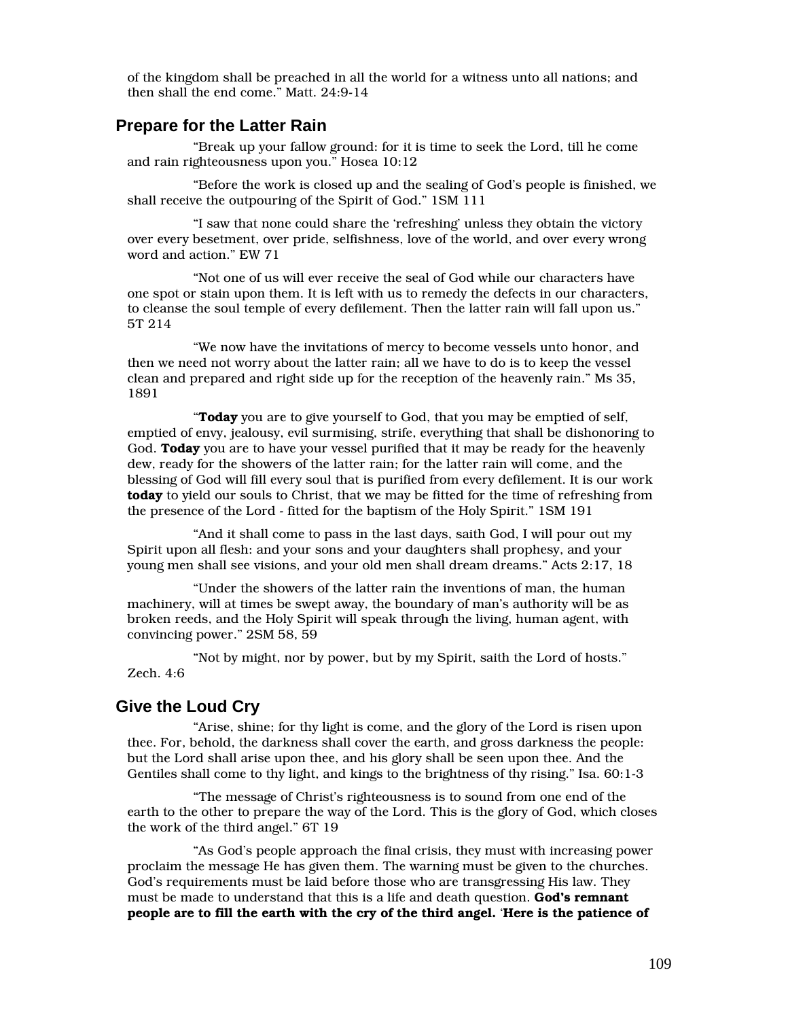of the kingdom shall be preached in all the world for a witness unto all nations; and then shall the end come." Matt. 24:9-14

### **Prepare for the Latter Rain**

 "Break up your fallow ground: for it is time to seek the Lord, till he come and rain righteousness upon you." Hosea 10:12

 "Before the work is closed up and the sealing of God's people is finished, we shall receive the outpouring of the Spirit of God." 1SM 111

 "I saw that none could share the 'refreshing' unless they obtain the victory over every besetment, over pride, selfishness, love of the world, and over every wrong word and action." EW 71

 "Not one of us will ever receive the seal of God while our characters have one spot or stain upon them. It is left with us to remedy the defects in our characters, to cleanse the soul temple of every defilement. Then the latter rain will fall upon us." 5T 214

 "We now have the invitations of mercy to become vessels unto honor, and then we need not worry about the latter rain; all we have to do is to keep the vessel clean and prepared and right side up for the reception of the heavenly rain." Ms 35, 1891

"Today you are to give yourself to God, that you may be emptied of self, emptied of envy, jealousy, evil surmising, strife, everything that shall be dishonoring to God. **Today** you are to have your vessel purified that it may be ready for the heavenly dew, ready for the showers of the latter rain; for the latter rain will come, and the blessing of God will fill every soul that is purified from every defilement. It is our work today to yield our souls to Christ, that we may be fitted for the time of refreshing from the presence of the Lord - fitted for the baptism of the Holy Spirit." 1SM 191

 "And it shall come to pass in the last days, saith God, I will pour out my Spirit upon all flesh: and your sons and your daughters shall prophesy, and your young men shall see visions, and your old men shall dream dreams." Acts 2:17, 18

 "Under the showers of the latter rain the inventions of man, the human machinery, will at times be swept away, the boundary of man's authority will be as broken reeds, and the Holy Spirit will speak through the living, human agent, with convincing power." 2SM 58, 59

 "Not by might, nor by power, but by my Spirit, saith the Lord of hosts." Zech. 4:6

### **Give the Loud Cry**

 "Arise, shine; for thy light is come, and the glory of the Lord is risen upon thee. For, behold, the darkness shall cover the earth, and gross darkness the people: but the Lord shall arise upon thee, and his glory shall be seen upon thee. And the Gentiles shall come to thy light, and kings to the brightness of thy rising." Isa. 60:1-3

 "The message of Christ's righteousness is to sound from one end of the earth to the other to prepare the way of the Lord. This is the glory of God, which closes the work of the third angel." 6T 19

 "As God's people approach the final crisis, they must with increasing power proclaim the message He has given them. The warning must be given to the churches. God's requirements must be laid before those who are transgressing His law. They must be made to understand that this is a life and death question. **God's remnant** people are to fill the earth with the cry of the third angel. 'Here is the patience of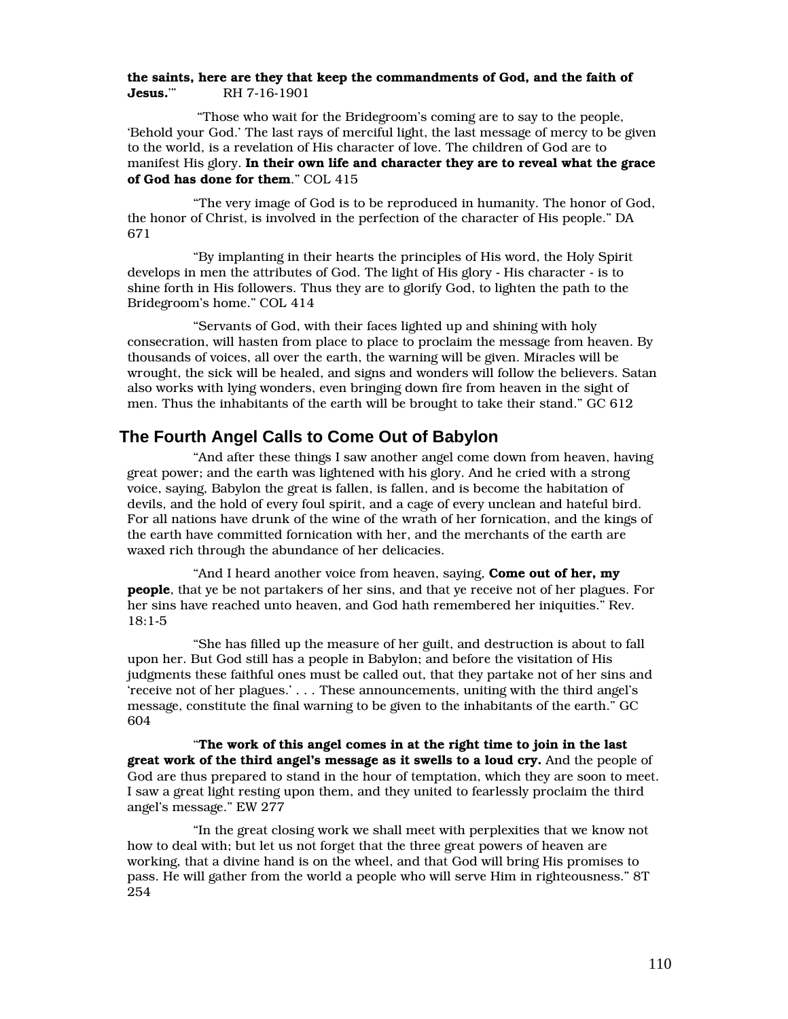#### the saints, here are they that keep the commandments of God, and the faith of Jesus.'" RH 7-16-1901

 "Those who wait for the Bridegroom's coming are to say to the people, 'Behold your God.' The last rays of merciful light, the last message of mercy to be given to the world, is a revelation of His character of love. The children of God are to manifest His glory. In their own life and character they are to reveal what the grace of God has done for them." COL 415

 "The very image of God is to be reproduced in humanity. The honor of God, the honor of Christ, is involved in the perfection of the character of His people." DA 671

 "By implanting in their hearts the principles of His word, the Holy Spirit develops in men the attributes of God. The light of His glory - His character - is to shine forth in His followers. Thus they are to glorify God, to lighten the path to the Bridegroom's home." COL 414

 "Servants of God, with their faces lighted up and shining with holy consecration, will hasten from place to place to proclaim the message from heaven. By thousands of voices, all over the earth, the warning will be given. Miracles will be wrought, the sick will be healed, and signs and wonders will follow the believers. Satan also works with lying wonders, even bringing down fire from heaven in the sight of men. Thus the inhabitants of the earth will be brought to take their stand." GC 612

# **The Fourth Angel Calls to Come Out of Babylon**

 "And after these things I saw another angel come down from heaven, having great power; and the earth was lightened with his glory. And he cried with a strong voice, saying, Babylon the great is fallen, is fallen, and is become the habitation of devils, and the hold of every foul spirit, and a cage of every unclean and hateful bird. For all nations have drunk of the wine of the wrath of her fornication, and the kings of the earth have committed fornication with her, and the merchants of the earth are waxed rich through the abundance of her delicacies.

"And I heard another voice from heaven, saying, **Come out of her, my** people, that ye be not partakers of her sins, and that ye receive not of her plagues. For her sins have reached unto heaven, and God hath remembered her iniquities." Rev. 18:1-5

 "She has filled up the measure of her guilt, and destruction is about to fall upon her. But God still has a people in Babylon; and before the visitation of His judgments these faithful ones must be called out, that they partake not of her sins and 'receive not of her plagues.' . . . These announcements, uniting with the third angel's message, constitute the final warning to be given to the inhabitants of the earth." GC 604

 "The work of this angel comes in at the right time to join in the last great work of the third angel's message as it swells to a loud cry. And the people of God are thus prepared to stand in the hour of temptation, which they are soon to meet. I saw a great light resting upon them, and they united to fearlessly proclaim the third angel's message." EW 277

 "In the great closing work we shall meet with perplexities that we know not how to deal with; but let us not forget that the three great powers of heaven are working, that a divine hand is on the wheel, and that God will bring His promises to pass. He will gather from the world a people who will serve Him in righteousness." 8T 254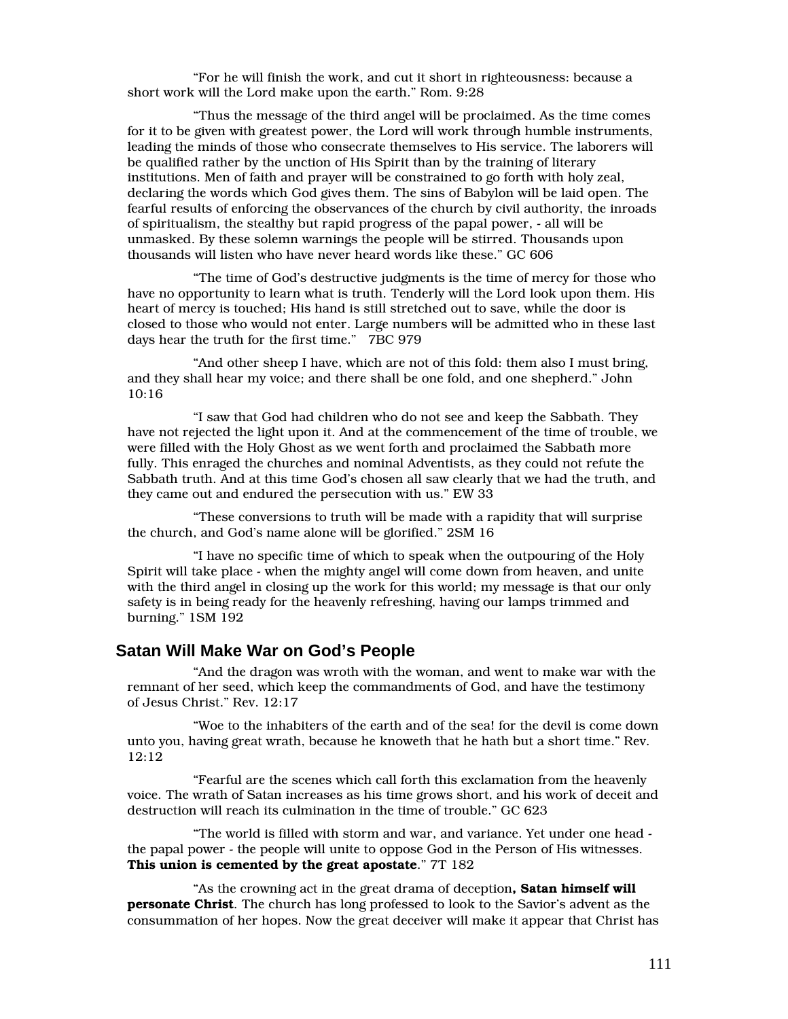"For he will finish the work, and cut it short in righteousness: because a short work will the Lord make upon the earth." Rom. 9:28

 "Thus the message of the third angel will be proclaimed. As the time comes for it to be given with greatest power, the Lord will work through humble instruments, leading the minds of those who consecrate themselves to His service. The laborers will be qualified rather by the unction of His Spirit than by the training of literary institutions. Men of faith and prayer will be constrained to go forth with holy zeal, declaring the words which God gives them. The sins of Babylon will be laid open. The fearful results of enforcing the observances of the church by civil authority, the inroads of spiritualism, the stealthy but rapid progress of the papal power, - all will be unmasked. By these solemn warnings the people will be stirred. Thousands upon thousands will listen who have never heard words like these." GC 606

 "The time of God's destructive judgments is the time of mercy for those who have no opportunity to learn what is truth. Tenderly will the Lord look upon them. His heart of mercy is touched; His hand is still stretched out to save, while the door is closed to those who would not enter. Large numbers will be admitted who in these last days hear the truth for the first time." 7BC 979

 "And other sheep I have, which are not of this fold: them also I must bring, and they shall hear my voice; and there shall be one fold, and one shepherd." John 10:16

 "I saw that God had children who do not see and keep the Sabbath. They have not rejected the light upon it. And at the commencement of the time of trouble, we were filled with the Holy Ghost as we went forth and proclaimed the Sabbath more fully. This enraged the churches and nominal Adventists, as they could not refute the Sabbath truth. And at this time God's chosen all saw clearly that we had the truth, and they came out and endured the persecution with us." EW 33

 "These conversions to truth will be made with a rapidity that will surprise the church, and God's name alone will be glorified." 2SM 16

 "I have no specific time of which to speak when the outpouring of the Holy Spirit will take place - when the mighty angel will come down from heaven, and unite with the third angel in closing up the work for this world; my message is that our only safety is in being ready for the heavenly refreshing, having our lamps trimmed and burning." 1SM 192

### **Satan Will Make War on God's People**

 "And the dragon was wroth with the woman, and went to make war with the remnant of her seed, which keep the commandments of God, and have the testimony of Jesus Christ." Rev. 12:17

 "Woe to the inhabiters of the earth and of the sea! for the devil is come down unto you, having great wrath, because he knoweth that he hath but a short time." Rev.  $12:12$ 

 "Fearful are the scenes which call forth this exclamation from the heavenly voice. The wrath of Satan increases as his time grows short, and his work of deceit and destruction will reach its culmination in the time of trouble." GC 623

 "The world is filled with storm and war, and variance. Yet under one head the papal power - the people will unite to oppose God in the Person of His witnesses. This union is cemented by the great apostate." 7T 182

"As the crowning act in the great drama of deception, Satan himself will personate Christ. The church has long professed to look to the Savior's advent as the consummation of her hopes. Now the great deceiver will make it appear that Christ has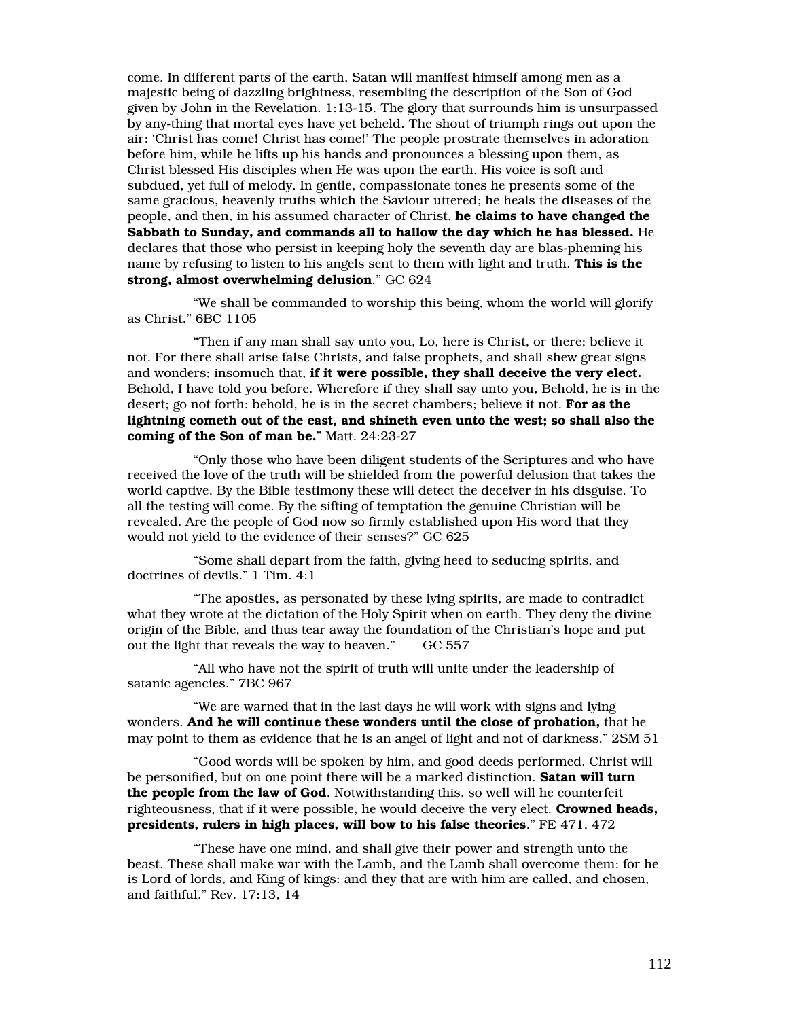come. In different parts of the earth, Satan will manifest himself among men as a majestic being of dazzling brightness, resembling the description of the Son of God given by John in the Revelation. 1:13-15. The glory that surrounds him is unsurpassed by any-thing that mortal eyes have yet beheld. The shout of triumph rings out upon the air: 'Christ has come! Christ has come!' The people prostrate themselves in adoration before him, while he lifts up his hands and pronounces a blessing upon them, as Christ blessed His disciples when He was upon the earth. His voice is soft and subdued, yet full of melody. In gentle, compassionate tones he presents some of the same gracious, heavenly truths which the Saviour uttered; he heals the diseases of the people, and then, in his assumed character of Christ, he claims to have changed the Sabbath to Sunday, and commands all to hallow the day which he has blessed. He declares that those who persist in keeping holy the seventh day are blas-pheming his name by refusing to listen to his angels sent to them with light and truth. This is the strong, almost overwhelming delusion." GC 624

 "We shall be commanded to worship this being, whom the world will glorify as Christ." 6BC 1105

 "Then if any man shall say unto you, Lo, here is Christ, or there; believe it not. For there shall arise false Christs, and false prophets, and shall shew great signs and wonders; insomuch that, if it were possible, they shall deceive the very elect. Behold, I have told you before. Wherefore if they shall say unto you, Behold, he is in the desert; go not forth: behold, he is in the secret chambers; believe it not. For as the lightning cometh out of the east, and shineth even unto the west; so shall also the coming of the Son of man be." Matt. 24:23-27

 "Only those who have been diligent students of the Scriptures and who have received the love of the truth will be shielded from the powerful delusion that takes the world captive. By the Bible testimony these will detect the deceiver in his disguise. To all the testing will come. By the sifting of temptation the genuine Christian will be revealed. Are the people of God now so firmly established upon His word that they would not yield to the evidence of their senses?" GC 625

 "Some shall depart from the faith, giving heed to seducing spirits, and doctrines of devils." 1 Tim. 4:1

 "The apostles, as personated by these lying spirits, are made to contradict what they wrote at the dictation of the Holy Spirit when on earth. They deny the divine origin of the Bible, and thus tear away the foundation of the Christian's hope and put out the light that reveals the way to heaven." GC 557

 "All who have not the spirit of truth will unite under the leadership of satanic agencies." 7BC 967

 "We are warned that in the last days he will work with signs and lying wonders. And he will continue these wonders until the close of probation, that he may point to them as evidence that he is an angel of light and not of darkness." 2SM 51

 "Good words will be spoken by him, and good deeds performed. Christ will be personified, but on one point there will be a marked distinction. Satan will turn the people from the law of God. Notwithstanding this, so well will he counterfeit righteousness, that if it were possible, he would deceive the very elect. Crowned heads, presidents, rulers in high places, will bow to his false theories." FE 471, 472

 "These have one mind, and shall give their power and strength unto the beast. These shall make war with the Lamb, and the Lamb shall overcome them: for he is Lord of lords, and King of kings: and they that are with him are called, and chosen, and faithful." Rev. 17:13, 14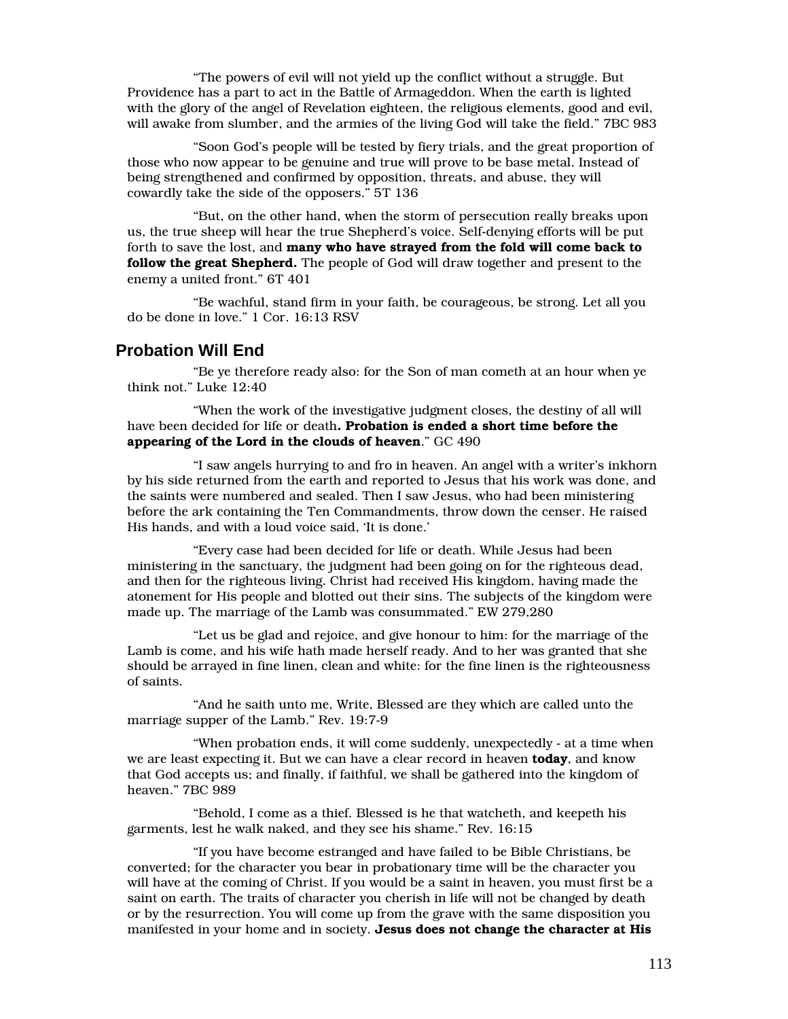"The powers of evil will not yield up the conflict without a struggle. But Providence has a part to act in the Battle of Armageddon. When the earth is lighted with the glory of the angel of Revelation eighteen, the religious elements, good and evil, will awake from slumber, and the armies of the living God will take the field." 7BC 983

 "Soon God's people will be tested by fiery trials, and the great proportion of those who now appear to be genuine and true will prove to be base metal. Instead of being strengthened and confirmed by opposition, threats, and abuse, they will cowardly take the side of the opposers." 5T 136

 "But, on the other hand, when the storm of persecution really breaks upon us, the true sheep will hear the true Shepherd's voice. Self-denying efforts will be put forth to save the lost, and **many who have strayed from the fold will come back to** follow the great Shepherd. The people of God will draw together and present to the enemy a united front." 6T 401

 "Be wachful, stand firm in your faith, be courageous, be strong. Let all you do be done in love." 1 Cor. 16:13 RSV

## **Probation Will End**

 "Be ye therefore ready also: for the Son of man cometh at an hour when ye think not." Luke 12:40

 "When the work of the investigative judgment closes, the destiny of all will have been decided for life or death. Probation is ended a short time before the appearing of the Lord in the clouds of heaven." GC 490

 "I saw angels hurrying to and fro in heaven. An angel with a writer's inkhorn by his side returned from the earth and reported to Jesus that his work was done, and the saints were numbered and sealed. Then I saw Jesus, who had been ministering before the ark containing the Ten Commandments, throw down the censer. He raised His hands, and with a loud voice said, 'It is done.'

 "Every case had been decided for life or death. While Jesus had been ministering in the sanctuary, the judgment had been going on for the righteous dead, and then for the righteous living. Christ had received His kingdom, having made the atonement for His people and blotted out their sins. The subjects of the kingdom were made up. The marriage of the Lamb was consummated." EW 279,280

 "Let us be glad and rejoice, and give honour to him: for the marriage of the Lamb is come, and his wife hath made herself ready. And to her was granted that she should be arrayed in fine linen, clean and white: for the fine linen is the righteousness of saints.

 "And he saith unto me, Write, Blessed are they which are called unto the marriage supper of the Lamb." Rev. 19:7-9

 "When probation ends, it will come suddenly, unexpectedly - at a time when we are least expecting it. But we can have a clear record in heaven **today**, and know that God accepts us; and finally, if faithful, we shall be gathered into the kingdom of heaven." 7BC 989

 "Behold, I come as a thief. Blessed is he that watcheth, and keepeth his garments, lest he walk naked, and they see his shame." Rev. 16:15

 "If you have become estranged and have failed to be Bible Christians, be converted; for the character you bear in probationary time will be the character you will have at the coming of Christ. If you would be a saint in heaven, you must first be a saint on earth. The traits of character you cherish in life will not be changed by death or by the resurrection. You will come up from the grave with the same disposition you manifested in your home and in society. Jesus does not change the character at His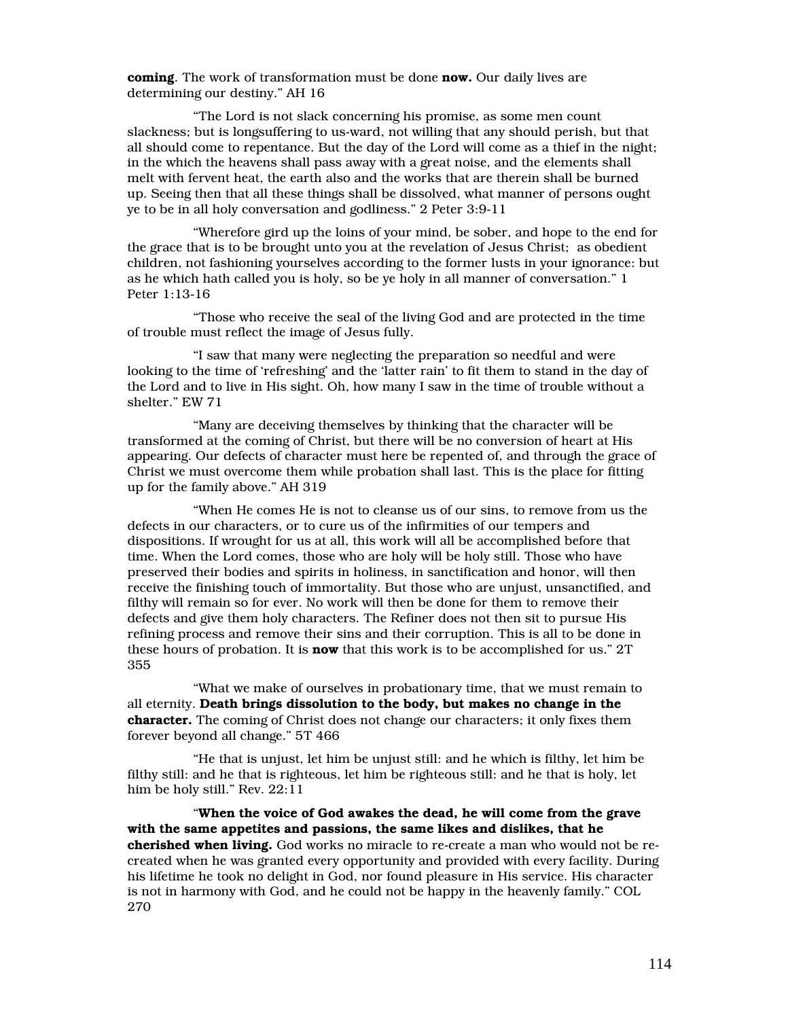coming. The work of transformation must be done now. Our daily lives are determining our destiny." AH 16

 "The Lord is not slack concerning his promise, as some men count slackness; but is longsuffering to us-ward, not willing that any should perish, but that all should come to repentance. But the day of the Lord will come as a thief in the night; in the which the heavens shall pass away with a great noise, and the elements shall melt with fervent heat, the earth also and the works that are therein shall be burned up. Seeing then that all these things shall be dissolved, what manner of persons ought ye to be in all holy conversation and godliness." 2 Peter 3:9-11

 "Wherefore gird up the loins of your mind, be sober, and hope to the end for the grace that is to be brought unto you at the revelation of Jesus Christ; as obedient children, not fashioning yourselves according to the former lusts in your ignorance: but as he which hath called you is holy, so be ye holy in all manner of conversation." 1 Peter 1:13-16

 "Those who receive the seal of the living God and are protected in the time of trouble must reflect the image of Jesus fully.

 "I saw that many were neglecting the preparation so needful and were looking to the time of 'refreshing' and the 'latter rain' to fit them to stand in the day of the Lord and to live in His sight. Oh, how many I saw in the time of trouble without a shelter." EW 71

 "Many are deceiving themselves by thinking that the character will be transformed at the coming of Christ, but there will be no conversion of heart at His appearing. Our defects of character must here be repented of, and through the grace of Christ we must overcome them while probation shall last. This is the place for fitting up for the family above." AH 319

 "When He comes He is not to cleanse us of our sins, to remove from us the defects in our characters, or to cure us of the infirmities of our tempers and dispositions. If wrought for us at all, this work will all be accomplished before that time. When the Lord comes, those who are holy will be holy still. Those who have preserved their bodies and spirits in holiness, in sanctification and honor, will then receive the finishing touch of immortality. But those who are unjust, unsanctified, and filthy will remain so for ever. No work will then be done for them to remove their defects and give them holy characters. The Refiner does not then sit to pursue His refining process and remove their sins and their corruption. This is all to be done in these hours of probation. It is **now** that this work is to be accomplished for us." 2T 355

 "What we make of ourselves in probationary time, that we must remain to all eternity. Death brings dissolution to the body, but makes no change in the character. The coming of Christ does not change our characters; it only fixes them forever beyond all change." 5T 466

 "He that is unjust, let him be unjust still: and he which is filthy, let him be filthy still: and he that is righteous, let him be righteous still: and he that is holy, let him be holy still." Rev. 22:11

 "When the voice of God awakes the dead, he will come from the grave with the same appetites and passions, the same likes and dislikes, that he cherished when living. God works no miracle to re-create a man who would not be recreated when he was granted every opportunity and provided with every facility. During his lifetime he took no delight in God, nor found pleasure in His service. His character is not in harmony with God, and he could not be happy in the heavenly family." COL 270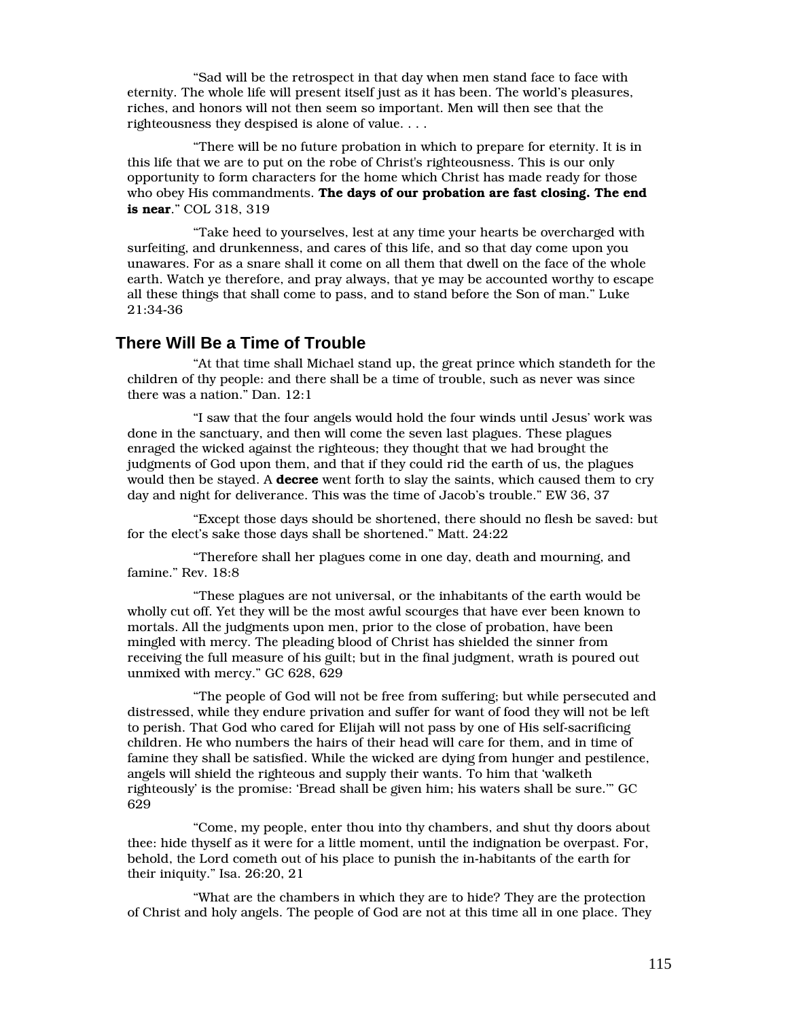"Sad will be the retrospect in that day when men stand face to face with eternity. The whole life will present itself just as it has been. The world's pleasures, riches, and honors will not then seem so important. Men will then see that the righteousness they despised is alone of value. . . .

 "There will be no future probation in which to prepare for eternity. It is in this life that we are to put on the robe of Christ's righteousness. This is our only opportunity to form characters for the home which Christ has made ready for those who obey His commandments. The days of our probation are fast closing. The end is near." COL 318, 319

 "Take heed to yourselves, lest at any time your hearts be overcharged with surfeiting, and drunkenness, and cares of this life, and so that day come upon you unawares. For as a snare shall it come on all them that dwell on the face of the whole earth. Watch ye therefore, and pray always, that ye may be accounted worthy to escape all these things that shall come to pass, and to stand before the Son of man." Luke 21:34-36

## **There Will Be a Time of Trouble**

 "At that time shall Michael stand up, the great prince which standeth for the children of thy people: and there shall be a time of trouble, such as never was since there was a nation." Dan. 12:1

 "I saw that the four angels would hold the four winds until Jesus' work was done in the sanctuary, and then will come the seven last plagues. These plagues enraged the wicked against the righteous; they thought that we had brought the judgments of God upon them, and that if they could rid the earth of us, the plagues would then be stayed. A **decree** went forth to slay the saints, which caused them to cry day and night for deliverance. This was the time of Jacob's trouble." EW 36, 37

 "Except those days should be shortened, there should no flesh be saved: but for the elect's sake those days shall be shortened." Matt. 24:22

 "Therefore shall her plagues come in one day, death and mourning, and famine." Rev. 18:8

 "These plagues are not universal, or the inhabitants of the earth would be wholly cut off. Yet they will be the most awful scourges that have ever been known to mortals. All the judgments upon men, prior to the close of probation, have been mingled with mercy. The pleading blood of Christ has shielded the sinner from receiving the full measure of his guilt; but in the final judgment, wrath is poured out unmixed with mercy." GC 628, 629

 "The people of God will not be free from suffering; but while persecuted and distressed, while they endure privation and suffer for want of food they will not be left to perish. That God who cared for Elijah will not pass by one of His self-sacrificing children. He who numbers the hairs of their head will care for them, and in time of famine they shall be satisfied. While the wicked are dying from hunger and pestilence, angels will shield the righteous and supply their wants. To him that 'walketh righteously' is the promise: 'Bread shall be given him; his waters shall be sure.'" GC 629

 "Come, my people, enter thou into thy chambers, and shut thy doors about thee: hide thyself as it were for a little moment, until the indignation be overpast. For, behold, the Lord cometh out of his place to punish the in-habitants of the earth for their iniquity." Isa. 26:20, 21

 "What are the chambers in which they are to hide? They are the protection of Christ and holy angels. The people of God are not at this time all in one place. They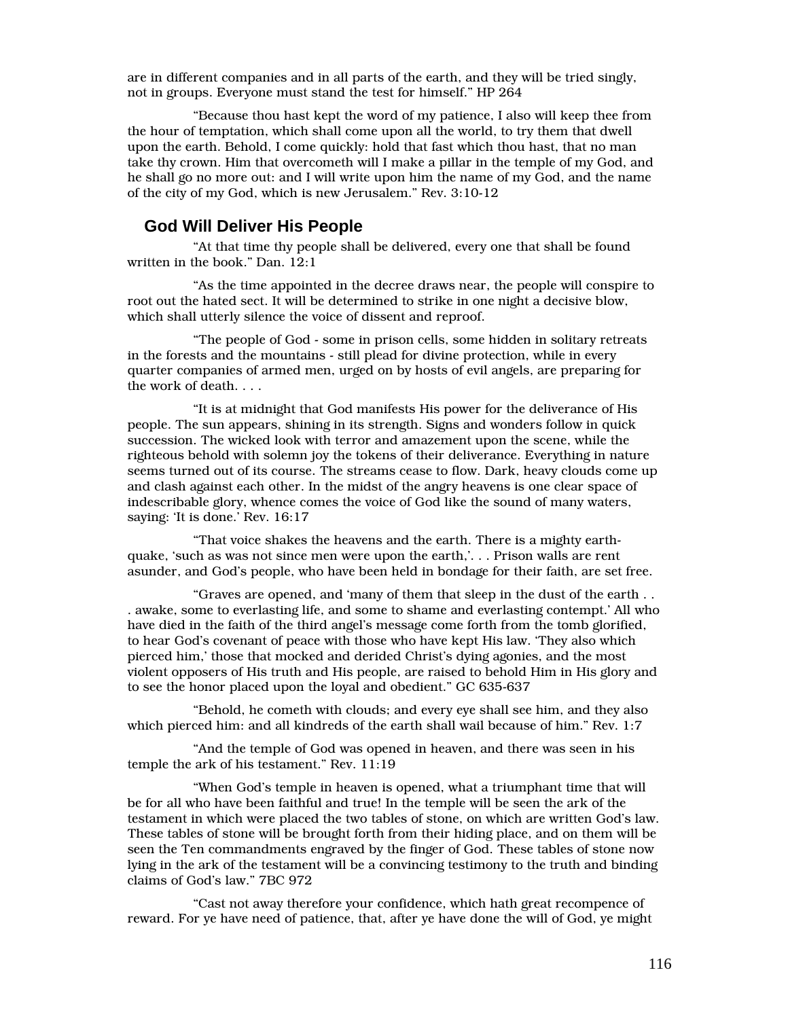are in different companies and in all parts of the earth, and they will be tried singly, not in groups. Everyone must stand the test for himself." HP 264

 "Because thou hast kept the word of my patience, I also will keep thee from the hour of temptation, which shall come upon all the world, to try them that dwell upon the earth. Behold, I come quickly: hold that fast which thou hast, that no man take thy crown. Him that overcometh will I make a pillar in the temple of my God, and he shall go no more out: and I will write upon him the name of my God, and the name of the city of my God, which is new Jerusalem." Rev. 3:10-12

### **God Will Deliver His People**

 "At that time thy people shall be delivered, every one that shall be found written in the book." Dan. 12:1

 "As the time appointed in the decree draws near, the people will conspire to root out the hated sect. It will be determined to strike in one night a decisive blow, which shall utterly silence the voice of dissent and reproof.

 "The people of God - some in prison cells, some hidden in solitary retreats in the forests and the mountains - still plead for divine protection, while in every quarter companies of armed men, urged on by hosts of evil angels, are preparing for the work of death. . . .

 "It is at midnight that God manifests His power for the deliverance of His people. The sun appears, shining in its strength. Signs and wonders follow in quick succession. The wicked look with terror and amazement upon the scene, while the righteous behold with solemn joy the tokens of their deliverance. Everything in nature seems turned out of its course. The streams cease to flow. Dark, heavy clouds come up and clash against each other. In the midst of the angry heavens is one clear space of indescribable glory, whence comes the voice of God like the sound of many waters, saying: 'It is done.' Rev. 16:17

 "That voice shakes the heavens and the earth. There is a mighty earthquake, 'such as was not since men were upon the earth,'. . . Prison walls are rent asunder, and God's people, who have been held in bondage for their faith, are set free.

 "Graves are opened, and 'many of them that sleep in the dust of the earth . . . awake, some to everlasting life, and some to shame and everlasting contempt.' All who have died in the faith of the third angel's message come forth from the tomb glorified, to hear God's covenant of peace with those who have kept His law. 'They also which pierced him,' those that mocked and derided Christ's dying agonies, and the most violent opposers of His truth and His people, are raised to behold Him in His glory and to see the honor placed upon the loyal and obedient." GC 635-637

 "Behold, he cometh with clouds; and every eye shall see him, and they also which pierced him: and all kindreds of the earth shall wail because of him." Rev. 1:7

 "And the temple of God was opened in heaven, and there was seen in his temple the ark of his testament." Rev. 11:19

 "When God's temple in heaven is opened, what a triumphant time that will be for all who have been faithful and true! In the temple will be seen the ark of the testament in which were placed the two tables of stone, on which are written God's law. These tables of stone will be brought forth from their hiding place, and on them will be seen the Ten commandments engraved by the finger of God. These tables of stone now lying in the ark of the testament will be a convincing testimony to the truth and binding claims of God's law." 7BC 972

 "Cast not away therefore your confidence, which hath great recompence of reward. For ye have need of patience, that, after ye have done the will of God, ye might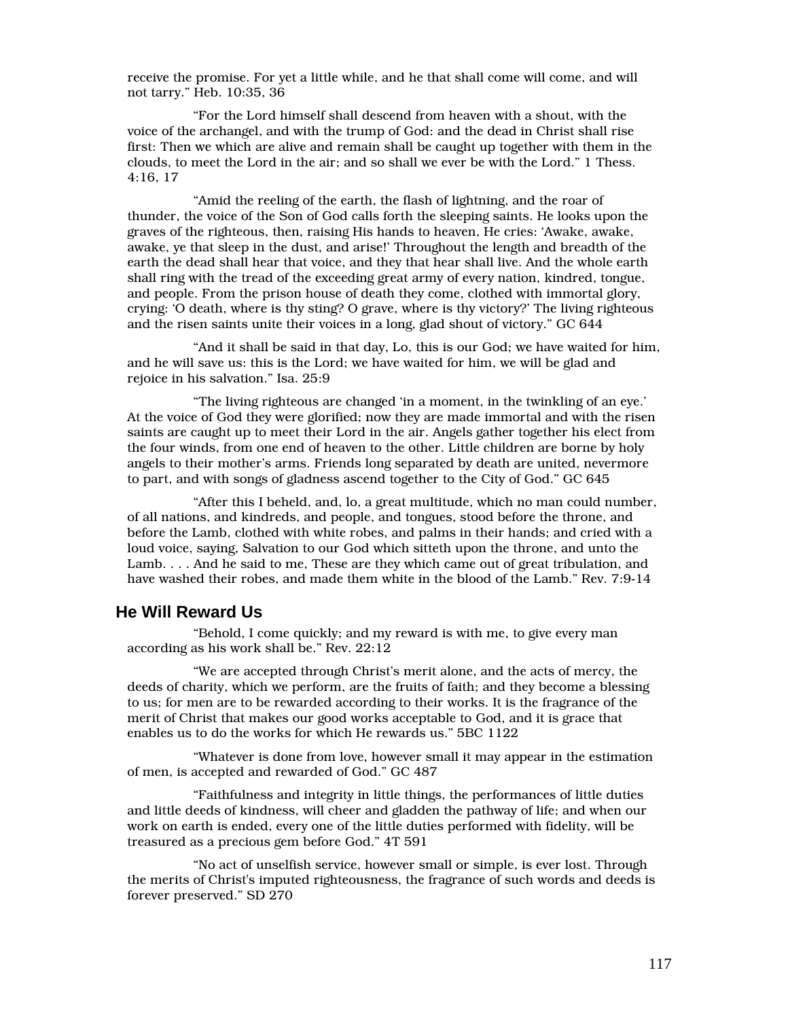receive the promise. For yet a little while, and he that shall come will come, and will not tarry." Heb. 10:35, 36

 "For the Lord himself shall descend from heaven with a shout, with the voice of the archangel, and with the trump of God: and the dead in Christ shall rise first: Then we which are alive and remain shall be caught up together with them in the clouds, to meet the Lord in the air; and so shall we ever be with the Lord." 1 Thess. 4:16, 17

 "Amid the reeling of the earth, the flash of lightning, and the roar of thunder, the voice of the Son of God calls forth the sleeping saints. He looks upon the graves of the righteous, then, raising His hands to heaven, He cries: 'Awake, awake, awake, ye that sleep in the dust, and arise!' Throughout the length and breadth of the earth the dead shall hear that voice, and they that hear shall live. And the whole earth shall ring with the tread of the exceeding great army of every nation, kindred, tongue, and people. From the prison house of death they come, clothed with immortal glory, crying: 'O death, where is thy sting? O grave, where is thy victory?' The living righteous and the risen saints unite their voices in a long, glad shout of victory." GC 644

 "And it shall be said in that day, Lo, this is our God; we have waited for him, and he will save us: this is the Lord; we have waited for him, we will be glad and rejoice in his salvation." Isa. 25:9

 "The living righteous are changed 'in a moment, in the twinkling of an eye.' At the voice of God they were glorified; now they are made immortal and with the risen saints are caught up to meet their Lord in the air. Angels gather together his elect from the four winds, from one end of heaven to the other. Little children are borne by holy angels to their mother's arms. Friends long separated by death are united, nevermore to part, and with songs of gladness ascend together to the City of God." GC 645

 "After this I beheld, and, lo, a great multitude, which no man could number, of all nations, and kindreds, and people, and tongues, stood before the throne, and before the Lamb, clothed with white robes, and palms in their hands; and cried with a loud voice, saying, Salvation to our God which sitteth upon the throne, and unto the Lamb. . . . And he said to me, These are they which came out of great tribulation, and have washed their robes, and made them white in the blood of the Lamb." Rev. 7:9-14

## **He Will Reward Us**

 "Behold, I come quickly; and my reward is with me, to give every man according as his work shall be." Rev. 22:12

 "We are accepted through Christ's merit alone, and the acts of mercy, the deeds of charity, which we perform, are the fruits of faith; and they become a blessing to us; for men are to be rewarded according to their works. It is the fragrance of the merit of Christ that makes our good works acceptable to God, and it is grace that enables us to do the works for which He rewards us." 5BC 1122

 "Whatever is done from love, however small it may appear in the estimation of men, is accepted and rewarded of God." GC 487

 "Faithfulness and integrity in little things, the performances of little duties and little deeds of kindness, will cheer and gladden the pathway of life; and when our work on earth is ended, every one of the little duties performed with fidelity, will be treasured as a precious gem before God." 4T 591

 "No act of unselfish service, however small or simple, is ever lost. Through the merits of Christ's imputed righteousness, the fragrance of such words and deeds is forever preserved." SD 270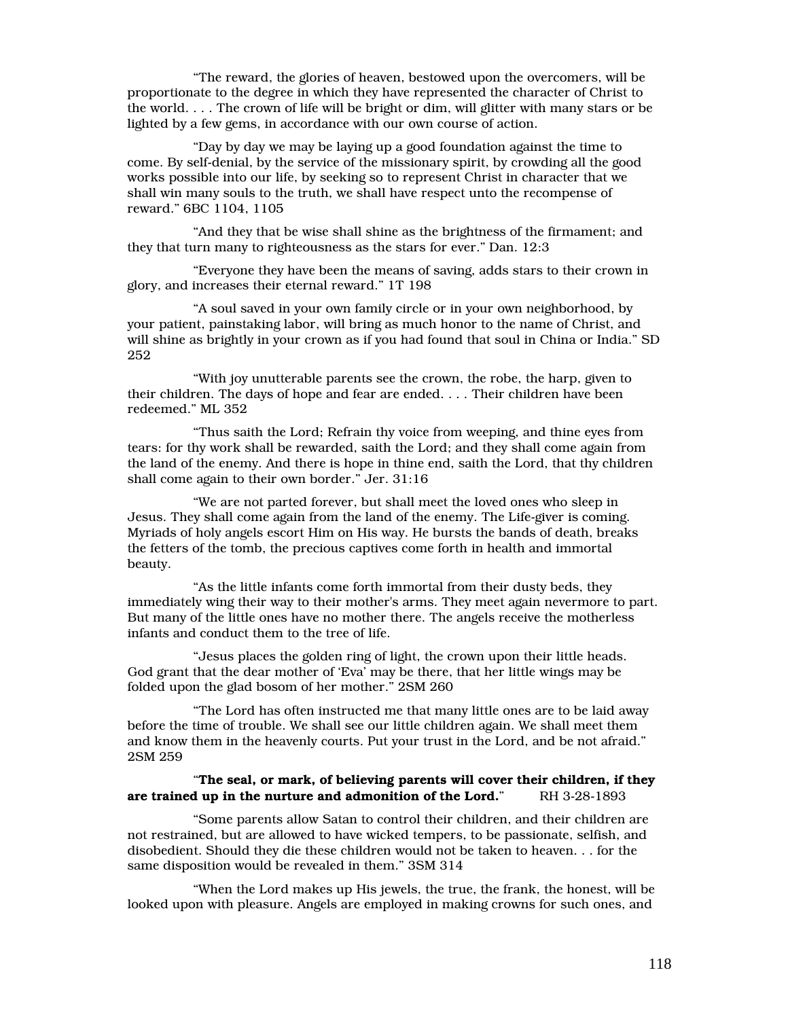"The reward, the glories of heaven, bestowed upon the overcomers, will be proportionate to the degree in which they have represented the character of Christ to the world. . . . The crown of life will be bright or dim, will glitter with many stars or be lighted by a few gems, in accordance with our own course of action.

 "Day by day we may be laying up a good foundation against the time to come. By self-denial, by the service of the missionary spirit, by crowding all the good works possible into our life, by seeking so to represent Christ in character that we shall win many souls to the truth, we shall have respect unto the recompense of reward." 6BC 1104, 1105

 "And they that be wise shall shine as the brightness of the firmament; and they that turn many to righteousness as the stars for ever." Dan. 12:3

 "Everyone they have been the means of saving, adds stars to their crown in glory, and increases their eternal reward." 1T 198

 "A soul saved in your own family circle or in your own neighborhood, by your patient, painstaking labor, will bring as much honor to the name of Christ, and will shine as brightly in your crown as if you had found that soul in China or India." SD 252

 "With joy unutterable parents see the crown, the robe, the harp, given to their children. The days of hope and fear are ended. . . . Their children have been redeemed." ML 352

 "Thus saith the Lord; Refrain thy voice from weeping, and thine eyes from tears: for thy work shall be rewarded, saith the Lord; and they shall come again from the land of the enemy. And there is hope in thine end, saith the Lord, that thy children shall come again to their own border." Jer. 31:16

 "We are not parted forever, but shall meet the loved ones who sleep in Jesus. They shall come again from the land of the enemy. The Life-giver is coming. Myriads of holy angels escort Him on His way. He bursts the bands of death, breaks the fetters of the tomb, the precious captives come forth in health and immortal beauty.

 "As the little infants come forth immortal from their dusty beds, they immediately wing their way to their mother's arms. They meet again nevermore to part. But many of the little ones have no mother there. The angels receive the motherless infants and conduct them to the tree of life.

 "Jesus places the golden ring of light, the crown upon their little heads. God grant that the dear mother of 'Eva' may be there, that her little wings may be folded upon the glad bosom of her mother." 2SM 260

 "The Lord has often instructed me that many little ones are to be laid away before the time of trouble. We shall see our little children again. We shall meet them and know them in the heavenly courts. Put your trust in the Lord, and be not afraid." 2SM 259

#### "The seal, or mark, of believing parents will cover their children, if they are trained up in the nurture and admonition of the Lord." RH 3-28-1893

 "Some parents allow Satan to control their children, and their children are not restrained, but are allowed to have wicked tempers, to be passionate, selfish, and disobedient. Should they die these children would not be taken to heaven. . . for the same disposition would be revealed in them." 3SM 314

 "When the Lord makes up His jewels, the true, the frank, the honest, will be looked upon with pleasure. Angels are employed in making crowns for such ones, and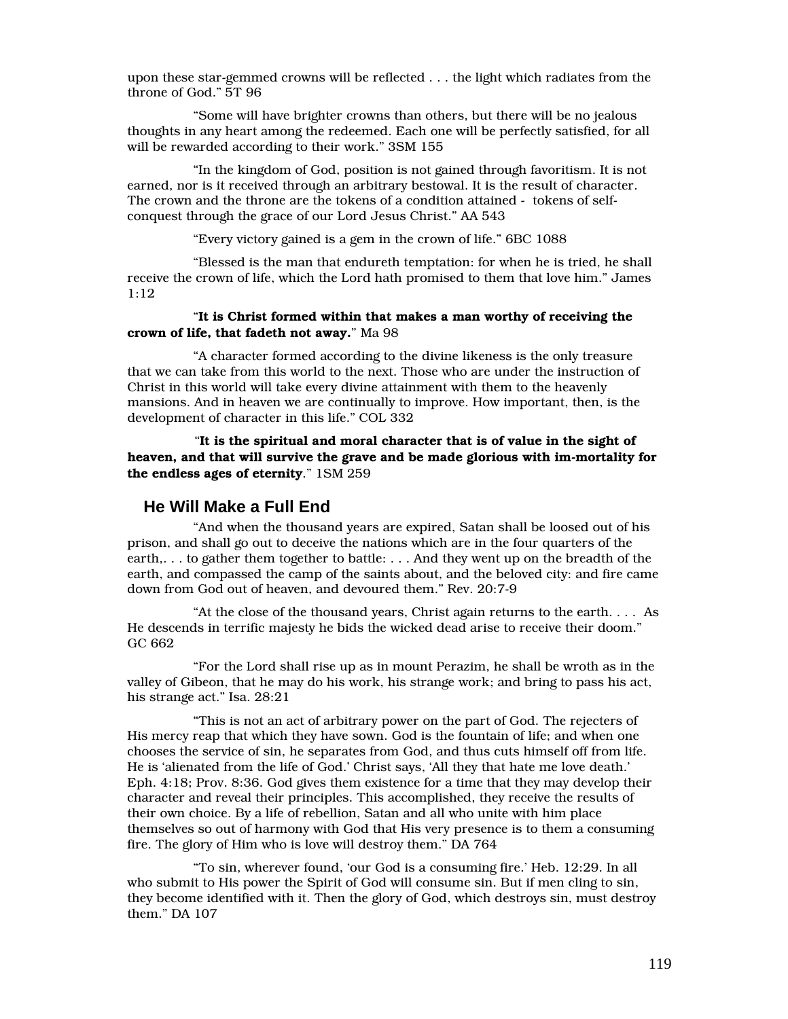upon these star-gemmed crowns will be reflected . . . the light which radiates from the throne of God." 5T 96

 "Some will have brighter crowns than others, but there will be no jealous thoughts in any heart among the redeemed. Each one will be perfectly satisfied, for all will be rewarded according to their work." 3SM 155

 "In the kingdom of God, position is not gained through favoritism. It is not earned, nor is it received through an arbitrary bestowal. It is the result of character. The crown and the throne are the tokens of a condition attained - tokens of selfconquest through the grace of our Lord Jesus Christ." AA 543

"Every victory gained is a gem in the crown of life." 6BC 1088

 "Blessed is the man that endureth temptation: for when he is tried, he shall receive the crown of life, which the Lord hath promised to them that love him." James 1:12

#### "It is Christ formed within that makes a man worthy of receiving the crown of life, that fadeth not away." Ma 98

 "A character formed according to the divine likeness is the only treasure that we can take from this world to the next. Those who are under the instruction of Christ in this world will take every divine attainment with them to the heavenly mansions. And in heaven we are continually to improve. How important, then, is the development of character in this life." COL 332

 "It is the spiritual and moral character that is of value in the sight of heaven, and that will survive the grave and be made glorious with im-mortality for the endless ages of eternity." 1SM 259

### **He Will Make a Full End**

 "And when the thousand years are expired, Satan shall be loosed out of his prison, and shall go out to deceive the nations which are in the four quarters of the earth,. . . to gather them together to battle: . . . And they went up on the breadth of the earth, and compassed the camp of the saints about, and the beloved city: and fire came down from God out of heaven, and devoured them." Rev. 20:7-9

 "At the close of the thousand years, Christ again returns to the earth. . . . As He descends in terrific majesty he bids the wicked dead arise to receive their doom." GC 662

 "For the Lord shall rise up as in mount Perazim, he shall be wroth as in the valley of Gibeon, that he may do his work, his strange work; and bring to pass his act, his strange act." Isa. 28:21

 "This is not an act of arbitrary power on the part of God. The rejecters of His mercy reap that which they have sown. God is the fountain of life; and when one chooses the service of sin, he separates from God, and thus cuts himself off from life. He is 'alienated from the life of God.' Christ says, 'All they that hate me love death.' Eph. 4:18; Prov. 8:36. God gives them existence for a time that they may develop their character and reveal their principles. This accomplished, they receive the results of their own choice. By a life of rebellion, Satan and all who unite with him place themselves so out of harmony with God that His very presence is to them a consuming fire. The glory of Him who is love will destroy them." DA 764

 "To sin, wherever found, 'our God is a consuming fire.' Heb. 12:29. In all who submit to His power the Spirit of God will consume sin. But if men cling to sin, they become identified with it. Then the glory of God, which destroys sin, must destroy them." DA 107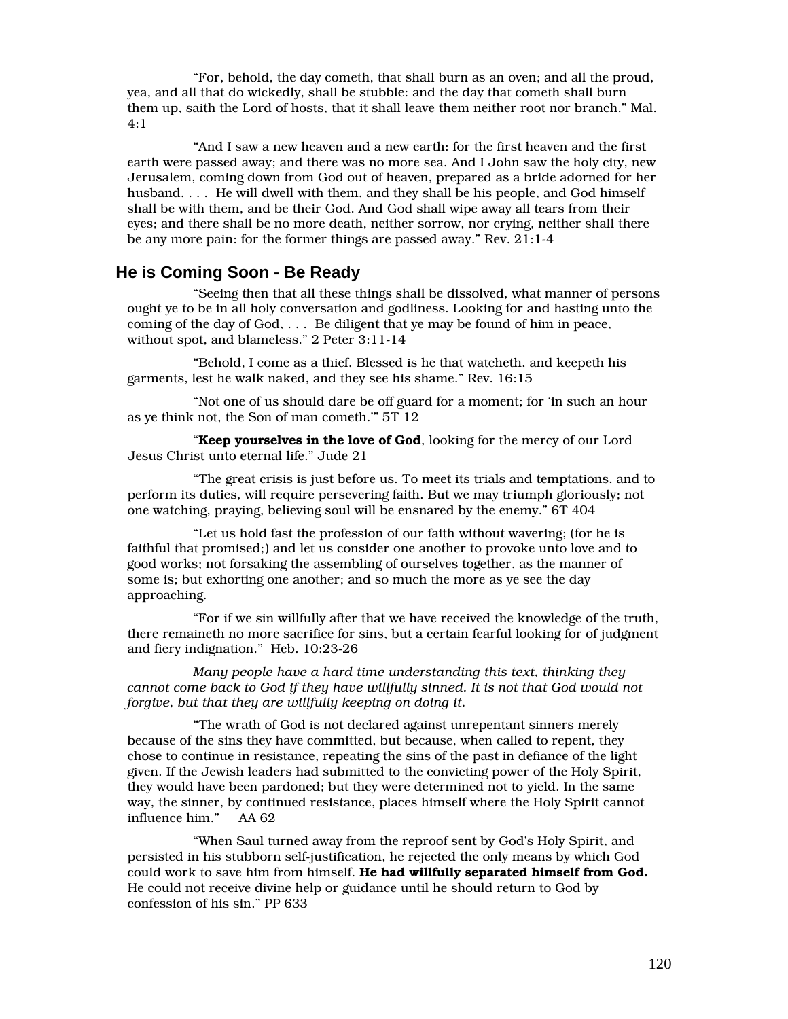"For, behold, the day cometh, that shall burn as an oven; and all the proud, yea, and all that do wickedly, shall be stubble: and the day that cometh shall burn them up, saith the Lord of hosts, that it shall leave them neither root nor branch." Mal. 4:1

 "And I saw a new heaven and a new earth: for the first heaven and the first earth were passed away; and there was no more sea. And I John saw the holy city, new Jerusalem, coming down from God out of heaven, prepared as a bride adorned for her husband.... He will dwell with them, and they shall be his people, and God himself shall be with them, and be their God. And God shall wipe away all tears from their eyes; and there shall be no more death, neither sorrow, nor crying, neither shall there be any more pain: for the former things are passed away." Rev. 21:1-4

## **He is Coming Soon - Be Ready**

 "Seeing then that all these things shall be dissolved, what manner of persons ought ye to be in all holy conversation and godliness. Looking for and hasting unto the coming of the day of God, . . . Be diligent that ye may be found of him in peace, without spot, and blameless." 2 Peter 3:11-14

 "Behold, I come as a thief. Blessed is he that watcheth, and keepeth his garments, lest he walk naked, and they see his shame." Rev. 16:15

 "Not one of us should dare be off guard for a moment; for 'in such an hour as ye think not, the Son of man cometh.'" 5T 12

"Keep yourselves in the love of God, looking for the mercy of our Lord Jesus Christ unto eternal life." Jude 21

 "The great crisis is just before us. To meet its trials and temptations, and to perform its duties, will require persevering faith. But we may triumph gloriously; not one watching, praying, believing soul will be ensnared by the enemy." 6T 404

 "Let us hold fast the profession of our faith without wavering; (for he is faithful that promised;) and let us consider one another to provoke unto love and to good works; not forsaking the assembling of ourselves together, as the manner of some is; but exhorting one another; and so much the more as ye see the day approaching.

 "For if we sin willfully after that we have received the knowledge of the truth, there remaineth no more sacrifice for sins, but a certain fearful looking for of judgment and fiery indignation." Heb. 10:23-26

 *Many people have a hard time understanding this text, thinking they cannot come back to God if they have willfully sinned. It is not that God would not forgive, but that they are willfully keeping on doing it.* 

 "The wrath of God is not declared against unrepentant sinners merely because of the sins they have committed, but because, when called to repent, they chose to continue in resistance, repeating the sins of the past in defiance of the light given. If the Jewish leaders had submitted to the convicting power of the Holy Spirit, they would have been pardoned; but they were determined not to yield. In the same way, the sinner, by continued resistance, places himself where the Holy Spirit cannot influence him." AA 62

 "When Saul turned away from the reproof sent by God's Holy Spirit, and persisted in his stubborn self-justification, he rejected the only means by which God could work to save him from himself. He had willfully separated himself from God. He could not receive divine help or guidance until he should return to God by confession of his sin." PP 633